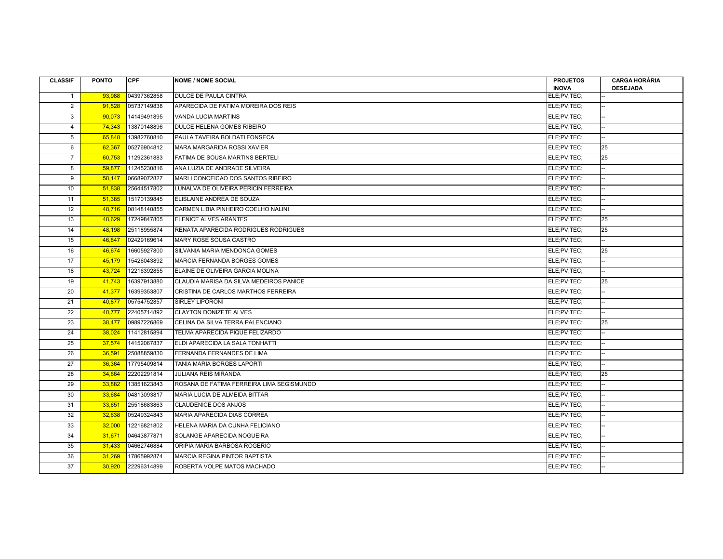| <b>CLASSIF</b> | <b>PONTO</b> | <b>CPF</b>  | <b>NOME / NOME SOCIAL</b>                 | <b>PROJETOS</b> | <b>CARGA HORÁRIA</b>     |
|----------------|--------------|-------------|-------------------------------------------|-----------------|--------------------------|
|                |              |             |                                           | <b>INOVA</b>    | <b>DESEJADA</b>          |
| $\mathbf{1}$   | 93,988       | 04397362858 | DULCE DE PAULA CINTRA                     | ELE:PV:TEC:     |                          |
| $\overline{2}$ | 91,528       | 05737149838 | APARECIDA DE FATIMA MOREIRA DOS REIS      | ELE:PV:TEC:     |                          |
| 3              | 90,073       | 14149491895 | VANDA LUCIA MARTINS                       | ELE;PV;TEC;     |                          |
| $\overline{4}$ | 74,343       | 13870148896 | DULCE HELENA GOMES RIBEIRO                | ELE;PV;TEC;     |                          |
| 5              | 65,848       | 13982760810 | PAULA TAVEIRA BOLDATI FONSECA             | ELE;PV;TEC;     |                          |
| 6              | 62,367       | 05276904812 | MARA MARGARIDA ROSSI XAVIER               | ELE;PV;TEC;     | 25                       |
| $\overline{7}$ | 60,753       | 11292361883 | FATIMA DE SOUSA MARTINS BERTELI           | ELE;PV;TEC;     | 25                       |
| 8              | 59.877       | 11245230816 | ANA LUZIA DE ANDRADE SILVEIRA             | ELE;PV;TEC;     |                          |
| 9              | 58.147       | 06689072827 | MARLI CONCEICAO DOS SANTOS RIBEIRO        | ELE;PV;TEC;     |                          |
| 10             | 51.838       | 25644517802 | LUNALVA DE OLIVEIRA PERICIN FERREIRA      | ELE;PV;TEC;     |                          |
| 11             | 51,385       | 15170139845 | ELISLAINE ANDREA DE SOUZA                 | ELE;PV;TEC;     |                          |
| 12             | 48.716       | 08148140855 | CARMEN LIBIA PINHEIRO COELHO NALINI       | ELE;PV;TEC;     |                          |
| 13             | 48.629       | 17249847805 | <b>ELENICE ALVES ARANTES</b>              | ELE;PV;TEC;     | 25                       |
| 14             | 48,198       | 25118955874 | RENATA APARECIDA RODRIGUES RODRIGUES      | ELE;PV;TEC;     | 25                       |
| 15             | 46,847       | 02429169614 | MARY ROSE SOUSA CASTRO                    | ELE;PV;TEC;     |                          |
| 16             | 46,674       | 16605927800 | SILVANIA MARIA MENDONCA GOMES             | ELE;PV;TEC;     | 25                       |
| 17             | 45,179       | 15426043892 | <b>MARCIA FERNANDA BORGES GOMES</b>       | ELE;PV;TEC;     |                          |
| 18             | 43,724       | 12216392855 | ELAINE DE OLIVEIRA GARCIA MOLINA          | ELE;PV;TEC;     |                          |
| 19             | 41,743       | 16397913880 | CLAUDIA MARISA DA SILVA MEDEIROS PANICE   | ELE;PV;TEC;     | 25                       |
| 20             | 41,377       | 16399353807 | CRISTINA DE CARLOS MARTHOS FERREIRA       | ELE:PV:TEC:     |                          |
| 21             | 40,877       | 05754752857 | <b>SIRLEY LIPORONI</b>                    | ELE;PV;TEC;     |                          |
| 22             | 40,777       | 22405714892 | <b>CLAYTON DONIZETE ALVES</b>             | ELE:PV:TEC:     |                          |
| 23             | 38,477       | 09897226869 | CELINA DA SILVA TERRA PALENCIANO          | ELE;PV;TEC;     | 25                       |
| 24             | 38,024       | 11412815894 | TELMA APARECIDA PIQUE FELIZARDO           | ELE;PV;TEC;     |                          |
| 25             | 37,574       | 14152067837 | ELDI APARECIDA LA SALA TONHATTI           | ELE;PV;TEC;     |                          |
| 26             | 36,591       | 25088859830 | FERNANDA FERNANDES DE LIMA                | ELE;PV;TEC;     |                          |
| 27             | 36,364       | 17795409814 | TANIA MARIA BORGES LAPORTI                | ELE;PV;TEC;     |                          |
| 28             | 34,664       | 22202291814 | <b>JULIANA REIS MIRANDA</b>               | ELE;PV;TEC;     | 25                       |
| 29             | 33,882       | 13851623843 | ROSANA DE FATIMA FERREIRA LIMA SEGISMUNDO | ELE;PV;TEC;     |                          |
| 30             | 33.684       | 04813093817 | MARIA LUCIA DE ALMEIDA BITTAR             | ELE;PV;TEC;     |                          |
| 31             | 33.651       | 25518683863 | <b>CLAUDENICE DOS ANJOS</b>               | ELE;PV;TEC;     |                          |
| 32             | 32.638       | 05249324843 | MARIA APARECIDA DIAS CORREA               | ELE;PV;TEC;     |                          |
| 33             | 32,000       | 12216821802 | HELENA MARIA DA CUNHA FELICIANO           | ELE;PV;TEC;     | ш.                       |
| 34             | 31,671       | 04643877871 | SOLANGE APARECIDA NOGUEIRA                | ELE;PV;TEC;     | $\overline{\phantom{a}}$ |
| 35             | 31,433       | 04662746884 | ORIPIA MARIA BARBOSA ROGERIO              | ELE;PV;TEC;     |                          |
| 36             | 31,269       | 17865992874 | MARCIA REGINA PINTOR BAPTISTA             | ELE;PV;TEC;     |                          |
| 37             | 30,920       | 22296314899 | ROBERTA VOLPE MATOS MACHADO               | ELE;PV;TEC;     |                          |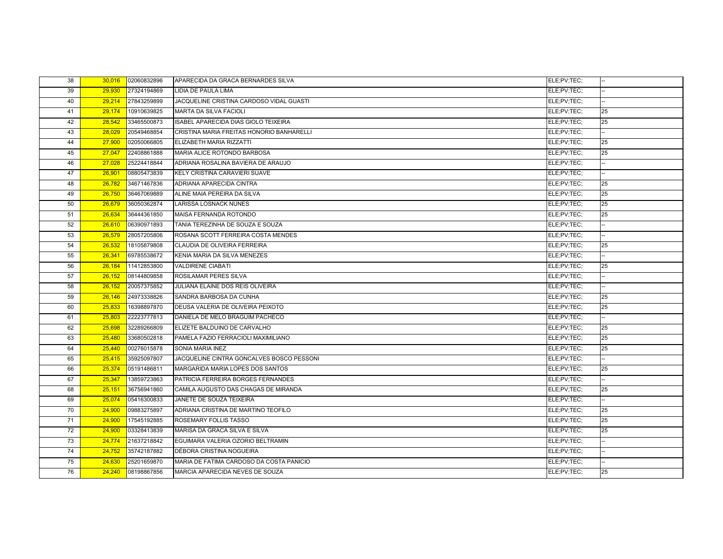| 38              | 30,016 | 02060832896 | APARECIDA DA GRACA BERNARDES SILVA        | ELE;PV;TEC; |    |
|-----------------|--------|-------------|-------------------------------------------|-------------|----|
| 39              | 29,930 | 27324194869 | LIDIA DE PAULA LIMA                       | ELE;PV;TEC; |    |
| 40              | 29,214 | 27843259899 | JACQUELINE CRISTINA CARDOSO VIDAL GUASTI  | ELE;PV;TEC; |    |
| 41              | 29,174 | 10910639825 | <b>MARTA DA SILVA FACIOLI</b>             | ELE:PV:TEC: | 25 |
| 42              | 28,542 | 33465500873 | ISABEL APARECIDA DIAS GIOLO TEIXEIRA      | ELE;PV;TEC; | 25 |
| 43              | 28,029 | 20549468854 | CRISTINA MARIA FREITAS HONORIO BANHARELLI | ELE;PV;TEC; |    |
| 44              | 27,900 | 02050066805 | ELIZABETH MARIA RIZZATTI                  | ELE;PV;TEC; | 25 |
| 45              | 27,047 | 22408861888 | MARIA ALICE ROTONDO BARBOSA               | ELE;PV;TEC; | 25 |
| 46              | 27,028 | 25224418844 | ADRIANA ROSALINA BAVIERA DE ARAUJO        | ELE;PV;TEC; |    |
| 47              | 26,901 | 08805473839 | KELY CRISTINA CARAVIERI SUAVE             | ELE;PV;TEC; |    |
| 48              | 26,782 | 34671467836 | ADRIANA APARECIDA CINTRA                  | ELE:PV:TEC: | 25 |
| 49              | 26,750 | 36467069889 | ALINE MAIA PEREIRA DA SILVA               | ELE;PV;TEC; | 25 |
| 50              | 26,679 | 36050362874 | <b>LARISSA LOSNACK NUNES</b>              | ELE:PV:TEC: | 25 |
| 51              | 26,634 | 36444361850 | MAISA FERNANDA ROTONDO                    | ELE;PV;TEC; | 25 |
| 52              | 26,610 | 06390971893 | TANIA TEREZINHA DE SOUZA E SOUZA          | ELE:PV:TEC: |    |
| 53              | 26,579 | 28057205806 | ROSANA SCOTT FERREIRA COSTA MENDES        | ELE:PV:TEC: |    |
| 54              | 26,532 | 18105879808 | CLAUDIA DE OLIVEIRA FERREIRA              | ELE;PV;TEC; | 25 |
| 55              | 26,341 | 69785538672 | KENIA MARIA DA SILVA MENEZES              | ELE;PV;TEC; |    |
| 56              | 26,184 | 11412853800 | <b>VALDIRENE CIABATI</b>                  | ELE;PV;TEC; | 25 |
| 57              | 26,152 | 08144809858 | ROSILAMAR PERES SILVA                     | ELE;PV;TEC; |    |
| 58              | 26,152 | 20057375852 | JULIANA ELAINE DOS REIS OLIVEIRA          | ELE:PV:TEC: |    |
| 59              | 26,146 | 24973338826 | SANDRA BARBOSA DA CUNHA                   | ELE:PV:TEC: | 25 |
| 60              | 25,833 | 16398897870 | DEUSA VALERIA DE OLIVEIRA PEIXOTO         | ELE;PV;TEC; | 25 |
| 61              | 25,803 | 22223777813 | DANIELA DE MELO BRAGUIM PACHECO           | ELE;PV;TEC; |    |
| 62              | 25,698 | 32289266809 | ELIZETE BALDUINO DE CARVALHO              | ELE;PV;TEC; | 25 |
| 63              | 25,480 | 33680502818 | PAMELA FAZIO FERRACIOLI MAXIMILIANO       | ELE:PV:TEC: | 25 |
| 64              | 25,440 | 00276015878 | SONIA MARIA INEZ                          | ELE:PV:TEC: | 25 |
| 65              | 25,415 | 35925097807 | JACQUELINE CINTRA GONCALVES BOSCO PESSONI | ELE;PV;TEC; |    |
| 66              | 25,374 | 05191486811 | MARGARIDA MARIA LOPES DOS SANTOS          | ELE;PV;TEC; | 25 |
| 67              | 25,347 | 13859723863 | PATRICIA FERREIRA BORGES FERNANDES        | ELE;PV;TEC; |    |
| 68              | 25,151 | 36756941860 | CAMILA AUGUSTO DAS CHAGAS DE MIRANDA      | ELE;PV;TEC; | 25 |
| 69              | 25,074 | 05416300833 | JANETE DE SOUZA TEIXEIRA                  | ELE;PV;TEC; | L. |
| 70              | 24.900 | 09883275897 | ADRIANA CRISTINA DE MARTINO TEOFILO       | ELE;PV;TEC; | 25 |
| 71              | 24,900 | 17545192885 | ROSEMARY FOLLIS TASSO                     | ELE;PV;TEC; | 25 |
| $\overline{72}$ | 24,900 | 03328413839 | MARISA DA GRACA SILVA E SILVA             | ELE:PV:TEC: | 25 |
| 73              | 24,774 | 21637218842 | EGUIMARA VALERIA OZORIO BELTRAMIN         | ELE:PV:TEC: |    |
| 74              | 24,752 | 35742187882 | DÉBORA CRISTINA NOGUEIRA                  | ELE;PV;TEC; |    |
| 75              | 24,630 | 25201659870 | MARIA DE FATIMA CARDOSO DA COSTA PANICIO  | ELE;PV;TEC; |    |
| 76              | 24,240 | 08198867856 | MARCIA APARECIDA NEVES DE SOUZA           | ELE;PV;TEC; | 25 |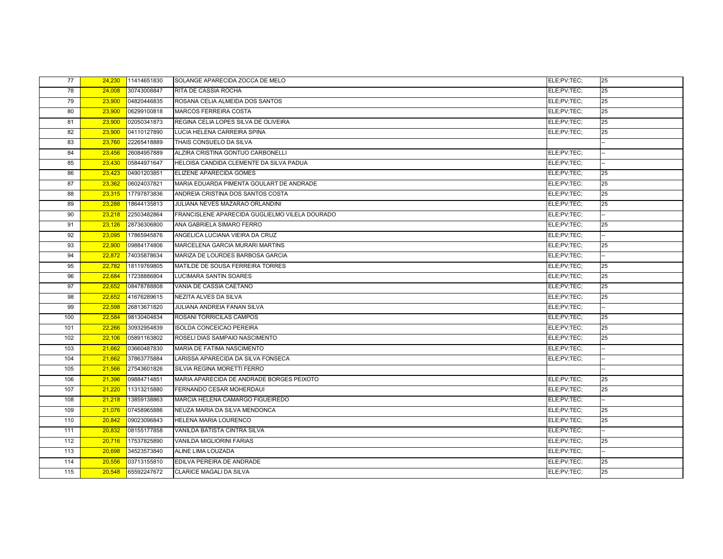| 77  | 24,230 | 11414651830 | SOLANGE APARECIDA ZOCCA DE MELO                | ELE;PV;TEC; | 25 |
|-----|--------|-------------|------------------------------------------------|-------------|----|
| 78  | 24,008 | 30743008847 | RITA DE CASSIA ROCHA                           | ELE;PV;TEC; | 25 |
| 79  | 23,900 | 04820446835 | ROSANA CELIA ALMEIDA DOS SANTOS                | ELE;PV;TEC; | 25 |
| 80  | 23,900 | 06299100818 | MARCOS FERREIRA COSTA                          | ELE;PV;TEC; | 25 |
| 81  | 23,900 | 02050341873 | REGINA CELIA LOPES SILVA DE OLIVEIRA           | ELE;PV;TEC; | 25 |
| 82  | 23,900 | 04110127890 | LUCIA HELENA CARREIRA SPINA                    | ELE;PV;TEC; | 25 |
| 83  | 23,760 | 22265418889 | THAIS CONSUELO DA SILVA                        |             |    |
| 84  | 23,456 | 26084957889 | ALZIRA CRISTINA GONTIJO CARBONELLI             | ELE;PV;TEC; |    |
| 85  | 23,430 | 05844971647 | HELOISA CANDIDA CLEMENTE DA SILVA PADUA        | ELE;PV;TEC; |    |
| 86  | 23,423 | 04901203851 | ELIZENE APARECIDA GOMES                        | ELE:PV:TEC: | 25 |
| 87  | 23,362 | 06024037821 | MARIA EDUARDA PIMENTA GOULART DE ANDRADE       | ELE;PV;TEC; | 25 |
| 88  | 23,315 | 17797873836 | ANDREIA CRISTINA DOS SANTOS COSTA              | ELE;PV;TEC; | 25 |
| 89  | 23,288 | 18644135813 | JULIANA NEVES MAZARAO ORLANDINI                | ELE;PV;TEC; | 25 |
| 90  | 23,218 | 22503482864 | FRANCISLENE APARECIDA GUGLIELMO VILELA DOURADO | ELE;PV;TEC; |    |
| 91  | 23,126 | 28736306800 | ANA GABRIELA SIMARO FERRO                      | ELE;PV;TEC; | 25 |
| 92  | 23,095 | 17865945876 | ANGELICA LUCIANA VIEIRA DA CRUZ                | ELE;PV;TEC; |    |
| 93  | 22,900 | 09884174806 | MARCELENA GARCIA MURARI MARTINS                | ELE;PV;TEC; | 25 |
| 94  | 22,872 | 74035878634 | MARIZA DE LOURDES BARBOSA GARCIA               | ELE;PV;TEC; |    |
| 95  | 22,782 | 18119769805 | MATILDE DE SOUSA FERREIRA TORRES               | ELE;PV;TEC; | 25 |
| 96  | 22,684 | 17238886804 | <b>LUCIMARA SANTIN SOARES</b>                  | ELE;PV;TEC; | 25 |
| 97  | 22,652 | 08478788808 | VANIA DE CASSIA CAETANO                        | ELE;PV;TEC; | 25 |
| 98  | 22,652 | 41676289615 | NEZITA ALVES DA SILVA                          | ELE;PV;TEC; | 25 |
| 99  | 22,598 | 26813671820 | JULIANA ANDREIA FANAN SILVA                    | ELE;PV;TEC; |    |
| 100 | 22,584 | 98130404834 | ROSANI TORRICILAS CAMPOS                       | ELE;PV;TEC; | 25 |
| 101 | 22,266 | 30932954839 | <b>ISOLDA CONCEICAO PEREIRA</b>                | ELE;PV;TEC; | 25 |
| 102 | 22,106 | 05891163802 | ROSELI DIAS SAMPAIO NASCIMENTO                 | ELE;PV;TEC; | 25 |
| 103 | 21,662 | 03660487830 | MARIA DE FATIMA NASCIMENTO                     | ELE:PV:TEC: |    |
| 104 | 21,662 | 37863775884 | LARISSA APARECIDA DA SILVA FONSECA             | ELE;PV;TEC; |    |
| 105 | 21,566 | 27543601826 | SILVIA REGINA MORETTI FERRO                    |             |    |
| 106 | 21,396 | 09884714851 | MARIA APARECIDA DE ANDRADE BORGES PEIXOTO      | ELE;PV;TEC; | 25 |
| 107 | 21,220 | 11313215880 | FERNANDO CESAR MOHERDAUI                       | ELE;PV;TEC; | 25 |
| 108 | 21,218 | 13859138863 | MARCIA HELENA CAMARGO FIGUEIREDO               | ELE;PV;TEC; |    |
| 109 | 21,076 | 07458965886 | NEUZA MARIA DA SILVA MENDONCA                  | ELE;PV;TEC; | 25 |
| 110 | 20,842 | 09023096843 | HELENA MARIA LOURENCO                          | ELE;PV;TEC; | 25 |
| 111 | 20,832 | 08155177858 | VANILDA BATISTA CINTRA SILVA                   | ELE;PV;TEC; |    |
| 112 | 20,716 | 17537825890 | VANILDA MIGLIORINI FARIAS                      | ELE;PV;TEC; | 25 |
| 113 | 20,698 | 34523573840 | ALINE LIMA LOUZADA                             | ELE;PV;TEC; |    |
| 114 | 20,556 | 03713155810 | EDILVA PEREIRA DE ANDRADE                      | ELE;PV;TEC; | 25 |
| 115 | 20,548 | 65592247672 | CLARICE MAGALI DA SILVA                        | ELE;PV;TEC; | 25 |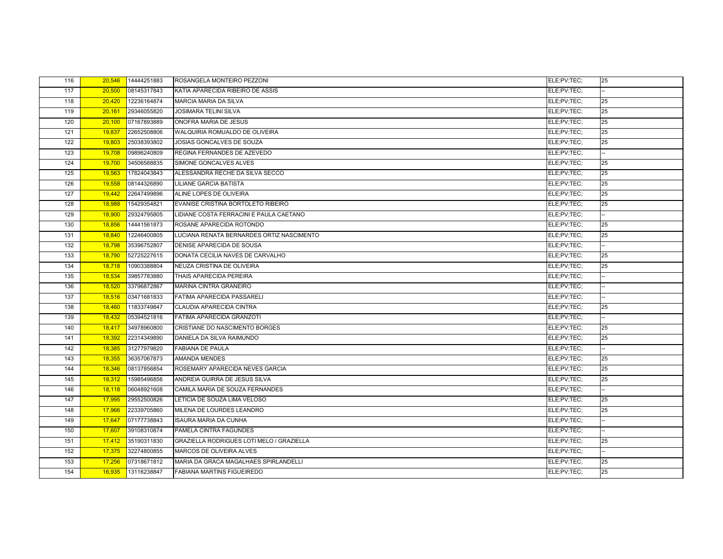| 116 | 20,546 | 14444251883 | ROSANGELA MONTEIRO PEZZONI                | ELE;PV;TEC; | 25                       |
|-----|--------|-------------|-------------------------------------------|-------------|--------------------------|
| 117 | 20,500 | 08145317843 | KATIA APARECIDA RIBEIRO DE ASSIS          | ELE;PV;TEC; |                          |
| 118 | 20,420 | 12236164874 | <b>MARCIA MARIA DA SILVA</b>              | ELE;PV;TEC; | 25                       |
| 119 | 20,161 | 29346055820 | <b>JOSIMARA TELINI SILVA</b>              | ELE;PV;TEC; | 25                       |
| 120 | 20,100 | 07167893889 | ONOFRA MARIA DE JESUS                     | ELE;PV;TEC; | 25                       |
| 121 | 19,837 | 22652508806 | WALQUIRIA ROMUALDO DE OLIVEIRA            | ELE;PV;TEC; | 25                       |
| 122 | 19,803 | 25038393802 | JOSIAS GONCALVES DE SOUZA                 | ELE;PV;TEC; | 25                       |
| 123 | 19,708 | 09896240809 | REGINA FERNANDES DE AZEVEDO               | ELE;PV;TEC; |                          |
| 124 | 19,700 | 34506588835 | SIMONE GONCALVES ALVES                    | ELE;PV;TEC; | 25                       |
| 125 | 19,563 | 17824043843 | ALESSANDRA RECHE DA SILVA SECCO           | ELE;PV;TEC; | 25                       |
| 126 | 19,558 | 08144326890 | LILIANE GARCIA BATISTA                    | ELE:PV:TEC: | 25                       |
| 127 | 19,442 | 22647499896 | ALINE LOPES DE OLIVEIRA                   | ELE:PV:TEC: | 25                       |
| 128 | 18,988 | 15429354821 | EVANISE CRISTINA BORTOLETO RIBEIRO        | ELE;PV;TEC; | 25                       |
| 129 | 18,900 | 29324795805 | LIDIANE COSTA FERRACINI E PAULA CAETANO   | ELE:PV:TEC: |                          |
| 130 | 18,856 | 14441561873 | ROSANE APARECIDA ROTONDO                  | ELE;PV;TEC; | 25                       |
| 131 | 18,840 | 12246400805 | LUCIANA RENATA BERNARDES ORTIZ NASCIMENTO | ELE:PV:TEC: | 25                       |
| 132 | 18,798 | 35396752807 | DENISE APARECIDA DE SOUSA                 | ELE;PV;TEC; |                          |
| 133 | 18,790 | 52725227615 | DONATA CECILIA NAVES DE CARVALHO          | ELE;PV;TEC; | 25                       |
| 134 | 18,718 | 10903388804 | NEUZA CRISTINA DE OLIVEIRA                | ELE:PV:TEC: | 25                       |
| 135 | 18,534 | 39857783880 | THAIS APARECIDA PEREIRA                   | ELE;PV;TEC; |                          |
| 136 | 18.520 | 33796872867 | <b>MARINA CINTRA GRANEIRO</b>             | ELE;PV;TEC; |                          |
| 137 | 18,516 | 03471681833 | <b>FATIMA APARECIDA PASSARELI</b>         | ELE;PV;TEC; |                          |
| 138 | 18,460 | 11833749847 | CLAUDIA APARECIDA CINTRA                  | ELE;PV;TEC; | 25                       |
| 139 | 18,432 | 05394521816 | FATIMA APARECIDA GRANZOTI                 | ELE;PV;TEC; |                          |
| 140 | 18,417 | 34978960800 | CRISTIANE DO NASCIMENTO BORGES            | ELE;PV;TEC; | 25                       |
| 141 | 18,392 | 22314349890 | DANIELA DA SILVA RAIMUNDO                 | ELE:PV:TEC: | 25                       |
| 142 | 18,385 | 31277979820 | <b>FABIANA DE PAULA</b>                   | ELE;PV;TEC; |                          |
| 143 | 18,355 | 36357067873 | <b>AMANDA MENDES</b>                      | ELE:PV:TEC: | 25                       |
| 144 | 18,346 | 08137856854 | ROSEMARY APARECIDA NEVES GARCIA           | ELE;PV;TEC; | 25                       |
| 145 | 18,312 | 15985496856 | ANDREIA GUIRRA DE JESUS SILVA             | ELE;PV;TEC; | 25                       |
| 146 | 18,118 | 06048921608 | CAMILA MARIA DE SOUZA FERNANDES           | ELE:PV:TEC: |                          |
| 147 | 17,995 | 29552500826 | LETICIA DE SOUZA LIMA VELOSO              | ELE;PV;TEC; | 25                       |
| 148 | 17,966 | 22339705860 | MILENA DE LOURDES LEANDRO                 | ELE;PV;TEC; | 25                       |
| 149 | 17,647 | 07177738843 | <b>ISAURA MARIA DA CUNHA</b>              | ELE;PV;TEC; | $\overline{\phantom{a}}$ |
| 150 | 17,607 | 39108310874 | PAMELA CINTRA FAGUNDES                    | ELE;PV;TEC; |                          |
| 151 | 17,412 | 35190311830 | GRAZIELLA RODRIGUES LOTI MELO / GRAZIELLA | ELE;PV;TEC; | 25                       |
| 152 | 17,375 | 32274800855 | MARCOS DE OLIVEIRA ALVES                  | ELE;PV;TEC; |                          |
| 153 | 17,256 | 07318671812 | MARIA DA GRACA MAGALHAES SPIRLANDELLI     | ELE;PV;TEC; | 25                       |
| 154 | 16,935 | 13116238847 | <b>FABIANA MARTINS FIGUEIREDO</b>         | ELE;PV;TEC; | 25                       |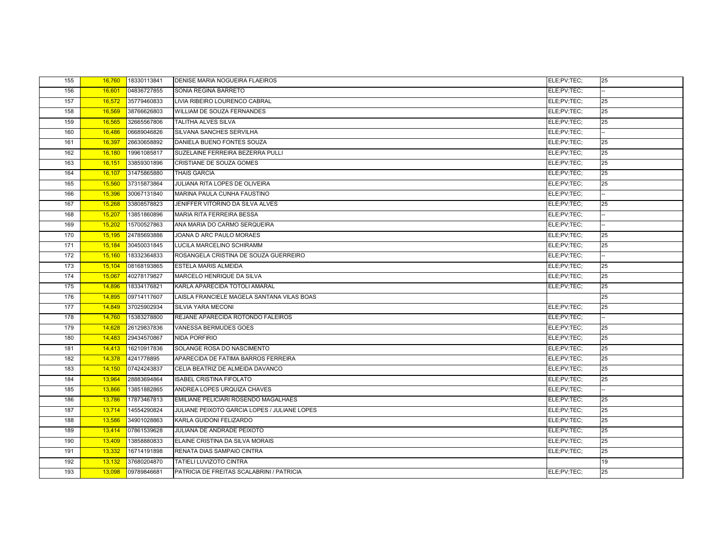| 155 | 16,760 | 18330113841 | <b>DENISE MARIA NOGUEIRA FLAEIROS</b>        | ELE;PV;TEC; | 25 |
|-----|--------|-------------|----------------------------------------------|-------------|----|
| 156 | 16,601 | 04836727855 | SONIA REGINA BARRETO                         | ELE;PV;TEC; |    |
| 157 | 16,572 | 35779460833 | LIVIA RIBEIRO LOURENCO CABRAL                | ELE;PV;TEC; | 25 |
| 158 | 16,569 | 38766626803 | <b>WILLIAM DE SOUZA FERNANDES</b>            | ELE:PV:TEC: | 25 |
| 159 | 16,565 | 32665567806 | <b>TALITHA ALVES SILVA</b>                   | ELE;PV;TEC; | 25 |
| 160 | 16,486 | 06689046826 | SILVANA SANCHES SERVILHA                     | ELE;PV;TEC; |    |
| 161 | 16,397 | 26630658892 | DANIELA BUENO FONTES SOUZA                   | ELE;PV;TEC; | 25 |
| 162 | 16,180 | 19961085817 | SUZELAINE FERREIRA BEZERRA PULLI             | ELE;PV;TEC; | 25 |
| 163 | 16.151 | 33859301896 | <b>CRISTIANE DE SOUZA GOMES</b>              | ELE;PV;TEC; | 25 |
| 164 | 16,107 | 31475865880 | <b>THAIS GARCIA</b>                          | ELE;PV;TEC; | 25 |
| 165 | 15,560 | 37315873864 | JULIANA RITA LOPES DE OLIVEIRA               | ELE;PV;TEC; | 25 |
| 166 | 15,396 | 30067131840 | MARINA PAULA CUNHA FAUSTINO                  | ELE:PV:TEC: |    |
| 167 | 15,268 | 33808578823 | JENIFFER VITORINO DA SILVA ALVES             | ELE;PV;TEC; | 25 |
| 168 | 15,207 | 13851860896 | <b>MARIA RITA FERREIRA BESSA</b>             | ELE:PV:TEC: |    |
| 169 | 15,202 | 15700527863 | ANA MARIA DO CARMO SERQUEIRA                 | ELE;PV;TEC; |    |
| 170 | 15,195 | 24785693886 | JOANA D ARC PAULO MORAES                     | ELE:PV:TEC: | 25 |
| 171 | 15,184 | 30450031845 | LUCILA MARCELINO SCHIRAMM                    | ELE;PV;TEC; | 25 |
| 172 | 15,160 | 18332364833 | ROSANGELA CRISTINA DE SOUZA GUERREIRO        | ELE;PV;TEC; |    |
| 173 | 15,104 | 08168193865 | <b>ESTELA MARIS ALMEIDA</b>                  | ELE:PV:TEC: | 25 |
| 174 | 15,067 | 40278179827 | MARCELO HENRIQUE DA SILVA                    | ELE;PV;TEC; | 25 |
| 175 | 14.896 | 18334176821 | KARLA APARECIDA TOTOLI AMARAL                | ELE;PV;TEC; | 25 |
| 176 | 14,895 | 09714117607 | LAISLA FRANCIELE MAGELA SANTANA VILAS BOAS   |             | 25 |
| 177 | 14,849 | 37025902934 | SILVIA YARA MECONI                           | ELE:PV:TEC: | 25 |
| 178 | 14,760 | 15383278800 | REJANE APARECIDA ROTONDO FALEIROS            | ELE;PV;TEC; |    |
| 179 | 14,628 | 26129837836 | <b>VANESSA BERMUDES GOES</b>                 | ELE;PV;TEC; | 25 |
| 180 | 14,483 | 29434570867 | NIDA PORFIRIO                                | ELE:PV:TEC: | 25 |
| 181 | 14,413 | 16210917836 | SOLANGE ROSA DO NASCIMENTO                   | ELE;PV;TEC; | 25 |
| 182 | 14,378 | 4241778895  | APARECIDA DE FATIMA BARROS FERREIRA          | ELE:PV:TEC: | 25 |
| 183 | 14,150 | 07424243837 | CELIA BEATRIZ DE ALMEIDA DAVANCO             | ELE;PV;TEC; | 25 |
| 184 | 13,964 | 28883694864 | <b>ISABEL CRISTINA FIFOLATO</b>              | ELE;PV;TEC; | 25 |
| 185 | 13,866 | 13851882865 | ANDREA LOPES URQUIZA CHAVES                  | ELE:PV:TEC: |    |
| 186 | 13,786 | 17873467813 | EMILIANE PELICIARI ROSENDO MAGALHAES         | ELE;PV;TEC; | 25 |
| 187 | 13,714 | 14554290824 | JULIANE PEIXOTO GARCIA LOPES / JULIANE LOPES | ELE;PV;TEC; | 25 |
| 188 | 13,586 | 34901028863 | KARLA GUIDONI FELIZARDO                      | ELE;PV;TEC; | 25 |
| 189 | 13,414 | 07861539628 | JULIANA DE ANDRADE PEIXOTO                   | ELE;PV;TEC; | 25 |
| 190 | 13,409 | 13858880833 | ELAINE CRISTINA DA SILVA MORAIS              | ELE;PV;TEC; | 25 |
| 191 | 13,332 | 16714191898 | RENATA DIAS SAMPAIO CINTRA                   | ELE;PV;TEC; | 25 |
| 192 | 13,132 | 37680204870 | <b>TATIELI LUVIZOTO CINTRA</b>               |             | 19 |
| 193 | 13,098 | 09789846681 | PATRICIA DE FREITAS SCALABRINI / PATRICIA    | ELE:PV:TEC: | 25 |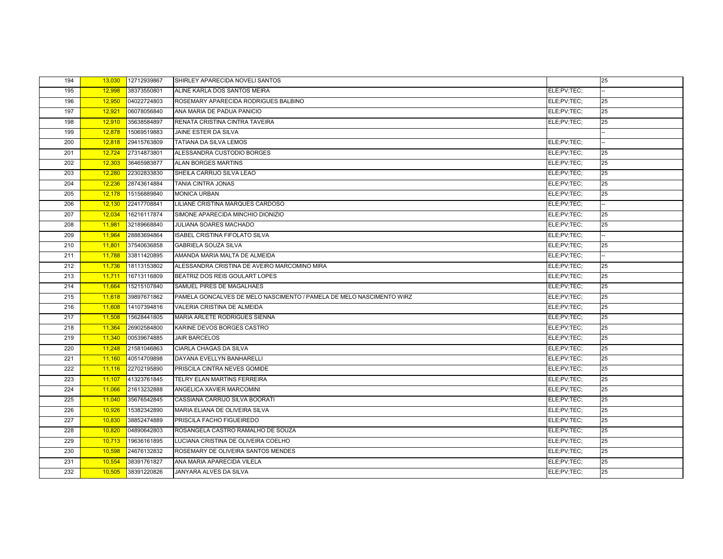| 194 | 13,030 | 12712939867 | SHIRLEY APARECIDA NOVELI SANTOS                                      |             | 25 |
|-----|--------|-------------|----------------------------------------------------------------------|-------------|----|
| 195 | 12,998 | 38373550801 | ALINE KARLA DOS SANTOS MEIRA                                         | ELE;PV;TEC; |    |
| 196 | 12,950 | 04022724803 | ROSEMARY APARECIDA RODRIGUES BALBINO                                 | ELE;PV;TEC; | 25 |
| 197 | 12,921 | 06078056840 | ANA MARIA DE PADUA PANICIO                                           | ELE;PV;TEC; | 25 |
| 198 | 12,910 | 35638584897 | RENATA CRISTINA CINTRA TAVEIRA                                       | ELE;PV;TEC; | 25 |
| 199 | 12,878 | 15069519883 | JAINE ESTER DA SILVA                                                 |             |    |
| 200 | 12,818 | 29415763809 | TATIANA DA SILVA LEMOS                                               | ELE;PV;TEC; |    |
| 201 | 12,724 | 27314873801 | ALESSANDRA CUSTODIO BORGES                                           | ELE;PV;TEC; | 25 |
| 202 | 12,303 | 36465983877 | <b>ALAN BORGES MARTINS</b>                                           | ELE;PV;TEC; | 25 |
| 203 | 12,280 | 22302833830 | SHEILA CARRIJO SILVA LEAO                                            | ELE:PV:TEC: | 25 |
| 204 | 12,236 | 28743614884 | TANIA CINTRA JONAS                                                   | ELE;PV;TEC; | 25 |
| 205 | 12,178 | 15156889840 | <b>MONICA URBAN</b>                                                  | ELE;PV;TEC; | 25 |
| 206 | 12,130 | 22417708841 | LILIANE CRISTINA MARQUES CARDOSO                                     | ELE;PV;TEC; |    |
| 207 | 12,034 | 16216117874 | SIMONE APARECIDA MINCHIO DIONIZIO                                    | ELE;PV;TEC; | 25 |
| 208 | 11,981 | 32189668840 | JULIANA SOARES MACHADO                                               | ELE;PV;TEC; | 25 |
| 209 | 11,964 | 28883694864 | <b>ISABEL CRISTINA FIFOLATO SILVA</b>                                | ELE;PV;TEC; |    |
| 210 | 11,801 | 37540636858 | <b>GABRIELA SOUZA SILVA</b>                                          | ELE;PV;TEC; | 25 |
| 211 | 11,788 | 33811420895 | AMANDA MARIA MALTA DE ALMEIDA                                        | ELE;PV;TEC; |    |
| 212 | 11,736 | 18113153802 | ALESSANDRA CRISTINA DE AVEIRO MARCOMINO MIRA                         | ELE;PV;TEC; | 25 |
| 213 | 11,711 | 16713116809 | BEATRIZ DOS REIS GOULART LOPES                                       | ELE;PV;TEC; | 25 |
| 214 | 11,664 | 15215107840 | SAMUEL PIRES DE MAGALHAES                                            | ELE;PV;TEC; | 25 |
| 215 | 11,618 | 39897671862 | PAMELA GONCALVES DE MELO NASCIMENTO / PAMELA DE MELO NASCIMENTO WIRZ | ELE;PV;TEC; | 25 |
| 216 | 11,608 | 14107394816 | <b>VALERIA CRISTINA DE ALMEIDA</b>                                   | ELE;PV;TEC; | 25 |
| 217 | 11,508 | 15628441805 | MARIA ARLETE RODRIGUES SIENNA                                        | ELE;PV;TEC; | 25 |
| 218 | 11,364 | 26902584800 | KARINE DEVOS BORGES CASTRO                                           | ELE;PV;TEC; | 25 |
| 219 | 11,340 | 00539674885 | <b>JAIR BARCELOS</b>                                                 | ELE;PV;TEC; | 25 |
| 220 | 11,248 | 21581046863 | CIARLA CHAGAS DA SILVA                                               | ELE;PV;TEC; | 25 |
| 221 | 11,160 | 40514709898 | DAYANA EVELLYN BANHARELLI                                            | ELE;PV;TEC; | 25 |
| 222 | 11,116 | 22702195890 | PRISCILA CINTRA NEVES GOMIDE                                         | ELE;PV;TEC; | 25 |
| 223 | 11,107 | 41323761845 | TELRY ELAN MARTINS FERREIRA                                          | ELE;PV;TEC; | 25 |
| 224 | 11,066 | 21613232888 | ANGELICA XAVIER MARCOMINI                                            | ELE;PV;TEC; | 25 |
| 225 | 11,040 | 35676542845 | CASSIANA CARRIJO SILVA BOORATI                                       | ELE;PV;TEC; | 25 |
| 226 | 10,926 | 15382342890 | MARIA ELIANA DE OLIVEIRA SILVA                                       | ELE;PV;TEC; | 25 |
| 227 | 10,830 | 38852474889 | PRISCILA FACHO FIGUEIREDO                                            | ELE;PV;TEC; | 25 |
| 228 | 10,820 | 04890642803 | ROSANGELA CASTRO RAMALHO DE SOUZA                                    | ELE;PV;TEC; | 25 |
| 229 | 10,713 | 19636161895 | LUCIANA CRISTINA DE OLIVEIRA COELHO                                  | ELE;PV;TEC; | 25 |
| 230 | 10,598 | 24676132832 | ROSEMARY DE OLIVEIRA SANTOS MENDES                                   | ELE;PV;TEC; | 25 |
| 231 | 10,554 | 38391761827 | ANA MARIA APARECIDA VILELA                                           | ELE;PV;TEC; | 25 |
| 232 | 10,505 | 38391220826 | JANYARA ALVES DA SILVA                                               | ELE;PV;TEC; | 25 |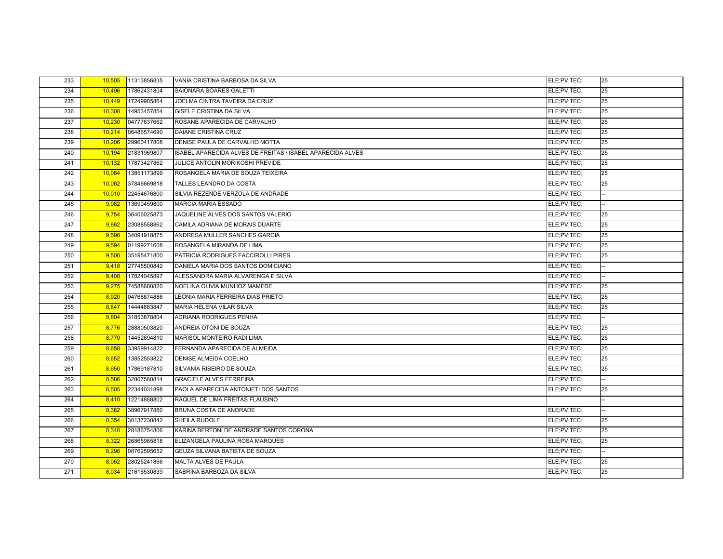| 233 | 10,505 | 11313856835 | VANIA CRISTINA BARBOSA DA SILVA                            | ELE;PV;TEC; | 25 |
|-----|--------|-------------|------------------------------------------------------------|-------------|----|
| 234 | 10,496 | 17862431804 | SAIONARA SOARES GALETTI                                    | ELE;PV;TEC; | 25 |
| 235 | 10,449 | 17249905864 | JOELMA CINTRA TAVEIRA DA CRUZ                              | ELE;PV;TEC; | 25 |
| 236 | 10,308 | 14953457854 | GISELE CRISTINA DA SILVA                                   | ELE;PV;TEC; | 25 |
| 237 | 10,230 | 04777637662 | ROSANE APARECIDA DE CARVALHO                               | ELE;PV;TEC; | 25 |
| 238 | 10,214 | 06486574690 | <b>DAIANE CRISTINA CRUZ</b>                                | ELE:PV:TEC: | 25 |
| 239 | 10,206 | 29960417808 | DENISE PAULA DE CARVALHO MOTTA                             | ELE;PV;TEC; | 25 |
| 240 | 10,194 | 21831969807 | ISABEL APARECIDA ALVES DE FREITAS / ISABEL APARECIDA ALVES | ELE;PV;TEC; | 25 |
| 241 | 10,132 | 17873427862 | JULICE ANTOLIN MORIKOSHI PREVIDE                           | ELE;PV;TEC; | 25 |
| 242 | 10,084 | 13851173899 | ROSANGELA MARIA DE SOUZA TEIXEIRA                          | ELE:PV:TEC: | 25 |
| 243 | 10,062 | 37846669818 | TALLES LEANDRO DA COSTA                                    | ELE;PV;TEC; | 25 |
| 244 | 10,010 | 22454676800 | SILVIA REZENDE VERZOLA DE ANDRADE                          | ELE;PV;TEC; |    |
| 245 | 9,982  | 13690459800 | <b>MARCIA MARIA ESSADO</b>                                 | ELE;PV;TEC; |    |
| 246 | 9,754  | 36406025873 | JAQUELINE ALVES DOS SANTOS VALERIO                         | ELE;PV;TEC; | 25 |
| 247 | 9,662  | 23088558862 | CAMILA ADRIANA DE MORAIS DUARTE                            | ELE;PV;TEC; | 25 |
| 248 | 9,598  | 34091918875 | ANDRESA MULLER SANCHES GARCIA                              | ELE;PV;TEC; | 25 |
| 249 | 9,594  | 01199271608 | ROSANGELA MIRANDA DE LIMA                                  | ELE;PV;TEC; | 25 |
| 250 | 9,500  | 35195471800 | PATRICIA RODRIGUES FACCIROLLI PIRES                        | ELE;PV;TEC; | 25 |
| 251 | 9,418  | 27745500842 | DANIELA MARIA DOS SANTOS DOMICIANO                         | ELE;PV;TEC; |    |
| 252 | 9,408  | 17824045897 | ALESSANDRA MARIA ALVARENGA E SILVA                         | ELE;PV;TEC; |    |
| 253 | 9,275  | 74588680820 | NOELINA OLIVIA MUNHOZ MAMEDE                               | ELE:PV:TEC: | 25 |
| 254 | 8,920  | 04768874886 | LEONIA MARIA FERREIRA DIAS PRIETO                          | ELE;PV;TEC; | 25 |
| 255 | 8,847  | 14444883847 | MARIA HELENA VILAR SILVA                                   | ELE;PV;TEC; | 25 |
| 256 | 8,804  | 31853878804 | ADRIANA RODRIGUES PENHA                                    | ELE;PV;TEC; |    |
| 257 | 8,776  | 28880503820 | ANDREIA OTONI DE SOUZA                                     | ELE;PV;TEC; | 25 |
| 258 | 8,770  | 14452694810 | MARISOL MONTEIRO RADI LIMA                                 | ELE;PV;TEC; | 25 |
| 259 | 8,658  | 33959914822 | FERNANDA APARECIDA DE ALMEIDA                              | ELE;PV;TEC; | 25 |
| 260 | 8,652  | 13852553822 | DENISE ALMEIDA COELHO                                      | ELE;PV;TEC; | 25 |
| 261 | 8,650  | 17869187810 | SILVANIA RIBEIRO DE SOUZA                                  | ELE;PV;TEC; | 25 |
| 262 | 8,586  | 32807560814 | <b>GRACIELE ALVES FERREIRA</b>                             | ELE;PV;TEC; |    |
| 263 | 8,505  | 22344031898 | PAOLA APARECIDA ANTONIETI DOS SANTOS                       | ELE:PV:TEC: | 25 |
| 264 | 8,410  | 12214888802 | RAQUEL DE LIMA FREITAS FLAUSINO                            |             |    |
| 265 | 8,382  | 38967917880 | BRUNA COSTA DE ANDRADE                                     | ELE;PV;TEC; |    |
| 266 | 8,354  | 30137230842 | SHEILA RUDOLF                                              | ELE;PV;TEC; | 25 |
| 267 | 8,340  | 28186754806 | KARINA BERTONI DE ANDRADE SANTOS CORONA                    | ELE;PV;TEC; | 25 |
| 268 | 8,322  | 26865985818 | ELIZANGELA PAULINA ROSA MARQUES                            | ELE;PV;TEC; | 25 |
| 269 | 8,298  | 08762595652 | GEUZA SILVANA BATISTA DE SOUZA                             | ELE;PV;TEC; |    |
| 270 | 8,062  | 28025241866 | MALTA ALVES DE PAULA                                       | ELE;PV;TEC; | 25 |
| 271 | 8,034  | 21616530839 | SABRINA BARBOZA DA SILVA                                   | ELE;PV;TEC; | 25 |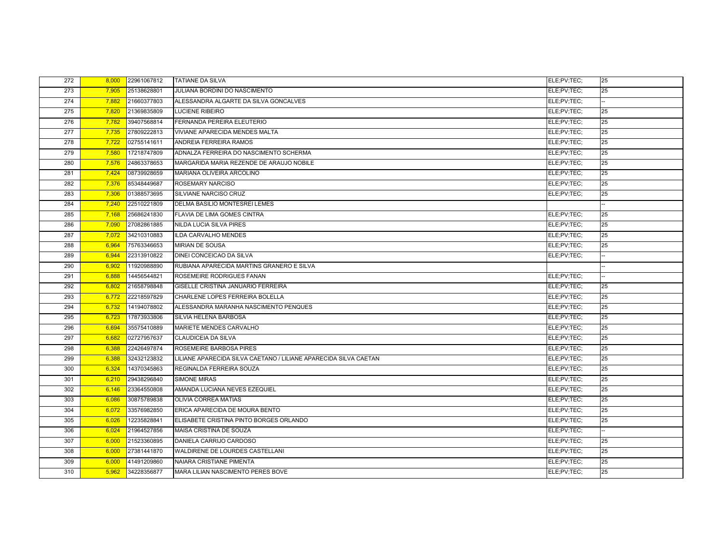| 272 | 8,000 | 22961067812 | <b>TATIANE DA SILVA</b>                                          | ELE;PV;TEC; | 25 |
|-----|-------|-------------|------------------------------------------------------------------|-------------|----|
| 273 | 7,905 | 25138628801 | JULIANA BORDINI DO NASCIMENTO                                    | ELE:PV:TEC: | 25 |
| 274 | 7,882 | 21660377803 | ALESSANDRA ALGARTE DA SILVA GONCALVES                            | ELE;PV;TEC; |    |
| 275 | 7.820 | 21369835809 | <b>LUCIENE RIBEIRO</b>                                           | ELE:PV:TEC: | 25 |
| 276 | 7,782 | 39407568814 | FERNANDA PEREIRA ELEUTERIO                                       | ELE;PV;TEC; | 25 |
| 277 | 7,735 | 27809222813 | <b>VIVIANE APARECIDA MENDES MALTA</b>                            | ELE;PV;TEC; | 25 |
| 278 | 7,722 | 02755141611 | ANDREIA FERREIRA RAMOS                                           | ELE;PV;TEC; | 25 |
| 279 | 7,580 | 17218747809 | ADNALZA FERREIRA DO NASCIMENTO SCHERMA                           | ELE:PV:TEC: | 25 |
| 280 | 7,576 | 24863378653 | MARGARIDA MARIA REZENDE DE ARAUJO NOBILE                         | ELE;PV;TEC; | 25 |
| 281 | 7.424 | 08739928659 | MARIANA OLIVEIRA ARCOLINO                                        | ELE:PV:TEC: | 25 |
| 282 | 7,376 | 85348449687 | <b>ROSEMARY NARCISO</b>                                          | ELE;PV;TEC; | 25 |
| 283 | 7,306 | 01388573695 | SILVIANE NARCISO CRUZ                                            | ELE;PV;TEC; | 25 |
| 284 | 7,240 | 22510221809 | DELMA BASILIO MONTESREI LEMES                                    |             |    |
| 285 | 7,168 | 25686241830 | FLAVIA DE LIMA GOMES CINTRA                                      | ELE;PV;TEC; | 25 |
| 286 | 7,090 | 27082861885 | NILDA LUCIA SILVA PIRES                                          | ELE;PV;TEC; | 25 |
| 287 | 7,072 | 34210310883 | <b>ILDA CARVALHO MENDES</b>                                      | ELE:PV:TEC: | 25 |
| 288 | 6,964 | 75763346653 | <b>MIRIAN DE SOUSA</b>                                           | ELE;PV;TEC; | 25 |
| 289 | 6,944 | 22313910822 | DINEI CONCEICAO DA SILVA                                         | ELE;PV;TEC; |    |
| 290 | 6.902 | 11920988890 | RUBIANA APARECIDA MARTINS GRANERO E SILVA                        |             |    |
| 291 | 6,888 | 14456544821 | ROSEMEIRE RODRIGUES FANAN                                        | ELE:PV:TEC: |    |
| 292 | 6.802 | 21658798848 | GISELLE CRISTINA JANUARIO FERREIRA                               | ELE:PV:TEC: | 25 |
| 293 | 6,772 | 22218597829 | CHARLENE LOPES FERREIRA BOLELLA                                  | ELE;PV;TEC; | 25 |
| 294 | 6,732 | 14194078802 | ALESSANDRA MARANHA NASCIMENTO PENQUES                            | ELE;PV;TEC; | 25 |
| 295 | 6,723 | 17873933806 | SILVIA HELENA BARBOSA                                            | ELE:PV:TEC: | 25 |
| 296 | 6,694 | 35575410889 | <b>MARIETE MENDES CARVALHO</b>                                   | ELE;PV;TEC; | 25 |
| 297 | 6,682 | 02727957637 | <b>CLAUDICEIA DA SILVA</b>                                       | ELE;PV;TEC; | 25 |
| 298 | 6,388 | 22426497874 | ROSEMEIRE BARBOSA PIRES                                          | ELE;PV;TEC; | 25 |
| 299 | 6,388 | 32432123832 | LILIANE APARECIDA SILVA CAETANO / LILIANE APARECIDA SILVA CAETAN | ELE;PV;TEC; | 25 |
| 300 | 6,324 | 14370345863 | REGINALDA FERREIRA SOUZA                                         | ELE;PV;TEC; | 25 |
| 301 | 6,210 | 29438296840 | <b>SIMONE MIRAS</b>                                              | ELE:PV:TEC: | 25 |
| 302 | 6,146 | 23364550808 | AMANDA LUCIANA NEVES EZEQUIEL                                    | ELE;PV;TEC; | 25 |
| 303 | 6,086 | 30875789838 | <b>OLIVIA CORREA MATIAS</b>                                      | ELE;PV;TEC; | 25 |
| 304 | 6,072 | 33576982850 | ERICA APARECIDA DE MOURA BENTO                                   | ELE;PV;TEC; | 25 |
| 305 | 6,026 | 12235828841 | ELISABETE CRISTINA PINTO BORGES ORLANDO                          | ELE:PV:TEC: | 25 |
| 306 | 6,024 | 21964527856 | MAISA CRISTINA DE SOUZA                                          | ELE:PV:TEC: |    |
| 307 | 6,000 | 21523360895 | DANIELA CARRIJO CARDOSO                                          | ELE:PV:TEC: | 25 |
| 308 | 6,000 | 27381441870 | WALDIRENE DE LOURDES CASTELLANI                                  | ELE;PV;TEC; | 25 |
| 309 | 6,000 | 41491209860 | NAIARA CRISTIANE PIMENTA                                         | ELE:PV:TEC: | 25 |
| 310 | 5,962 | 34228356877 | <b>MARA LILIAN NASCIMENTO PERES BOVE</b>                         | ELE;PV;TEC; | 25 |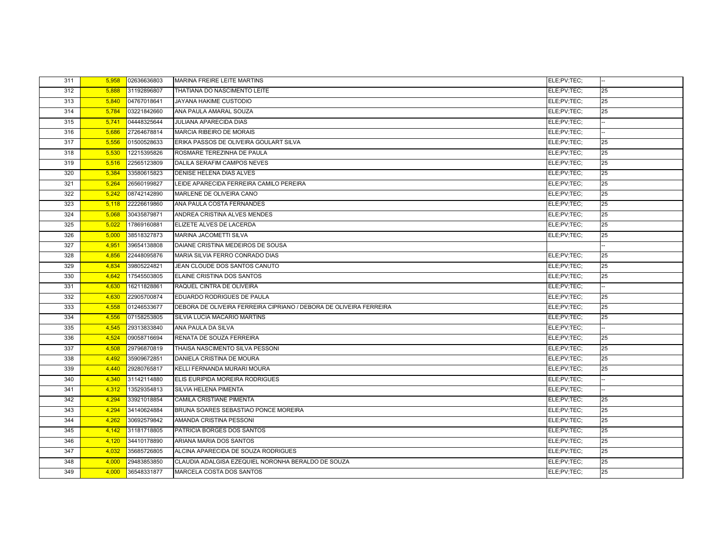| 311 | 5,958 | 02636636803 | <b>MARINA FREIRE LEITE MARTINS</b>                                 | ELE:PV:TEC: |    |
|-----|-------|-------------|--------------------------------------------------------------------|-------------|----|
| 312 | 5,888 | 31192896807 | THATIANA DO NASCIMENTO LEITE                                       | ELE;PV;TEC; | 25 |
| 313 | 5,840 | 04767018641 | <b>JAYANA HAKIME CUSTODIO</b>                                      | ELE;PV;TEC; | 25 |
| 314 | 5.784 | 03221842660 | ANA PAULA AMARAL SOUZA                                             | ELE:PV:TEC: | 25 |
| 315 | 5,741 | 04448325644 | JULIANA APARECIDA DIAS                                             | ELE;PV;TEC; |    |
| 316 | 5,686 | 27264678814 | <b>MARCIA RIBEIRO DE MORAIS</b>                                    | ELE;PV;TEC; |    |
| 317 | 5,556 | 01500528633 | ERIKA PASSOS DE OLIVEIRA GOULART SILVA                             | ELE;PV;TEC; | 25 |
| 318 | 5,530 | 12215395826 | ROSMARE TEREZINHA DE PAULA                                         | ELE:PV:TEC: | 25 |
| 319 | 5,516 | 22565123809 | DALILA SERAFIM CAMPOS NEVES                                        | ELE;PV;TEC; | 25 |
| 320 | 5.384 | 33580615823 | DENISE HELENA DIAS ALVES                                           | ELE:PV:TEC: | 25 |
| 321 | 5,264 | 26560199827 | LEIDE APARECIDA FERREIRA CAMILO PEREIRA                            | ELE;PV;TEC; | 25 |
| 322 | 5,242 | 08742142890 | MARLENE DE OLIVEIRA CANO                                           | ELE;PV;TEC; | 25 |
| 323 | 5,118 | 22226619860 | ANA PAULA COSTA FERNANDES                                          | ELE;PV;TEC; | 25 |
| 324 | 5,068 | 30435879871 | ANDREA CRISTINA ALVES MENDES                                       | ELE;PV;TEC; | 25 |
| 325 | 5,022 | 17869160881 | ELIZETE ALVES DE LACERDA                                           | ELE;PV;TEC; | 25 |
| 326 | 5,000 | 38518327873 | MARINA JACOMETTI SILVA                                             | ELE:PV:TEC: | 25 |
| 327 | 4,951 | 39654138808 | DAIANE CRISTINA MEDEIROS DE SOUSA                                  |             |    |
| 328 | 4,856 | 22448095876 | MARIA SILVIA FERRO CONRADO DIAS                                    | ELE;PV;TEC; | 25 |
| 329 | 4.834 | 39805224821 | JEAN CLOUDE DOS SANTOS CANUTO                                      | ELE:PV:TEC: | 25 |
| 330 | 4,642 | 17545503805 | ELAINE CRISTINA DOS SANTOS                                         | ELE:PV:TEC: | 25 |
| 331 | 4.630 | 16211828861 | RAQUEL CINTRA DE OLIVEIRA                                          | ELE:PV:TEC: |    |
| 332 | 4,630 | 22905700874 | EDUARDO RODRIGUES DE PAULA                                         | ELE;PV;TEC; | 25 |
| 333 | 4,558 | 01246533677 | DEBORA DE OLIVEIRA FERREIRA CIPRIANO / DEBORA DE OLIVEIRA FERREIRA | ELE:PV:TEC: | 25 |
| 334 | 4,556 | 07158253805 | SILVIA LUCIA MACARIO MARTINS                                       | ELE;PV;TEC; | 25 |
| 335 | 4,545 | 29313833840 | ANA PAULA DA SILVA                                                 | ELE:PV:TEC: |    |
| 336 | 4,524 | 09058716694 | RENATA DE SOUZA FERREIRA                                           | ELE;PV;TEC; | 25 |
| 337 | 4,508 | 29796870819 | THAISA NASCIMENTO SILVA PESSONI                                    | ELE:PV:TEC: | 25 |
| 338 | 4,492 | 35909672851 | DANIELA CRISTINA DE MOURA                                          | ELE;PV;TEC; | 25 |
| 339 | 4,440 | 29280765817 | KELLI FERNANDA MURARI MOURA                                        | ELE;PV;TEC; | 25 |
| 340 | 4,340 | 31142114880 | ELIS EURIPIDA MOREIRA RODRIGUES                                    | ELE;PV;TEC; |    |
| 341 | 4,312 | 13529354813 | SILVIA HELENA PIMENTA                                              | ELE;PV;TEC; |    |
| 342 | 4.294 | 33921018854 | <b>CAMILA CRISTIANE PIMENTA</b>                                    | ELE;PV;TEC; | 25 |
| 343 | 4,294 | 34140624884 | BRUNA SOARES SEBASTIAO PONCE MOREIRA                               | ELE:PV:TEC: | 25 |
| 344 | 4,262 | 30692579842 | AMANDA CRISTINA PESSONI                                            | ELE:PV:TEC: | 25 |
| 345 | 4,142 | 31181718805 | PATRICIA BORGES DOS SANTOS                                         | ELE;PV;TEC; | 25 |
| 346 | 4,120 | 34410178890 | ARIANA MARIA DOS SANTOS                                            | ELE:PV:TEC: | 25 |
| 347 | 4,032 | 35685726805 | ALCINA APARECIDA DE SOUZA RODRIGUES                                | ELE;PV;TEC; | 25 |
| 348 | 4,000 | 29483853850 | CLAUDIA ADALGISA EZEQUIEL NORONHA BERALDO DE SOUZA                 | ELE:PV:TEC: | 25 |
| 349 | 4,000 | 36548331877 | <b>MARCELA COSTA DOS SANTOS</b>                                    | ELE;PV;TEC; | 25 |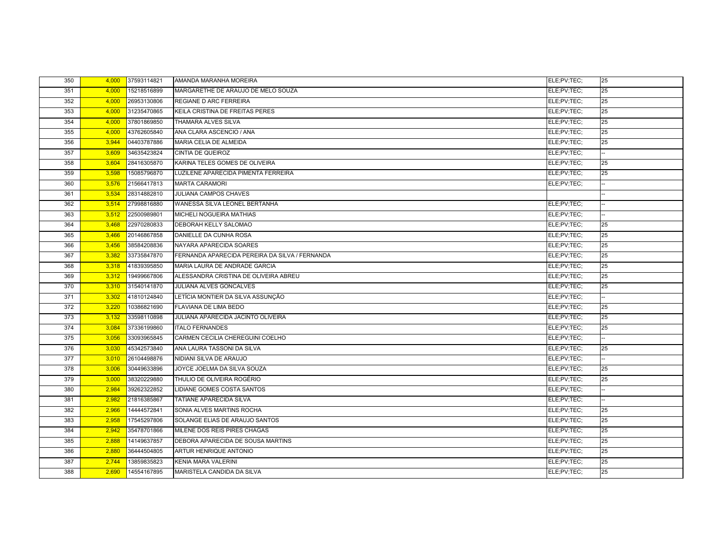| 350 | 4,000 | 37593114821 | AMANDA MARANHA MOREIRA                         | ELE;PV;TEC; | 25 |
|-----|-------|-------------|------------------------------------------------|-------------|----|
| 351 | 4,000 | 15218516899 | MARGARETHE DE ARAUJO DE MELO SOUZA             | ELE;PV;TEC; | 25 |
| 352 | 4,000 | 26953130806 | REGIANE D ARC FERREIRA                         | ELE;PV;TEC; | 25 |
| 353 | 4,000 | 31235470865 | KEILA CRISTINA DE FREITAS PERES                | ELE;PV;TEC; | 25 |
| 354 | 4,000 | 37801869850 | THAMARA ALVES SILVA                            | ELE;PV;TEC; | 25 |
| 355 | 4,000 | 43762605840 | ANA CLARA ASCENCIO / ANA                       | ELE;PV;TEC; | 25 |
| 356 | 3,944 | 04403787886 | MARIA CELIA DE ALMEIDA                         | ELE;PV;TEC; | 25 |
| 357 | 3,609 | 34635423824 | CINTIA DE QUEIROZ                              | ELE;PV;TEC; |    |
| 358 | 3,604 | 28416305870 | KARINA TELES GOMES DE OLIVEIRA                 | ELE;PV;TEC; | 25 |
| 359 | 3,598 | 15085796870 | LUZILENE APARECIDA PIMENTA FERREIRA            | ELE:PV:TEC: | 25 |
| 360 | 3,576 | 21566417813 | <b>MARTA CARAMORI</b>                          | ELE;PV;TEC; |    |
| 361 | 3,534 | 28314882810 | JULIANA CAMPOS CHAVES                          |             |    |
| 362 | 3,514 | 27998816880 | WANESSA SILVA LEONEL BERTANHA                  | ELE;PV;TEC; |    |
| 363 | 3,512 | 22500989801 | MICHELI NOGUEIRA MATHIAS                       | ELE;PV;TEC; |    |
| 364 | 3,468 | 22970280833 | DEBORAH KELLY SALOMAO                          | ELE;PV;TEC; | 25 |
| 365 | 3,466 | 20146867858 | DANIELLE DA CUNHA ROSA                         | ELE;PV;TEC; | 25 |
| 366 | 3,456 | 38584208836 | NAYARA APARECIDA SOARES                        | ELE;PV;TEC; | 25 |
| 367 | 3,382 | 33735847870 | FERNANDA APARECIDA PEREIRA DA SILVA / FERNANDA | ELE;PV;TEC; | 25 |
| 368 | 3,318 | 41839395850 | MARIA LAURA DE ANDRADE GARCIA                  | ELE;PV;TEC; | 25 |
| 369 | 3,312 | 19499667806 | ALESSANDRA CRISTINA DE OLIVEIRA ABREU          | ELE;PV;TEC; | 25 |
| 370 | 3,310 | 31540141870 | JULIANA ALVES GONCALVES                        | ELE;PV;TEC; | 25 |
| 371 | 3,302 | 41810124840 | LETÍCIA MONTIER DA SILVA ASSUNÇÃO              | ELE;PV;TEC; |    |
| 372 | 3,220 | 10386821690 | FLAVIANA DE LIMA BEDO                          | ELE;PV;TEC; | 25 |
| 373 | 3,132 | 33598110898 | JULIANA APARECIDA JACINTO OLIVEIRA             | ELE;PV;TEC; | 25 |
| 374 | 3,084 | 37336199860 | <b>ITALO FERNANDES</b>                         | ELE;PV;TEC; | 25 |
| 375 | 3,056 | 33093965845 | CARMEN CECILIA CHEREGUINI COELHO               | ELE;PV;TEC; |    |
| 376 | 3,030 | 45342573840 | ANA LAURA TASSONI DA SILVA                     | ELE;PV;TEC; | 25 |
| 377 | 3,010 | 26104498876 | NIDIANI SILVA DE ARAUJO                        | ELE;PV;TEC; |    |
| 378 | 3,006 | 30449633896 | JOYCE JOELMA DA SILVA SOUZA                    | ELE;PV;TEC; | 25 |
| 379 | 3,000 | 38320229880 | THULIO DE OLIVEIRA ROGÉRIO                     | ELE;PV;TEC; | 25 |
| 380 | 2,984 | 39262322852 | LIDIANE GOMES COSTA SANTOS                     | ELE;PV;TEC; |    |
| 381 | 2,982 | 21816385867 | TATIANE APARECIDA SILVA                        | ELE;PV;TEC; |    |
| 382 | 2,966 | 14444572841 | SONIA ALVES MARTINS ROCHA                      | ELE;PV;TEC; | 25 |
| 383 | 2,958 | 17545297806 | SOLANGE ELIAS DE ARAUJO SANTOS                 | ELE;PV;TEC; | 25 |
| 384 | 2,942 | 35478701866 | MILENE DOS REIS PIRES CHAGAS                   | ELE;PV;TEC; | 25 |
| 385 | 2,888 | 14149637857 | DEBORA APARECIDA DE SOUSA MARTINS              | ELE;PV;TEC; | 25 |
| 386 | 2,880 | 36444504805 | ARTUR HENRIQUE ANTONIO                         | ELE;PV;TEC; | 25 |
| 387 | 2,744 | 13859835823 | <b>KENIA MARA VALERINI</b>                     | ELE;PV;TEC; | 25 |
| 388 | 2,690 | 14554167895 | MARISTELA CANDIDA DA SILVA                     | ELE;PV;TEC; | 25 |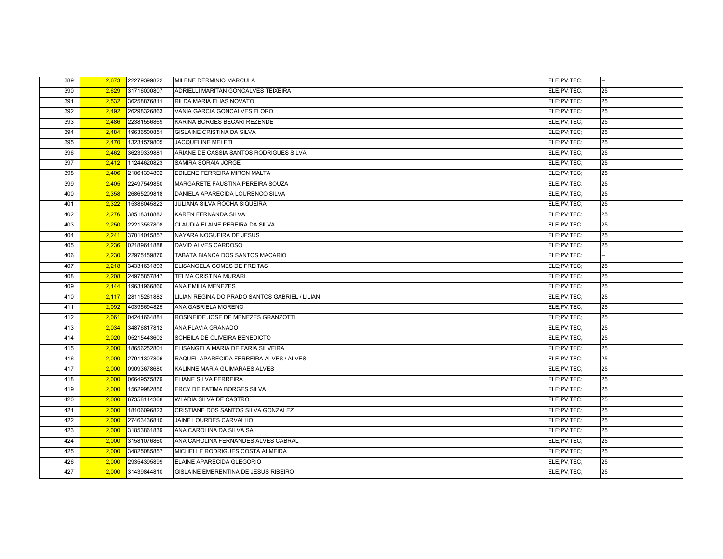| 389 | 2,673 | 22279399822 | MILENE DERMINIO MARCULA                        | ELE;PV;TEC; |    |
|-----|-------|-------------|------------------------------------------------|-------------|----|
| 390 | 2,629 | 31716000807 | ADRIELLI MARITAN GONCALVES TEIXEIRA            | ELE;PV;TEC; | 25 |
| 391 | 2,532 | 36258876811 | RILDA MARIA ELIAS NOVATO                       | ELE;PV;TEC; | 25 |
| 392 | 2,492 | 26298326863 | VANIA GARCIA GONCALVES FLORO                   | ELE:PV:TEC: | 25 |
| 393 | 2,486 | 22381556869 | KARINA BORGES BECARI REZENDE                   | ELE;PV;TEC; | 25 |
| 394 | 2,484 | 19636500851 | GISLAINE CRISTINA DA SILVA                     | ELE:PV:TEC: | 25 |
| 395 | 2,470 | 13231579805 | <b>JACQUELINE MELETI</b>                       | ELE;PV;TEC; | 25 |
| 396 | 2,462 | 36239339881 | ARIANE DE CASSIA SANTOS RODRIGUES SILVA        | ELE;PV;TEC; | 25 |
| 397 | 2,412 | 11244620823 | SAMIRA SORAIA JORGE                            | ELE;PV;TEC; | 25 |
| 398 | 2,406 | 21861394802 | EDILENE FERREIRA MIRON MALTA                   | ELE;PV;TEC; | 25 |
| 399 | 2,405 | 22497549850 | MARGARETE FAUSTINA PEREIRA SOUZA               | ELE;PV;TEC; | 25 |
| 400 | 2,358 | 26865209818 | DANIELA APARECIDA LOURENCO SILVA               | ELE;PV;TEC; | 25 |
| 401 | 2,322 | 15386045822 | <b>JULIANA SILVA ROCHA SIQUEIRA</b>            | ELE:PV:TEC: | 25 |
| 402 | 2,276 | 38518318882 | KAREN FERNANDA SILVA                           | ELE;PV;TEC; | 25 |
| 403 | 2.250 | 22213567808 | CLAUDIA ELAINE PEREIRA DA SILVA                | ELE:PV:TEC: | 25 |
| 404 | 2,241 | 37014045857 | NAYARA NOGUEIRA DE JESUS                       | ELE;PV;TEC; | 25 |
| 405 | 2,236 | 02189641888 | DAVID ALVES CARDOSO                            | ELE;PV;TEC; | 25 |
| 406 | 2,230 | 22975159870 | TABATA BIANCA DOS SANTOS MACARIO               | ELE;PV;TEC; |    |
| 407 | 2,218 | 34331631893 | ELISANGELA GOMES DE FREITAS                    | ELE;PV;TEC; | 25 |
| 408 | 2.208 | 24975857847 | <b>TELMA CRISTINA MURARI</b>                   | ELE:PV:TEC: | 25 |
| 409 | 2,144 | 19631966860 | <b>ANA EMILIA MENEZES</b>                      | ELE;PV;TEC; | 25 |
| 410 | 2,117 | 28115261882 | LILIAN REGINA DO PRADO SANTOS GABRIEL / LILIAN | ELE:PV:TEC: | 25 |
| 411 | 2,092 | 40395694825 | ANA GABRIELA MORENO                            | ELE;PV;TEC; | 25 |
| 412 | 2,061 | 04241664881 | ROSINEIDE JOSE DE MENEZES GRANZOTTI            | ELE;PV;TEC; | 25 |
| 413 | 2,034 | 34876817812 | ANA FLAVIA GRANADO                             | ELE;PV;TEC; | 25 |
| 414 | 2,020 | 05215443602 | SCHEILA DE OLIVEIRA BENEDICTO                  | ELE:PV:TEC: | 25 |
| 415 | 2.000 | 18656252801 | ELISANGELA MARIA DE FARIA SILVEIRA             | ELE:PV:TEC: | 25 |
| 416 | 2,000 | 27911307806 | RAQUEL APARECIDA FERREIRA ALVES / ALVES        | ELE;PV;TEC; | 25 |
| 417 | 2,000 | 09093678680 | KALINNE MARIA GUIMARAES ALVES                  | ELE;PV;TEC; | 25 |
| 418 | 2,000 | 06649575879 | ELIANE SILVA FERREIRA                          | ELE:PV:TEC: | 25 |
| 419 | 2,000 | 15629982850 | <b>ERCY DE FATIMA BORGES SILVA</b>             | ELE:PV:TEC: | 25 |
| 420 | 2,000 | 67358144368 | <b>WLADIA SILVA DE CASTRO</b>                  | ELE;PV;TEC; | 25 |
| 421 | 2,000 | 18106096823 | CRISTIANE DOS SANTOS SILVA GONZALEZ            | ELE;PV;TEC; | 25 |
| 422 | 2,000 | 27463436810 | JAINE LOURDES CARVALHO                         | ELE;PV;TEC; | 25 |
| 423 | 2,000 | 31853861839 | ANA CAROLINA DA SILVA SA                       | ELE;PV;TEC; | 25 |
| 424 | 2,000 | 31581076860 | ANA CAROLINA FERNANDES ALVES CABRAL            | ELE:PV:TEC: | 25 |
| 425 | 2,000 | 34825085857 | MICHELLE RODRIGUES COSTA ALMEIDA               | ELE;PV;TEC; | 25 |
| 426 | 2,000 | 29354395899 | ELAINE APARECIDA GLEGORIO                      | ELE:PV:TEC: | 25 |
| 427 | 2,000 | 31439844810 | GISLAINE EMERENTINA DE JESUS RIBEIRO           | ELE;PV;TEC; | 25 |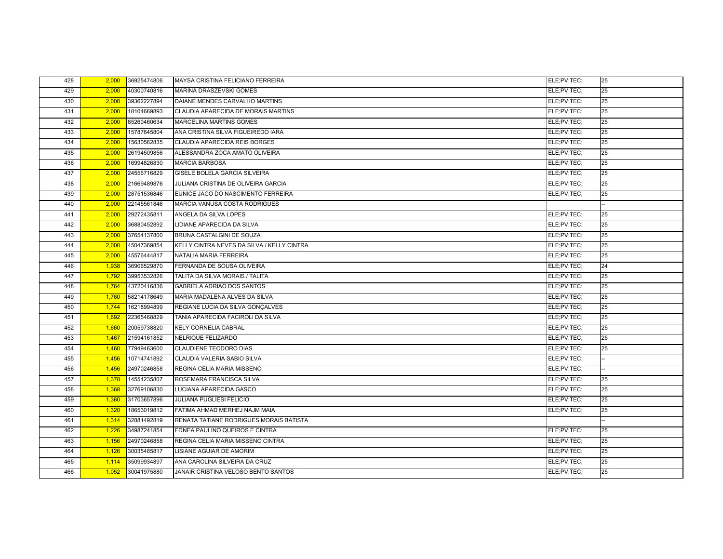| 428 | 2,000 | 36925474806 | MAYSA CRISTINA FELICIANO FERREIRA          | ELE;PV;TEC; | 25 |
|-----|-------|-------------|--------------------------------------------|-------------|----|
| 429 | 2,000 | 40300740816 | MARINA DRASZEVSKI GOMES                    | ELE;PV;TEC; | 25 |
| 430 | 2,000 | 39362227894 | DAIANE MENDES CARVALHO MARTINS             | ELE;PV;TEC; | 25 |
| 431 | 2,000 | 18104669893 | CLAUDIA APARECIDA DE MORAIS MARTINS        | ELE;PV;TEC; | 25 |
| 432 | 2,000 | 85260460634 | MARCELINA MARTINS GOMES                    | ELE;PV;TEC; | 25 |
| 433 | 2,000 | 15787645804 | ANA CRISTINA SILVA FIGUEIREDO IARA         | ELE;PV;TEC; | 25 |
| 434 | 2,000 | 15630562835 | CLAUDIA APARECIDA REIS BORGES              | ELE;PV;TEC; | 25 |
| 435 | 2,000 | 26194509856 | ALESSANDRA ZOCA AMATO OLIVEIRA             | ELE;PV;TEC; | 25 |
| 436 | 2,000 | 16994826830 | <b>MARCIA BARBOSA</b>                      | ELE;PV;TEC; | 25 |
| 437 | 2,000 | 24556716829 | GISELE BOLELA GARCIA SILVEIRA              | ELE;PV;TEC; | 25 |
| 438 | 2,000 | 21669489876 | JULIANA CRISTINA DE OLIVEIRA GARCIA        | ELE:PV:TEC: | 25 |
| 439 | 2,000 | 28751536846 | EUNICE JACO DO NASCIMENTO FERREIRA         | ELE;PV;TEC; | 25 |
| 440 | 2,000 | 22145561846 | MARCIA VANUSA COSTA RODRIGUES              |             |    |
| 441 | 2.000 | 29272435811 | ANGELA DA SILVA LOPES                      | ELE:PV:TEC: | 25 |
| 442 | 2,000 | 36880452892 | LIDIANE APARECIDA DA SILVA                 | ELE;PV;TEC; | 25 |
| 443 | 2,000 | 37654137800 | BRUNA CASTALGINI DE SOUZA                  | ELE;PV;TEC; | 25 |
| 444 | 2,000 | 45047369854 | KELLY CINTRA NEVES DA SILVA / KELLY CINTRA | ELE;PV;TEC; | 25 |
| 445 | 2,000 | 45576444817 | NATALIA MARIA FERREIRA                     | ELE;PV;TEC; | 25 |
| 446 | 1,938 | 36906529870 | FERNANDA DE SOUSA OLIVEIRA                 | ELE:PV:TEC: | 24 |
| 447 | 1,792 | 39953532826 | TALITA DA SILVA MORAIS / TALITA            | ELE;PV;TEC; | 25 |
| 448 | 1,764 | 43720416836 | <b>GABRIELA ADRIAO DOS SANTOS</b>          | ELE;PV;TEC; | 25 |
| 449 | 1,760 | 58214178649 | MARIA MADALENA ALVES DA SILVA              | ELE;PV;TEC; | 25 |
| 450 | 1,744 | 16218994899 | REGIANE LUCIA DA SILVA GONÇALVES           | ELE;PV;TEC; | 25 |
| 451 | 1,692 | 22365468829 | TANIA APARECIDA FACIROLI DA SILVA          | ELE;PV;TEC; | 25 |
| 452 | 1,660 | 20059738820 | KELY CORNELIA CABRAL                       | ELE;PV;TEC; | 25 |
| 453 | 1,467 | 21594161852 | NELRIQUE FELIZARDO                         | ELE:PV:TEC: | 25 |
| 454 | 1,460 | 77949463600 | <b>CLAUDIENE TEODORO DIAS</b>              | ELE;PV;TEC; | 25 |
| 455 | 1,456 | 10714741892 | CLAUDIA VALERIA SABIO SILVA                | ELE:PV:TEC: |    |
| 456 | 1,456 | 24970246858 | REGINA CELIA MARIA MISSENO                 | ELE;PV;TEC; |    |
| 457 | 1,378 | 14554235807 | ROSEMARA FRANCISCA SILVA                   | ELE;PV;TEC; | 25 |
| 458 | 1,368 | 32769106830 | LUCIANA APARECIDA GASCO                    | ELE:PV:TEC: | 25 |
| 459 | 1,360 | 31703657896 | JULIANA PUGLIESI FELICIO                   | ELE;PV;TEC; | 25 |
| 460 | 1,320 | 18653019812 | FATIMA AHMAD MERHEJ NAJM MAIA              | ELE:PV:TEC: | 25 |
| 461 | 1,314 | 32881492819 | RENATA TATIANE RODRIGUES MORAIS BATISTA    |             |    |
| 462 | 1,226 | 34987241854 | EDNEA PAULINO QUEIROS E CINTRA             | ELE;PV;TEC; | 25 |
| 463 | 1,156 | 24970246858 | REGINA CELIA MARIA MISSENO CINTRA          | ELE;PV;TEC; | 25 |
| 464 | 1,126 | 30035485817 | LISIANE AGUIAR DE AMORIM                   | ELE;PV;TEC; | 25 |
| 465 | 1,114 | 35099934897 | ANA CAROLINA SILVEIRA DA CRUZ              | ELE;PV;TEC; | 25 |
| 466 | 1,052 | 30041975880 | JANAIR CRISTINA VELOSO BENTO SANTOS        | ELE;PV;TEC; | 25 |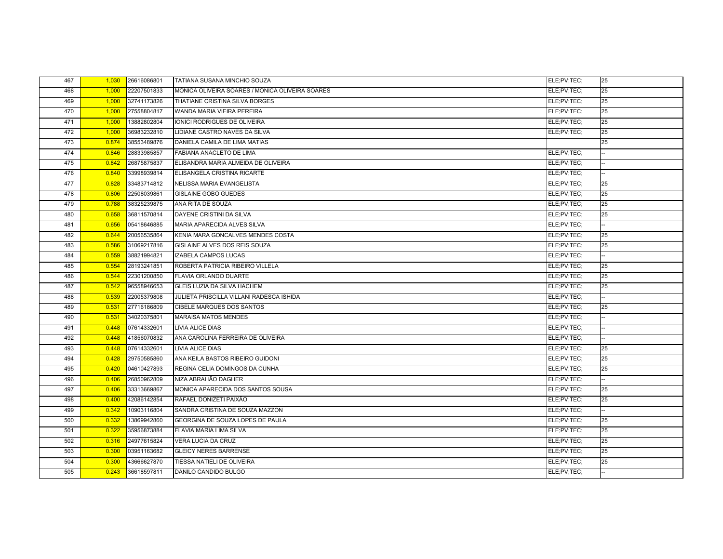| 467 | 1,030 | 26616086801 | TATIANA SUSANA MINCHIO SOUZA                    | ELE;PV;TEC; | 25 |
|-----|-------|-------------|-------------------------------------------------|-------------|----|
| 468 | 1,000 | 22207501833 | MÔNICA OLIVEIRA SOARES / MONICA OLIVEIRA SOARES | ELE;PV;TEC; | 25 |
| 469 | 1,000 | 32741173826 | THATIANE CRISTINA SILVA BORGES                  | ELE:PV:TEC: | 25 |
| 470 | 1,000 | 27558804817 | WANDA MARIA VIEIRA PEREIRA                      | ELE;PV;TEC; | 25 |
| 471 | 1,000 | 13882802804 | IONICI RODRIGUES DE OLIVEIRA                    | ELE;PV;TEC; | 25 |
| 472 | 1,000 | 36983232810 | LIDIANE CASTRO NAVES DA SILVA                   | ELE;PV;TEC; | 25 |
| 473 | 0.874 | 38553489876 | DANIELA CAMILA DE LIMA MATIAS                   |             | 25 |
| 474 | 0.846 | 28833985857 | FABIANA ANACLETO DE LIMA                        | ELE;PV;TEC; |    |
| 475 | 0.842 | 26875875837 | ELISANDRA MARIA ALMEIDA DE OLIVEIRA             | ELE:PV:TEC: |    |
| 476 | 0.840 | 33998939814 | ELISANGELA CRISTINA RICARTE                     | ELE;PV;TEC; |    |
| 477 | 0.828 | 33483714812 | NELISSA MARIA EVANGELISTA                       | ELE;PV;TEC; | 25 |
| 478 | 0.806 | 22508039861 | <b>GISLAINE GOBO GUEDES</b>                     | ELE;PV;TEC; | 25 |
| 479 | 0.788 | 38325239875 | ANA RITA DE SOUZA                               | ELE:PV:TEC: | 25 |
| 480 | 0.658 | 36811570814 | DAYENE CRISTINI DA SILVA                        | ELE;PV;TEC; | 25 |
| 481 | 0.656 | 05418646885 | MARIA APARECIDA ALVES SILVA                     | ELE:PV:TEC: |    |
| 482 | 0.644 | 20056535864 | KENIA MARA GONCALVES MENDES COSTA               | ELE:PV:TEC: | 25 |
| 483 | 0.586 | 31069217816 | GISLAINE ALVES DOS REIS SOUZA                   | ELE:PV:TEC: | 25 |
| 484 | 0.559 | 38821994821 | IZABELA CAMPOS LUCAS                            | ELE:PV:TEC: |    |
| 485 | 0.554 | 28193241851 | ROBERTA PATRICIA RIBEIRO VILLELA                | ELE;PV;TEC; | 25 |
| 486 | 0.544 | 22301200850 | FLAVIA ORLANDO DUARTE                           | ELE;PV;TEC; | 25 |
| 487 | 0.542 | 96558946653 | <b>GLEIS LUZIA DA SILVA HACHEM</b>              | ELE;PV;TEC; | 25 |
| 488 | 0.539 | 22005379808 | JULIETA PRISCILLA VILLANI RADESCA ISHIDA        | ELE:PV:TEC: |    |
| 489 | 0.531 | 27716186809 | CIBELE MARQUES DOS SANTOS                       | ELE;PV;TEC; | 25 |
| 490 | 0.531 | 34020375801 | <b>MARAISA MATOS MENDES</b>                     | ELE:PV:TEC: |    |
| 491 | 0.448 | 07614332601 | <b>LIVIA ALICE DIAS</b>                         | ELE:PV:TEC: |    |
| 492 | 0.448 | 41856070832 | ANA CAROLINA FERREIRA DE OLIVEIRA               | ELE:PV:TEC: |    |
| 493 | 0.448 | 07614332601 | <b>LIVIA ALICE DIAS</b>                         | ELE;PV;TEC; | 25 |
| 494 | 0.428 | 29750585860 | ANA KEILA BASTOS RIBEIRO GUIDONI                | ELE;PV;TEC; | 25 |
| 495 | 0.420 | 04610427893 | REGINA CELIA DOMINGOS DA CUNHA                  | ELE;PV;TEC; | 25 |
| 496 | 0.406 | 26850962809 | NIZA ABRAHÃO DAGHER                             | ELE;PV;TEC; |    |
| 497 | 0.406 | 33313669867 | MONICA APARECIDA DOS SANTOS SOUSA               | ELE:PV:TEC: | 25 |
| 498 | 0.400 | 42086142854 | RAFAEL DONIZETI PAIXÃO                          | ELE:PV:TEC: | 25 |
| 499 | 0.342 | 10903116804 | SANDRA CRISTINA DE SOUZA MAZZON                 | ELE;PV;TEC; |    |
| 500 | 0.332 | 13869942860 | GEORGINA DE SOUZA LOPES DE PAULA                | ELE;PV;TEC; | 25 |
| 501 | 0.322 | 35956873884 | <b>FLAVIA MARIA LIMA SILVA</b>                  | ELE;PV;TEC; | 25 |
| 502 | 0.316 | 24977615824 | VERA LUCIA DA CRUZ                              | ELE;PV;TEC; | 25 |
| 503 | 0.300 | 03951163682 | <b>GLEICY NERES BARRENSE</b>                    | ELE;PV;TEC; | 25 |
| 504 | 0.300 | 43666627870 | TIESSA NATIELI DE OLIVEIRA                      | ELE:PV:TEC: | 25 |
| 505 | 0.243 | 36618597811 | DANILO CANDIDO BULGO                            | ELE:PV:TEC: |    |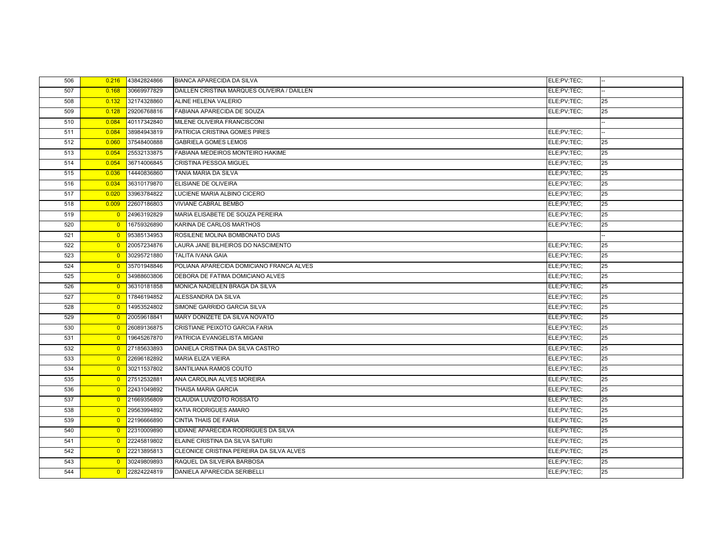| 506 | 0.216          | 43842824866   | <b>BIANCA APARECIDA DA SILVA</b>            | ELE;PV;TEC; |    |
|-----|----------------|---------------|---------------------------------------------|-------------|----|
| 507 | 0.168          | 30669977829   | DAILLEN CRISTINA MARQUES OLIVEIRA / DAILLEN | ELE;PV;TEC; |    |
| 508 | 0.132          | 32174328860   | ALINE HELENA VALERIO                        | ELE:PV:TEC: | 25 |
| 509 | 0.128          | 29206768816   | FABIANA APARECIDA DE SOUZA                  | ELE;PV;TEC; | 25 |
| 510 | 0.084          | 40117342840   | MILENE OLIVEIRA FRANCISCONI                 |             |    |
| 511 | 0.084          | 38984943819   | PATRICIA CRISTINA GOMES PIRES               | ELE;PV;TEC; |    |
| 512 | 0.060          | 37548400888   | <b>GABRIELA GOMES LEMOS</b>                 | ELE;PV;TEC; | 25 |
| 513 | 0.054          | 25532133875   | FABIANA MEDEIROS MONTEIRO HAKIME            | ELE;PV;TEC; | 25 |
| 514 | 0.054          | 36714006845   | <b>CRISTINA PESSOA MIGUEL</b>               | ELE:PV:TEC: | 25 |
| 515 | 0.036          | 14440836860   | TANIA MARIA DA SILVA                        | ELE;PV;TEC; | 25 |
| 516 | 0.034          | 36310179870   | ELISIANE DE OLIVEIRA                        | ELE;PV;TEC; | 25 |
| 517 | 0.020          | 33963784822   | LUCIENE MARIA ALBINO CICERO                 | ELE;PV;TEC; | 25 |
| 518 | 0.009          | 22607186803   | <b>VIVIANE CABRAL BEMBO</b>                 | ELE:PV:TEC: | 25 |
| 519 | $\overline{0}$ | 24963192829   | MARIA ELISABETE DE SOUZA PEREIRA            | ELE;PV;TEC; | 25 |
| 520 | $\overline{0}$ | 16759326890   | KARINA DE CARLOS MARTHOS                    | ELE;PV;TEC; | 25 |
| 521 | $\overline{0}$ | 95385134953   | ROSILENE MOLINA BOMBONATO DIAS              |             |    |
| 522 | $\overline{0}$ | 20057234876   | LAURA JANE BILHEIROS DO NASCIMENTO          | ELE:PV:TEC: | 25 |
| 523 | $\overline{0}$ | 30295721880   | <b>TALITA IVANA GAIA</b>                    | ELE;PV;TEC; | 25 |
| 524 | $\overline{0}$ | 35701948846   | POLIANA APARECIDA DOMICIANO FRANCA ALVES    | ELE;PV;TEC; | 25 |
| 525 | $\overline{0}$ | 34988603806   | DEBORA DE FATIMA DOMICIANO ALVES            | ELE;PV;TEC; | 25 |
| 526 | $\overline{0}$ | 36310181858   | MONICA NADIELEN BRAGA DA SILVA              | ELE:PV:TEC: | 25 |
| 527 | $\overline{0}$ | 17846194852   | ALESSANDRA DA SILVA                         | ELE:PV:TEC: | 25 |
| 528 | $\overline{0}$ | 14953524802   | SIMONE GARRIDO GARCIA SILVA                 | ELE;PV;TEC; | 25 |
| 529 | $\overline{0}$ | 20059618841   | MARY DONIZETE DA SILVA NOVATO               | ELE:PV:TEC: | 25 |
| 530 | $\overline{0}$ | 26089136875   | CRISTIANE PEIXOTO GARCIA FARIA              | ELE:PV:TEC: | 25 |
| 531 | $\overline{0}$ | 19645267870   | PATRICIA EVANGELISTA MIGANI                 | ELE:PV:TEC: | 25 |
| 532 | $\overline{0}$ | 27185633893   | DANIELA CRISTINA DA SILVA CASTRO            | ELE;PV;TEC; | 25 |
| 533 | $\overline{0}$ | 22696182892   | <b>MARIA ELIZA VIEIRA</b>                   | ELE;PV;TEC; | 25 |
| 534 | $\overline{0}$ | 30211537802   | SANTILIANA RAMOS COUTO                      | ELE;PV;TEC; | 25 |
| 535 | $\overline{0}$ | 27512532881   | ANA CAROLINA ALVES MOREIRA                  | ELE;PV;TEC; | 25 |
| 536 | $\overline{0}$ | 22431049892   | <b>THAISA MARIA GARCIA</b>                  | ELE:PV:TEC: | 25 |
| 537 | $\overline{0}$ | 21669356809   | CLAUDIA LUVIZOTO ROSSATO                    | ELE;PV;TEC; | 25 |
| 538 | $\overline{0}$ | 29563994892   | KATIA RODRIGUES AMARO                       | ELE;PV;TEC; | 25 |
| 539 | $\overline{0}$ | 22196666890   | CINTIA THAIS DE FARIA                       | ELE;PV;TEC; | 25 |
| 540 | $\overline{0}$ | 22310009890   | LIDIANE APARECIDA RODRIGUES DA SILVA        | ELE;PV;TEC; | 25 |
| 541 | $\overline{0}$ | 22245819802   | ELAINE CRISTINA DA SILVA SATURI             | ELE;PV;TEC; | 25 |
| 542 | $\overline{0}$ | 22213895813   | CLEONICE CRISTINA PEREIRA DA SILVA ALVES    | ELE;PV;TEC; | 25 |
| 543 | $\overline{0}$ | 30249809893   | RAQUEL DA SILVEIRA BARBOSA                  | ELE:PV:TEC: | 25 |
| 544 |                | 0 22824224819 | <b>DANIELA APARECIDA SERIBELLI</b>          | ELE:PV:TEC: | 25 |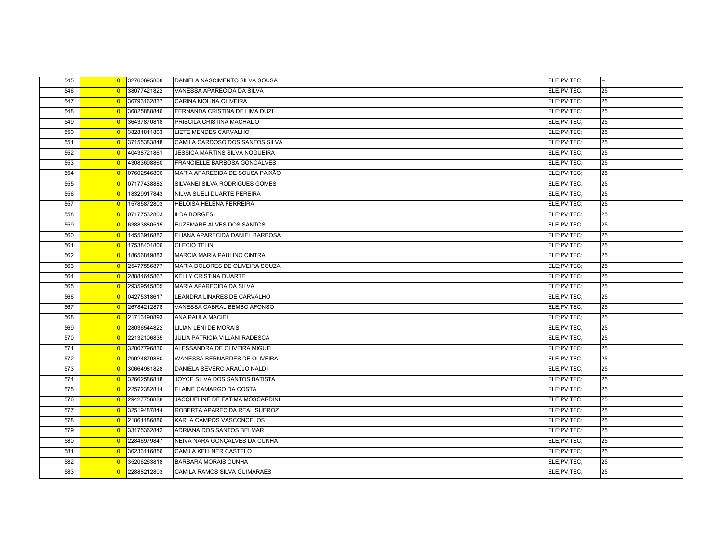| 545 | $\overline{0}$ | 32760695808 | DANIELA NASCIMENTO SILVA SOUSA        | ELE;PV;TEC; |    |
|-----|----------------|-------------|---------------------------------------|-------------|----|
| 546 | $\overline{0}$ | 38077421822 | VANESSA APARECIDA DA SILVA            | ELE;PV;TEC; | 25 |
| 547 | $\overline{0}$ | 36793162837 | CARINA MOLINA OLIVEIRA                | ELE;PV;TEC; | 25 |
| 548 | $\overline{0}$ | 36825888846 | FERNANDA CRISTINA DE LIMA DUZI        | ELE;PV;TEC; | 25 |
| 549 | $\overline{0}$ | 36437870818 | PRISCILA CRISTINA MACHADO             | ELE;PV;TEC; | 25 |
| 550 | $\overline{0}$ | 38281811803 | LIETE MENDES CARVALHO                 | ELE:PV:TEC: | 25 |
| 551 | $\overline{0}$ | 37155383848 | CAMILA CARDOSO DOS SANTOS SILVA       | ELE;PV;TEC; | 25 |
| 552 | $\overline{0}$ | 40438721861 | JESSICA MARTINS SILVA NOGUEIRA        | ELE;PV;TEC; | 25 |
| 553 | $\overline{0}$ | 43083698860 | FRANCIELLE BARBOSA GONCALVES          | ELE;PV;TEC; | 25 |
| 554 | $\overline{0}$ | 07602546806 | MARIA APARECIDA DE SOUSA PAIXÃO       | ELE;PV;TEC; | 25 |
| 555 | $\overline{0}$ | 07177438882 | SILVANEI SILVA RODRIGUES GOMES        | ELE;PV;TEC; | 25 |
| 556 | $\overline{0}$ | 18329917843 | NILVA SUELI DUARTE PEREIRA            | ELE;PV;TEC; | 25 |
| 557 | $\overline{0}$ | 15785872803 | <b>HELOISA HELENA FERREIRA</b>        | ELE;PV;TEC; | 25 |
| 558 | $\overline{0}$ | 07177532803 | <b>ILDA BORGES</b>                    | ELE;PV;TEC; | 25 |
| 559 | $\overline{0}$ | 63883880515 | EUZEMARE ALVES DOS SANTOS             | ELE:PV:TEC: | 25 |
| 560 | $\overline{0}$ | 14553946882 | ELIANA APARECIDA DANIEL BARBOSA       | ELE;PV;TEC; | 25 |
| 561 | $\overline{0}$ | 17538401806 | <b>CLECIO TELINI</b>                  | ELE;PV;TEC; | 25 |
| 562 | $\overline{0}$ | 18656849883 | MARCIA MARIA PAULINO CINTRA           | ELE;PV;TEC; | 25 |
| 563 | $\overline{0}$ | 25477586877 | MARIA DOLORES DE OLIVEIRA SOUZA       | ELE;PV;TEC; | 25 |
| 564 | $\overline{0}$ | 28884645867 | <b>KELLY CRISTINA DUARTE</b>          | ELE:PV:TEC: | 25 |
| 565 | $\overline{0}$ | 29359545805 | <b>MARIA APARECIDA DA SILVA</b>       | ELE;PV;TEC; | 25 |
| 566 | $\overline{0}$ | 04275318617 | LEANDRA LINARES DE CARVALHO           | ELE:PV:TEC: | 25 |
| 567 | $\overline{0}$ | 26784212878 | VANESSA CABRAL BEMBO AFONSO           | ELE;PV;TEC; | 25 |
| 568 | $\overline{0}$ | 21713190893 | <b>ANA PAULA MACIEL</b>               | ELE;PV;TEC; | 25 |
| 569 | $\overline{0}$ | 28036544822 | <b>LILIAN LENI DE MORAIS</b>          | ELE;PV;TEC; | 25 |
| 570 | $\overline{0}$ | 22132106835 | <b>JULIA PATRICIA VILLANI RADESCA</b> | ELE;PV;TEC; | 25 |
| 571 | $\overline{0}$ | 32007796830 | ALESSANDRA DE OLIVEIRA MIGUEL         | ELE:PV:TEC: | 25 |
| 572 | $\overline{0}$ | 29924879880 | WANESSA BERNARDES DE OLIVEIRA         | ELE:PV:TEC: | 25 |
| 573 | $\overline{0}$ | 30664981828 | DANIELA SEVERO ARAÚJO NALDI           | ELE;PV;TEC; | 25 |
| 574 | $\overline{0}$ | 32662586818 | JOYCE SILVA DOS SANTOS BATISTA        | ELE;PV;TEC; | 25 |
| 575 | $\overline{0}$ | 22572382814 | ELAINE CAMARGO DA COSTA               | ELE:PV:TEC: | 25 |
| 576 | $\overline{0}$ | 29427756888 | JACQUELINE DE FATIMA MOSCARDINI       | ELE;PV;TEC; | 25 |
| 577 | $\overline{0}$ | 32519487844 | ROBERTA APARECIDA REAL SUEROZ         | ELE;PV;TEC; | 25 |
| 578 | $\overline{0}$ | 21861186886 | KARLA CAMPOS VASCONCELOS              | ELE;PV;TEC; | 25 |
| 579 | $\overline{0}$ | 33175362842 | ADRIANA DOS SANTOS BELMAR             | ELE;PV;TEC; | 25 |
| 580 | $\overline{0}$ | 22846979847 | NEIVA NARA GONÇALVES DA CUNHA         | ELE:PV:TEC: | 25 |
| 581 | $\overline{0}$ | 36233116856 | CAMILA KELLNER CASTELO                | ELE;PV;TEC; | 25 |
| 582 | $\overline{0}$ | 35206263818 | <b>BARBARA MORAIS CUNHA</b>           | ELE:PV:TEC: | 25 |
| 583 | $\overline{0}$ | 22888212803 | <b>CAMILA RAMOS SILVA GUIMARAES</b>   | ELE;PV;TEC; | 25 |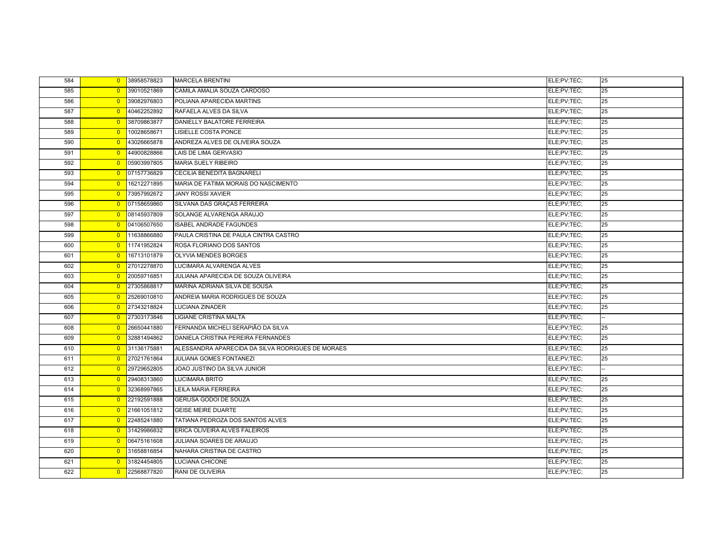| 584 |                | 0 38958578823 | <b>MARCELA BRENTINI</b>                           | ELE;PV;TEC; | 25 |
|-----|----------------|---------------|---------------------------------------------------|-------------|----|
| 585 | $\overline{0}$ | 39010521869   | CAMILA AMALIA SOUZA CARDOSO                       | ELE;PV;TEC; | 25 |
| 586 | $\overline{0}$ | 39082976803   | POLIANA APARECIDA MARTINS                         | ELE;PV;TEC; | 25 |
| 587 | $\overline{0}$ | 40462252892   | RAFAELA ALVES DA SILVA                            | ELE;PV;TEC; | 25 |
| 588 | $\overline{0}$ | 38709863877   | DANIELLY BALATORE FERREIRA                        | ELE;PV;TEC; | 25 |
| 589 | $\overline{0}$ | 10028658671   | LISIELLE COSTA PONCE                              | ELE;PV;TEC; | 25 |
| 590 | $\overline{0}$ | 43026665878   | ANDREZA ALVES DE OLIVEIRA SOUZA                   | ELE;PV;TEC; | 25 |
| 591 | $\overline{0}$ | 44900828866   | LAIS DE LIMA GERVASIO                             | ELE;PV;TEC; | 25 |
| 592 | $\overline{0}$ | 05903997805   | <b>MARIA SUELY RIBEIRO</b>                        | ELE;PV;TEC; | 25 |
| 593 | $\overline{0}$ | 07157736829   | CECILIA BENEDITA BAGNARELI                        | ELE:PV:TEC: | 25 |
| 594 | $\overline{0}$ | 16212271895   | MARIA DE FATIMA MORAIS DO NASCIMENTO              | ELE:PV:TEC: | 25 |
| 595 | $\overline{0}$ | 73957992672   | <b>JANY ROSSI XAVIER</b>                          | ELE;PV;TEC; | 25 |
| 596 | $\overline{0}$ | 07158659860   | SILVANA DAS GRAÇAS FERREIRA                       | ELE;PV;TEC; | 25 |
| 597 |                | 0 08145937809 | SOLANGE ALVARENGA ARAUJO                          | ELE;PV;TEC; | 25 |
| 598 | $\overline{0}$ | 04106507650   | <b>ISABEL ANDRADE FAGUNDES</b>                    | ELE;PV;TEC; | 25 |
| 599 | $\overline{0}$ | 11638866880   | PAULA CRISTINA DE PAULA CINTRA CASTRO             | ELE;PV;TEC; | 25 |
| 600 | $\overline{0}$ | 11741952824   | ROSA FLORIANO DOS SANTOS                          | ELE;PV;TEC; | 25 |
| 601 | $\overline{0}$ | 16713101879   | <b>OLYVIA MENDES BORGES</b>                       | ELE;PV;TEC; | 25 |
| 602 | $\overline{0}$ | 27012278870   | LUCIMARA ALVARENGA ALVES                          | ELE;PV;TEC; | 25 |
| 603 | $\overline{0}$ | 20059716851   | JULIANA APARECIDA DE SOUZA OLIVEIRA               | ELE;PV;TEC; | 25 |
| 604 | $\overline{0}$ | 27305868817   | MARINA ADRIANA SILVA DE SOUSA                     | ELE;PV;TEC; | 25 |
| 605 | $\overline{0}$ | 25269010810   | ANDREIA MARIA RODRIGUES DE SOUZA                  | ELE;PV;TEC; | 25 |
| 606 | $\overline{0}$ | 27343218824   | <b>LUCIANA ZINADER</b>                            | ELE;PV;TEC; | 25 |
| 607 | $\overline{0}$ | 27303173846   | <b>LIGIANE CRISTINA MALTA</b>                     | ELE;PV;TEC; |    |
| 608 | $\overline{0}$ | 26650441880   | FERNANDA MICHELI SERAPIÃO DA SILVA                | ELE;PV;TEC; | 25 |
| 609 | $\overline{0}$ | 32881494862   | DANIELA CRISTINA PEREIRA FERNANDES                | ELE;PV;TEC; | 25 |
| 610 | $\overline{0}$ | 31136175881   | ALESSANDRA APARECIDA DA SILVA RODRIGUES DE MORAES | ELE;PV;TEC; | 25 |
| 611 | $\overline{0}$ | 27021761864   | JULIANA GOMES FONTANEZI                           | ELE;PV;TEC; | 25 |
| 612 | $\overline{0}$ | 29729652805   | JOAO JUSTINO DA SILVA JUNIOR                      | ELE;PV;TEC; |    |
| 613 | $\overline{0}$ | 29408313860   | LUCIMARA BRITO                                    | ELE;PV;TEC; | 25 |
| 614 | $\overline{0}$ | 32368997865   | LEILA MARIA FERREIRA                              | ELE:PV:TEC: | 25 |
| 615 | $\overline{0}$ | 22192591888   | GERUSA GODOI DE SOUZA                             | ELE;PV;TEC; | 25 |
| 616 | $\overline{0}$ | 21661051812   | <b>GEISE MEIRE DUARTE</b>                         | ELE;PV;TEC; | 25 |
| 617 | $\overline{0}$ | 22485241880   | TATIANA PEDROZA DOS SANTOS ALVES                  | ELE;PV;TEC; | 25 |
| 618 | $\overline{0}$ | 31429986832   | ERICA OLIVEIRA ALVES FALEIROS                     | ELE;PV;TEC; | 25 |
| 619 | $\overline{0}$ | 06475161608   | JULIANA SOARES DE ARAUJO                          | ELE;PV;TEC; | 25 |
| 620 | $\overline{0}$ | 31658816854   | NAHARA CRISTINA DE CASTRO                         | ELE:PV:TEC: | 25 |
| 621 | $\overline{0}$ | 31824454805   | <b>LUCIANA CHICONE</b>                            | ELE:PV:TEC: | 25 |
| 622 |                | 0 22568877820 | <b>RANI DE OLIVEIRA</b>                           | ELE:PV:TEC: | 25 |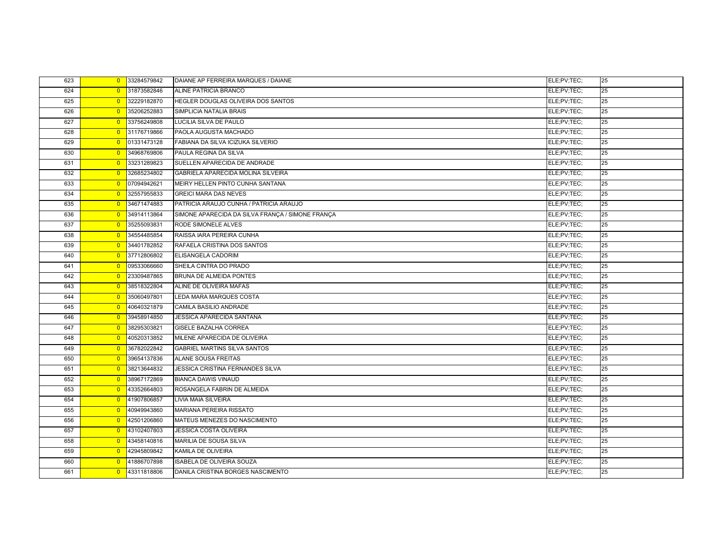| 623 | $\overline{0}$ | 33284579842 | DAIANE AP FERREIRA MARQUES / DAIANE              | ELE;PV;TEC; | 25 |
|-----|----------------|-------------|--------------------------------------------------|-------------|----|
| 624 | $\overline{0}$ | 31873582846 | ALINE PATRICIA BRANCO                            | ELE;PV;TEC; | 25 |
| 625 | $\overline{0}$ | 32229182870 | HEGLER DOUGLAS OLIVEIRA DOS SANTOS               | ELE;PV;TEC; | 25 |
| 626 | $\overline{0}$ | 35206252883 | SIMPLICIA NATALIA BRAIS                          | ELE:PV:TEC: | 25 |
| 627 | $\overline{0}$ | 33756249808 | LUCILIA SILVA DE PAULO                           | ELE;PV;TEC; | 25 |
| 628 | $\overline{0}$ | 31176719866 | PAOLA AUGUSTA MACHADO                            | ELE;PV;TEC; | 25 |
| 629 | $\overline{0}$ | 01331473128 | FABIANA DA SILVA ICIZUKA SILVERIO                | ELE;PV;TEC; | 25 |
| 630 | $\overline{0}$ | 34968769806 | PAULA REGINA DA SILVA                            | ELE;PV;TEC; | 25 |
| 631 | $\overline{0}$ | 33231289823 | SUELLEN APARECIDA DE ANDRADE                     | ELE;PV;TEC; | 25 |
| 632 | $\overline{0}$ | 32685234802 | GABRIELA APARECIDA MOLINA SILVEIRA               | ELE;PV;TEC; | 25 |
| 633 | $\overline{0}$ | 07094942621 | MEIRY HELLEN PINTO CUNHA SANTANA                 | ELE:PV:TEC: | 25 |
| 634 | $\overline{0}$ | 32557955833 | <b>GREICI MARA DAS NEVES</b>                     | ELE;PV;TEC; | 25 |
| 635 | $\overline{0}$ | 34671474883 | PATRICIA ARAUJO CUNHA / PATRICIA ARAUJO          | ELE;PV;TEC; | 25 |
| 636 | $\overline{0}$ | 34914113864 | SIMONE APARECIDA DA SILVA FRANÇA / SIMONE FRANÇA | ELE:PV:TEC: | 25 |
| 637 | $\overline{0}$ | 35255093831 | RODE SIMONELE ALVES                              | ELE:PV:TEC: | 25 |
| 638 | $\overline{0}$ | 34554485854 | RAISSA IARA PEREIRA CUNHA                        | ELE:PV:TEC: | 25 |
| 639 | $\overline{0}$ | 34401782852 | RAFAELA CRISTINA DOS SANTOS                      | ELE:PV:TEC: | 25 |
| 640 | $\overline{0}$ | 37712806802 | ELISANGELA CADORIM                               | ELE;PV;TEC; | 25 |
| 641 | $\overline{0}$ | 09533066660 | SHEILA CINTRA DO PRADO                           | ELE;PV;TEC; | 25 |
| 642 | $\overline{0}$ | 23309487865 | <b>BRUNA DE ALMEIDA PONTES</b>                   | ELE;PV;TEC; | 25 |
| 643 | $\overline{0}$ | 38518322804 | ALINE DE OLIVEIRA MAFAS                          | ELE;PV;TEC; | 25 |
| 644 | $\overline{0}$ | 35060497801 | LEDA MARA MARQUES COSTA                          | ELE:PV:TEC: | 25 |
| 645 | $\overline{0}$ | 40640321879 | CAMILA BASILIO ANDRADE                           | ELE;PV;TEC; | 25 |
| 646 | $\overline{0}$ | 39458914850 | <b>JESSICA APARECIDA SANTANA</b>                 | ELE;PV;TEC; | 25 |
| 647 | $\overline{0}$ | 38295303821 | <b>GISELE BAZALHA CORREA</b>                     | ELE;PV;TEC; | 25 |
| 648 | $\overline{0}$ | 40520313852 | MILENE APARECIDA DE OLIVEIRA                     | ELE:PV:TEC: | 25 |
| 649 | $\overline{0}$ | 36782022842 | <b>GABRIEL MARTINS SILVA SANTOS</b>              | ELE;PV;TEC; | 25 |
| 650 | $\overline{0}$ | 39654137836 | ALANE SOUSA FREITAS                              | ELE;PV;TEC; | 25 |
| 651 | $\overline{0}$ | 38213644832 | <b>JESSICA CRISTINA FERNANDES SILVA</b>          | ELE;PV;TEC; | 25 |
| 652 | $\overline{0}$ | 38967172869 | <b>BIANCA DAWIS VINAUD</b>                       | ELE;PV;TEC; | 25 |
| 653 | $\overline{0}$ | 43352664803 | ROSANGELA FABRIN DE ALMEIDA                      | ELE;PV;TEC; | 25 |
| 654 | $\overline{0}$ | 41907806857 | <b>LIVIA MAIA SILVEIRA</b>                       | ELE;PV;TEC; | 25 |
| 655 | $\overline{0}$ | 40949943860 | <b>MARIANA PEREIRA RISSATO</b>                   | ELE;PV;TEC; | 25 |
| 656 | $\overline{0}$ | 42501206860 | MATEUS MENEZES DO NASCIMENTO                     | ELE;PV;TEC; | 25 |
| 657 | $\overline{0}$ | 43102407803 | <b>JESSICA COSTA OLIVEIRA</b>                    | ELE;PV;TEC; | 25 |
| 658 | $\overline{0}$ | 43458140816 | <b>MARILIA DE SOUSA SILVA</b>                    | ELE;PV;TEC; | 25 |
| 659 | $\overline{0}$ | 42945809842 | KAMILA DE OLIVEIRA                               | ELE;PV;TEC; | 25 |
| 660 | $\Omega$       | 41886707898 | <b>ISABELA DE OLIVEIRA SOUZA</b>                 | ELE:PV:TEC: | 25 |
| 661 | $\overline{0}$ | 43311818806 | DANILA CRISTINA BORGES NASCIMENTO                | ELE;PV;TEC; | 25 |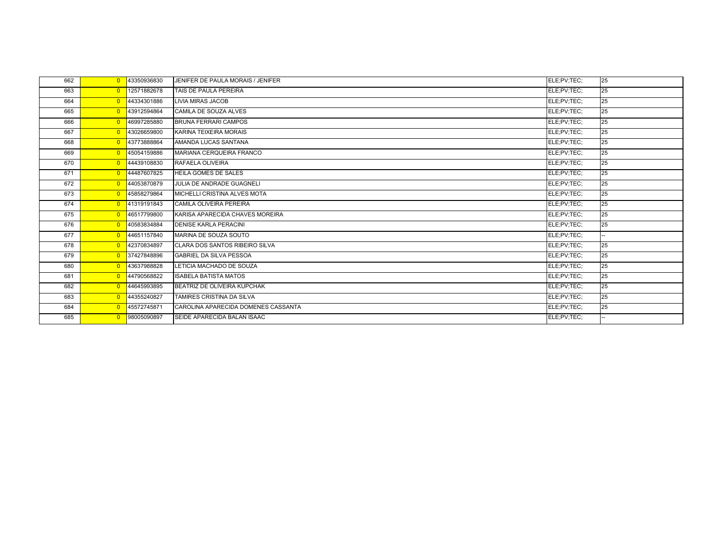| 662 | $\Omega$       | 43350936830 | JENIFER DE PAULA MORAIS / JENIFER     | ELE;PV;TEC; | 25 |
|-----|----------------|-------------|---------------------------------------|-------------|----|
| 663 | $\overline{0}$ | 12571882678 | TAIS DE PAULA PEREIRA                 | ELE:PV:TEC: | 25 |
| 664 | $\overline{0}$ | 44334301886 | <b>LIVIA MIRAS JACOB</b>              | ELE;PV;TEC; | 25 |
| 665 | $\overline{0}$ | 43912594864 | CAMILA DE SOUZA ALVES                 | ELE;PV;TEC; | 25 |
| 666 | $\overline{0}$ | 46997285880 | <b>BRUNA FERRARI CAMPOS</b>           | ELE;PV;TEC; | 25 |
| 667 | $\overline{0}$ | 43026659800 | KARINA TEIXEIRA MORAIS                | ELE;PV;TEC; | 25 |
| 668 | $\overline{0}$ | 43773888864 | AMANDA LUCAS SANTANA                  | ELE;PV;TEC; | 25 |
| 669 | $\overline{0}$ | 45054159886 | MARIANA CERQUEIRA FRANCO              | ELE;PV;TEC; | 25 |
| 670 | $\overline{0}$ | 44439108830 | RAFAELA OLIVEIRA                      | ELE:PV:TEC: | 25 |
| 671 | $\overline{0}$ | 44487607825 | <b>HEILA GOMES DE SALES</b>           | ELE;PV;TEC; | 25 |
| 672 | $\overline{0}$ | 44053870879 | JULIA DE ANDRADE GUAGNELI             | ELE;PV;TEC; | 25 |
| 673 | $\overline{0}$ | 45858279864 | MICHELLI CRISTINA ALVES MOTA          | ELE;PV;TEC; | 25 |
| 674 | $\overline{0}$ | 41319191843 | CAMILA OLIVEIRA PEREIRA               | ELE;PV;TEC; | 25 |
| 675 | $\overline{0}$ | 46517799800 | KARISA APARECIDA CHAVES MOREIRA       | ELE;PV;TEC; | 25 |
| 676 | $\overline{0}$ | 40583834884 | <b>DENISE KARLA PERACINI</b>          | ELE;PV;TEC; | 25 |
| 677 | $\overline{0}$ | 44651157840 | MARINA DE SOUZA SOUTO                 | ELE;PV;TEC; | н. |
| 678 | $\overline{0}$ | 42370834897 | <b>CLARA DOS SANTOS RIBEIRO SILVA</b> | ELE;PV;TEC; | 25 |
| 679 | $\Omega$       | 37427848896 | <b>GABRIEL DA SILVA PESSOA</b>        | ELE:PV:TEC: | 25 |
| 680 | $\overline{0}$ | 43637988828 | LETICIA MACHADO DE SOUZA              | ELE;PV;TEC; | 25 |
| 681 | $\overline{0}$ | 44790568822 | <b>ISABELA BATISTA MATOS</b>          | ELE:PV:TEC: | 25 |
| 682 | $\overline{0}$ | 44645993895 | BEATRIZ DE OLIVEIRA KUPCHAK           | ELE:PV:TEC: | 25 |
| 683 | $\overline{0}$ | 44355240827 | TAMIRES CRISTINA DA SILVA             | ELE;PV;TEC; | 25 |
| 684 | $\overline{0}$ | 45572745871 | CAROLINA APARECIDA DOMENES CASSANTA   | ELE;PV;TEC; | 25 |
| 685 | $\Omega$       | 98005090897 | SEIDE APARECIDA BALAN ISAAC           | ELE;PV;TEC; |    |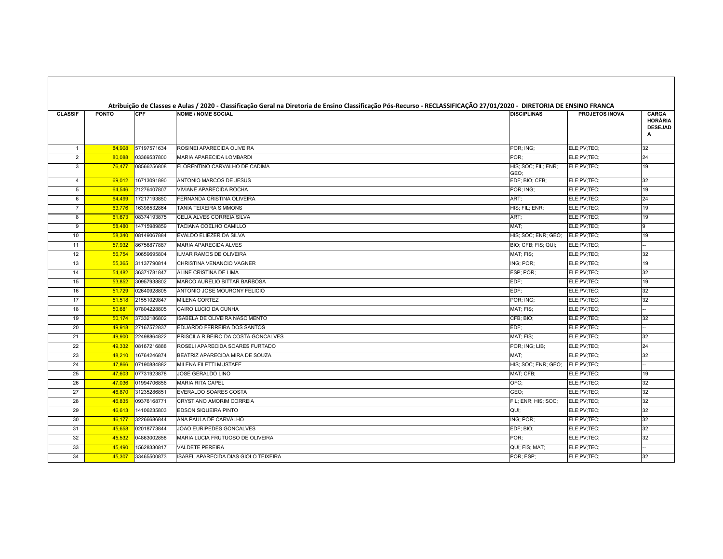| <b>CLASSIF</b> | <b>PONTO</b> | <b>CPF</b>  | Atribuição de Classes e Aulas / 2020 - Classificação Geral na Diretoria de Ensino Classificação Pós-Recurso - RECLASSIFICAÇÃO 27/01/2020 - DIRETORIA DE ENSINO FRANCA<br><b>NOME / NOME SOCIAL</b> | <b>DISCIPLINAS</b>          | <b>PROJETOS INOVA</b> | <b>CARGA</b><br>HORÁRIA<br><b>DESEJAD</b><br>A |
|----------------|--------------|-------------|----------------------------------------------------------------------------------------------------------------------------------------------------------------------------------------------------|-----------------------------|-----------------------|------------------------------------------------|
| $\mathbf{1}$   | 84,908       | 57197571634 | ROSINEI APARECIDA OLIVEIRA                                                                                                                                                                         | POR; ING;                   | ELE;PV;TEC;           | 32                                             |
| 2              | 80,088       | 03369537800 | <b>MARIA APARECIDA LOMBARDI</b>                                                                                                                                                                    | POR:                        | ELE;PV;TEC;           | 24                                             |
| 3              | 76,477       | 08566256808 | FLORENTINO CARVALHO DE CADIMA                                                                                                                                                                      | HIS; SOC; FIL; ENR;<br>GEO; | ELE;PV;TEC;           | 19                                             |
| $\overline{4}$ | 69,012       | 16713091890 | ANTONIO MARCOS DE JESUS                                                                                                                                                                            | EDF; BIO; CFB;              | ELE;PV;TEC;           | 32                                             |
| 5              | 64,546       | 21276407807 | <b>VIVIANE APARECIDA ROCHA</b>                                                                                                                                                                     | POR; ING;                   | ELE;PV;TEC;           | 19                                             |
| 6              | 64,499       | 17217193850 | FERNANDA CRISTINA OLIVEIRA                                                                                                                                                                         | ART:                        | ELE;PV;TEC;           | 24                                             |
| $\overline{7}$ | 63,776       | 16398532864 | TANIA TEIXEIRA SIMMONS                                                                                                                                                                             | HIS; FIL; ENR;              | ELE;PV;TEC;           | 19                                             |
| 8              | 61,673       | 08374193875 | CELIA ALVES CORREIA SILVA                                                                                                                                                                          | ART:                        | ELE;PV;TEC;           | 19                                             |
| 9              | 58,480       | 14715989859 | TACIANA COELHO CAMILLO                                                                                                                                                                             | MAT:                        | ELE;PV;TEC;           | I۹                                             |
| 10             | 58,340       | 08149067884 | EVALDO ELIEZER DA SILVA                                                                                                                                                                            | HIS; SOC; ENR; GEO;         | ELE;PV;TEC;           | 19                                             |
| 11             | 57,932       | 86756877887 | MARIA APARECIDA ALVES                                                                                                                                                                              | BIO; CFB; FIS; QUI;         | ELE;PV;TEC;           |                                                |
| 12             | 56,754       | 30659695804 | ILMAR RAMOS DE OLIVEIRA                                                                                                                                                                            | MAT; FIS;                   | ELE;PV;TEC;           | 32                                             |
| 13             | 55,365       | 31137790814 | CHRISTINA VENANCIO VAGNER                                                                                                                                                                          | ING; POR;                   | ELE;PV;TEC;           | 19                                             |
| 14             | 54,482       | 36371781847 | ALINE CRISTINA DE LIMA                                                                                                                                                                             | ESP; POR;                   | ELE;PV;TEC;           | 32                                             |
| 15             | 53,852       | 30957938802 | MARCO AURELIO BITTAR BARBOSA                                                                                                                                                                       | EDF:                        | ELE;PV;TEC;           | 19                                             |
| 16             | 51,729       | 02640928805 | ANTONIO JOSE MOURONY FELICIO                                                                                                                                                                       | EDF:                        | ELE;PV;TEC;           | 32                                             |
| 17             | 51,518       | 21551029847 | MILENA CORTEZ                                                                                                                                                                                      | POR; ING;                   | ELE;PV;TEC;           | 32                                             |
| 18             | 50,681       | 07804228805 | CAIRO LUCIO DA CUNHA                                                                                                                                                                               | MAT; FIS;                   | ELE;PV;TEC;           |                                                |
| 19             | 50,174       | 37332186802 | ISABELA DE OLIVEIRA NASCIMENTO                                                                                                                                                                     | CFB; BIO;                   | ELE;PV;TEC;           | 32                                             |
| 20             | 49,918       | 27167572837 | EDUARDO FERREIRA DOS SANTOS                                                                                                                                                                        | EDF:                        | ELE;PV;TEC;           |                                                |
| 21             | 49,900       | 22498864822 | PRISCILA RIBEIRO DA COSTA GONCALVES                                                                                                                                                                | MAT; FIS;                   | ELE;PV;TEC;           | 32                                             |
| 22             | 49,332       | 08167216888 | ROSELI APARECIDA SOARES FURTADO                                                                                                                                                                    | POR; ING; LIB;              | ELE;PV;TEC;           | 24                                             |
| 23             | 48,210       | 16764246874 | BEATRIZ APARECIDA MIRA DE SOUZA                                                                                                                                                                    | MAT:                        | ELE;PV;TEC;           | 32                                             |
| 24             | 47,866       | 07190884882 | MILENA FILETTI MUSTAFE                                                                                                                                                                             | HIS; SOC; ENR; GEO;         | ELE;PV;TEC;           |                                                |
| 25             | 47,603       | 07731923878 | JOSE GERALDO LINO                                                                                                                                                                                  | MAT; CFB;                   | ELE;PV;TEC;           | 19                                             |
| 26             | 47,036       | 01994706856 | <b>MARIA RITA CAPEL</b>                                                                                                                                                                            | OFC;                        | ELE;PV;TEC;           | 32                                             |
| 27             | 46,870       | 31235286851 | EVERALDO SOARES COSTA                                                                                                                                                                              | GEO;                        | ELE;PV;TEC;           | 32                                             |
| 28             | 46,835       | 09376168771 | CRYSTIANO AMORIM CORREIA                                                                                                                                                                           | FIL; ENR; HIS; SOC;         | ELE;PV;TEC;           | 32                                             |
| 29             | 46,613       | 14106235803 | <b>EDSON SIQUEIRA PINTO</b>                                                                                                                                                                        | QUI:                        | ELE;PV;TEC;           | 32                                             |
| 30             | 46,177       | 32266686844 | ANA PAULA DE CARVALHO                                                                                                                                                                              | ING; POR;                   | ELE;PV;TEC;           | 32                                             |
| 31             | 45,658       | 02018773844 | JOAO EURIPEDES GONCALVES                                                                                                                                                                           | EDF; BIO;                   | ELE;PV;TEC;           | 32                                             |
| 32             | 45,532       | 04863002858 | MARIA LUCIA FRUTUOSO DE OLIVEIRA                                                                                                                                                                   | POR:                        | ELE;PV;TEC;           | 32                                             |
| 33             | 45,490       | 15628330817 | <b>VALDETE PEREIRA</b>                                                                                                                                                                             | QUI; FIS; MAT;              | ELE;PV;TEC;           |                                                |
| 34             | 45,307       | 33465500873 | ISABEL APARECIDA DIAS GIOLO TEIXEIRA                                                                                                                                                               | POR; ESP;                   | ELE;PV;TEC;           | 32                                             |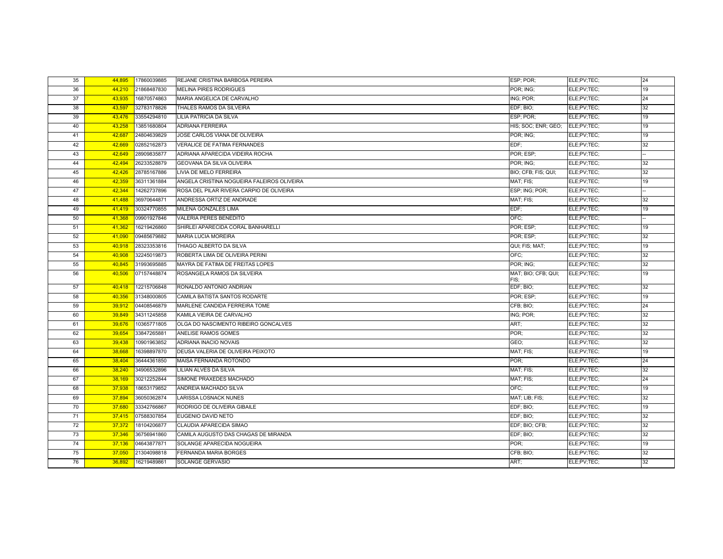| 35 | 44,895 | 17860039885 | REJANE CRISTINA BARBOSA PEREIRA            | ESP; POR;           | ELE;PV;TEC; | 24 |
|----|--------|-------------|--------------------------------------------|---------------------|-------------|----|
| 36 | 44.210 | 21868487830 | <b>MELINA PIRES RODRIGUES</b>              | POR: ING:           | ELE:PV:TEC: | 19 |
| 37 | 43,935 | 16870574863 | MARIA ANGELICA DE CARVALHO                 | ING; POR:           | ELE;PV;TEC; | 24 |
| 38 | 43,597 | 32783178826 | THALES RAMOS DA SILVEIRA                   | EDF; BIO;           | ELE;PV;TEC; | 32 |
| 39 | 43,476 | 33554294810 | LILIA PATRICIA DA SILVA                    | ESP; POR;           | ELE;PV;TEC; | 19 |
| 40 | 43.258 | 13851680804 | <b>ADRIANA FERREIRA</b>                    | HIS: SOC: ENR: GEO: | ELE:PV:TEC: | 19 |
| 41 | 42,687 | 24804639829 | JOSE CARLOS VIANA DE OLIVEIRA              | POR; ING;           | ELE;PV;TEC; | 19 |
| 42 | 42,669 | 02852162873 | <b>VERALICE DE FATIMA FERNANDES</b>        | EDF:                | ELE;PV;TEC; | 32 |
| 43 | 42,649 | 28909835877 | ADRIANA APARECIDA VIDEIRA ROCHA            | POR; ESP;           | ELE;PV;TEC; |    |
| 44 | 42.494 | 26233528879 | GEOVANA DA SILVA OLIVEIRA                  | POR: ING:           | ELE:PV:TEC: | 32 |
| 45 | 42,426 | 28785167886 | <b>LIVIA DE MELO FERREIRA</b>              | BIO; CFB; FIS; QUI; | ELE;PV;TEC; | 32 |
| 46 | 42,359 | 36311361884 | ANGELA CRISTINA NOGUEIRA FALEIROS OLIVEIRA | MAT; FIS;           | ELE;PV;TEC; | 19 |
| 47 | 42,344 | 14262737896 | ROSA DEL PILAR RIVERA CARPIO DE OLIVEIRA   | ESP; ING; POR;      | ELE;PV;TEC; |    |
| 48 | 41,488 | 36970644871 | ANDRESSA ORTIZ DE ANDRADE                  | MAT: FIS:           | ELE:PV:TEC: | 32 |
| 49 | 41,419 | 30324770855 | <b>MILENA GONZALES LIMA</b>                | EDF:                | ELE;PV;TEC; | 19 |
| 50 | 41,368 | 09901927846 | <b>VALERIA PERES BENEDITO</b>              | OFC:                | ELE:PV:TEC: |    |
| 51 | 41,362 | 16219426860 | SHIRLEI APARECIDA CORAL BANHARELLI         | POR; ESP;           | ELE;PV;TEC; | 19 |
| 52 | 41.090 | 09485679882 | <b>MARIA LUCIA MOREIRA</b>                 | POR: ESP:           | ELE;PV;TEC; | 32 |
| 53 | 40,918 | 28323353816 | THIAGO ALBERTO DA SILVA                    | QUI; FIS; MAT;      | ELE;PV;TEC; | 19 |
| 54 | 40,908 | 32245019873 | ROBERTA LIMA DE OLIVEIRA PERINI            | OFC;                | ELE;PV;TEC; | 32 |
| 55 | 40,845 | 31993695885 | MAYRA DE FATIMA DE FREITAS LOPES           | POR; ING;           | ELE;PV;TEC; | 32 |
| 56 | 40,506 | 07157448874 | ROSANGELA RAMOS DA SILVEIRA                | MAT; BIO; CFB; QUI; | ELE;PV;TEC; | 19 |
| 57 | 40,418 | 12215706848 | RONALDO ANTONIO ANDRIAN                    | FIS;<br>EDF; BIO;   | ELE;PV;TEC; | 32 |
| 58 | 40,356 | 31348000805 | CAMILA BATISTA SANTOS RODARTE              | POR; ESP;           | ELE;PV;TEC; | 19 |
| 59 | 39,912 | 04408546879 | MARLENE CANDIDA FERREIRA TOME              | CFB; BIO;           | ELE;PV;TEC; | 24 |
| 60 | 39,849 | 34311245858 | KAMILA VIEIRA DE CARVALHO                  | ING; POR;           | ELE;PV;TEC; | 32 |
| 61 | 39,676 | 10365771805 | OLGA DO NASCIMENTO RIBEIRO GONCALVES       | ART;                | ELE;PV;TEC; | 32 |
| 62 | 39,654 | 33847265881 | ANELISE RAMOS GOMES                        | POR:                | ELE;PV;TEC; | 32 |
| 63 | 39,438 | 10901963852 | ADRIANA INACIO NOVAIS                      | GEO:                | ELE;PV;TEC; | 32 |
| 64 | 38,668 | 16398897870 | DEUSA VALERIA DE OLIVEIRA PEIXOTO          | MAT; FIS;           | ELE;PV;TEC; | 19 |
| 65 | 38,404 | 36444361850 | MAISA FERNANDA ROTONDO                     | POR:                | ELE;PV;TEC; | 24 |
| 66 | 38,240 | 34906532896 | LILIAN ALVES DA SILVA                      | MAT; FIS;           | ELE;PV;TEC; | 32 |
| 67 | 38,169 | 30212252844 | SIMONE PRAXEDES MACHADO                    | MAT; FIS;           | ELE;PV;TEC; | 24 |
| 68 | 37,938 | 18653179852 | ANDREIA MACHADO SILVA                      | OFC:                | ELE;PV;TEC; | 19 |
| 69 | 37,894 | 36050362874 | LARISSA LOSNACK NUNES                      | MAT; LIB; FIS;      | ELE;PV;TEC; | 32 |
| 70 | 37,680 | 33342766867 | RODRIGO DE OLIVEIRA GIBAILE                | EDF; BIO;           | ELE;PV;TEC; | 19 |
| 71 | 37,415 | 07588307854 | EUGENIO DAVID NETO                         | EDF; BIO;           | ELE;PV;TEC; | 32 |
| 72 | 37,372 | 18104206877 | CLAUDIA APARECIDA SIMAO                    | EDF; BIO; CFB;      | ELE;PV;TEC; | 32 |
| 73 | 37,346 | 36756941860 | CAMILA AUGUSTO DAS CHAGAS DE MIRANDA       | EDF; BIO;           | ELE;PV;TEC; | 32 |
| 74 | 37,136 | 04643877871 | SOLANGE APARECIDA NOGUEIRA                 | POR:                | ELE;PV;TEC; | 19 |
| 75 | 37,050 | 21304098818 | FERNANDA MARIA BORGES                      | CFB; BIO;           | ELE;PV;TEC; | 32 |
| 76 | 36,892 | 16219489861 | SOLANGE GERVASIO                           | ART;                | ELE;PV;TEC; | 32 |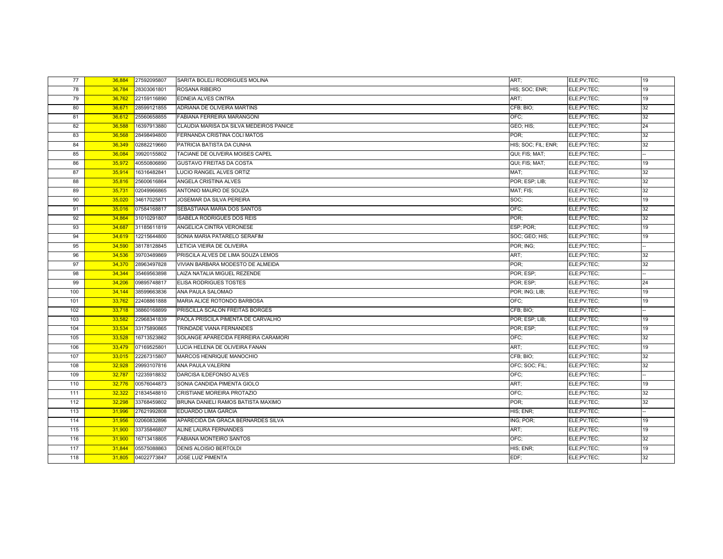| 77  | 36,884 | 27592095807 | SARITA BOLELI RODRIGUES MOLINA          | ART:                             | ELE;PV;TEC; | 19 |
|-----|--------|-------------|-----------------------------------------|----------------------------------|-------------|----|
| 78  | 36,784 | 28303061801 | ROSANA RIBEIRO                          | HIS; SOC; ENR;                   | ELE;PV;TEC; | 19 |
| 79  | 36,762 | 22159116890 | <b>EDNEIA ALVES CINTRA</b>              | ART;                             | ELE;PV;TEC; | 19 |
| 80  | 36,671 | 28599121855 | ADRIANA DE OLIVEIRA MARTINS             | CFB; BIO;                        | ELE;PV;TEC; | 32 |
| 81  | 36,612 | 25560658855 | <b>FABIANA FERREIRA MARANGONI</b>       | OFC:                             | ELE;PV;TEC; | 32 |
| 82  | 36,588 | 16397913880 | CLAUDIA MARISA DA SILVA MEDEIROS PANICE | GEO; HIS;                        | ELE;PV;TEC; | 24 |
| 83  | 36,568 | 28498494800 | FERNANDA CRISTINA COLI MATOS            | POR:                             | ELE;PV;TEC; | 32 |
| 84  | 36,349 | 02882219660 | PATRICIA BATISTA DA CUNHA               | HIS; SOC; FIL; ENR;              | ELE;PV;TEC; | 32 |
| 85  | 36,084 | 39920155802 | TACIANE DE OLIVEIRA MOISES CAPEL        | QUI; FIS; MAT;                   | ELE;PV;TEC; |    |
| 86  | 35,972 | 40550806890 | <b>GUSTAVO FREITAS DA COSTA</b>         | QUI; FIS; MAT;                   | ELE;PV;TEC; | 19 |
| 87  | 35,914 | 16316482841 | LUCIO RANGEL ALVES ORTIZ                | MAT:                             | ELE;PV;TEC; | 32 |
| 88  | 35,816 | 25600616864 | ANGELA CRISTINA ALVES                   | POR; ESP; LIB;                   | ELE;PV;TEC; | 32 |
| 89  | 35,731 | 02049966865 | ANTONIO MAURO DE SOUZA                  | MAT; FIS;                        | ELE;PV;TEC; | 32 |
| 90  | 35,020 | 34617025871 | JOSEMAR DA SILVA PEREIRA                | SOC:                             | ELE;PV;TEC; | 19 |
| 91  | 35,016 | 07584168817 | SEBASTIANA MARIA DOS SANTOS             | OFC:                             | ELE:PV:TEC: | 32 |
| 92  | 34,864 | 31010291807 | <b>ISABELA RODRIGUES DOS REIS</b>       | POR:                             | ELE;PV;TEC; | 32 |
| 93  | 34,687 | 31185611819 | ANGELICA CINTRA VERONESE                | ESP; POR;                        | ELE;PV;TEC; | 19 |
| 94  | 34,619 | 12215644800 | SONIA MARIA PATARELO SERAFIM            | SOC; GEO; HIS;                   | ELE;PV;TEC; | 19 |
| 95  | 34,590 | 38178128845 | LETICIA VIEIRA DE OLIVEIRA              | POR; ING;                        | ELE;PV;TEC; |    |
| 96  | 34,536 | 39703489869 | PRISCILA ALVES DE LIMA SOUZA LEMOS      | ART:                             | ELE;PV;TEC; | 32 |
| 97  | 34,370 | 28963497828 | VIVIAN BARBARA MODESTO DE ALMEIDA       | POR:                             | ELE;PV;TEC; | 32 |
| 98  | 34,344 | 35469563898 | LAIZA NATALIA MIGUEL REZENDE            | POR: ESP:                        | ELE;PV;TEC; |    |
| 99  | 34,206 | 09895748817 | ELISA RODRIGUES TOSTES                  | POR: ESP:                        | ELE;PV;TEC; | 24 |
| 100 | 34,144 | 38599663836 | ANA PAULA SALOMAO                       | POR: ING: LIB:                   | ELE;PV;TEC; | 19 |
| 101 | 33,762 | 22408861888 | MARIA ALICE ROTONDO BARBOSA             | OFC:                             | ELE;PV;TEC; | 19 |
| 102 | 33,718 | 38860168899 | PRISCILLA SCALON FREITAS BORGES         | CFB; BIO;                        | ELE;PV;TEC; |    |
| 103 | 33,582 | 22968341839 | PAOLA PRISCILA PIMENTA DE CARVALHO      | POR; ESP; LIB;                   | ELE;PV;TEC; | 19 |
| 104 | 33,534 | 33175890865 | TRINDADE VIANA FERNANDES                | POR; ESP;                        | ELE;PV;TEC; | 19 |
| 105 | 33,528 | 16713523862 | SOLANGE APARECIDA FERREIRA CARAMORI     | OFC:                             | ELE;PV;TEC; | 32 |
| 106 | 33,479 | 07169525801 | LUCIA HELENA DE OLIVEIRA FANAN          | ART:                             | ELE;PV;TEC; | 19 |
| 107 | 33.015 | 22267315807 | MARCOS HENRIQUE MANOCHIO                | CFB; BIO;                        | ELE;PV;TEC; | 32 |
| 108 | 32,928 | 29993107816 | ANA PAULA VALERINI                      | OFC; SOC; FIL;                   | ELE;PV;TEC; | 32 |
| 109 | 32,787 | 12235918832 | DARCISA ILDEFONSO ALVES                 | OFC:                             | ELE;PV;TEC; |    |
| 110 | 32,776 | 00576044873 | SONIA CANDIDA PIMENTA GIOLO             | ART;                             | ELE;PV;TEC; | 19 |
| 111 | 32,322 | 21834548810 | CRISTIANE MOREIRA PROTAZIO              | OFC:                             | ELE;PV;TEC; | 32 |
| 112 | 32,298 | 33768459802 | BRUNA DANIELI RAMOS BATISTA MAXIMO      | POR;                             | ELE;PV;TEC; | 32 |
| 113 | 31,996 | 27621992808 | <b>EDUARDO LIMA GARCIA</b>              | HIS; ENR;                        | ELE;PV;TEC; |    |
| 114 | 31,956 | 02060832896 | APARECIDA DA GRACA BERNARDES SILVA      | $\overline{\textsf{ING}}$ ; POR; | ELE;PV;TEC; | 19 |
| 115 | 31,900 | 33735846807 | ALINE LAURA FERNANDES                   | ART:                             | ELE;PV;TEC; | 19 |
| 116 | 31,900 | 16713418805 | <b>FABIANA MONTEIRO SANTOS</b>          | OFC:                             | ELE;PV;TEC; | 32 |
| 117 | 31,844 | 05575088863 | DENIS ALOISIO BERTOLDI                  | HIS; ENR;                        | ELE;PV;TEC; | 19 |
| 118 | 31,805 | 04022773847 | <b>JOSE LUIZ PIMENTA</b>                | EDF:                             | ELE;PV;TEC; | 32 |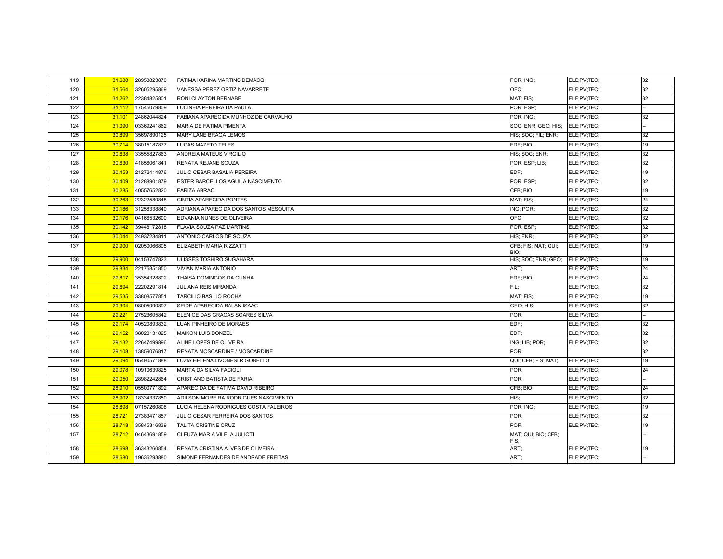| 119 | 31,688 | 28953823870 | FATIMA KARINA MARTINS DEMACQ          | POR; ING;                         | ELE;PV;TEC; | 32 |
|-----|--------|-------------|---------------------------------------|-----------------------------------|-------------|----|
| 120 | 31,564 | 32605295869 | VANESSA PEREZ ORTIZ NAVARRETE         | OFC;                              | ELE;PV;TEC; | 32 |
| 121 | 31,262 | 22384825801 | RONI CLAYTON BERNABE                  | MAT; FIS;                         | ELE;PV;TEC; | 32 |
| 122 | 31,112 | 17545079809 | LUCINEIA PEREIRA DA PAULA             | POR: ESP:                         | ELE;PV;TEC; |    |
| 123 | 31,101 | 24862044824 | FABIANA APARECIDA MUNHOZ DE CARVALHO  | POR; ING;                         | ELE;PV;TEC; | 32 |
| 124 | 31,090 | 03369241862 | MARIA DE FATIMA PIMENTA               | SOC; ENR; GEO; HIS;               | ELE;PV;TEC; |    |
| 125 | 30,899 | 35697890125 | MARY LANE BRAGA LEMOS                 | HIS; SOC; FIL; ENR;               | ELE;PV;TEC; | 32 |
| 126 | 30,714 | 38015187877 | <b>LUCAS MAZETO TELES</b>             | EDF; BIO;                         | ELE;PV;TEC; | 19 |
| 127 | 30,638 | 33555827863 | ANDREIA MATEUS VIRGILIO               | HIS; SOC; ENR;                    | ELE;PV;TEC; | 32 |
| 128 | 30,630 | 41856061841 | RENATA REJANE SOUZA                   | POR: ESP; LIB;                    | ELE;PV;TEC; | 32 |
| 129 | 30,453 | 21272414876 | JULIO CESAR BASALIA PEREIRA           | EDF:                              | ELE;PV;TEC; | 19 |
| 130 | 30,409 | 21288901879 | ESTER BARCELLOS AGUILA NASCIMENTO     | POR: ESP:                         | ELE;PV;TEC; | 32 |
| 131 | 30,285 | 40557652820 | <b>FARIZA ABRAO</b>                   | CFB; BIO;                         | ELE;PV;TEC; | 19 |
| 132 | 30,263 | 22322580848 | CINTIA APARECIDA PONTES               | MAT; FIS;                         | ELE;PV;TEC; | 24 |
| 133 | 30,186 | 31258338840 | ADRIANA APARECIDA DOS SANTOS MESQUITA | ING; POR;                         | ELE;PV;TEC; | 32 |
| 134 | 30,176 | 04166532600 | EDVANIA NUNES DE OLIVEIRA             | OFC;                              | ELE;PV;TEC; | 32 |
| 135 | 30,142 | 39448172818 | FLAVIA SOUZA PAZ MARTINS              | POR; ESP;                         | ELE;PV;TEC; | 32 |
| 136 | 30,044 | 24937234811 | ANTONIO CARLOS DE SOUZA               | HIS; ENR;                         | ELE;PV;TEC; | 32 |
| 137 | 29,900 | 02050066805 | ELIZABETH MARIA RIZZATTI              | CFB; FIS; MAT; QUI;<br>BIO:       | ELE;PV;TEC; | 19 |
| 138 | 29,900 | 04153747823 | ULISSES TOSHIRO SUGAHARA              | HIS; SOC; ENR; GEO; ELE; PV; TEC; |             | 19 |
| 139 | 29,834 | 22175851850 | <b>VIVIAN MARIA ANTONIO</b>           | ART:                              | ELE;PV;TEC; | 24 |
| 140 | 29,817 | 35354328802 | THAISA DOMINGOS DA CUNHA              | EDF; BIO;                         | ELE;PV;TEC; | 24 |
| 141 | 29,694 | 22202291814 | <b>JULIANA REIS MIRANDA</b>           | FIL:                              | ELE;PV;TEC; | 32 |
| 142 | 29,535 | 33808577851 | <b>TARCILIO BASILIO ROCHA</b>         | MAT; FIS;                         | ELE;PV;TEC; | 19 |
| 143 | 29,304 | 98005090897 | SEIDE APARECIDA BALAN ISAAC           | GEO; HIS;                         | ELE;PV;TEC; | 32 |
| 144 | 29,221 | 27523605842 | ELENICE DAS GRACAS SOARES SILVA       | POR:                              | ELE;PV;TEC; |    |
| 145 | 29,174 | 40520893832 | LUAN PINHEIRO DE MORAES               | EDF;                              | ELE;PV;TEC; | 32 |
| 146 | 29,152 | 38020131825 | <b>MAIKON LUIS DONZELI</b>            | EDF;                              | ELE;PV;TEC; | 32 |
| 147 | 29,132 | 22647499896 | ALINE LOPES DE OLIVEIRA               | ING; LIB; POR;                    | ELE;PV;TEC; | 32 |
| 148 | 29,108 | 13859076817 | RENATA MOSCARDINE / MOSCARDINE        | POR:                              |             | 32 |
| 149 | 29,094 | 05490571888 | LUZIA HELENA LIVONESI RIGOBELLO       | QUI; CFB; FIS; MAT;               | ELE;PV;TEC; | 19 |
| 150 | 29,078 | 10910639825 | <b>MARTA DA SILVA FACIOLI</b>         | POR:                              | ELE;PV;TEC; | 24 |
| 151 | 29,050 | 28982242864 | CRISTIANO BATISTA DE FARIA            | POR:                              | ELE;PV;TEC; |    |
| 152 | 28,910 | 05500771892 | APARECIDA DE FATIMA DAVID RIBEIRO     | CFB; BIO;                         | ELE;PV;TEC; | 24 |
| 153 | 28,902 | 18334337850 | ADILSON MOREIRA RODRIGUES NASCIMENTO  | HIS;                              | ELE;PV;TEC; | 32 |
| 154 | 28,898 | 07157260808 | LUCIA HELENA RODRIGUES COSTA FALEIROS | POR; ING;                         | ELE;PV;TEC; | 19 |
| 155 | 28,721 | 27383471857 | JULIO CESAR FERREIRA DOS SANTOS       | POR;                              | ELE;PV;TEC; | 32 |
| 156 | 28,718 | 35845316839 | <b>TALITA CRISTINE CRUZ</b>           | POR:                              | ELE;PV;TEC; | 19 |
| 157 | 28,712 | 04643691859 | CLEUZA MARIA VILELA JULIOTI           | MAT; QUI; BIO; CFB;<br>FIS;       |             |    |
| 158 | 28,698 | 36343260854 | RENATA CRISTINA ALVES DE OLIVEIRA     | ART;                              | ELE;PV;TEC; | 19 |
| 159 | 28,680 | 19636293880 | SIMONE FERNANDES DE ANDRADE FREITAS   | ART;                              | ELE;PV;TEC; |    |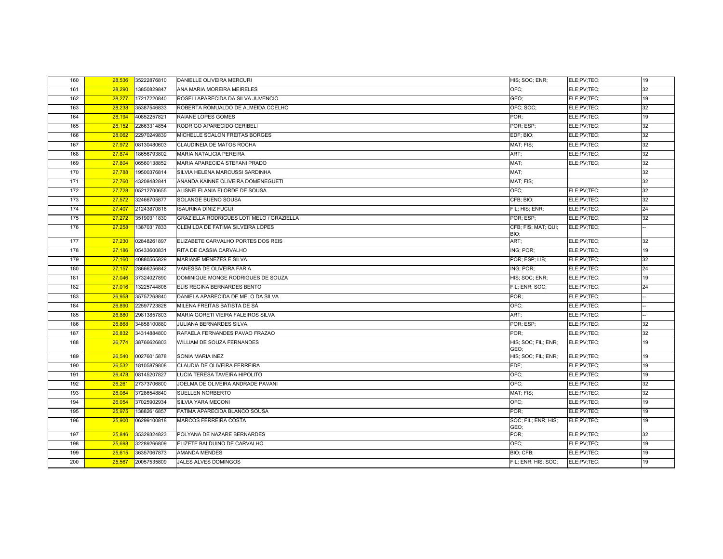| 160 | 28,536 | 35222876810 | DANIELLE OLIVEIRA MERCURI                 | HIS; SOC; ENR;              | ELE;PV;TEC; | 19 |
|-----|--------|-------------|-------------------------------------------|-----------------------------|-------------|----|
| 161 | 28.290 | 13850829847 | ANA MARIA MOREIRA MEIRELES                | OFC:                        | ELE;PV;TEC; | 32 |
| 162 | 28,277 | 17217220840 | ROSELI APARECIDA DA SILVA JUVENCIO        | GEO;                        | ELE;PV;TEC; | 19 |
| 163 | 28,238 | 35387546833 | ROBERTA ROMUALDO DE ALMEIDA COELHO        | OFC; SOC;                   | ELE;PV;TEC; | 32 |
| 164 | 28,194 | 40852257821 | RAIANE LOPES GOMES                        | POR:                        | ELE;PV;TEC; | 19 |
| 165 | 28.152 | 22663314854 | RODRIGO APARECIDO CERIBELI                | POR; ESP;                   | ELE;PV;TEC; | 32 |
| 166 | 28,062 | 22970249839 | MICHELLE SCALON FREITAS BORGES            | EDF; BIO;                   | ELE;PV;TEC; | 32 |
| 167 | 27,972 | 08130480603 | CLAUDINEIA DE MATOS ROCHA                 | MAT; FIS;                   | ELE;PV;TEC; | 32 |
| 168 | 27,874 | 18656793802 | MARIA NATALICIA PEREIRA                   | ART;                        | ELE;PV;TEC; | 32 |
| 169 | 27,804 | 06560138852 | MARIA APARECIDA STEFANI PRADO             | MAT:                        | ELE:PV:TEC: | 32 |
| 170 | 27,788 | 19500376814 | SILVIA HELENA MARCUSSI SARDINHA           | MAT:                        |             | 32 |
| 171 | 27,760 | 43208482841 | ANANDA KAINNE OLIVEIRA DOMENEGUETI        | MAT; FIS;                   |             | 32 |
| 172 | 27,728 | 05212700655 | ALISNEI ELANIA ELORDE DE SOUSA            | OFC;                        | ELE;PV;TEC; | 32 |
| 173 | 27,572 | 32466705877 | SOLANGE BUENO SOUSA                       | CFB: BIO:                   | ELE;PV;TEC; | 32 |
| 174 | 27,407 | 21243870818 | <b>ISAURINA DINIZ FUCIJI</b>              | FIL; HIS; ENR;              | ELE;PV;TEC; | 24 |
| 175 | 27,272 | 35190311830 | GRAZIELLA RODRIGUES LOTI MELO / GRAZIELLA | POR: ESP:                   | ELE:PV:TEC: | 32 |
| 176 | 27,258 | 13870317833 | CLEMILDA DE FATIMA SILVEIRA LOPES         | CFB; FIS; MAT; QUI;<br>BIO; | ELE;PV;TEC; |    |
| 177 | 27,230 | 02848261897 | ELIZABETE CARVALHO PORTES DOS REIS        | ART:                        | ELE;PV;TEC; | 32 |
| 178 | 27,186 | 05433600831 | RITA DE CASSIA CARVALHO                   | ING; POR;                   | ELE;PV;TEC; | 19 |
| 179 | 27,160 | 40880565829 | MARIANE MENEZES E SILVA                   | POR; ESP; LIB;              | ELE;PV;TEC; | 32 |
| 180 | 27,157 | 28666256842 | VANESSA DE OLIVEIRA FARIA                 | ING; POR;                   | ELE;PV;TEC; | 24 |
| 181 | 27,046 | 37324027890 | DOMINIQUE MONGE RODRIGUES DE SOUZA        | HIS; SOC; ENR;              | ELE;PV;TEC; | 19 |
| 182 | 27,016 | 13225744808 | ELIS REGINA BERNARDES BENTO               | FIL: ENR; SOC;              | ELE;PV;TEC; | 24 |
| 183 | 26,958 | 35757268840 | DANIELA APARECIDA DE MELO DA SILVA        | POR:                        | ELE;PV;TEC; |    |
| 184 | 26,890 | 22597723828 | MILENA FREITAS BATISTA DE SÁ              | OFC:                        | ELE;PV;TEC; |    |
| 185 | 26,880 | 29813857803 | MARIA GORETI VIEIRA FALEIROS SILVA        | ART:                        | ELE;PV;TEC; |    |
| 186 | 26,868 | 34858100880 | JULIANA BERNARDES SILVA                   | POR; ESP;                   | ELE;PV;TEC; | 32 |
| 187 | 26,832 | 34314884800 | RAFAELA FERNANDES PAVAO FRAZAO            | POR:                        | ELE;PV;TEC; | 32 |
| 188 | 26,774 | 38766626803 | <b>WILLIAM DE SOUZA FERNANDES</b>         | HIS; SOC; FIL; ENR;<br>GEO: | ELE;PV;TEC; | 19 |
| 189 | 26.540 | 00276015878 | SONIA MARIA INEZ                          | HIS; SOC; FIL; ENR;         | ELE;PV;TEC; | 19 |
| 190 | 26,532 | 18105879808 | CLAUDIA DE OLIVEIRA FERREIRA              | EDF:                        | ELE;PV;TEC; | 19 |
| 191 | 26,478 | 08145207827 | LUCIA TERESA TAVEIRA HIPOLITO             | OFC:                        | ELE;PV;TEC; | 19 |
| 192 | 26,261 | 27373706800 | JOELMA DE OLIVEIRA ANDRADE PAVANI         | OFC:                        | ELE;PV;TEC; | 32 |
| 193 | 26.084 | 37286548840 | SUELLEN NORBERTO                          | MAT; FIS;                   | ELE;PV;TEC; | 32 |
| 194 | 26,054 | 37025902934 | SILVIA YARA MECONI                        | OFC:                        | ELE;PV;TEC; | 19 |
| 195 | 25,975 | 13882616857 | FATIMA APARECIDA BLANCO SOUSA             | POR:                        | ELE;PV;TEC; | 19 |
| 196 | 25,900 | 06299100818 | MARCOS FERREIRA COSTA                     | SOC; FIL; ENR; HIS;<br>GEO; | ELE;PV;TEC; | 19 |
| 197 | 25,846 | 35329324823 | POLYANA DE NAZARE BERNARDES               | POR;                        | ELE;PV;TEC; | 32 |
| 198 | 25.698 | 32289266809 | ELIZETE BALDUINO DE CARVALHO              | OFC:                        | ELE;PV;TEC; | 19 |
| 199 | 25,615 | 36357067873 | <b>AMANDA MENDES</b>                      | BIO; CFB;                   | ELE;PV;TEC; | 19 |
| 200 | 25,567 | 20057535809 | JALES ALVES DOMINGOS                      | FIL; ENR; HIS; SOC;         | ELE;PV;TEC; | 19 |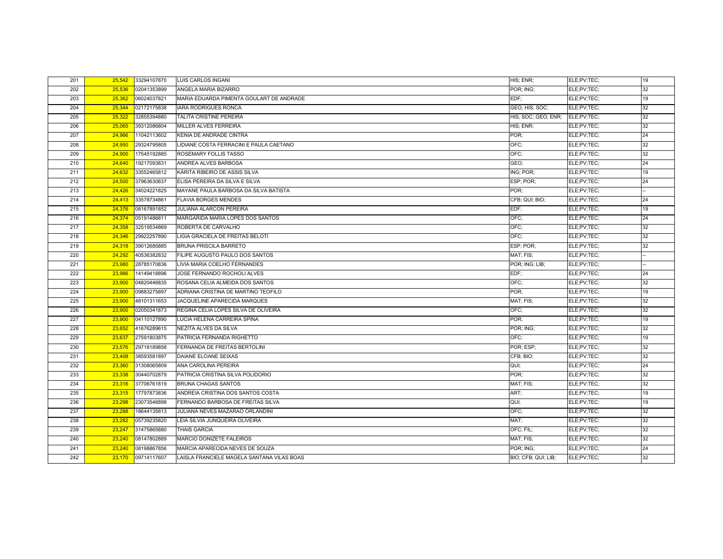| 201 | 25,542 | 33294107870 | <b>LUIS CARLOS INGANI</b>                  | HIS; ENR;                       | ELE;PV;TEC; | 19 |
|-----|--------|-------------|--------------------------------------------|---------------------------------|-------------|----|
| 202 | 25,536 | 02041353899 | ANGELA MARIA BIZARRO                       | POR; ING;                       | ELE;PV;TEC; | 32 |
| 203 | 25,362 | 06024037821 | MARIA EDUARDA PIMENTA GOULART DE ANDRADE   | EDF:                            | ELE;PV;TEC; | 19 |
| 204 | 25,344 | 02172175838 | <b>IARA RODRIGUES RONCA</b>                | GEO; HIS; SOC;                  | ELE;PV;TEC; | 32 |
| 205 | 25,322 | 32855394880 | TALITA CRISTINE PEREIRA                    | HIS; SOC; GEO; ENR; ELE;PV;TEC; |             | 32 |
| 206 | 25,065 | 39312086804 | MILLER ALVES FERREIRA                      | HIS; ENR;                       | ELE;PV;TEC; | 32 |
| 207 | 24,966 | 11042113602 | KENIA DE ANDRADE CINTRA                    | POR;                            | ELE;PV;TEC; | 24 |
| 208 | 24,950 | 29324795805 | LIDIANE COSTA FERRACINI E PAULA CAETANO    | OFC;                            | ELE;PV;TEC; | 32 |
| 209 | 24,900 | 17545192885 | <b>ROSEMARY FOLLIS TASSO</b>               | OFC:                            | ELE;PV;TEC; | 32 |
| 210 | 24,640 | 19217093831 | ANDREA ALVES BARBOSA                       | GEO:                            | ELE;PV;TEC; | 24 |
| 211 | 24,632 | 33552465812 | KÁRITA RIBEIRO DE ASSIS SILVA              | ING; POR;                       | ELE;PV;TEC; | 19 |
| 212 | 24,500 | 37963630837 | ELISA PEREIRA DA SILVA E SILVA             | ESP; POR;                       | ELE;PV;TEC; | 24 |
| 213 | 24.426 | 34024221825 | MAYANE PAULA BARBOSA DA SILVA BATISTA      | POR:                            | ELE;PV;TEC; |    |
| 214 | 24,413 | 33578734861 | <b>FLAVIA BORGES MENDES</b>                | CFB; QUI; BIO;                  | ELE;PV;TEC; | 24 |
| 215 | 24,376 | 08167891852 | JULIANA ALARCON PEREIRA                    | EDF;                            | ELE;PV;TEC; | 19 |
| 216 | 24,374 | 05191486811 | MARGARIDA MARIA LOPES DOS SANTOS           | OFC:                            | ELE;PV;TEC; | 24 |
| 217 | 24,358 | 32519534869 | ROBERTA DE CARVALHO                        | OFC;                            | ELE;PV;TEC; | 32 |
| 218 | 24,346 | 29922257890 | LIGIA GRACIELA DE FREITAS BELOTI           | OFC;                            | ELE;PV;TEC; | 32 |
| 219 | 24,318 | 39012685885 | <b>BRUNA PRISCILA BARRETO</b>              | ESP; POR;                       | ELE;PV;TEC; | 32 |
| 220 | 24,292 | 40536382832 | FILIPE AUGUSTO PAULO DOS SANTOS            | MAT; FIS;                       | ELE;PV;TEC; |    |
| 221 | 23,980 | 28785170836 | LIVIA MARIA COELHO FERNANDES               | POR; ING; LIB;                  | ELE;PV;TEC; |    |
| 222 | 23.966 | 14149418896 | JOSE FERNANDO ROCHOLI ALVES                | EDF:                            | ELE;PV;TEC; | 24 |
| 223 | 23,900 | 04820446835 | ROSANA CELIA ALMEIDA DOS SANTOS            | OFC;                            | ELE;PV;TEC; | 32 |
| 224 | 23,900 | 09883275897 | ADRIANA CRISTINA DE MARTINO TEOFILO        | POR;                            | ELE;PV;TEC; | 19 |
| 225 | 23,900 | 48101311653 | JACQUELINE APARECIDA MARQUES               | MAT; FIS;                       | ELE;PV;TEC; | 32 |
| 226 | 23,900 | 02050341873 | REGINA CELIA LOPES SILVA DE OLIVEIRA       | OFC:                            | ELE;PV;TEC; | 32 |
| 227 | 23,900 | 04110127890 | LUCIA HELENA CARREIRA SPINA                | POR:                            | ELE;PV;TEC; | 19 |
| 228 | 23.652 | 41676289615 | <b>NEZITA ALVES DA SILVA</b>               | POR; ING;                       | ELE;PV;TEC; | 32 |
| 229 | 23,637 | 27591803875 | PATRICIA FERNANDA RIGHETTO                 | OFC:                            | ELE;PV;TEC; | 19 |
| 230 | 23,576 | 29718189858 | FERNANDA DE FREITAS BERTOLINI              | POR; ESP;                       | ELE;PV;TEC; | 32 |
| 231 | 23,408 | 38593581897 | DAIANE ELOANE SEIXAS                       | CFB; BIO;                       | ELE;PV;TEC; | 32 |
| 232 | 23,360 | 31308065809 | ANA CAROLINA PEREIRA                       | QUI:                            | ELE;PV;TEC; | 24 |
| 233 | 23,338 | 30440702879 | PATRICIA CRISTINA SILVA POLIDORIO          | POR:                            | ELE;PV;TEC; | 32 |
| 234 | 23,316 | 37706761819 | <b>BRUNA CHAGAS SANTOS</b>                 | MAT; FIS;                       | ELE;PV;TEC; | 32 |
| 235 | 23,315 | 17797873836 | ANDREIA CRISTINA DOS SANTOS COSTA          | ART;                            | ELE;PV;TEC; | 19 |
| 236 | 23,298 | 23073546898 | FERNANDO BARBOSA DE FREITAS SILVA          | QUI;                            | ELE;PV;TEC; | 19 |
| 237 | 23,288 | 18644135813 | JULIANA NEVES MAZARAO ORLANDINI            | OFC;                            | ELE;PV;TEC; | 32 |
| 238 | 23,282 | 05739235820 | LEIA SILVIA JUNQUEIRA OLIVEIRA             | MAT;                            | ELE;PV;TEC; | 32 |
| 239 | 23,247 | 31475865880 | <b>THAIS GARCIA</b>                        | OFC: FIL:                       | ELE;PV;TEC; | 32 |
| 240 | 23,240 | 08147802889 | MARCIO DONIZETE FALEIROS                   | MAT; FIS;                       | ELE;PV;TEC; | 32 |
| 241 | 23,240 | 08198867856 | MARCIA APARECIDA NEVES DE SOUZA            | POR; ING;                       | ELE;PV;TEC; | 24 |
| 242 | 23,170 | 09714117607 | LAISLA FRANCIELE MAGELA SANTANA VILAS BOAS | BIO; CFB; QUI; LIB;             | ELE;PV;TEC; | 32 |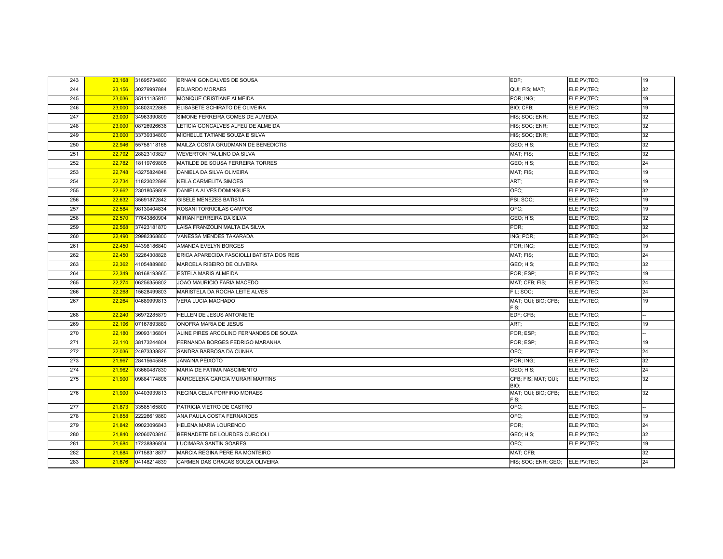| 243 | 23,168 | 31695734890 | ERNANI GONCALVES DE SOUSA                  | EDF:                            | ELE;PV;TEC; | 19 |
|-----|--------|-------------|--------------------------------------------|---------------------------------|-------------|----|
| 244 | 23,156 | 30279997884 | <b>EDUARDO MORAES</b>                      | QUI; FIS; MAT;                  | ELE;PV;TEC; | 32 |
| 245 | 23,036 | 35111185810 | MONIQUE CRISTIANE ALMEIDA                  | POR; ING;                       | ELE;PV;TEC; | 19 |
| 246 | 23,000 | 34802422865 | ELISABETE SCHIRATO DE OLIVEIRA             | BIO; CFB;                       | ELE;PV;TEC; | 19 |
| 247 | 23,000 | 34963390809 | SIMONE FERREIRA GOMES DE ALMEIDA           | HIS; SOC; ENR;                  | ELE:PV:TEC: | 32 |
| 248 | 23,000 | 08726926636 | LETICIA GONCALVES ALFEU DE ALMEIDA         | HIS; SOC; ENR;                  | ELE;PV;TEC; | 32 |
| 249 | 23,000 | 33739334800 | MICHELLE TATIANE SOUZA E SILVA             | HIS: SOC: ENR:                  | ELE;PV;TEC; | 32 |
| 250 | 22,946 | 55758118168 | MAILZA COSTA GRUDMANN DE BENEDICTIS        | GEO; HIS;                       | ELE;PV;TEC; | 32 |
| 251 | 22,792 | 28823103827 | <b>WEVERTON PAULINO DA SILVA</b>           | MAT; FIS;                       | ELE;PV;TEC; | 32 |
| 252 | 22,782 | 18119769805 | MATILDE DE SOUSA FERREIRA TORRES           | GEO; HIS;                       | ELE;PV;TEC; | 24 |
| 253 | 22,748 | 43275824848 | DANIELA DA SILVA OLIVEIRA                  | MAT; FIS;                       | ELE;PV;TEC; | 19 |
| 254 | 22,734 | 11823022898 | <b>KEILA CARMELITA SIMOES</b>              | ART;                            | ELE;PV;TEC; | 19 |
| 255 | 22,662 | 23018059808 | <b>DANIELA ALVES DOMINGUES</b>             | OFC:                            | ELE;PV;TEC; | 32 |
| 256 | 22.632 | 35691872842 | <b>GISELE MENEZES BATISTA</b>              | PSI; SOC;                       | ELE;PV;TEC; | 19 |
| 257 | 22,584 | 98130404834 | ROSANI TORRICILAS CAMPOS                   | OFC:                            | ELE;PV;TEC; | 19 |
| 258 | 22,570 | 77643860904 | <b>MIRIAN FERREIRA DA SILVA</b>            | GEO; HIS;                       | ELE;PV;TEC; | 32 |
| 259 | 22,568 | 37423181870 | LAISA FRANZOLIN MALTA DA SILVA             | POR:                            | ELE;PV;TEC; | 32 |
| 260 | 22,490 | 29982368800 | VANESSA MENDES TAKARADA                    | ING; POR;                       | ELE;PV;TEC; | 24 |
| 261 | 22,450 | 44398186840 | AMANDA EVELYN BORGES                       | POR; ING;                       | ELE;PV;TEC; | 19 |
| 262 | 22,450 | 32264308826 | ERICA APARECIDA FASCIOLLI BATISTA DOS REIS | MAT; FIS;                       | ELE;PV;TEC; | 24 |
| 263 | 22,362 | 41054889880 | MARCELA RIBEIRO DE OLIVEIRA                | GEO; HIS;                       | ELE;PV;TEC; | 32 |
| 264 | 22,349 | 08168193865 | ESTELA MARIS ALMEIDA                       | POR; ESP;                       | ELE;PV;TEC; | 19 |
| 265 | 22,274 | 06256356802 | JOAO MAURICIO FARIA MACEDO                 | MAT; CFB; FIS;                  | ELE;PV;TEC; | 24 |
| 266 | 22,268 | 15628499803 | MARISTELA DA ROCHA LEITE ALVES             | FIL: SOC:                       | ELE;PV;TEC; | 24 |
| 267 | 22,264 | 04689999813 | <b>VERA LUCIA MACHADO</b>                  | MAT; QUI; BIO; CFB;<br>FIS;     | ELE;PV;TEC; | 19 |
| 268 | 22.240 | 36972285879 | HELLEN DE JESUS ANTONIETE                  | EDF; CFB;                       | ELE;PV;TEC; |    |
| 269 | 22,196 | 07167893889 | ONOFRA MARIA DE JESUS                      | ART;                            | ELE;PV;TEC; | 19 |
| 270 | 22,180 | 39093136801 | ALINE PIRES ARCOLINO FERNANDES DE SOUZA    | POR: ESP:                       | ELE;PV;TEC; |    |
| 271 | 22,110 | 38173244804 | FERNANDA BORGES FEDRIGO MARANHA            | POR: ESP:                       | ELE;PV;TEC; | 19 |
| 272 | 22,036 | 24973338826 | SANDRA BARBOSA DA CUNHA                    | OFC:                            | ELE;PV;TEC; | 24 |
| 273 | 21,967 | 28415645848 | <b>JANAINA PEIXOTO</b>                     | POR; ING;                       | ELE;PV;TEC; | 32 |
| 274 | 21,962 | 03660487830 | MARIA DE FATIMA NASCIMENTO                 | GEO; HIS;                       | ELE;PV;TEC; | 24 |
| 275 | 21,900 | 09884174806 | MARCELENA GARCIA MURARI MARTINS            | CFB; FIS; MAT; QUI;             | ELE;PV;TEC; | 32 |
| 276 | 21.900 | 04403939813 | REGINA CELIA PORFIRIO MORAES               | BIO;<br>MAT; QUI; BIO; CFB;     | ELE;PV;TEC; | 32 |
|     |        |             |                                            | FIS:                            |             |    |
| 277 | 21,873 | 33585165800 | PATRICIA VIETRO DE CASTRO                  | OFC;                            | ELE;PV;TEC; |    |
| 278 | 21,858 | 22226619860 | ANA PAULA COSTA FERNANDES                  | OFC:                            | ELE;PV;TEC; | 19 |
| 279 | 21,842 | 09023096843 | HELENA MARIA LOURENCO                      | POR:                            | ELE;PV;TEC; | 24 |
| 280 | 21,840 | 02060703816 | BERNADETE DE LOURDES CURCIOLI              | GEO; HIS;                       | ELE;PV;TEC; | 32 |
| 281 | 21,684 | 17238886804 | LUCIMARA SANTIN SOARES                     | OFC;                            | ELE;PV;TEC; | 19 |
| 282 | 21,684 | 07158318877 | MARCIA REGINA PEREIRA MONTEIRO             | MAT; CFB;                       |             | 32 |
| 283 | 21,676 | 04148214839 | CARMEN DAS GRACAS SOUZA OLIVEIRA           | HIS; SOC; ENR; GEO; ELE;PV;TEC; |             | 24 |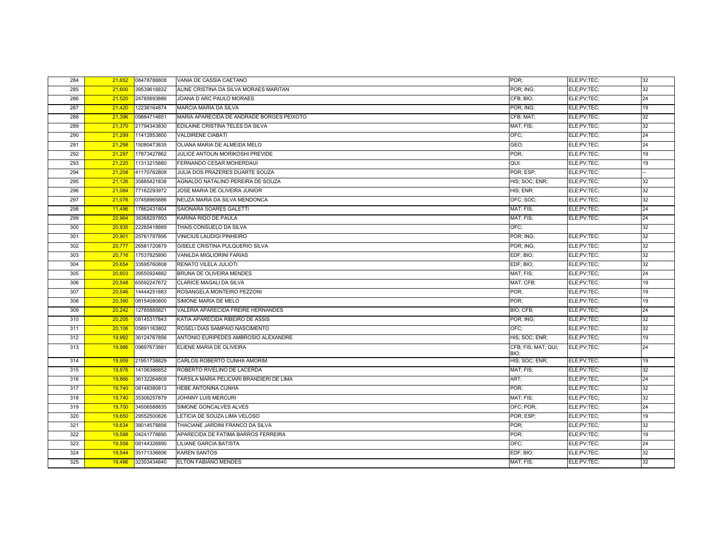| 284 | 21,652 | 08478788808 | VANIA DE CASSIA CAETANO                   | POR:                        | ELE;PV;TEC; | 32 |
|-----|--------|-------------|-------------------------------------------|-----------------------------|-------------|----|
| 285 | 21.600 | 39539616832 | ALINE CRISTINA DA SILVA MORAES MARITAN    | POR; ING;                   | ELE:PV:TEC: | 32 |
| 286 | 21,520 | 24785693886 | JOANA D ARC PAULO MORAES                  | CFB; BIO;                   | ELE;PV;TEC; | 24 |
| 287 | 21,420 | 12236164874 | <b>MARCIA MARIA DA SILVA</b>              | POR; ING;                   | ELE;PV;TEC; | 19 |
| 288 | 21,396 | 09884714851 | MARIA APARECIDA DE ANDRADE BORGES PEIXOTO | CFB; MAT;                   | ELE:PV:TEC: | 32 |
| 289 | 21,370 | 21794343830 | EDILAINE CRISTINA TELES DA SILVA          | MAT; FIS;                   | ELE:PV:TEC: | 32 |
| 290 | 21,299 | 11412853800 | <b>VALDIRENE CIABATI</b>                  | OFC:                        | ELE;PV;TEC; | 24 |
| 291 | 21,298 | 15080473835 | OLIANA MARIA DE ALMEIDA MELO              | GEO;                        | ELE;PV;TEC; | 24 |
| 292 | 21,297 | 17873427862 | JULICE ANTOLIN MORIKOSHI PREVIDE          | POR:                        | ELE:PV:TEC: | 19 |
| 293 | 21,220 | 11313215880 | FERNANDO CESAR MOHERDAUI                  | QUI;                        | ELE;PV;TEC; | 19 |
| 294 | 21,208 | 41170762808 | JULIA DOS PRAZERES DUARTE SOUZA           | POR; ESP;                   | ELE;PV;TEC; |    |
| 295 | 21,126 | 35885421838 | AGNALDO NATALINO PEREIRA DE SOUZA         | HIS; SOC; ENR;              | ELE;PV;TEC; | 32 |
| 296 | 21,084 | 77162293972 | JOSE MARIA DE OLIVEIRA JUNIOR             | HIS; ENR;                   | ELE;PV;TEC; | 32 |
| 297 | 21,076 | 07458965886 | NEUZA MARIA DA SILVA MENDONCA             | OFC: SOC:                   | ELE:PV:TEC: | 32 |
| 298 | 11,496 | 17862431804 | SAIONARA SOARES GALETTI                   | MAT; FIS;                   | ELE;PV;TEC; | 24 |
| 299 | 20,964 | 38368297893 | KARINA RIGO DE PAULA                      | MAT; FIS;                   | ELE;PV;TEC; | 24 |
| 300 | 20,935 | 22265418889 | THAIS CONSUELO DA SILVA                   | OFC:                        |             | 32 |
| 301 | 20,901 | 25761797895 | <b>VINICIUS LAUDIGI PINHEIRO</b>          | POR; ING;                   | ELE;PV;TEC; | 32 |
| 302 | 20,777 | 26581720879 | GISELE CRISTINA PULQUERIO SILVA           | POR; ING;                   | ELE;PV;TEC; | 32 |
| 303 | 20,716 | 17537825890 | <b>VANILDA MIGLIORINI FARIAS</b>          | EDF; BIO;                   | ELE;PV;TEC; | 32 |
| 304 | 20,654 | 33595760808 | RENATO VILELA JULIOTI                     | EDF; BIO;                   | ELE;PV;TEC; | 32 |
| 305 | 20,603 | 39550924882 | BRUNA DE OLIVEIRA MENDES                  | MAT; FIS;                   | ELE;PV;TEC; | 24 |
| 306 | 20,548 | 65592247672 | CLARICE MAGALI DA SILVA                   | MAT; CFB;                   | ELE;PV;TEC; | 19 |
| 307 | 20,546 | 14444251883 | ROSANGELA MONTEIRO PEZZONI                | POR:                        | ELE;PV;TEC; | 19 |
| 308 | 20,390 | 08154080800 | SIMONE MARIA DE MELO                      | POR:                        | ELE;PV;TEC; | 19 |
| 309 | 20,242 | 12785885821 | VALERIA APARECIDA FREIRE HERNANDES        | BIO; CFB;                   | ELE;PV;TEC; | 24 |
| 310 | 20,205 | 08145317843 | KATIA APARECIDA RIBEIRO DE ASSIS          | POR; ING;                   | ELE;PV;TEC; | 32 |
| 311 | 20,106 | 05891163802 | ROSELI DIAS SAMPAIO NASCIMENTO            | OFC:                        | ELE:PV:TEC: | 32 |
| 312 | 19.992 | 36124767856 | ANTONIO EURIPEDES AMBROSIO ALEXANDRE      | HIS; SOC; ENR;              | ELE:PV:TEC: | 19 |
| 313 | 19,986 | 09897673881 | ELIENE MARIA DE OLIVEIRA                  | CFB; FIS; MAT; QUI;<br>BIO: | ELE;PV;TEC; | 24 |
| 314 | 19,959 | 21951738829 | CARLOS ROBERTO CUNHA AMORIM               | HIS; SOC; ENR;              | ELE;PV;TEC; | 19 |
| 315 | 19,876 | 14106386852 | ROBERTO RIVELINO DE LACERDA               | MAT; FIS;                   | ELE;PV;TEC; | 32 |
| 316 | 19,866 | 36132264809 | TARSILA MARIA PELICIARI BRANDIERI DE LIMA | ART:                        | ELE;PV;TEC; | 24 |
| 317 | 19,740 | 08148380813 | HEBE ANTONINA CUNHA                       | POR:                        | ELE;PV;TEC; | 32 |
| 318 | 19,740 | 35306257879 | JOHNNY LUIS MERCURI                       | MAT; FIS;                   | ELE;PV;TEC; | 32 |
| 319 | 19,700 | 34506588835 | SIMONE GONCALVES ALVES                    | OFC; POR;                   | ELE;PV;TEC; | 24 |
| 320 | 19,650 | 29552500826 | LETICIA DE SOUZA LIMA VELOSO              | POR: ESP:                   | ELE;PV;TEC; | 19 |
| 321 | 19,634 | 38014578856 | THACIANE JARDINI FRANCO DA SILVA          | POR:                        | ELE;PV;TEC; | 32 |
| 322 | 19,588 | 04241778895 | APARECIDA DE FATIMA BARROS FERREIRA       | POR:                        | ELE;PV;TEC; | 19 |
| 323 | 19,558 | 08144326890 | LILIANE GARCIA BATISTA                    | OFC:                        | ELE:PV:TEC: | 24 |
| 324 | 19.544 | 35171336806 | <b>KAREN SANTOS</b>                       | EDF; BIO;                   | ELE:PV:TEC: | 32 |
| 325 | 19,486 | 32303434840 | <b>ELTON FABIANO MENDES</b>               | MAT; FIS;                   | ELE;PV;TEC; | 32 |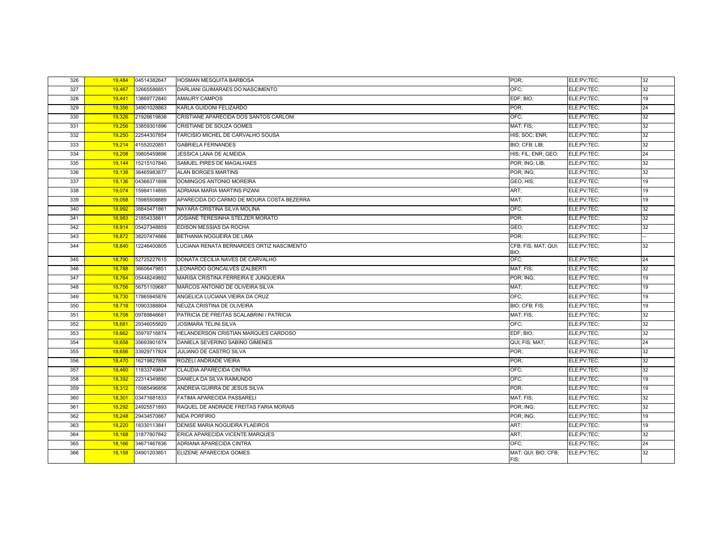| 326 | 19,484 | 04514382647 | HOSMAN MESQUITA BARBOSA                   | POR:                        | ELE;PV;TEC; | 32              |
|-----|--------|-------------|-------------------------------------------|-----------------------------|-------------|-----------------|
| 327 | 19,467 | 32665586851 | DARLIANI GUIMARAES DO NASCIMENTO          | OFC;                        | ELE:PV:TEC: | 32              |
| 328 | 19,441 | 13869772840 | AMAURY CAMPOS                             | EDF; BIO;                   | ELE:PV:TEC: | 19              |
| 329 | 19,356 | 34901028863 | KARLA GUIDONI FELIZARDO                   | POR:                        | ELE;PV;TEC; | 24              |
| 330 | 19,326 | 21926619838 | CRISTIANE APARECIDA DOS SANTOS CARLONI    | OFC:                        | ELE:PV:TEC: | 32              |
| 331 | 19,256 | 33859301896 | CRISTIANE DE SOUZA GOMES                  | MAT; FIS;                   | ELE:PV:TEC: | 32              |
| 332 | 19,250 | 22544307854 | TARCISIO MICHEL DE CARVALHO SOUSA         | HIS; SOC; ENR;              | ELE:PV:TEC: | 32              |
| 333 | 19,214 | 41552020851 | <b>GABRIELA FERNANDES</b>                 | BIO; CFB; LIB;              | ELE;PV;TEC; | 32              |
| 334 | 19,208 | 39805459896 | <b>JESSICA LANA DE ALMEIDA</b>            | HIS: FIL: ENR: GEO:         | ELE;PV;TEC; | 24              |
| 335 | 19,144 | 15215107840 | SAMUEL PIRES DE MAGALHAES                 | POR; ING; LIB;              | ELE;PV;TEC; | 32              |
| 336 | 19.138 | 36465983877 | <b>ALAN BORGES MARTINS</b>                | POR; ING;                   | ELE:PV:TEC: | 32              |
| 337 | 19,136 | 04366371898 | DOMINGOS ANTONIO MOREIRA                  | GEO; HIS;                   | ELE:PV:TEC: | 19              |
| 338 | 19,074 | 15984114895 | ADRIANA MARIA MARTINS PIZANI              | ART:                        | ELE;PV;TEC; | 19              |
| 339 | 19,058 | 15985508889 | APARECIDA DO CARMO DE MOURA COSTA BEZERRA | MAT;                        | ELE:PV:TEC: | 19              |
| 340 | 18,992 | 38845471861 | NAYARA CRISTINA SILVA MOLINA              | OFC:                        | ELE:PV:TEC: | 32              |
| 341 | 18,983 | 21854338811 | JOSIANE TERESINHA STELZER MORATO          | POR:                        | ELE:PV:TEC: | 32              |
| 342 | 18,914 | 05427348859 | EDISON MESSIAS DA ROCHA                   | GEO;                        | ELE:PV:TEC: | 32              |
| 343 | 18,872 | 38207474866 | BETHANIA NOGUEIRA DE LIMA                 | POR:                        | ELE:PV:TEC: |                 |
| 344 | 18,840 | 12246400805 | LUCIANA RENATA BERNARDES ORTIZ NASCIMENTO | CFB; FIS; MAT; QUI;<br>BIO; | ELE;PV;TEC; | 32              |
| 345 | 18,790 | 52725227615 | DONATA CECILIA NAVES DE CARVALHO          | OFC:                        | ELE:PV:TEC: | 24              |
| 346 | 18,788 | 36606479851 | LEONARDO GONCALVES IZALBERTI              | MAT; FIS;                   | ELE:PV:TEC: | 32              |
| 347 | 18,764 | 05448249892 | MARISA CRISTINA FERREIRA E JUNQUEIRA      | POR; ING;                   | ELE:PV:TEC: | 19              |
| 348 | 18,756 | 56751109687 | MARCOS ANTONIO DE OLIVEIRA SILVA          | MAT;                        | ELE;PV;TEC; | 19              |
| 349 | 18,730 | 17865945876 | ANGELICA LUCIANA VIEIRA DA CRUZ           | OFC:                        | ELE;PV;TEC; | 19              |
| 350 | 18,718 | 10903388804 | NEUZA CRISTINA DE OLIVEIRA                | BIO; CFB; FIS;              | ELE;PV;TEC; | 19              |
| 351 | 18,708 | 09789846681 | PATRICIA DE FREITAS SCALABRINI / PATRICIA | MAT; FIS;                   | ELE;PV;TEC; | 32              |
| 352 | 18,681 | 29346055820 | <b>JOSIMARA TELINI SILVA</b>              | OFC:                        | ELE:PV:TEC: | 32              |
| 353 | 18,662 | 35979716874 | HELANDERSON CRISTIAN MARQUES CARDOSO      | EDF; BIO;                   | ELE:PV:TEC: | 32              |
| 354 | 18,658 | 35693901874 | DANIELA SEVERINO SABINO GIMENES           | QUI; FIS; MAT;              | ELE:PV:TEC: | 24              |
| 355 | 18,656 | 33929717824 | JULIANO DE CASTRO SILVA                   | POR:                        | ELE;PV;TEC; | 32              |
| 356 | 18,470 | 16219827856 | ROZELI ANDRADE VIEIRA                     | POR:                        | ELE:PV:TEC: | 32              |
| 357 | 18,460 | 11833749847 | CLAUDIA APARECIDA CINTRA                  | OFC:                        | ELE:PV:TEC: | $\overline{32}$ |
| 358 | 18,392 | 22314349890 | DANIELA DA SILVA RAIMUNDO                 | OFC;                        | ELE:PV:TEC: | 19              |
| 359 | 18,312 | 15985496856 | ANDREIA GUIRRA DE JESUS SILVA             | POR:                        | ELE:PV:TEC: | 19              |
| 360 | 18,301 | 03471681833 | <b>FATIMA APARECIDA PASSARELI</b>         | MAT; FIS;                   | ELE;PV;TEC; | 32              |
| 361 | 18,292 | 24925571893 | RAQUEL DE ANDRADE FREITAS FARIA MORAIS    | POR; ING;                   | ELE:PV:TEC: | 32              |
| 362 | 18,248 | 29434570867 | NIDA PORFIRIO                             | POR; ING;                   | ELE;PV;TEC; | 19              |
| 363 | 18,220 | 18330113841 | DENISE MARIA NOGUEIRA FLAEIROS            | ART;                        | ELE:PV:TEC: | 19              |
| 364 | 18,168 | 31877807842 | ERICA APARECIDA VICENTE MARQUES           | ART;                        | ELE;PV;TEC; | 32              |
| 365 | 18,166 | 34671467836 | ADRIANA APARECIDA CINTRA                  | OFC:                        | ELE:PV:TEC: | 24              |
| 366 | 18,158 | 04901203851 | ELIZENE APARECIDA GOMES                   | MAT; QUI; BIO; CFB;<br>FIS; | ELE;PV;TEC; | 32              |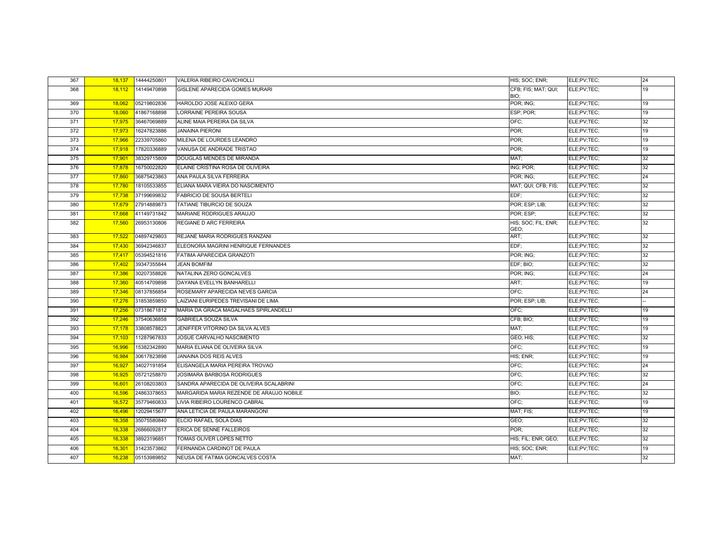| 367 | 18,137 | 14444250801 | VALERIA RIBEIRO CAVICHIOLLI              | HIS; SOC; ENR;              | ELE;PV;TEC; | 24 |
|-----|--------|-------------|------------------------------------------|-----------------------------|-------------|----|
| 368 | 18.112 | 14149470898 | GISLENE APARECIDA GOMES MURARI           | CFB; FIS; MAT; QUI;<br>BIO; | ELE;PV;TEC; | 19 |
| 369 | 18.062 | 05219802836 | HAROLDO JOSE ALEIXO GERA                 | POR; ING;                   | ELE;PV;TEC; | 19 |
| 370 | 18,060 | 41867168898 | LORRAINE PEREIRA SOUSA                   | ESP; POR;                   | ELE;PV;TEC; | 19 |
| 371 | 17,975 | 36467069889 | ALINE MAIA PEREIRA DA SILVA              | OFC:                        | ELE;PV;TEC; | 32 |
| 372 | 17,973 | 16247823886 | <b>JANAINA PIERONI</b>                   | POR:                        | ELE;PV;TEC; | 19 |
| 373 | 17,966 | 22339705860 | MILENA DE LOURDES LEANDRO                | POR:                        | ELE;PV;TEC; | 19 |
| 374 | 17,918 | 17820336889 | VANUSA DE ANDRADE TRISTAO                | POR:                        | ELE;PV;TEC; | 19 |
| 375 | 17,901 | 38329715809 | DOUGLAS MENDES DE MIRANDA                | MAT:                        | ELE;PV;TEC; | 32 |
| 376 | 17,878 | 16750022820 | ELAINE CRISTINA ROSA DE OLIVEIRA         | ING; POR;                   | ELE;PV;TEC; | 32 |
| 377 | 17,860 | 36875423863 | ANA PAULA SILVA FERREIRA                 | POR; ING;                   | ELE;PV;TEC; | 24 |
| 378 | 17,780 | 18105533855 | ELIANA MARA VIEIRA DO NASCIMENTO         | MAT; QUI; CFB; FIS;         | ELE;PV;TEC; | 32 |
| 379 | 17,738 | 37199699832 | <b>FABRICIO DE SOUSA BERTELI</b>         | EDF:                        | ELE;PV;TEC; | 32 |
| 380 | 17,679 | 27914889873 | TATIANE TIBURCIO DE SOUZA                | POR; ESP; LIB;              | ELE;PV;TEC; | 32 |
| 381 | 17.668 | 41149731842 | MARIANE RODRIGUES ARAUJO                 | POR: ESP:                   | ELE;PV;TEC; | 32 |
| 382 | 17,560 | 26953130806 | <b>REGIANE D ARC FERREIRA</b>            | HIS; SOC; FIL; ENR;<br>GEO: | ELE;PV;TEC; | 32 |
| 383 | 17,522 | 04897429803 | REJANE MARIA RODRIGUES RANZANI           | ART;                        | ELE;PV;TEC; | 32 |
| 384 | 17,430 | 36942346837 | ELEONORA MAGRINI HENRIQUE FERNANDES      | EDF:                        | ELE;PV;TEC; | 32 |
| 385 | 17.417 | 05394521816 | FATIMA APARECIDA GRANZOTI                | POR; ING;                   | ELE;PV;TEC; | 32 |
| 386 | 17,402 | 39347355844 | <b>JEAN BOMFIM</b>                       | EDF: BIO:                   | ELE;PV;TEC; | 32 |
| 387 | 17,386 | 30207358826 | NATALINA ZERO GONCALVES                  | POR; ING;                   | ELE;PV;TEC; | 24 |
| 388 | 17,360 | 40514709898 | DAYANA EVELLYN BANHARELLI                | ART:                        | ELE:PV:TEC: | 19 |
| 389 | 17,346 | 08137856854 | ROSEMARY APARECIDA NEVES GARCIA          | OFC:                        | ELE;PV;TEC; | 24 |
| 390 | 17,276 | 31853859850 | LAIZIANI EURIPEDES TREVISANI DE LIMA     | POR; ESP; LIB;              | ELE;PV;TEC; |    |
| 391 | 17,256 | 07318671812 | MARIA DA GRACA MAGALHAES SPIRLANDELLI    | OFC:                        | ELE;PV;TEC; | 19 |
| 392 | 17,246 | 37540636858 | <b>GABRIELA SOUZA SILVA</b>              | CFB; BIO;                   | ELE;PV;TEC; | 19 |
| 393 | 17,178 | 33808578823 | JENIFFER VITORINO DA SILVA ALVES         | MAT:                        | ELE;PV;TEC; | 19 |
| 394 | 17,103 | 11287967833 | JOSUE CARVALHO NASCIMENTO                | GEO; HIS;                   | ELE;PV;TEC; | 32 |
| 395 | 16,996 | 15382342890 | MARIA ELIANA DE OLIVEIRA SILVA           | OFC:                        | ELE;PV;TEC; | 19 |
| 396 | 16.984 | 30617823898 | <b>JANAINA DOS REIS ALVES</b>            | HIS; ENR;                   | ELE;PV;TEC; | 19 |
| 397 | 16,927 | 34027191854 | ELISANGELA MARIA PEREIRA TROVAO          | OFC;                        | ELE;PV;TEC; | 24 |
| 398 | 16,925 | 05721258870 | JOSIMARA BARBOSA RODRIGUES               | OFC:                        | ELE;PV;TEC; | 32 |
| 399 | 16,601 | 26108203803 | SANDRA APARECIDA DE OLIVEIRA SCALABRINI  | OFC:                        | ELE;PV;TEC; | 24 |
| 400 | 16,596 | 24863378653 | MARGARIDA MARIA REZENDE DE ARAUJO NOBILE | BIO;                        | ELE;PV;TEC; | 32 |
| 401 | 16,572 | 35779460833 | LIVIA RIBEIRO LOURENCO CABRAL            | OFC:                        | ELE;PV;TEC; | 19 |
| 402 | 16,496 | 12029415677 | ANA LETICIA DE PAULA MARANGONI           | MAT; FIS;                   | ELE;PV;TEC; | 19 |
| 403 | 16.358 | 35075580840 | ELCIO RAFAEL SOLA DIAS                   | GEO:                        | ELE;PV;TEC; | 32 |
| 404 | 16,338 | 26866092817 | ERICA DE SENNE FALLEIROS                 | POR:                        | ELE;PV;TEC; | 32 |
| 405 | 16,338 | 38923196851 | TOMAS OLIVER LOPES NETTO                 | HIS; FIL; ENR; GEO;         | ELE;PV;TEC; | 32 |
| 406 | 16,301 | 31423573862 | FERNANDA CARDINOT DE PAULA               | HIS; SOC; ENR;              | ELE;PV;TEC; | 19 |
| 407 | 16,238 | 05153989852 | NEUSA DE FATIMA GONCALVES COSTA          | MAT:                        |             | 32 |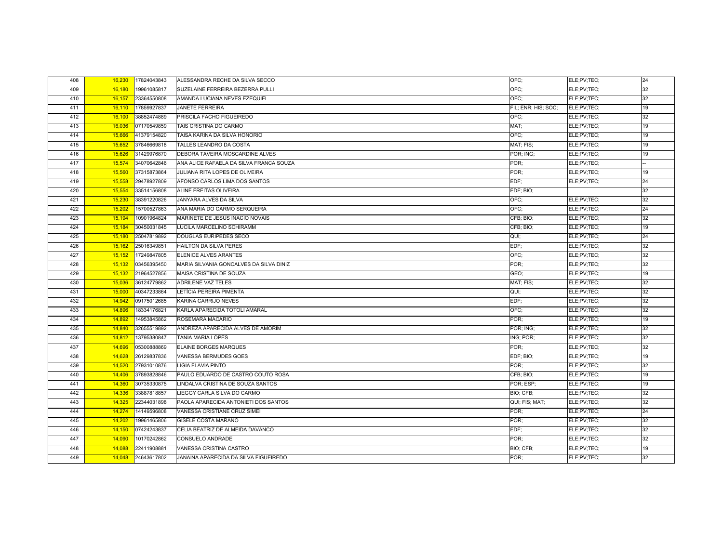| 408 | 16.230 | 17824043843 | ALESSANDRA RECHE DA SILVA SECCO         | OFC:                | ELE;PV;TEC; | 24 |
|-----|--------|-------------|-----------------------------------------|---------------------|-------------|----|
| 409 | 16,180 | 19961085817 | SUZELAINE FERREIRA BEZERRA PULLI        | OFC:                | ELE;PV;TEC; | 32 |
| 410 | 16,157 | 23364550808 | AMANDA LUCIANA NEVES EZEQUIEL           | OFC:                | ELE;PV;TEC; | 32 |
| 411 | 16,110 | 17859927837 | <b>JANETE FERREIRA</b>                  | FIL; ENR; HIS; SOC; | ELE;PV;TEC; | 19 |
| 412 | 16,100 | 38852474889 | PRISCILA FACHO FIGUEIREDO               | OFC:                | ELE;PV;TEC; | 32 |
| 413 | 16.036 | 07170549859 | TAIS CRISTINA DO CARMO                  | MAT:                | ELE;PV;TEC; | 19 |
| 414 | 15,666 | 41379154820 | TAISA KARINA DA SILVA HONORIO           | OFC:                | ELE;PV;TEC; | 19 |
| 415 | 15,652 | 37846669818 | TALLES LEANDRO DA COSTA                 | MAT; FIS;           | ELE;PV;TEC; | 19 |
| 416 | 15,626 | 31429976870 | DEBORA TAVEIRA MOSCARDINE ALVES         | POR; ING;           | ELE;PV;TEC; | 19 |
| 417 | 15,574 | 34070642846 | ANA ALICE RAFAELA DA SILVA FRANCA SOUZA | POR:                | ELE;PV;TEC; |    |
| 418 | 15,560 | 37315873864 | JULIANA RITA LOPES DE OLIVEIRA          | POR:                | ELE;PV;TEC; | 19 |
| 419 | 15,558 | 29478927809 | AFONSO CARLOS LIMA DOS SANTOS           | EDF:                | ELE;PV;TEC; | 24 |
| 420 | 15.554 | 33514156808 | ALINE FREITAS OLIVEIRA                  | EDF; BIO;           |             | 32 |
| 421 | 15,230 | 38391220826 | JANYARA ALVES DA SILVA                  | OFC:                | ELE;PV;TEC; | 32 |
| 422 | 15,202 | 15700527863 | ANA MARIA DO CARMO SERQUEIRA            | OFC:                | ELE;PV;TEC; | 24 |
| 423 | 15,194 | 10901964824 | MARINETE DE JESUS INACIO NOVAIS         | CFB; BIO;           | ELE;PV;TEC; | 32 |
| 424 | 15,184 | 30450031845 | LUCILA MARCELINO SCHIRAMM               | CFB; BIO;           | ELE;PV;TEC; | 19 |
| 425 | 15,180 | 25047819892 | <b>DOUGLAS EURIPEDES SECO</b>           | QUI;                | ELE;PV;TEC; | 24 |
| 426 | 15,162 | 25016349851 | HAILTON DA SILVA PERES                  | EDF;                | ELE;PV;TEC; | 32 |
| 427 | 15,152 | 17249847805 | ELENICE ALVES ARANTES                   | OFC:                | ELE;PV;TEC; | 32 |
| 428 | 15,132 | 03456395450 | MARIA SILVANIA GONCALVES DA SILVA DINIZ | POR:                | ELE;PV;TEC; | 32 |
| 429 | 15,132 | 21964527856 | MAISA CRISTINA DE SOUZA                 | GEO:                | ELE;PV;TEC; | 19 |
| 430 | 15,036 | 36124779862 | <b>ADRILENE VAZ TELES</b>               | MAT; FIS;           | ELE;PV;TEC; | 32 |
| 431 | 15,000 | 40347233864 | LETÍCIA PEREIRA PIMENTA                 | QUI;                | ELE;PV;TEC; | 32 |
| 432 | 14,942 | 09175012685 | <b>KARINA CARRIJO NEVES</b>             | EDF:                | ELE;PV;TEC; | 32 |
| 433 | 14,896 | 18334176821 | KARLA APARECIDA TOTOLI AMARAL           | OFC;                | ELE;PV;TEC; | 32 |
| 434 | 14,892 | 14953845862 | ROSEMARA MACARIO                        | POR;                | ELE;PV;TEC; | 19 |
| 435 | 14.840 | 32655519892 | ANDREZA APARECIDA ALVES DE AMORIM       | POR; ING;           | ELE;PV;TEC; | 32 |
| 436 | 14,812 | 13795380847 | <b>TANIA MARIA LOPES</b>                | ING; POR;           | ELE;PV;TEC; | 32 |
| 437 | 14,696 | 05300888869 | <b>ELAINE BORGES MARQUES</b>            | POR:                | ELE;PV;TEC; | 32 |
| 438 | 14,628 | 26129837836 | VANESSA BERMUDES GOES                   | EDF; BIO;           | ELE;PV;TEC; | 19 |
| 439 | 14,520 | 27931010876 | LIGIA FLAVIA PINTO                      | POR:                | ELE;PV;TEC; | 32 |
| 440 | 14,406 | 37893828846 | PAULO EDUARDO DE CASTRO COUTO ROSA      | CFB; BIO;           | ELE;PV;TEC; | 19 |
| 441 | 14,360 | 30735330875 | LINDALVA CRISTINA DE SOUZA SANTOS       | POR; ESP;           | ELE;PV;TEC; | 19 |
| 442 | 14,336 | 33887818857 | LIEGGY CARLA SILVA DO CARMO             | BIO; CFB;           | ELE;PV;TEC; | 32 |
| 443 | 14,325 | 22344031898 | PAOLA APARECIDA ANTONIETI DOS SANTOS    | QUI; FIS; MAT;      | ELE;PV;TEC; | 32 |
| 444 | 14,274 | 14149596808 | VANESSA CRISTIANE CRUZ SIMEI            | POR:                | ELE;PV;TEC; | 24 |
| 445 | 14,202 | 19961465806 | GISELE COSTA MARANO                     | POR:                | ELE;PV;TEC; | 32 |
| 446 | 14,150 | 07424243837 | CELIA BEATRIZ DE ALMEIDA DAVANCO        | EDF:                | ELE;PV;TEC; | 32 |
| 447 | 14.090 | 10170242862 | CONSUELO ANDRADE                        | POR:                | ELE;PV;TEC; | 32 |
| 448 | 14,088 | 22411908881 | VANESSA CRISTINA CASTRO                 | BIO; CFB;           | ELE;PV;TEC; | 19 |
| 449 | 14,048 | 24643617802 | JANAINA APARECIDA DA SILVA FIGUEIREDO   | POR:                | ELE;PV;TEC; | 32 |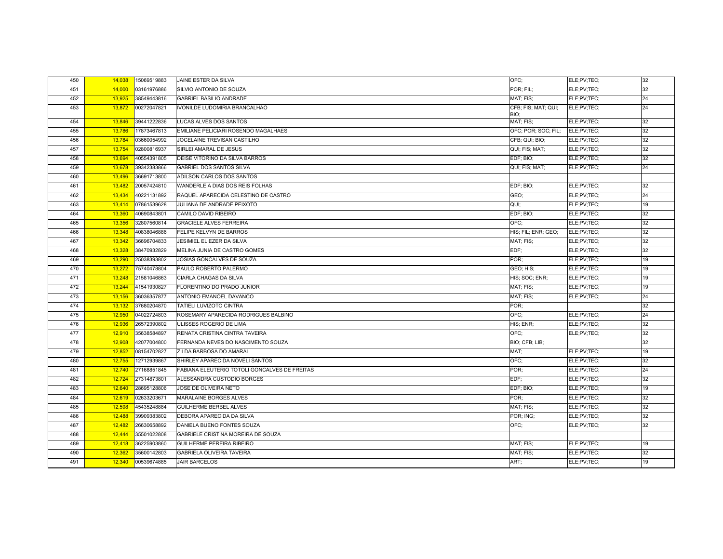| 450 | 14,038 | 15069519883 | JAINE ESTER DA SILVA                          | OFC:                        | ELE;PV;TEC; | 32 |
|-----|--------|-------------|-----------------------------------------------|-----------------------------|-------------|----|
| 451 | 14,000 | 03161976886 | SILVIO ANTONIO DE SOUZA                       | POR: FIL:                   | ELE:PV:TEC: | 32 |
| 452 | 13,925 | 38549443816 | <b>GABRIEL BASILIO ANDRADE</b>                | MAT; FIS;                   | ELE;PV;TEC; | 24 |
| 453 | 13,872 | 00272047821 | IVONILDE LUDOMIRIA BRANCALHAO                 | CFB; FIS; MAT; QUI;<br>BIO; | ELE;PV;TEC; | 24 |
| 454 | 13,846 | 39441222836 | LUCAS ALVES DOS SANTOS                        | MAT; FIS;                   | ELE;PV;TEC; | 32 |
| 455 | 13,786 | 17873467813 | EMILIANE PELICIARI ROSENDO MAGALHAES          | OFC; POR; SOC; FIL;         | ELE;PV;TEC; | 32 |
| 456 | 13.784 | 03660054992 | JOCELAINE TREVISAN CASTILHO                   | CFB; QUI; BIO;              | ELE;PV;TEC; | 32 |
| 457 | 13,754 | 02800816937 | SIRLEI AMARAL DE JESUS                        | QUI; FIS; MAT;              | ELE;PV;TEC; | 32 |
| 458 | 13,694 | 40554391805 | DEISE VITORINO DA SILVA BARROS                | EDF; BIO;                   | ELE;PV;TEC; | 32 |
| 459 | 13,678 | 39342383866 | <b>GABRIEL DOS SANTOS SILVA</b>               | QUI; FIS; MAT;              | ELE;PV;TEC; | 24 |
| 460 | 13.496 | 36691713800 | ADILSON CARLOS DOS SANTOS                     |                             |             |    |
| 461 | 13,482 | 20057424810 | WANDERLEIA DIAS DOS REIS FOLHAS               | EDF; BIO;                   | ELE;PV;TEC; | 32 |
| 462 | 13,434 | 40221131892 | RAQUEL APARECIDA CELESTINO DE CASTRO          | GEO:                        | ELE;PV;TEC; | 24 |
| 463 | 13,414 | 07861539628 | JULIANA DE ANDRADE PEIXOTO                    | QUI;                        | ELE;PV;TEC; | 19 |
| 464 | 13,360 | 40690843801 | CAMILO DAVID RIBEIRO                          | EDF; BIO;                   | ELE;PV;TEC; | 32 |
| 465 | 13.356 | 32807560814 | <b>GRACIELE ALVES FERREIRA</b>                | OFC:                        | ELE;PV;TEC; | 32 |
| 466 | 13,348 | 40838046886 | FELIPE KELVYN DE BARROS                       | HIS; FIL; ENR; GEO;         | ELE;PV;TEC; | 32 |
| 467 | 13,342 | 36696704833 | JESIMIEL ELIEZER DA SILVA                     | MAT; FIS;                   | ELE;PV;TEC; | 32 |
| 468 | 13,328 | 38470932829 | MELINA JUNIA DE CASTRO GOMES                  | EDF:                        | ELE;PV;TEC; | 32 |
| 469 | 13.290 | 25038393802 | JOSIAS GONCALVES DE SOUZA                     | POR:                        | ELE;PV;TEC; | 19 |
| 470 | 13,272 | 75740478804 | PAULO ROBERTO PALERMO                         | GEO; HIS;                   | ELE;PV;TEC; | 19 |
| 471 | 13,248 | 21581046863 | <b>CIARLA CHAGAS DA SILVA</b>                 | HIS; SOC; ENR;              | ELE;PV;TEC; | 19 |
| 472 | 13,244 | 41541930827 | FLORENTINO DO PRADO JUNIOR                    | MAT; FIS;                   | ELE;PV;TEC; | 19 |
| 473 | 13,156 | 36036357877 | ANTONIO EMANOEL DAVANCO                       | MAT; FIS;                   | ELE:PV:TEC: | 24 |
| 474 | 13,132 | 37680204870 | <b>TATIELI LUVIZOTO CINTRA</b>                | POR:                        |             | 32 |
| 475 | 12.950 | 04022724803 | ROSEMARY APARECIDA RODRIGUES BALBINO          | OFC:                        | ELE;PV;TEC; | 24 |
| 476 | 12,936 | 26572390802 | ULISSES ROGERIO DE LIMA                       | HIS; ENR;                   | ELE;PV;TEC; | 32 |
| 477 | 12,910 | 35638584897 | RENATA CRISTINA CINTRA TAVEIRA                | OFC:                        | ELE:PV:TEC: | 32 |
| 478 | 12,908 | 42077004800 | FERNANDA NEVES DO NASCIMENTO SOUZA            | BIO; CFB; LIB;              |             | 32 |
| 479 | 12,852 | 08154702827 | ZILDA BARBOSA DO AMARAL                       | MAT:                        | ELE;PV;TEC; | 19 |
| 480 | 12,755 | 12712939867 | SHIRLEY APARECIDA NOVELI SANTOS               | OFC;                        | ELE;PV;TEC; | 32 |
| 481 | 12,740 | 27168851845 | FABIANA ELEUTERIO TOTOLI GONCALVES DE FREITAS | POR:                        | ELE;PV;TEC; | 24 |
| 482 | 12,724 | 27314873801 | ALESSANDRA CUSTODIO BORGES                    | EDF:                        | ELE;PV;TEC; | 32 |
| 483 | 12,640 | 28695128806 | JOSE DE OLIVEIRA NETO                         | EDF; BIO;                   | ELE;PV;TEC; | 19 |
| 484 | 12,619 | 02633203671 | MARALAINE BORGES ALVES                        | POR:                        | ELE;PV;TEC; | 32 |
| 485 | 12.598 | 45435248884 | <b>GUILHERME BERBEL ALVES</b>                 | MAT; FIS;                   | ELE;PV;TEC; | 32 |
| 486 | 12,488 | 39909383802 | DEBORA APARECIDA DA SILVA                     | POR; ING;                   | ELE;PV;TEC; | 32 |
| 487 | 12,482 | 26630658892 | DANIELA BUENO FONTES SOUZA                    | OFC:                        | ELE;PV;TEC; | 32 |
| 488 | 12,444 | 35501022808 | GABRIELE CRISTINA MOREIRA DE SOUZA            |                             |             |    |
| 489 | 12,418 | 36225903860 | GUILHERME PEREIRA RIBEIRO                     | MAT; FIS;                   | ELE;PV;TEC; | 19 |
| 490 | 12,362 | 35600142803 | <b>GABRIELA OLIVEIRA TAVEIRA</b>              | MAT; FIS;                   | ELE;PV;TEC; | 32 |
| 491 | 12,340 | 00539674885 | <b>JAIR BARCELOS</b>                          | ART:                        | ELE;PV;TEC; | 19 |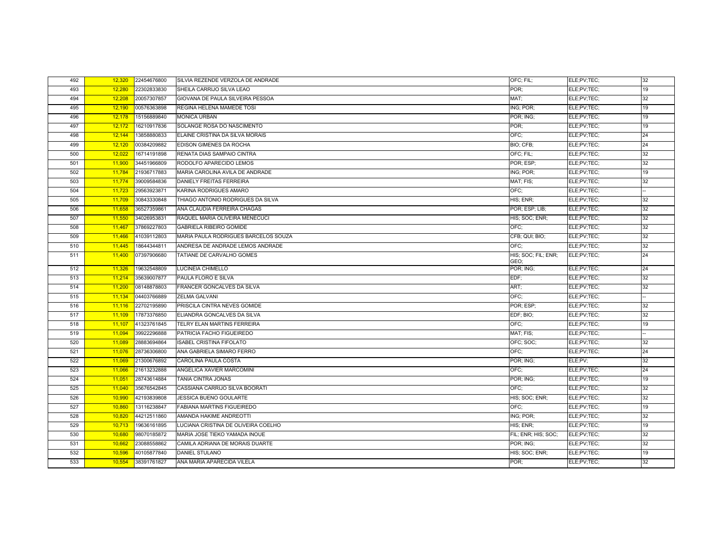| 492 | 12,320 | 22454676800 | SILVIA REZENDE VERZOLA DE ANDRADE    | OFC; FIL;                   | ELE;PV;TEC; | 32 |
|-----|--------|-------------|--------------------------------------|-----------------------------|-------------|----|
| 493 | 12,280 | 22302833830 | SHEILA CARRIJO SILVA LEAO            | POR:                        | ELE;PV;TEC; | 19 |
| 494 | 12,208 | 20057307857 | GIOVANA DE PAULA SILVEIRA PESSOA     | MAT:                        | ELE;PV;TEC; | 32 |
| 495 | 12,190 | 00576363898 | REGINA HELENA MAMEDE TOSI            | ING; POR;                   | ELE;PV;TEC; | 19 |
| 496 | 12,178 | 15156889840 | <b>MONICA URBAN</b>                  | POR; ING;                   | ELE;PV;TEC; | 19 |
| 497 | 12,172 | 16210917836 | SOLANGE ROSA DO NASCIMENTO           | POR:                        | ELE;PV;TEC; | 19 |
| 498 | 12,144 | 13858880833 | ELAINE CRISTINA DA SILVA MORAIS      | OFC:                        | ELE;PV;TEC; | 24 |
| 499 | 12,120 | 00384209882 | EDISON GIMENES DA ROCHA              | BIO; CFB;                   | ELE;PV;TEC; | 24 |
| 500 | 12,022 | 16714191898 | RENATA DIAS SAMPAIO CINTRA           | OFC; FIL;                   | ELE;PV;TEC; | 32 |
| 501 | 11,900 | 34451966809 | RODOLFO APARECIDO LEMOS              | POR; ESP;                   | ELE;PV;TEC; | 32 |
| 502 | 11,784 | 21936717883 | MARIA CAROLINA AVILA DE ANDRADE      | ING; POR;                   | ELE;PV;TEC; | 19 |
| 503 | 11,774 | 39009584836 | <b>DANIELY FREITAS FERREIRA</b>      | MAT; FIS;                   | ELE;PV;TEC; | 32 |
| 504 | 11,723 | 29563923871 | KARINA RODRIGUES AMARO               | OFC:                        | ELE;PV;TEC; |    |
| 505 | 11,709 | 30843330848 | THIAGO ANTONIO RODRIGUES DA SILVA    | HIS: ENR:                   | ELE;PV;TEC; | 32 |
| 506 | 11,658 | 36527359861 | ANA CLAUDIA FERREIRA CHAGAS          | POR; ESP; LIB;              | ELE;PV;TEC; | 32 |
| 507 | 11,550 | 34026953831 | RAQUEL MARIA OLIVEIRA MENECUCI       | HIS; SOC; ENR;              | ELE;PV;TEC; | 32 |
| 508 | 11,467 | 37869227803 | <b>GABRIELA RIBEIRO GOMIDE</b>       | OFC:                        | ELE;PV;TEC; | 32 |
| 509 | 11,466 | 41039112803 | MARIA PAULA RODRIGUES BARCELOS SOUZA | CFB; QUI; BIO;              | ELE;PV;TEC; | 32 |
| 510 | 11,445 | 18644344811 | ANDRESA DE ANDRADE LEMOS ANDRADE     | OFC:                        | ELE;PV;TEC; | 32 |
| 511 | 11,400 | 07397906680 | TATIANE DE CARVALHO GOMES            | HIS; SOC; FIL; ENR;<br>GEO: | ELE;PV;TEC; | 24 |
| 512 | 11,326 | 19632548809 | LUCINEIA CHIMELLO                    | POR; ING;                   | ELE;PV;TEC; | 24 |
| 513 | 11,214 | 35639007877 | PAULA FLORO E SILVA                  | EDF:                        | ELE;PV;TEC; | 32 |
| 514 | 11,200 | 08148878803 | FRANCER GONCALVES DA SILVA           | ART:                        | ELE;PV;TEC; | 32 |
| 515 | 11,134 | 04403766889 | <b>ZELMA GALVANI</b>                 | OFC:                        | ELE;PV;TEC; |    |
| 516 | 11,116 | 22702195890 | PRISCILA CINTRA NEVES GOMIDE         | POR: ESP:                   | ELE;PV;TEC; | 32 |
| 517 | 11,109 | 17873376850 | ELIANDRA GONCALVES DA SILVA          | EDF; BIO;                   | ELE;PV;TEC; | 32 |
| 518 | 11,107 | 41323761845 | TELRY ELAN MARTINS FERREIRA          | OFC:                        | ELE;PV;TEC; | 19 |
| 519 | 11,094 | 39922296888 | PATRICIA FACHO FIGUEIREDO            | MAT; FIS;                   | ELE;PV;TEC; |    |
| 520 | 11,089 | 28883694864 | <b>ISABEL CRISTINA FIFOLATO</b>      | OFC; SOC;                   | ELE;PV;TEC; | 32 |
| 521 | 11,076 | 28736306800 | ANA GABRIELA SIMARO FERRO            | OFC:                        | ELE;PV;TEC; | 24 |
| 522 | 11,069 | 21300676892 | CAROLINA PAULA COSTA                 | POR; ING;                   | ELE;PV;     | 32 |
| 523 | 11,066 | 21613232888 | ANGELICA XAVIER MARCOMINI            | OFC:                        | ELE;PV;TEC; | 24 |
| 524 | 11,051 | 28743614884 | <b>TANIA CINTRA JONAS</b>            | POR; ING;                   | ELE;PV;TEC; | 19 |
| 525 | 11,040 | 35676542845 | CASSIANA CARRIJO SILVA BOORATI       | OFC:                        | ELE;PV;TEC; | 32 |
| 526 | 10,990 | 42193839808 | JESSICA BUENO GOULARTE               | HIS; SOC; ENR;              | ELE;PV;TEC; | 32 |
| 527 | 10.860 | 13116238847 | <b>FABIANA MARTINS FIGUEIREDO</b>    | OFC:                        | ELE;PV;TEC; | 19 |
| 528 | 10,820 | 44212511860 | AMANDA HAKIME ANDREOTTI              | ING; POR;                   | ELE;PV;TEC; | 32 |
| 529 | 10,713 | 19636161895 | LUCIANA CRISTINA DE OLIVEIRA COELHO  | HIS; ENR;                   | ELE;PV;TEC; | 19 |
| 530 | 10,680 | 98070185872 | MARIA JOSE TIEKO YAMADA INOUE        | FIL; ENR; HIS; SOC;         | ELE;PV;TEC; | 32 |
| 531 | 10,662 | 23088558862 | CAMILA ADRIANA DE MORAIS DUARTE      | POR; ING;                   | ELE;PV;TEC; | 32 |
| 532 | 10,596 | 40105877840 | DANIEL STULANO                       | HIS; SOC; ENR;              | ELE;PV;TEC; | 19 |
| 533 | 10,554 | 38391761827 | ANA MARIA APARECIDA VILELA           | POR:                        | ELE;PV;TEC; | 32 |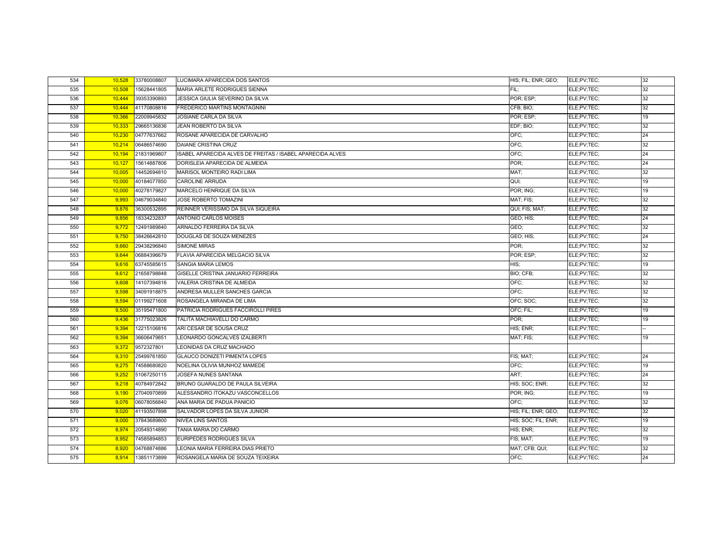| 534 | 10,528 | 33780008807 | LUCIMARA APARECIDA DOS SANTOS                              | HIS; FIL; ENR; GEO; | ELE;PV;TEC; | 32 |
|-----|--------|-------------|------------------------------------------------------------|---------------------|-------------|----|
| 535 | 10,508 | 15628441805 | MARIA ARLETE RODRIGUES SIENNA                              | FIL:                | ELE;PV;TEC; | 32 |
| 536 | 10,444 | 39353390893 | JESSICA GIULIA SEVERINO DA SILVA                           | POR; ESP;           | ELE;PV;TEC; | 32 |
| 537 | 10,444 | 41170808816 | FREDERICO MARTINS MONTAGNINI                               | CFB; BIO;           | ELE;PV;TEC; | 32 |
| 538 | 10,366 | 22009945832 | JOSIANE CARLA DA SILVA                                     | POR; ESP;           | ELE;PV;TEC; | 19 |
| 539 | 10,333 | 29665136836 | JEAN ROBERTO DA SILVA                                      | EDF; BIO;           | ELE;PV;TEC; | 32 |
| 540 | 10,230 | 04777637662 | ROSANE APARECIDA DE CARVALHO                               | OFC;                | ELE;PV;TEC; | 24 |
| 541 | 10,214 | 06486574690 | <b>DAIANE CRISTINA CRUZ</b>                                | OFC:                | ELE;PV;TEC; | 32 |
| 542 | 10,194 | 21831969807 | ISABEL APARECIDA ALVES DE FREITAS / ISABEL APARECIDA ALVES | OFC;                | ELE;PV;TEC; | 24 |
| 543 | 10,127 | 15614887806 | DORISLEIA APARECIDA DE ALMEIDA                             | POR:                | ELE;PV;TEC; | 24 |
| 544 | 10,005 | 14452694810 | MARISOL MONTEIRO RADI LIMA                                 | MAT:                | ELE;PV;TEC; | 32 |
| 545 | 10,000 | 40184077850 | <b>CAROLINE ARRUDA</b>                                     | QUI;                | ELE;PV;TEC; | 19 |
| 546 | 10,000 | 40278179827 | MARCELO HENRIQUE DA SILVA                                  | POR; ING;           | ELE;PV;TEC; | 19 |
| 547 | 9,993  | 04679034840 | JOSE ROBERTO TOMAZINI                                      | MAT; FIS;           | ELE;PV;TEC; | 32 |
| 548 | 9,876  | 36300532895 | REINNER VERISSIMO DA SILVA SIQUEIRA                        | QUI; FIS; MAT;      | ELE;PV;TEC; | 32 |
| 549 | 9,856  | 18334232837 | ANTONIO CARLOS MOISES                                      | GEO; HIS;           | ELE;PV;TEC; | 24 |
| 550 | 9,772  | 12491989840 | ARNALDO FERREIRA DA SILVA                                  | GEO:                | ELE;PV;TEC; | 32 |
| 551 | 9,750  | 38426642810 | DOUGLAS DE SOUZA MENEZES                                   | GEO; HIS;           | ELE;PV;TEC; | 24 |
| 552 | 9,660  | 29438296840 | <b>SIMONE MIRAS</b>                                        | POR:                | ELE;PV;TEC; | 32 |
| 553 | 9,644  | 06884396679 | FLAVIA APARECIDA MELGACIO SILVA                            | POR; ESP;           | ELE;PV;TEC; | 32 |
| 554 | 9,616  | 63745585615 | SANGIA MARIA LEMOS                                         | HIS:                | ELE;PV;TEC; | 19 |
| 555 | 9,612  | 21658798848 | GISELLE CRISTINA JANUARIO FERREIRA                         | BIO; CFB;           | ELE;PV;TEC; | 32 |
| 556 | 9,608  | 14107394816 | VALERIA CRISTINA DE ALMEIDA                                | OFC:                | ELE;PV;TEC; | 32 |
| 557 | 9,598  | 34091918875 | ANDRESA MULLER SANCHES GARCIA                              | OFC:                | ELE;PV;TEC; | 32 |
| 558 | 9,594  | 01199271608 | ROSANGELA MIRANDA DE LIMA                                  | OFC; SOC;           | ELE;PV;TEC; | 32 |
| 559 | 9,500  | 35195471800 | PATRICIA RODRIGUES FACCIROLLI PIRES                        | OFC: FIL:           | ELE;PV;TEC; | 19 |
| 560 | 9,436  | 31775023826 | TALITA MACHIAVELLI DO CARMO                                | POR;                | ELE;PV;TEC; | 19 |
| 561 | 9,394  | 12215106816 | ARI CESAR DE SOUSA CRUZ                                    | HIS; ENR;           | ELE;PV;TEC; |    |
| 562 | 9,394  | 36606479851 | LEONARDO GONCALVES IZALBERTI                               | MAT; FIS;           | ELE;PV;TEC; | 19 |
| 563 | 9,372  | 9572327801  | LEONIDAS DA CRUZ MACHADO                                   |                     |             |    |
| 564 | 9,310  | 25499761850 | <b>GLAUCO DONIZETI PIMENTA LOPES</b>                       | FIS; MAT;           | ELE;PV;TEC; | 24 |
| 565 | 9,275  | 74588680820 | NOELINA OLIVIA MUNHOZ MAMEDE                               | OFC:                | ELE;PV;TEC; | 19 |
| 566 | 9,252  | 51067250115 | JOSEFA NUNES SANTANA                                       | ART:                | ELE;PV;TEC; | 24 |
| 567 | 9,218  | 40784972842 | BRUNO GUARALDO DE PAULA SILVEIRA                           | HIS; SOC; ENR;      | ELE;PV;TEC; | 32 |
| 568 | 9,190  | 27040970899 | ALESSANDRO ITOKAZU VASCONCELLOS                            | POR; ING;           | ELE;PV;TEC; | 19 |
| 569 | 9,076  | 06078056840 | ANA MARIA DE PADUA PANICIO                                 | OFC:                | ELE;PV;TEC; | 32 |
| 570 | 9,020  | 41193507898 | SALVADOR LOPES DA SILVA JUNIOR                             | HIS; FIL; ENR; GEO; | ELE;PV;TEC; | 32 |
| 571 | 9,000  | 37843689800 | <b>NIVEA LINS SANTOS</b>                                   | HIS; SOC; FIL; ENR; | ELE;PV;TEC; | 19 |
| 572 | 8,974  | 20549314890 | TANIA MARIA DO CARMO                                       | HIS; ENR;           | ELE;PV;TEC; | 32 |
| 573 | 8,952  | 74585894853 | EURIPEDES RODRIGUES SILVA                                  | FIS; MAT;           | ELE;PV;TEC; | 19 |
| 574 | 8,920  | 04768874886 | LEONIA MARIA FERREIRA DIAS PRIETO                          | MAT; CFB; QUI;      | ELE;PV;TEC; | 32 |
| 575 | 8.914  | 13851173899 | ROSANGELA MARIA DE SOUZA TEIXEIRA                          | OFC:                | ELE;PV;TEC; | 24 |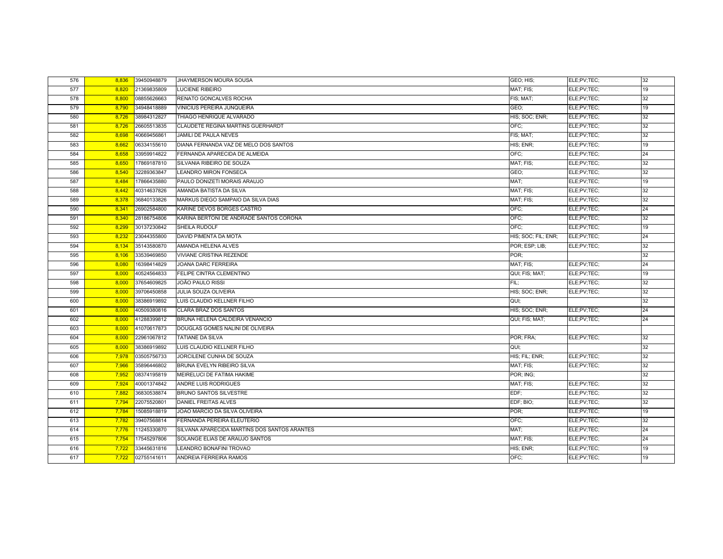| 576 | 8,836 | 39450948879 | JHAYMERSON MOURA SOUSA                       | GEO; HIS;           | ELE;PV;TEC; | 32 |
|-----|-------|-------------|----------------------------------------------|---------------------|-------------|----|
| 577 | 8,820 | 21369835809 | LUCIENE RIBEIRO                              | MAT; FIS;           | ELE;PV;TEC; | 19 |
| 578 | 8,800 | 08855626663 | RENATO GONCALVES ROCHA                       | FIS; MAT;           | ELE;PV;TEC; | 32 |
| 579 | 8,790 | 34948418889 | VINICIUS PEREIRA JUNQUEIRA                   | GEO;                | ELE;PV;TEC; | 19 |
| 580 | 8,726 | 38984312827 | THIAGO HENRIQUE ALVARADO                     | HIS; SOC; ENR;      | ELE;PV;TEC; | 32 |
| 581 | 8,726 | 26605513835 | CLAUDETE REGINA MARTINS GUERHARDT            | OFC:                | ELE;PV;TEC; | 32 |
| 582 | 8,698 | 40669456861 | JAMILI DE PAULA NEVES                        | FIS; MAT;           | ELE;PV;TEC; | 32 |
| 583 | 8,662 | 06334155610 | DIANA FERNANDA VAZ DE MELO DOS SANTOS        | HIS; ENR;           | ELE;PV;TEC; | 19 |
| 584 | 8,658 | 33959914822 | FERNANDA APARECIDA DE ALMEIDA                | OFC;                | ELE;PV;TEC; | 24 |
| 585 | 8,650 | 17869187810 | SILVANIA RIBEIRO DE SOUZA                    | MAT; FIS;           | ELE;PV;TEC; | 32 |
| 586 | 8,540 | 32289363847 | LEANDRO MIRON FONSECA                        | GEO;                | ELE;PV;TEC; | 32 |
| 587 | 8,484 | 17866435880 | PAULO DONIZETI MORAIS ARAUJO                 | MAT:                | ELE;PV;TEC; | 19 |
| 588 | 8,442 | 40314637826 | AMANDA BATISTA DA SILVA                      | MAT; FIS;           | ELE;PV;TEC; | 32 |
| 589 | 8,378 | 36840133826 | MARKUS DIEGO SAMPAIO DA SILVA DIAS           | MAT; FIS;           | ELE;PV;TEC; | 32 |
| 590 | 8,341 | 26902584800 | KARINE DEVOS BORGES CASTRO                   | OFC:                | ELE;PV;TEC; | 24 |
| 591 | 8,340 | 28186754806 | KARINA BERTONI DE ANDRADE SANTOS CORONA      | OFC;                | ELE;PV;TEC; | 32 |
| 592 | 8,299 | 30137230842 | SHEILA RUDOLF                                | OFC:                | ELE;PV;TEC; | 19 |
| 593 | 8,232 | 23044355800 | DAVID PIMENTA DA MOTA                        | HIS; SOC; FIL; ENR; | ELE;PV;TEC; | 24 |
| 594 | 8,134 | 35143580870 | AMANDA HELENA ALVES                          | POR; ESP; LIB;      | ELE;PV;TEC; | 32 |
| 595 | 8,106 | 33539469850 | <b>VIVIANE CRISTINA REZENDE</b>              | POR:                |             | 32 |
| 596 | 8,080 | 16398414829 | JOANA DARC FERREIRA                          | MAT; FIS;           | ELE;PV;TEC; | 24 |
| 597 | 8,000 | 40524564833 | FELIPE CINTRA CLEMENTINO                     | QUI; FIS; MAT;      | ELE;PV;TEC; | 19 |
| 598 | 8,000 | 37654609825 | JOÃO PAULO RISSI                             | FIL:                | ELE;PV;TEC; | 32 |
| 599 | 8,000 | 39706450858 | <b>JULIA SOUZA OLIVEIRA</b>                  | HIS; SOC; ENR;      | ELE:PV:TEC: | 32 |
| 600 | 8,000 | 38386919892 | LUIS CLAUDIO KELLNER FILHO                   | QUI;                |             | 32 |
| 601 | 8,000 | 40509380816 | <b>CLARA BRAZ DOS SANTOS</b>                 | HIS; SOC; ENR;      | ELE;PV;TEC; | 24 |
| 602 | 8,000 | 41288399812 | BRUNA HELENA CALDEIRA VENANCIO               | QUI; FIS; MAT;      | ELE;PV;TEC; | 24 |
| 603 | 8,000 | 41070617873 | DOUGLAS GOMES NALINI DE OLIVEIRA             |                     |             |    |
| 604 | 8,000 | 22961067812 | <b>TATIANE DA SILVA</b>                      | POR; FRA;           | ELE;PV;TEC; | 32 |
| 605 | 8,000 | 38386919892 | LUIS CLAUDIO KELLNER FILHO                   | QUI;                |             | 32 |
| 606 | 7,978 | 03505756733 | JORCILENE CUNHA DE SOUZA                     | HIS; FIL; ENR;      | ELE;PV;TEC; | 32 |
| 607 | 7,966 | 35896446802 | BRUNA EVELYN RIBEIRO SILVA                   | MAT; FIS;           | ELE;PV;TEC; | 32 |
| 608 | 7,952 | 08374195819 | MEIRELUCI DE FATIMA HAKIME                   | POR: ING:           |             | 32 |
| 609 | 7,924 | 40001374842 | ANDRE LUIS RODRIGUES                         | MAT; FIS;           | ELE;PV;TEC; | 32 |
| 610 | 7,882 | 36830538874 | <b>BRUNO SANTOS SILVESTRE</b>                | EDF:                | ELE;PV;TEC; | 32 |
| 611 | 7,794 | 22075520801 | DANIEL FREITAS ALVES                         | EDF; BIO;           | ELE;PV;TEC; | 32 |
| 612 | 7,784 | 15085918819 | JOAO MARCIO DA SILVA OLIVEIRA                | POR:                | ELE;PV;TEC; | 19 |
| 613 | 7,782 | 39407568814 | FERNANDA PEREIRA ELEUTERIO                   | OFC:                | ELE;PV;TEC; | 32 |
| 614 | 7,776 | 11245330870 | SILVANA APARECIDA MARTINS DOS SANTOS ARANTES | MAT:                | ELE;PV;TEC; | 24 |
| 615 | 7,754 | 17545297806 | SOLANGE ELIAS DE ARAUJO SANTOS               | MAT; FIS;           | ELE;PV;TEC; | 24 |
| 616 | 7,722 | 33445631816 | LEANDRO BONAFINI TROVAO                      | HIS; ENR;           | ELE;PV;TEC; | 19 |
| 617 | 7,722 | 02755141611 | ANDREIA FERREIRA RAMOS                       | OFC:                | ELE;PV;TEC; | 19 |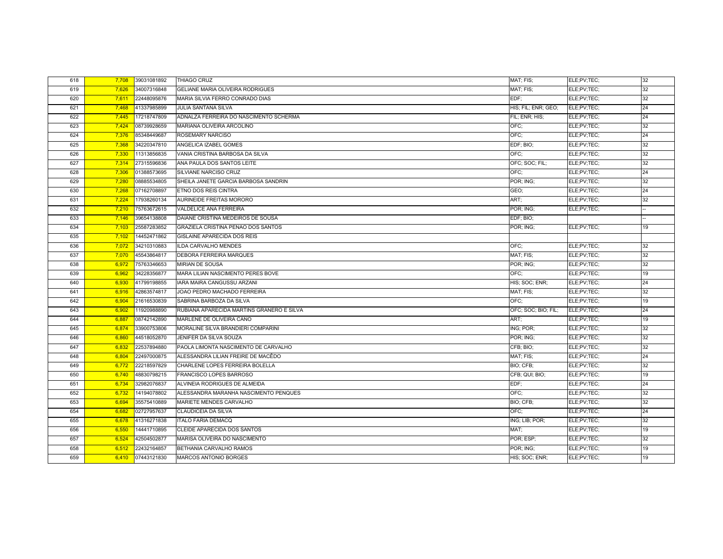| 618 | 7,708 | 39031081892 | THIAGO CRUZ                               | MAT; FIS;           | ELE;PV;TEC; | 32 |
|-----|-------|-------------|-------------------------------------------|---------------------|-------------|----|
| 619 | 7,626 | 34007316848 | GELIANE MARIA OLIVEIRA RODRIGUES          | MAT; FIS;           | ELE;PV;TEC; | 32 |
| 620 | 7,611 | 22448095876 | MARIA SILVIA FERRO CONRADO DIAS           | EDF:                | ELE;PV;TEC; | 32 |
| 621 | 7,468 | 41337985899 | <b>JULIA SANTANA SILVA</b>                | HIS; FIL; ENR; GEO; | ELE;PV;TEC; | 24 |
| 622 | 7,445 | 17218747809 | ADNALZA FERREIRA DO NASCIMENTO SCHERMA    | FIL; ENR; HIS;      | ELE;PV;TEC; | 24 |
| 623 | 7,424 | 08739928659 | MARIANA OLIVEIRA ARCOLINO                 | OFC;                | ELE;PV;TEC; | 32 |
| 624 | 7,376 | 85348449687 | ROSEMARY NARCISO                          | OFC;                | ELE;PV;TEC; | 24 |
| 625 | 7,368 | 34220347810 | ANGELICA IZABEL GOMES                     | EDF; BIO;           | ELE;PV;TEC; | 32 |
| 626 | 7,330 | 11313856835 | VANIA CRISTINA BARBOSA DA SILVA           | OFC:                | ELE;PV;TEC; | 32 |
| 627 | 7,314 | 27315596836 | ANA PAULA DOS SANTOS LEITE                | OFC: SOC: FIL:      | ELE;PV;TEC; | 32 |
| 628 | 7,306 | 01388573695 | SILVIANE NARCISO CRUZ                     | OFC:                | ELE;PV;TEC; | 24 |
| 629 | 7,280 | 08885534805 | SHEILA JANETE GARCIA BARBOSA SANDRIN      | POR; ING;           | ELE;PV;TEC; | 32 |
| 630 | 7,268 | 07162708897 | ETNO DOS REIS CINTRA                      | GEO:                | ELE;PV;TEC; | 24 |
| 631 | 7,224 | 17938260134 | AURINEIDE FREITAS MORORO                  | ART:                | ELE;PV;TEC; | 32 |
| 632 | 7,210 | 75763672615 | VALDELICE ANA FERREIRA                    | POR; ING;           | ELE;PV;TEC; |    |
| 633 | 7,146 | 39654138808 | DAIANE CRISTINA MEDEIROS DE SOUSA         | EDF; BIO;           |             |    |
| 634 | 7,103 | 25587283852 | GRAZIELA CRISTINA PENAO DOS SANTOS        | POR; ING;           | ELE;PV;TEC; | 19 |
| 635 | 7,102 | 14452471862 | GISLAINE APARECIDA DOS REIS               |                     |             |    |
| 636 | 7,072 | 34210310883 | ILDA CARVALHO MENDES                      | OFC;                | ELE;PV;TEC; | 32 |
| 637 | 7,070 | 45543864817 | <b>DEBORA FERREIRA MARQUES</b>            | MAT; FIS;           | ELE;PV;TEC; | 32 |
| 638 | 6,972 | 75763346653 | MIRIAN DE SOUSA                           | POR; ING;           | ELE;PV;TEC; | 32 |
| 639 | 6,962 | 34228356877 | MARA LILIAN NASCIMENTO PERES BOVE         | OFC:                | ELE;PV;TEC; | 19 |
| 640 | 6,930 | 41799198855 | IARA MAIRA CANGUSSU ARZANI                | HIS; SOC; ENR;      | ELE;PV;TEC; | 24 |
| 641 | 6,916 | 42863574817 | JOAO PEDRO MACHADO FERREIRA               | MAT; FIS;           | ELE;PV;TEC; | 32 |
| 642 | 6,904 | 21616530839 | SABRINA BARBOZA DA SILVA                  | OFC:                | ELE;PV;TEC; | 19 |
| 643 | 6,902 | 11920988890 | RUBIANA APARECIDA MARTINS GRANERO E SILVA | OFC; SOC; BIO; FIL; | ELE;PV;TEC; | 24 |
| 644 | 6,887 | 08742142890 | MARLENE DE OLIVEIRA CANO                  | ART;                | ELE;PV;TEC; | 19 |
| 645 | 6.874 | 33900753806 | MORALINE SILVA BRANDIERI COMPARINI        | ING; POR;           | ELE;PV;TEC; | 32 |
| 646 | 6,860 | 44518052870 | JENIFER DA SILVA SOUZA                    | POR; ING;           | ELE;PV;TEC; | 32 |
| 647 | 6,832 | 22537894880 | PAOLA LIMONTA NASCIMENTO DE CARVALHO      | CFB; BIO;           | ELE;PV;TEC; | 32 |
| 648 | 6,804 | 22497000875 | ALESSANDRA LILIAN FREIRE DE MACÊDO        | MAT; FIS;           | ELE;PV;TEC; | 24 |
| 649 | 6,772 | 22218597829 | CHARLENE LOPES FERREIRA BOLELLA           | BIO; CFB;           | ELE;PV;TEC; | 32 |
| 650 | 6,740 | 48830798215 | <b>FRANCISCO LOPES BARROSO</b>            | CFB; QUI; BIO;      | ELE;PV;TEC; | 19 |
| 651 | 6,734 | 32982076837 | ALVINEIA RODRIGUES DE ALMEIDA             | EDF;                | ELE;PV;TEC; | 24 |
| 652 | 6,732 | 14194078802 | ALESSANDRA MARANHA NASCIMENTO PENQUES     | OFC;                | ELE;PV;TEC; | 32 |
| 653 | 6,694 | 35575410889 | MARIETE MENDES CARVALHO                   | BIO; CFB;           | ELE;PV;TEC; | 32 |
| 654 | 6,682 | 02727957637 | <b>CLAUDICEIA DA SILVA</b>                | OFC:                | ELE;PV;TEC; | 24 |
| 655 | 6,678 | 41316271838 | <b>ITALO FARIA DEMACQ</b>                 | ING; LIB; POR;      | ELE;PV;TEC; | 32 |
| 656 | 6.550 | 14441710895 | CLEIDE APARECIDA DOS SANTOS               | MAT:                | ELE;PV;TEC; | 19 |
| 657 | 6.524 | 42504502877 | MARISA OLIVEIRA DO NASCIMENTO             | POR; ESP;           | ELE;PV;TEC; | 32 |
| 658 | 6,512 | 22432164857 | BETHANIA CARVALHO RAMOS                   | POR; ING;           | ELE;PV;TEC; | 19 |
| 659 | 6,410 | 07443121830 | MARCOS ANTONIO BORGES                     | HIS; SOC; ENR;      | ELE;PV;TEC; | 19 |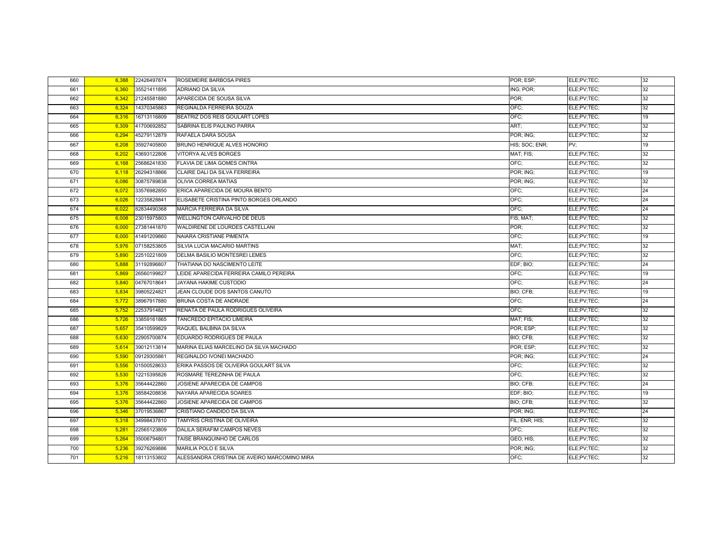| 660 | 6,388 | 22426497874 | ROSEMEIRE BARBOSA PIRES                      | POR: ESP:      | ELE;PV;TEC; | 32 |
|-----|-------|-------------|----------------------------------------------|----------------|-------------|----|
| 661 | 6,360 | 35521411895 | ADRIANO DA SILVA                             | ING; POR;      | ELE;PV;TEC; | 32 |
| 662 | 6,342 | 21245581880 | APARECIDA DE SOUSA SILVA                     | POR:           | ELE;PV;TEC; | 32 |
| 663 | 6,324 | 14370345863 | REGINALDA FERREIRA SOUZA                     | OFC;           | ELE;PV;TEC; | 32 |
| 664 | 6,316 | 16713116809 | BEATRIZ DOS REIS GOULART LOPES               | OFC:           | ELE;PV;TEC; | 19 |
| 665 | 6,309 | 41700692852 | SABRINA ELIS PAULINO PARRA                   | ART;           | ELE;PV;TEC; | 32 |
| 666 | 6,294 | 45279112879 | RAFAELA DARA SOUSA                           | POR; ING;      | ELE;PV;TEC; | 32 |
| 667 | 6,208 | 35927405800 | <b>BRUNO HENRIQUE ALVES HONORIO</b>          | HIS; SOC; ENR; | PV:         | 19 |
| 668 | 6,202 | 43693122806 | <b>VITORYA ALVES BORGES</b>                  | MAT; FIS;      | ELE;PV;TEC; | 32 |
| 669 | 6,168 | 25686241830 | FLAVIA DE LIMA GOMES CINTRA                  | OFC:           | ELE;PV;TEC; | 32 |
| 670 | 6,118 | 26294318866 | CLAIRE DALI DA SILVA FERREIRA                | POR; ING;      | ELE;PV;TEC; | 19 |
| 671 | 6,086 | 30875789838 | OLIVIA CORREA MATIAS                         | POR; ING;      | ELE;PV;TEC; | 32 |
| 672 | 6,072 | 33576982850 | ERICA APARECIDA DE MOURA BENTO               | OFC;           | ELE;PV;TEC; | 24 |
| 673 | 6,026 | 12235828841 | ELISABETE CRISTINA PINTO BORGES ORLANDO      | OFC:           | ELE;PV;TEC; | 24 |
| 674 | 6,022 | 82834490368 | MARCIA FERREIRA DA SILVA                     | OFC:           | ELE:PV:TEC: | 24 |
| 675 | 6,008 | 23015975803 | WELLINGTON CARVALHO DE DEUS                  | FIS; MAT;      | ELE;PV;TEC; | 32 |
| 676 | 6,000 | 27381441870 | WALDIRENE DE LOURDES CASTELLANI              | POR:           | ELE;PV;TEC; | 32 |
| 677 | 6,000 | 41491209860 | NAIARA CRISTIANE PIMENTA                     | OFC;           | ELE;PV;TEC; | 19 |
| 678 | 5,976 | 07158253805 | SILVIA LUCIA MACARIO MARTINS                 | MAT:           | ELE;PV;TEC; | 32 |
| 679 | 5,890 | 22510221809 | DELMA BASILIO MONTESREI LEMES                | OFC;           | ELE;PV;TEC; | 32 |
| 680 | 5,888 | 31192896807 | THATIANA DO NASCIMENTO LEITE                 | EDF; BIO;      | ELE;PV;TEC; | 24 |
| 681 | 5,869 | 26560199827 | LEIDE APARECIDA FERREIRA CAMILO PEREIRA      | OFC;           | ELE;PV;TEC; | 19 |
| 682 | 5,840 | 04767018641 | JAYANA HAKIME CUSTODIO                       | OFC:           | ELE;PV;TEC; | 24 |
| 683 | 5,834 | 39805224821 | JEAN CLOUDE DOS SANTOS CANUTO                | BIO; CFB;      | ELE:PV:TEC: | 19 |
| 684 | 5,772 | 38967917880 | BRUNA COSTA DE ANDRADE                       | OFC;           | ELE;PV;TEC; | 24 |
| 685 | 5,752 | 22537914821 | RENATA DE PAULA RODRIGUES OLIVEIRA           | OFC:           | ELE;PV;TEC; | 32 |
| 686 | 5,726 | 33859161865 | TANCREDO EPITACIO LIMEIRA                    | MAT; FIS;      | ELE;PV;TEC; | 32 |
| 687 | 5,657 | 35410599829 | RAQUEL BALBINA DA SILVA                      | POR: ESP:      | ELE;PV;TEC; | 32 |
| 688 | 5,630 | 22905700874 | EDUARDO RODRIGUES DE PAULA                   | BIO; CFB;      | ELE;PV;TEC; | 32 |
| 689 | 5,614 | 39012113814 | MARINA ELIAS MARCELINO DA SILVA MACHADO      | POR: ESP:      | ELE;PV;TEC; | 32 |
| 690 | 5,590 | 09129305861 | REGINALDO IVONEI MACHADO                     | POR; ING;      | ELE;PV;TEC; | 24 |
| 691 | 5,556 | 01500528633 | ERIKA PASSOS DE OLIVEIRA GOULART SILVA       | OFC:           | ELE;PV;TEC; | 32 |
| 692 | 5,530 | 12215395826 | ROSMARE TEREZINHA DE PAULA                   | OFC:           | ELE;PV;TEC; | 32 |
| 693 | 5,376 | 35644422860 | JOSIENE APARECIDA DE CAMPOS                  | BIO; CFB;      | ELE;PV;TEC; | 24 |
| 694 | 5,376 | 38584208836 | NAYARA APARECIDA SOARES                      | EDF; BIO;      | ELE;PV;TEC; | 19 |
| 695 | 5,376 | 35644422860 | JOSIENE APARECIDA DE CAMPOS                  | BIO; CFB;      | ELE;PV;TEC; | 32 |
| 696 | 5,346 | 37019536867 | CRISTIANO CANDIDO DA SILVA                   | POR; ING;      | ELE;PV;TEC; | 24 |
| 697 | 5,318 | 34998437810 | TAMYRIS CRISTINA DE OLIVEIRA                 | FIL; ENR; HIS; | ELE;PV;TEC; | 32 |
| 698 | 5,281 | 22565123809 | DALILA SERAFIM CAMPOS NEVES                  | OFC:           | ELE;PV;TEC; | 32 |
| 699 | 5,264 | 35006794801 | TAISE BRANQUINHO DE CARLOS                   | GEO; HIS;      | ELE;PV;TEC; | 32 |
| 700 | 5,236 | 39276269886 | MARILIA POLO E SILVA                         | POR; ING;      | ELE;PV;TEC; | 32 |
| 701 | 5,216 | 18113153802 | ALESSANDRA CRISTINA DE AVEIRO MARCOMINO MIRA | OFC;           | ELE:PV:TEC: | 32 |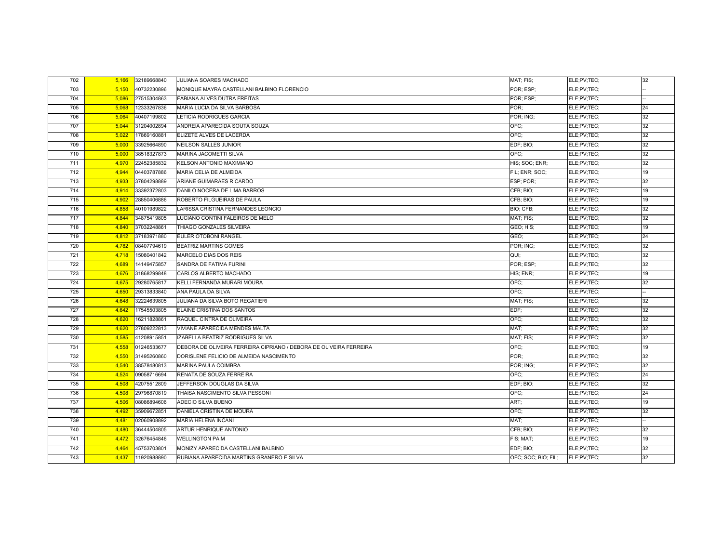| 702 | 5,166 | 32189668840 | JULIANA SOARES MACHADO                                             | MAT; FIS;           | ELE;PV;TEC; | 32 |
|-----|-------|-------------|--------------------------------------------------------------------|---------------------|-------------|----|
| 703 | 5,150 | 40732230896 | MONIQUE MAYRA CASTELLANI BALBINO FLORENCIO                         | POR; ESP;           | ELE;PV;TEC; |    |
| 704 | 5,086 | 27515304863 | FABIANA ALVES DUTRA FREITAS                                        | POR; ESP;           | ELE;PV;TEC; |    |
| 705 | 5,068 | 12333267836 | MARIA LUCIA DA SILVA BARBOSA                                       | POR:                | ELE;PV;TEC; | 24 |
| 706 | 5,064 | 40407199802 | LETICIA RODRIGUES GARCIA                                           | POR; ING;           | ELE;PV;TEC; | 32 |
| 707 | 5,044 | 31204002894 | ANDREIA APARECIDA SOUTA SOUZA                                      | OFC;                | ELE;PV;TEC; | 32 |
| 708 | 5,022 | 17869160881 | ELIZETE ALVES DE LACERDA                                           | OFC;                | ELE;PV;TEC; | 32 |
| 709 | 5,000 | 33925664890 | NEILSON SALLES JUNIOR                                              | EDF; BIO;           | ELE;PV;TEC; | 32 |
| 710 | 5,000 | 38518327873 | <b>MARINA JACOMETTI SILVA</b>                                      | OFC:                | ELE;PV;TEC; | 32 |
| 711 | 4,970 | 22452385832 | <b>KELSON ANTONIO MAXIMIANO</b>                                    | HIS: SOC: ENR:      | ELE;PV;TEC; | 32 |
| 712 | 4,944 | 04403787886 | MARIA CELIA DE ALMEIDA                                             | FIL; ENR; SOC;      | ELE;PV;TEC; | 19 |
| 713 | 4,933 | 37804298889 | ARIANE GUIMARAES RICARDO                                           | ESP; POR;           | ELE;PV;TEC; | 32 |
| 714 | 4,914 | 33392372803 | DANILO NOCERA DE LIMA BARROS                                       | CFB; BIO;           | ELE;PV;TEC; | 19 |
| 715 | 4,902 | 28850406886 | ROBERTO FILGUEIRAS DE PAULA                                        | CFB; BIO;           | ELE;PV;TEC; | 19 |
| 716 | 4,858 | 40101989822 | LARISSA CRISTINA FERNANDES LEONCIO                                 | BIO; CFB;           | ELE;PV;TEC; | 32 |
| 717 | 4,844 | 34875419805 | LUCIANO CONTINI FALEIROS DE MELO                                   | MAT; FIS;           | ELE;PV;TEC; | 32 |
| 718 | 4,840 | 37032248861 | THIAGO GONZALES SILVEIRA                                           | GEO; HIS;           | ELE;PV;TEC; | 19 |
| 719 | 4,812 | 37183971880 | EULER OTOBONI RANGEL                                               | GEO;                | ELE;PV;TEC; | 24 |
| 720 | 4,782 | 08407794619 | <b>BEATRIZ MARTINS GOMES</b>                                       | POR; ING;           | ELE;PV;TEC; | 32 |
| 721 | 4,718 | 15080401842 | MARCELO DIAS DOS REIS                                              | QUI;                | ELE;PV;TEC; | 32 |
| 722 | 4,689 | 14149475857 | SANDRA DE FATIMA FURINI                                            | POR; ESP;           | ELE;PV;TEC; | 32 |
| 723 | 4,676 | 31868299848 | CARLOS ALBERTO MACHADO                                             | HIS; ENR;           | ELE;PV;TEC; | 19 |
| 724 | 4,675 | 29280765817 | KELLI FERNANDA MURARI MOURA                                        | OFC;                | ELE;PV;TEC; | 32 |
| 725 | 4,650 | 29313833840 | ANA PAULA DA SILVA                                                 | OFC;                | ELE;PV;TEC; |    |
| 726 | 4,648 | 32224639805 | JULIANA DA SILVA BOTO REGATIERI                                    | MAT; FIS;           | ELE;PV;TEC; | 32 |
| 727 | 4,642 | 17545503805 | ELAINE CRISTINA DOS SANTOS                                         | EDF;                | ELE;PV;TEC; | 32 |
| 728 | 4,620 | 16211828861 | RAQUEL CINTRA DE OLIVEIRA                                          | OFC:                | ELE;PV;TEC; | 32 |
| 729 | 4.620 | 27809222813 | <b>VIVIANE APARECIDA MENDES MALTA</b>                              | MAT:                | ELE;PV;TEC; | 32 |
| 730 | 4,585 | 41208915851 | IZABELLA BEATRIZ RODRIGUES SILVA                                   | MAT; FIS;           | ELE;PV;TEC; | 32 |
| 731 | 4,558 | 01246533677 | DEBORA DE OLIVEIRA FERREIRA CIPRIANO / DEBORA DE OLIVEIRA FERREIRA | OFC:                | ELE;PV;TEC; | 19 |
| 732 | 4,550 | 31495260860 | DORISLENE FELICIO DE ALMEIDA NASCIMENTO                            | POR:                | ELE;PV;TEC; | 32 |
| 733 | 4,540 | 38578480813 | <b>MARINA PAULA COIMBRA</b>                                        | POR; ING;           | ELE;PV;TEC; | 32 |
| 734 | 4,524 | 09058716694 | RENATA DE SOUZA FERREIRA                                           | OFC:                | ELE;PV;TEC; | 24 |
| 735 | 4,508 | 42075512809 | JEFFERSON DOUGLAS DA SILVA                                         | EDF; BIO;           | ELE;PV;TEC; | 32 |
| 736 | 4,508 | 29796870819 | THAISA NASCIMENTO SILVA PESSONI                                    | OFC;                | ELE;PV;TEC; | 24 |
| 737 | 4,506 | 08086894606 | ADECIO SILVA BUENO                                                 | ART;                | ELE;PV;TEC; | 19 |
| 738 | 4,492 | 35909672851 | DANIELA CRISTINA DE MOURA                                          | OFC;                | ELE;PV;TEC; | 32 |
| 739 | 4,481 | 02060908892 | <b>MARIA HELENA INCANI</b>                                         | MAT;                | ELE;PV;TEC; |    |
| 740 | 4.480 | 36444504805 | ARTUR HENRIQUE ANTONIO                                             | CFB; BIO;           | ELE;PV;TEC; | 32 |
| 741 | 4,472 | 32676454846 | <b>WELLINGTON PAIM</b>                                             | FIS; MAT;           | ELE;PV;TEC; | 19 |
| 742 | 4,464 | 45753703801 | MONIZY APARECIDA CASTELLANI BALBINO                                | EDF; BIO;           | ELE;PV;TEC; | 32 |
| 743 | 4,437 | 11920988890 | RUBIANA APARECIDA MARTINS GRANERO E SILVA                          | OFC; SOC; BIO; FIL; | ELE;PV;TEC; | 32 |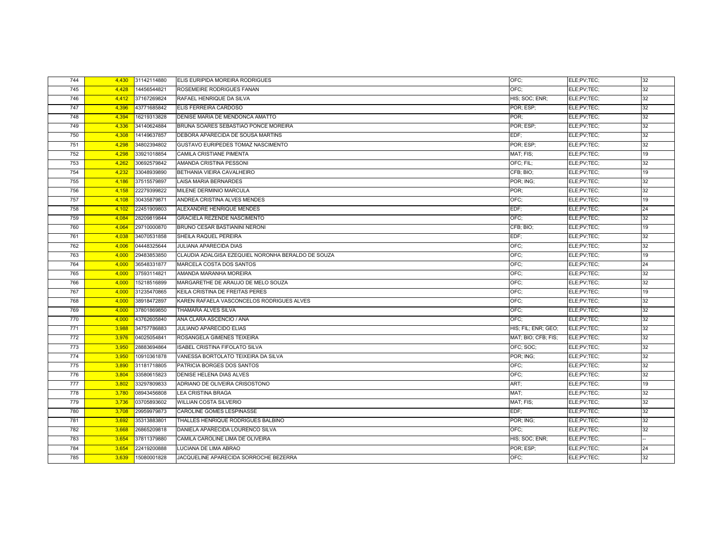| 744 | 4,430 | 31142114880 | ELIS EURIPIDA MOREIRA RODRIGUES                    | OFC:                | ELE;PV;TEC; | 32 |
|-----|-------|-------------|----------------------------------------------------|---------------------|-------------|----|
| 745 | 4,428 | 14456544821 | ROSEMEIRE RODRIGUES FANAN                          | OFC;                | ELE;PV;TEC; | 32 |
| 746 | 4,412 | 37167269824 | RAFAEL HENRIQUE DA SILVA                           | HIS; SOC; ENR;      | ELE;PV;TEC; | 32 |
| 747 | 4,396 | 43771685842 | ELIS FERREIRA CARDOSO                              | POR; ESP;           | ELE;PV;TEC; | 32 |
| 748 | 4,394 | 16219313828 | DENISE MARIA DE MENDONCA AMATTO                    | POR:                | ELE;PV;TEC; | 32 |
| 749 | 4,336 | 34140624884 | BRUNA SOARES SEBASTIAO PONCE MOREIRA               | POR; ESP;           | ELE;PV;TEC; | 32 |
| 750 | 4,308 | 14149637857 | DEBORA APARECIDA DE SOUSA MARTINS                  | EDF:                | ELE;PV;TEC; | 32 |
| 751 | 4,298 | 34802394802 | GUSTAVO EURIPEDES TOMAZ NASCIMENTO                 | POR; ESP;           | ELE;PV;TEC; | 32 |
| 752 | 4,298 | 33921018854 | CAMILA CRISTIANE PIMENTA                           | MAT; FIS;           | ELE;PV;TEC; | 19 |
| 753 | 4,262 | 30692579842 | AMANDA CRISTINA PESSONI                            | OFC: FIL:           | ELE;PV;TEC; | 32 |
| 754 | 4,232 | 33048939890 | BETHANIA VIEIRA CAVALHEIRO                         | CFB; BIO;           | ELE;PV;TEC; | 19 |
| 755 | 4,186 | 37515579897 | LAISA MARIA BERNARDES                              | POR; ING;           | ELE;PV;TEC; | 32 |
| 756 | 4,158 | 22279399822 | MILENE DERMINIO MARCULA                            | POR:                | ELE;PV;TEC; | 32 |
| 757 | 4,108 | 30435879871 | ANDREA CRISTINA ALVES MENDES                       | OFC:                | ELE;PV;TEC; | 19 |
| 758 | 4,102 | 22451909803 | ALEXANDRE HENRIQUE MENDES                          | EDF:                | ELE;PV;TEC; | 24 |
| 759 | 4,084 | 28209819844 | GRACIELA REZENDE NASCIMENTO                        | OFC:                | ELE;PV;TEC; | 32 |
| 760 | 4,064 | 29710000870 | <b>BRUNO CESAR BASTIANINI NERONI</b>               | CFB; BIO;           | ELE;PV;TEC; | 19 |
| 761 | 4,038 | 34070531858 | SHEILA RAQUEL PEREIRA                              | EDF:                | ELE;PV;TEC; | 32 |
| 762 | 4,006 | 04448325644 | JULIANA APARECIDA DIAS                             | OFC;                | ELE;PV;TEC; | 32 |
| 763 | 4,000 | 29483853850 | CLAUDIA ADALGISA EZEQUIEL NORONHA BERALDO DE SOUZA | OFC:                | ELE;PV;TEC; | 19 |
| 764 | 4,000 | 36548331877 | MARCELA COSTA DOS SANTOS                           | OFC:                | ELE;PV;TEC; | 24 |
| 765 | 4,000 | 37593114821 | AMANDA MARANHA MOREIRA                             | OFC:                | ELE;PV;TEC; | 32 |
| 766 | 4,000 | 15218516899 | MARGARETHE DE ARAUJO DE MELO SOUZA                 | OFC;                | ELE;PV;TEC; | 32 |
| 767 | 4,000 | 31235470865 | KEILA CRISTINA DE FREITAS PERES                    | OFC:                | ELE;PV;TEC; | 19 |
| 768 | 4,000 | 38918472897 | KAREN RAFAELA VASCONCELOS RODRIGUES ALVES          | OFC:                | ELE;PV;TEC; | 32 |
| 769 | 4,000 | 37801869850 | <b>THAMARA ALVES SILVA</b>                         | OFC;                | ELE;PV;TEC; | 32 |
| 770 | 4,000 | 43762605840 | ANA CLARA ASCENCIO / ANA                           | OFC:                | ELE;PV;TEC; | 32 |
| 771 | 3.988 | 34757786883 | <b>JULIANO APARECIDO ELIAS</b>                     | HIS; FIL; ENR; GEO; | ELE;PV;TEC; | 32 |
| 772 | 3,976 | 04025054841 | ROSANGELA GIMENES TEIXEIRA                         | MAT; BIO; CFB; FIS; | ELE;PV;TEC; | 32 |
| 773 | 3,950 | 28883694864 | <b>ISABEL CRISTINA FIFOLATO SILVA</b>              | OFC: SOC:           | ELE;PV;TEC; | 32 |
| 774 | 3,950 | 10910361878 | VANESSA BORTOLATO TEIXEIRA DA SILVA                | POR; ING;           | ELE;PV;TEC; | 32 |
| 775 | 3,890 | 31181718805 | PATRICIA BORGES DOS SANTOS                         | OFC:                | ELE;PV;TEC; | 32 |
| 776 | 3,804 | 33580615823 | DENISE HELENA DIAS ALVES                           | OFC:                | ELE;PV;TEC; | 32 |
| 777 | 3,802 | 33297809833 | ADRIANO DE OLIVEIRA CRISOSTONO                     | ART;                | ELE;PV;TEC; | 19 |
| 778 | 3,780 | 08943456808 | <b>LEA CRISTINA BRAGA</b>                          | MAT:                | ELE;PV;TEC; | 32 |
| 779 | 3,736 | 03705893602 | <b>WILLIAN COSTA SILVERIO</b>                      | MAT; FIS;           | ELE;PV;TEC; | 32 |
| 780 | 3,708 | 29959979873 | CAROLINE GOMES LESPINASSE                          | EDF:                | ELE;PV;TEC; | 32 |
| 781 | 3,692 | 35313883801 | THALLES HENRIQUE RODRIGUES BALBINO                 | POR; ING;           | ELE;PV;TEC; | 32 |
| 782 | 3,668 | 26865209818 | DANIELA APARECIDA LOURENCO SILVA                   | OFC:                | ELE;PV;TEC; | 32 |
| 783 | 3,654 | 37811379880 | CAMILA CAROLINE LIMA DE OLIVEIRA                   | HIS; SOC; ENR;      | ELE;PV;TEC; |    |
| 784 | 3,654 | 22419200888 | LUCIANA DE LIMA ABRAO                              | POR; ESP;           | ELE;PV;TEC; | 24 |
| 785 | 3,639 | 15080001828 | JACQUELINE APARECIDA SORROCHE BEZERRA              | OFC;                | ELE;PV;TEC; | 32 |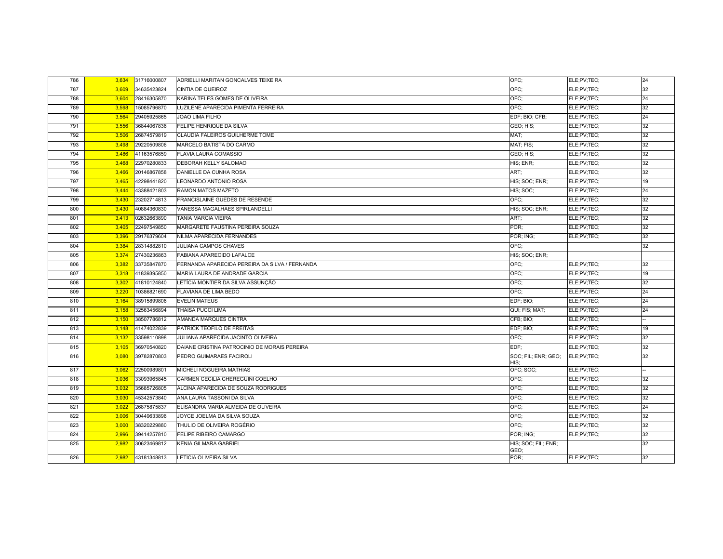| 786 | 3,634 | 31716000807 | ADRIELLI MARITAN GONCALVES TEIXEIRA            | OFC:                                    | ELE;PV;TEC; | 24 |
|-----|-------|-------------|------------------------------------------------|-----------------------------------------|-------------|----|
| 787 | 3,609 | 34635423824 | <b>CINTIA DE QUEIROZ</b>                       | OFC:                                    | ELE;PV;TEC; | 32 |
| 788 | 3,604 | 28416305870 | KARINA TELES GOMES DE OLIVEIRA                 | OFC;                                    | ELE;PV;TEC; | 24 |
| 789 | 3,598 | 15085796870 | LUZILENE APARECIDA PIMENTA FERREIRA            | OFC;                                    | ELE;PV;TEC; | 32 |
| 790 | 3,564 | 29405925865 | <b>JOAO LIMA FILHO</b>                         | EDF; BIO; CFB;                          | ELE;PV;TEC; | 24 |
| 791 | 3,556 | 36844067836 | FELIPE HENRIQUE DA SILVA                       | GEO; HIS;                               | ELE;PV;TEC; | 32 |
| 792 | 3,506 | 26874579819 | CLAUDIA FALEIROS GUILHERME TOME                | MAT;                                    | ELE;PV;TEC; | 32 |
| 793 | 3,498 | 29220509806 | MARCELO BATISTA DO CARMO                       | MAT; FIS;                               | ELE;PV;TEC; | 32 |
| 794 | 3,486 | 41163576859 | <b>FLAVIA LAURA COMASSIO</b>                   | GEO; HIS;                               | ELE;PV;TEC; | 32 |
| 795 | 3,468 | 22970280833 | DEBORAH KELLY SALOMAO                          | HIS; ENR;                               | ELE;PV;TEC; | 32 |
| 796 | 3,466 | 20146867858 | DANIELLE DA CUNHA ROSA                         | ART:                                    | ELE;PV;TEC; | 32 |
| 797 | 3.465 | 42298441820 | LEONARDO ANTONIO ROSA                          | HIS; SOC; ENR;                          | ELE;PV;TEC; | 19 |
| 798 | 3,444 | 43388421803 | RAMON MATOS MAZETO                             | HIS; SOC;                               | ELE;PV;TEC; | 24 |
| 799 | 3,430 | 23202714813 | FRANCISLAINE GUEDES DE RESENDE                 | OFC:                                    | ELE;PV;TEC; | 32 |
| 800 | 3,430 | 40884360830 | VANESSA MAGALHAES SPIRLANDELLI                 | HIS; SOC; ENR;                          | ELE;PV;TEC; | 32 |
| 801 | 3,413 | 02632663890 | <b>TANIA MARCIA VIEIRA</b>                     | ART;                                    | ELE;PV;TEC; | 32 |
| 802 | 3,405 | 22497549850 | MARGARETE FAUSTINA PEREIRA SOUZA               | POR:                                    | ELE;PV;TEC; | 32 |
| 803 | 3,396 | 29176379604 | NILMA APARECIDA FERNANDES                      | POR; ING;                               | ELE;PV;TEC; | 32 |
| 804 | 3,384 | 28314882810 | <b>JULIANA CAMPOS CHAVES</b>                   | OFC:                                    |             | 32 |
| 805 | 3,374 | 27430236863 | FABIANA APARECIDO LAFALCE                      | HIS; SOC; ENR;                          |             |    |
| 806 | 3,382 | 33735847870 | FERNANDA APARECIDA PEREIRA DA SILVA / FERNANDA | OFC:                                    | ELE;PV;TEC; | 32 |
| 807 | 3,318 | 41839395850 | MARIA LAURA DE ANDRADE GARCIA                  | OFC:                                    | ELE;PV;TEC; | 19 |
| 808 | 3,302 | 41810124840 | LETÍCIA MONTIER DA SILVA ASSUNÇÃO              | OFC:                                    | ELE;PV;TEC; | 32 |
| 809 | 3,220 | 10386821690 | FLAVIANA DE LIMA BEDO                          | OFC:                                    | ELE;PV;TEC; | 24 |
| 810 | 3,164 | 38915899806 | <b>EVELIN MATEUS</b>                           | EDF; BIO;                               | ELE;PV;TEC; | 24 |
| 811 | 3,158 | 32563456894 | <b>THAISA PUCCI LIMA</b>                       | QUI; FIS; MAT;                          | ELE;PV;TEC; | 24 |
| 812 | 3,150 | 38507786812 | AMANDA MARQUES CINTRA                          | CFB; BIO;                               | ELE;PV;TEC; |    |
| 813 | 3,148 | 41474022839 | PATRICK TEOFILO DE FREITAS                     | EDF; BIO;                               | ELE;PV;TEC; | 19 |
| 814 | 3,132 | 33598110898 | JULIANA APARECIDA JACINTO OLIVEIRA             | OFC:                                    | ELE;PV;TEC; | 32 |
| 815 | 3,105 | 36970540820 | DAIANE CRISTINA PATROCINIO DE MORAIS PEREIRA   | EDF:                                    | ELE;PV;TEC; | 32 |
| 816 | 3,080 | 39782870803 | PEDRO GUIMARAES FACIROLI                       | SOC; FIL; ENR; GEO; ELE;PV;TEC;<br>HIS: |             | 32 |
| 817 | 3,062 | 22500989801 | MICHELI NOGUEIRA MATHIAS                       | OFC; SOC;                               | ELE;PV;TEC; |    |
| 818 | 3,036 | 33093965845 | CARMEN CECILIA CHEREGUINI COELHO               | OFC:                                    | ELE;PV;TEC; | 32 |
| 819 | 3,032 | 35685726805 | ALCINA APARECIDA DE SOUZA RODRIGUES            | OFC:                                    | ELE;PV;TEC; | 32 |
| 820 | 3,030 | 45342573840 | ANA LAURA TASSONI DA SILVA                     | OFC:                                    | ELE;PV;TEC; | 32 |
| 821 | 3,022 | 26875875837 | ELISANDRA MARIA ALMEIDA DE OLIVEIRA            | OFC:                                    | ELE;PV;TEC; | 24 |
| 822 | 3,006 | 30449633896 | JOYCE JOELMA DA SILVA SOUZA                    | OFC;                                    | ELE;PV;TEC; | 32 |
| 823 | 3,000 | 38320229880 | THULIO DE OLIVEIRA ROGÉRIO                     | OFC;                                    | ELE;PV;TEC; | 32 |
| 824 | 2,996 | 39414257810 | FELIPE RIBEIRO CAMARGO                         | POR; ING;                               | ELE;PV;TEC; | 32 |
| 825 | 2,982 | 30623469812 | KENIA GILMARA GABRIEL                          | HIS; SOC; FIL; ENR;<br>GEO;             |             | 32 |
| 826 | 2,982 | 43181348813 | LETICIA OLIVEIRA SILVA                         | POR:                                    | ELE;PV;TEC; | 32 |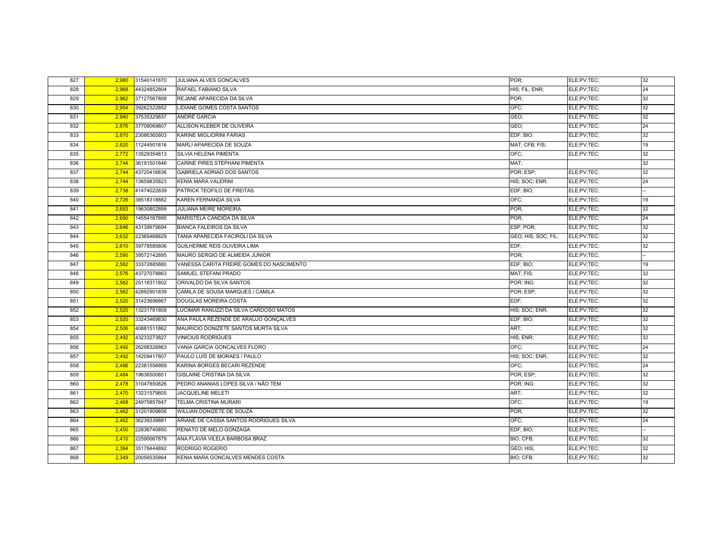| 827 | 2,980 | 31540141870 | JULIANA ALVES GONCALVES                   | POR:                | ELE;PV;TEC; | 32 |
|-----|-------|-------------|-------------------------------------------|---------------------|-------------|----|
| 828 | 2,968 | 44324852804 | RAFAEL FABIANO SILVA                      | HIS; FIL; ENR;      | ELE;PV;TEC; | 24 |
| 829 | 2,962 | 37127567808 | REJANE APARECIDA DA SILVA                 | POR:                | ELE;PV;TEC; | 32 |
| 830 | 2,954 | 39262322852 | LIDIANE GOMES COSTA SANTOS                | OFC:                | ELE;PV;TEC; | 32 |
| 831 | 2,940 | 37535329837 | ANDRÉ GARCIA                              | GEO:                | ELE;PV;TEC; | 32 |
| 832 | 2,876 | 37708069807 | ALLISON KLEBER DE OLIVEIRA                | GEO;                | ELE;PV;TEC; | 24 |
| 833 | 2,870 | 23086365803 | KARINE MIGLIORINI FARIAS                  | EDF; BIO;           | ELE;PV;TEC; | 32 |
| 834 | 2,820 | 11244501816 | MARLI APARECIDA DE SOUZA                  | MAT; CFB; FIS;      | ELE;PV;TEC; | 19 |
| 835 | 2,772 | 13529354813 | SILVIA HELENA PIMENTA                     | OFC:                | ELE:PV:TEC: | 32 |
| 836 | 2,744 | 36191501846 | CARINE PIRES STEPHANI PIMENTA             | MAT:                |             | 32 |
| 837 | 2,744 | 43720416836 | GABRIELA ADRIAO DOS SANTOS                | POR: ESP:           | ELE;PV;TEC; | 32 |
| 838 | 2,744 | 13859835823 | <b>KENIA MARA VALERINI</b>                | HIS: SOC: ENR:      | ELE:PV:TEC: | 24 |
| 839 | 2,738 | 41474022839 | PATRICK TEOFILO DE FREITAS                | EDF; BIO;           | ELE;PV;TEC; |    |
| 840 | 2,726 | 38518318882 | KAREN FERNANDA SILVA                      | OFC;                | ELE;PV;TEC; | 19 |
| 841 | 2,693 | 19630802899 | <b>JULIANA MEIRE MOREIRA</b>              | POR;                | ELE;PV;TEC; | 32 |
| 842 | 2,690 | 14554167895 | MARISTELA CANDIDA DA SILVA                | POR:                | ELE;PV;TEC; | 24 |
| 843 | 2,646 | 43139979894 | <b>BIANCA FALEIROS DA SILVA</b>           | ESP; POR;           | ELE;PV;TEC; | 32 |
| 844 | 2,632 | 22365468829 | TANIA APARECIDA FACIROLI DA SILVA         | GEO; HIS; SOC; FIL; | ELE;PV;TEC; | 32 |
| 845 | 2,610 | 39778585806 | GUILHERME REIS OLIVEIRA LIMA              | EDF;                | ELE;PV;TEC; | 32 |
| 846 | 2,590 | 39572142895 | MAURO SERGIO DE ALMEIDA JUNIOR            | POR;                | ELE;PV;TEC; |    |
| 847 | 2,582 | 33372885880 | VANESSA CARITA FREIRE GOMES DO NASCIMENTO | EDF; BIO;           | ELE;PV;TEC; | 19 |
| 848 | 2,576 | 43727078863 | SAMUEL STEFANI PRADO                      | MAT; FIS;           | ELE;PV;TEC; | 32 |
| 849 | 2,562 | 25118311802 | ORIVALDO DA SILVA SANTOS                  | POR; ING;           | ELE;PV;TEC; | 32 |
| 850 | 2,562 | 42892901839 | CAMILA DE SOUSA MARQUES / CAMILA          | POR; ESP;           | ELE;PV;TEC; | 32 |
| 851 | 2,520 | 31423696867 | DOUGLAS MOREIRA COSTA                     | EDF:                | ELE;PV;TEC; | 32 |
| 852 | 2,520 | 13231781809 | LUCIMAR RANUZZI DA SILVA CARDOSO MATOS    | HIS; SOC; ENR;      | ELE;PV;TEC; | 32 |
| 853 | 2,520 | 33243469830 | ANA PAULA REZENDE DE ARAUJO GONÇALVES     | EDF; BIO;           | ELE;PV;TEC; | 32 |
| 854 | 2,506 | 40881511862 | MAURICIO DONIZETE SANTOS MURTA SILVA      | ART;                | ELE;PV;TEC; | 32 |
| 855 | 2,492 | 43233273827 | <b>VINICIUS RODRIGUES</b>                 | HIS; ENR;           | ELE;PV;TEC; | 32 |
| 856 | 2,492 | 26298326863 | VANIA GARCIA GONCALVES FLORO              | OFC:                | ELE;PV;TEC; | 24 |
| 857 | 2,492 | 14209417807 | PAULO LUÍS DE MORAES / PAULO              | HIS; SOC; ENR;      | ELE;PV;TEC; | 32 |
| 858 | 2,486 | 22381556869 | KARINA BORGES BECARI REZENDE              | OFC:                | ELE;PV;TEC; | 24 |
| 859 | 2,484 | 19636500851 | <b>GISLAINE CRISTINA DA SILVA</b>         | POR: ESP:           | ELE;PV;TEC; | 32 |
| 860 | 2,478 | 31047850826 | PEDRO ANANIAS LOPES SILVA / NÃO TEM       | POR; ING;           | ELE;PV;TEC; | 32 |
| 861 | 2,470 | 13231579805 | <b>JACQUELINE MELETI</b>                  | ART;                | ELE;PV;TEC; | 32 |
| 862 | 2,468 | 24975857847 | <b>TELMA CRISTINA MURARI</b>              | OFC;                | ELE;PV;TEC; | 19 |
| 863 | 2,462 | 31201909856 | WILLIAN DONIZETE DE SOUZA                 | POR;                | ELE;PV;TEC; | 32 |
| 864 | 2,462 | 36239339881 | ARIANE DE CASSIA SANTOS RODRIGUES SILVA   | OFC:                | ELE;PV;TEC; | 24 |
| 865 | 2.450 | 22836740850 | RENATO DE MELO GONZAGA                    | EDF; BIO;           | ELE;PV;TEC; |    |
| 866 | 2,410 | 22590067879 | ANA FLAVIA VILELA BARBOSA BRAZ            | BIO; CFB;           | ELE;PV;TEC; | 32 |
| 867 | 2,394 | 35178444892 | RODRIGO ROGERIO                           | GEO; HIS;           | ELE;PV;TEC; | 32 |
| 868 | 2,349 | 20056535864 | KENIA MARA GONCALVES MENDES COSTA         | BIO; CFB;           | ELE;PV;TEC; | 32 |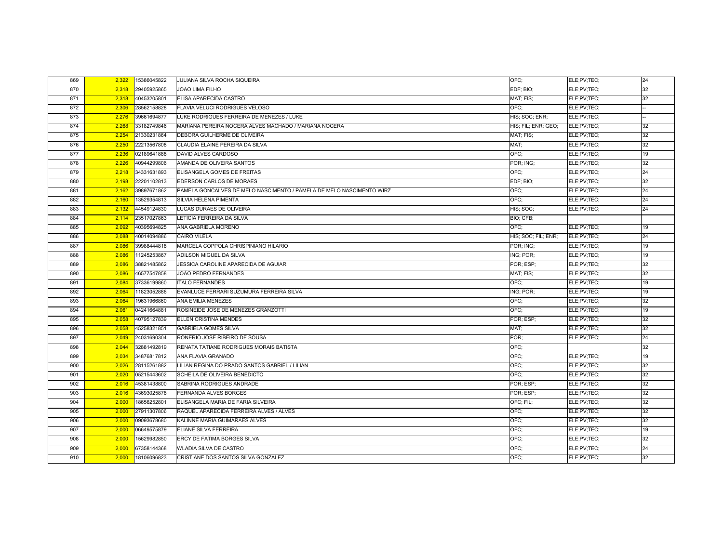| 869 | 2,322 | 15386045822 | JULIANA SILVA ROCHA SIQUEIRA                                         | OFC;                | ELE;PV;TEC; | 24 |
|-----|-------|-------------|----------------------------------------------------------------------|---------------------|-------------|----|
| 870 | 2,318 | 29405925865 | JOAO LIMA FILHO                                                      | EDF; BIO;           | ELE;PV;TEC; | 32 |
| 871 | 2,318 | 40453205801 | ELISA APARECIDA CASTRO                                               | MAT; FIS;           | ELE;PV;TEC; | 32 |
| 872 | 2,306 | 28562158828 | FLAVIA VELUCI RODRIGUES VELOSO                                       | OFC:                | ELE;PV;TEC; |    |
| 873 | 2,276 | 39661694877 | LUKE RODRIGUES FERREIRA DE MENEZES / LUKE                            | HIS; SOC; ENR;      | ELE;PV;TEC; |    |
| 874 | 2.268 | 33182749846 | MARIANA PEREIRA NOCERA ALVES MACHADO / MARIANA NOCERA                | HIS: FIL: ENR: GEO: | ELE;PV;TEC; | 32 |
| 875 | 2,254 | 21330231864 | DEBORA GUILHERME DE OLIVEIRA                                         | MAT; FIS;           | ELE;PV;TEC; | 32 |
| 876 | 2,250 | 22213567808 | CLAUDIA ELAINE PEREIRA DA SILVA                                      | MAT;                | ELE;PV;TEC; | 32 |
| 877 | 2,236 | 02189641888 | DAVID ALVES CARDOSO                                                  | OFC:                | ELE;PV;TEC; | 19 |
| 878 | 2,226 | 40944299806 | AMANDA DE OLIVEIRA SANTOS                                            | POR; ING;           | ELE;PV;TEC; | 32 |
| 879 | 2,218 | 34331631893 | ELISANGELA GOMES DE FREITAS                                          | OFC:                | ELE;PV;TEC; | 24 |
| 880 | 2.198 | 22201102813 | EDERSON CARLOS DE MORAES                                             | EDF; BIO;           | ELE;PV;TEC; | 32 |
| 881 | 2,162 | 39897671862 | PAMELA GONCALVES DE MELO NASCIMENTO / PAMELA DE MELO NASCIMENTO WIRZ | OFC:                | ELE;PV;TEC; | 24 |
| 882 | 2,160 | 13529354813 | SILVIA HELENA PIMENTA                                                | OFC;                | ELE;PV;TEC; | 24 |
| 883 | 2,132 | 44549124830 | LUCAS DURAES DE OLIVEIRA                                             | HIS; SOC;           | ELE;PV;TEC; | 24 |
| 884 | 2,114 | 23517027863 | LETICIA FERREIRA DA SILVA                                            | BIO; CFB;           |             |    |
| 885 | 2,092 | 40395694825 | ANA GABRIELA MORENO                                                  | OFC;                | ELE;PV;TEC; | 19 |
| 886 | 2,088 | 40014094886 | <b>CAIRO VILELA</b>                                                  | HIS; SOC; FIL; ENR; | ELE;PV;TEC; | 24 |
| 887 | 2,086 | 39988444818 | MARCELA COPPOLA CHRISPINIANO HILARIO                                 | POR; ING;           | ELE;PV;TEC; | 19 |
| 888 | 2,086 | 11245253867 | ADILSON MIGUEL DA SILVA                                              | ING; POR;           | ELE;PV;TEC; | 19 |
| 889 | 2,086 | 38821485862 | JESSICA CAROLINE APARECIDA DE AGUIAR                                 | POR; ESP;           | ELE;PV;TEC; | 32 |
| 890 | 2,086 | 46577547858 | JOÃO PEDRO FERNANDES                                                 | MAT; FIS;           | ELE;PV;TEC; | 32 |
| 891 | 2,084 | 37336199860 | <b>ITALO FERNANDES</b>                                               | OFC:                | ELE;PV;TEC; | 19 |
| 892 | 2,064 | 11823052886 | EVANLUCE FERRARI SUZUMURA FERREIRA SILVA                             | ING; POR;           | ELE;PV;TEC; | 19 |
| 893 | 2,064 | 19631966860 | ANA EMILIA MENEZES                                                   | OFC:                | ELE;PV;TEC; | 32 |
| 894 | 2,061 | 04241664881 | ROSINEIDE JOSE DE MENEZES GRANZOTTI                                  | OFC:                | ELE;PV;TEC; | 19 |
| 895 | 2,058 | 40795127839 | ELLEN CRISTINA MENDES                                                | POR: ESP:           | ELE;PV;TEC; | 32 |
| 896 | 2,058 | 45258321851 | <b>GABRIELA GOMES SILVA</b>                                          | MAT:                | ELE;PV;TEC; | 32 |
| 897 | 2,049 | 24031690304 | RONERIO JOSE RIBEIRO DE SOUSA                                        | POR:                | ELE;PV;TEC; | 24 |
| 898 | 2,044 | 32881492819 | RENATA TATIANE RODRIGUES MORAIS BATISTA                              | OFC:                |             | 32 |
| 899 | 2,034 | 34876817812 | ANA FLAVIA GRANADO                                                   | OFC:                | ELE;PV;TEC; | 19 |
| 900 | 2,026 | 28115261882 | LILIAN REGINA DO PRADO SANTOS GABRIEL / LILIAN                       | OFC;                | ELE;PV;TEC; | 32 |
| 901 | 2,020 | 05215443602 | SCHEILA DE OLIVEIRA BENEDICTO                                        | OFC;                | ELE;PV;TEC; | 32 |
| 902 | 2,016 | 45381438800 | SABRINA RODRIGUES ANDRADE                                            | POR; ESP;           | ELE;PV;TEC; | 32 |
| 903 | 2,016 | 43693025878 | <b>FERNANDA ALVES BORGES</b>                                         | POR: ESP:           | ELE;PV;TEC; | 32 |
| 904 | 2,000 | 18656252801 | ELISANGELA MARIA DE FARIA SILVEIRA                                   | OFC; FIL;           | ELE;PV;TEC; | 32 |
| 905 | 2,000 | 27911307806 | RAQUEL APARECIDA FERREIRA ALVES / ALVES                              | OFC:                | ELE;PV;TEC; | 32 |
| 906 | 2,000 | 09093678680 | KALINNE MARIA GUIMARAES ALVES                                        | OFC:                | ELE;PV;TEC; | 32 |
| 907 | 2,000 | 06649575879 | ELIANE SILVA FERREIRA                                                | OFC:                | ELE;PV;TEC; | 19 |
| 908 | 2,000 | 15629982850 | ERCY DE FATIMA BORGES SILVA                                          | OFC:                | ELE;PV;TEC; | 32 |
| 909 | 2,000 | 67358144368 | WLADIA SILVA DE CASTRO                                               | OFC:                | ELE;PV;TEC; | 24 |
| 910 | 2,000 | 18106096823 | CRISTIANE DOS SANTOS SILVA GONZALEZ                                  | OFC:                | ELE;PV;TEC; | 32 |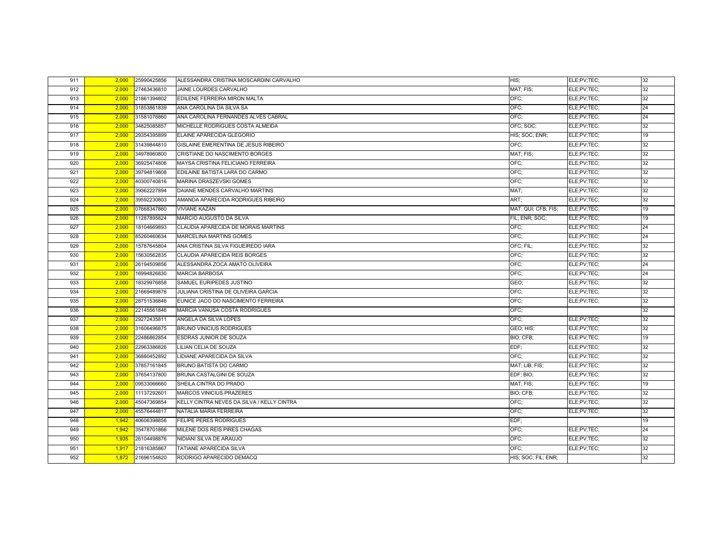| 911 | 2,000 | 25990425856 | ALESSANDRA CRISTINA MOSCARDINI CARVALHO    | HIS:                | ELE;PV;TEC; | 32 |
|-----|-------|-------------|--------------------------------------------|---------------------|-------------|----|
| 912 | 2,000 | 27463436810 | JAINE LOURDES CARVALHO                     | MAT; FIS;           | ELE;PV;TEC; | 32 |
| 913 | 2,000 | 21861394802 | EDILENE FERREIRA MIRON MALTA               | OFC:                | ELE;PV;TEC; | 32 |
| 914 | 2,000 | 31853861839 | ANA CAROLINA DA SILVA SA                   | OFC;                | ELE;PV;TEC; | 24 |
| 915 | 2,000 | 31581076860 | ANA CAROLINA FERNANDES ALVES CABRAL        | OFC:                | ELE;PV;TEC; | 24 |
| 916 | 2,000 | 34825085857 | MICHELLE RODRIGUES COSTA ALMEIDA           | OFC; SOC;           | ELE;PV;TEC; | 32 |
| 917 | 2,000 | 29354395899 | ELAINE APARECIDA GLEGORIO                  | HIS; SOC; ENR;      | ELE;PV;TEC; | 19 |
| 918 | 2,000 | 31439844810 | GISLAINE EMERENTINA DE JESUS RIBEIRO       | OFC:                | ELE;PV;TEC; | 32 |
| 919 | 2,000 | 34978960800 | CRISTIANE DO NASCIMENTO BORGES             | MAT; FIS;           | ELE;PV;TEC; | 32 |
| 920 | 2,000 | 36925474806 | MAYSA CRISTINA FELICIANO FERREIRA          | OFC:                | ELE;PV;TEC; | 32 |
| 921 | 2,000 | 39794819808 | EDILAINE BATISTA LARA DO CARMO             | OFC:                | ELE;PV;TEC; | 32 |
| 922 | 2,000 | 40300740816 | MARINA DRASZEVSKI GOMES                    | OFC:                | ELE;PV;TEC; | 32 |
| 923 | 2,000 | 39362227894 | DAIANE MENDES CARVALHO MARTINS             | MAT:                | ELE;PV;TEC; | 32 |
| 924 | 2,000 | 39592230803 | AMANDA APARECIDA RODRIGUES RIBEIRO         | ART;                | ELE;PV;TEC; | 32 |
| 925 | 2,000 | 07668347860 | <b>VIVIANE KAZAN</b>                       | MAT; QUI; CFB; FIS; | ELE:PV:TEC: | 19 |
| 926 | 2,000 | 11287895824 | MARCIO AUGUSTO DA SILVA                    | FIL: ENR: SOC:      | ELE;PV;TEC; | 19 |
| 927 | 2,000 | 18104669893 | CLAUDIA APARECIDA DE MORAIS MARTINS        | OFC:                | ELE;PV;TEC; | 24 |
| 928 | 2,000 | 85260460634 | <b>MARCELINA MARTINS GOMES</b>             | OFC:                | ELE;PV;TEC; | 24 |
| 929 | 2,000 | 15787645804 | ANA CRISTINA SILVA FIGUEIREDO IARA         | OFC: FIL:           | ELE;PV;TEC; | 32 |
| 930 | 2,000 | 15630562835 | CLAUDIA APARECIDA REIS BORGES              | OFC:                | ELE;PV;TEC; | 32 |
| 931 | 2,000 | 26194509856 | ALESSANDRA ZOCA AMATO OLIVEIRA             | OFC:                | ELE;PV;TEC; | 24 |
| 932 | 2,000 | 16994826830 | <b>MARCIA BARBOSA</b>                      | OFC:                | ELE;PV;TEC; | 24 |
| 933 | 2,000 | 18329976858 | SAMUEL EURIPEDES JUSTINO                   | GEO;                | ELE;PV;TEC; | 32 |
| 934 | 2,000 | 21669489876 | JULIANA CRISTINA DE OLIVEIRA GARCIA        | OFC:                | ELE:PV:TEC: | 32 |
| 935 | 2,000 | 28751536846 | EUNICE JACO DO NASCIMENTO FERREIRA         | OFC;                | ELE;PV;TEC; | 32 |
| 936 | 2,000 | 22145561846 | MARCIA VANUSA COSTA RODRIGUES              | OFC:                |             | 32 |
| 937 | 2,000 | 29272435811 | ANGELA DA SILVA LOPES                      | OFC:                | ELE;PV;TEC; | 32 |
| 938 | 2,000 | 31606496875 | <b>BRUNO VINICIUS RODRIGUES</b>            | GEO; HIS;           | ELE;PV;TEC; | 32 |
| 939 | 2,000 | 22486862854 | ESDRAS JUNIOR DE SOUZA                     | BIO; CFB;           | ELE;PV;TEC; | 19 |
| 940 | 2,000 | 22963386826 | LILIAN CELIA DE SOUZA                      | EDF:                | ELE;PV;TEC; | 32 |
| 941 | 2,000 | 36880452892 | LIDIANE APARECIDA DA SILVA                 | OFC:                | ELE;PV;TEC; | 32 |
| 942 | 2,000 | 37857161845 | BRUNO BATISTA DO CARMO                     | MAT; LIB; FIS;      | ELE;PV;TEC; | 32 |
| 943 | 2,000 | 37654137800 | <b>BRUNA CASTALGINI DE SOUZA</b>           | EDF: BIO:           | ELE;PV;TEC; | 32 |
| 944 | 2,000 | 09533066660 | SHEILA CINTRA DO PRADO                     | MAT; FIS;           | ELE;PV;TEC; | 19 |
| 945 | 2,000 | 11137292601 | <b>MARCOS VINICIUS PRAZERES</b>            | BIO; CFB;           | ELE;PV;TEC; | 32 |
| 946 | 2,000 | 45047369854 | KELLY CINTRA NEVES DA SILVA / KELLY CINTRA | OFC;                | ELE;PV;TEC; | 32 |
| 947 | 2,000 | 45576444817 | NATALIA MARIA FERREIRA                     | OFC:                | ELE;PV;TEC; | 32 |
| 948 | 1,942 | 40606398856 | <b>FELIPE PERES RODRIGUES</b>              | EDF:                |             | 19 |
| 949 | 1,942 | 35478701866 | MILENE DOS REIS PIRES CHAGAS               | OFC:                | ELE;PV;TEC; | 24 |
| 950 | 1,935 | 26104498876 | NIDIANI SILVA DE ARAUJO                    | OFC:                | ELE;PV;TEC; | 32 |
| 951 | 1,917 | 21816385867 | TATIANE APARECIDA SILVA                    | OFC:                | ELE;PV;TEC; | 32 |
| 952 | 1,872 | 21696154820 | RODRIGO APARECIDO DEMACQ                   | HIS; SOC; FIL; ENR; |             | 32 |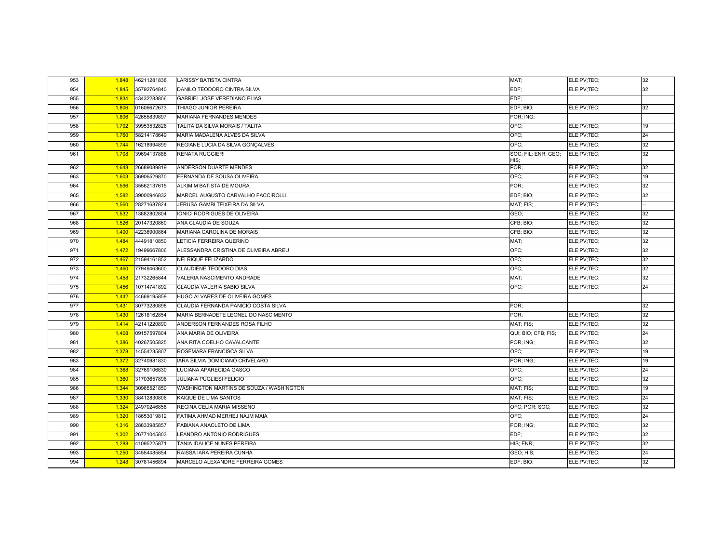| 953 | 1,848 | 46211281838 | <b>LARISSY BATISTA CINTRA</b>            | MAT:                        | ELE;PV;TEC; | 32 |
|-----|-------|-------------|------------------------------------------|-----------------------------|-------------|----|
| 954 | 1,845 | 35792764840 | DANILO TEODORO CINTRA SILVA              | EDF:                        | ELE:PV:TEC: | 32 |
| 955 | 1,834 | 43432283806 | GABRIEL JOSE VEREDIANO ELIAS             | EDF:                        |             |    |
| 956 | 1,806 | 01606672673 | THIAGO JUNIOR PEREIRA                    | EDF; BIO;                   | ELE;PV;TEC; | 32 |
| 957 | 1,806 | 42655839897 | MARIANA FERNANDES MENDES                 | POR; ING;                   |             |    |
| 958 | 1,792 | 39953532826 | TALITA DA SILVA MORAIS / TALITA          | OFC:                        | ELE;PV;TEC; | 19 |
| 959 | 1,760 | 58214178649 | MARIA MADALENA ALVES DA SILVA            | OFC:                        | ELE;PV;TEC; | 24 |
| 960 | 1,744 | 16218994899 | REGIANE LUCIA DA SILVA GONÇALVES         | OFC:                        | ELE;PV;TEC; | 32 |
| 961 | 1,708 | 39694137888 | <b>RENATA RUGGIERI</b>                   | SOC; FIL; ENR; GEO;<br>HIS; | ELE;PV;TEC; | 32 |
| 962 | 1,648 | 26689089819 | ANDERSON DUARTE MENDES                   | POR;                        | ELE;PV;TEC; | 32 |
| 963 | 1,603 | 36906529870 | FERNANDA DE SOUSA OLIVEIRA               | OFC:                        | ELE;PV;TEC; | 19 |
| 964 | 1,596 | 35562137615 | ALKIMIM BATISTA DE MOURA                 | POR:                        | ELE;PV;TEC; | 32 |
| 965 | 1,582 | 39000946832 | MARCEL AUGUSTO CARVALHO FACCIROLLI       | EDF; BIO;                   | ELE;PV;TEC; | 32 |
| 966 | 1,560 | 28271687824 | JERUSA GAMBI TEIXEIRA DA SILVA           | MAT; FIS;                   | ELE;PV;TEC; |    |
| 967 | 1,532 | 13882802804 | <b>IONICI RODRIGUES DE OLIVEIRA</b>      | GEO;                        | ELE;PV;TEC; | 32 |
| 968 | 1,526 | 20147320860 | ANA CLAUDIA DE SOUZA                     | CFB; BIO;                   | ELE;PV;TEC; | 32 |
| 969 | 1,490 | 42236900864 | MARIANA CAROLINA DE MORAIS               | CFB; BIO;                   | ELE;PV;TEC; | 32 |
| 970 | 1,484 | 44491810850 | LETICIA FERREIRA QUERINO                 | MAT:                        | ELE;PV;TEC; | 32 |
| 971 | 1,472 | 19499667806 | ALESSANDRA CRISTINA DE OLIVEIRA ABREU    | OFC:                        | ELE;PV;TEC; | 32 |
| 972 | 1,467 | 21594161852 | NELRIQUE FELIZARDO                       | OFC:                        | ELE;PV;TEC; | 32 |
| 973 | 1,460 | 77949463600 | <b>CLAUDIENE TEODORO DIAS</b>            | OFC:                        | ELE;PV;TEC; | 32 |
| 974 | 1,458 | 21732265844 | VALERIA NASCIMENTO ANDRADE               | MAT:                        | ELE;PV;TEC; | 32 |
| 975 | 1,456 | 10714741892 | CLAUDIA VALERIA SABIO SILVA              | OFC;                        | ELE;PV;TEC; | 24 |
| 976 | 1,442 | 44669195859 | HUGO ALVARES DE OLIVEIRA GOMES           |                             |             |    |
| 977 | 1,431 | 30773280898 | CLAUDIA FERNANDA PANICIO COSTA SILVA     | POR:                        |             | 32 |
| 978 | 1,430 | 12618162854 | MARIA BERNADETE LEONEL DO NASCIMENTO     | POR:                        | ELE;PV;TEC; | 32 |
| 979 | 1,414 | 42141220890 | ANDERSON FERNANDES ROSA FILHO            | MAT; FIS;                   | ELE;PV;TEC; | 32 |
| 980 | 1,408 | 09157597804 | ANA MARIA DE OLIVEIRA                    | QUI; BIO; CFB; FIS;         | ELE;PV;TEC; | 24 |
| 981 | 1,386 | 40267505825 | ANA RITA COELHO CAVALCANTE               | POR; ING;                   | ELE;PV;TEC; | 32 |
| 982 | 1,378 | 14554235807 | ROSEMARA FRANCISCA SILVA                 | OFC:                        | ELE;PV;TEC; | 19 |
| 983 | 1,372 | 32740981830 | IARA SILVIA DOMICIANO CRIVELARO          | POR; ING;                   | ELE;PV;TEC; | 19 |
| 984 | 1,368 | 32769106830 | LUCIANA APARECIDA GASCO                  | OFC:                        | ELE;PV;TEC; | 24 |
| 985 | 1,360 | 31703657896 | <b>JULIANA PUGLIESI FELICIO</b>          | OFC:                        | ELE;PV;TEC; | 32 |
| 986 | 1,344 | 30965521850 | WASHINGTON MARTINS DE SOUZA / WASHINGTON | MAT; FIS;                   | ELE;PV;TEC; | 19 |
| 987 | 1,330 | 38412830806 | KAIQUE DE LIMA SANTOS                    | MAT; FIS;                   | ELE;PV;TEC; | 24 |
| 988 | 1,324 | 24970246858 | REGINA CELIA MARIA MISSENO               | OFC; POR; SOC;              | ELE;PV;TEC; | 32 |
| 989 | 1,320 | 18653019812 | FATIMA AHMAD MERHEJ NAJM MAIA            | OFC:                        | ELE;PV;TEC; | 24 |
| 990 | 1,316 | 28833985857 | FABIANA ANACLETO DE LIMA                 | POR; ING;                   | ELE;PV;TEC; | 32 |
| 991 | 1,302 | 26771045803 | LEANDRO ANTONIO RODRIGUES                | EDF;                        | ELE;PV;TEC; | 32 |
| 992 | 1,288 | 41095225871 | TANIA IDALICE NUNES PEREIRA              | HIS; ENR;                   | ELE;PV;TEC; | 32 |
| 993 | 1,250 | 34554485854 | RAISSA IARA PEREIRA CUNHA                | GEO; HIS;                   | ELE;PV;TEC; | 24 |
| 994 | 1,248 | 30781456894 | MARCELO ALEXANDRE FERREIRA GOMES         | EDF; BIO;                   | ELE;PV;TEC; | 32 |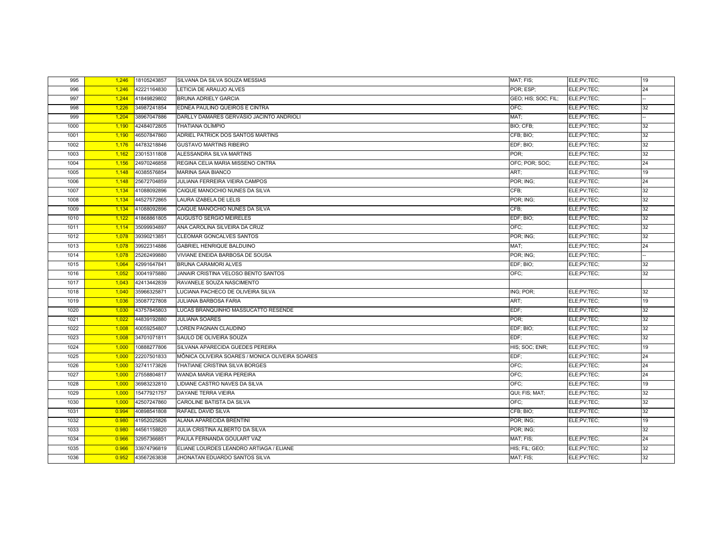| 995  | 1,246 | 18105243857 | SILVANA DA SILVA SOUZA MESSIAS                  | MAT; FIS;           | ELE;PV;TEC; | 19 |
|------|-------|-------------|-------------------------------------------------|---------------------|-------------|----|
| 996  | 1,246 | 42221164830 | LETICIA DE ARAUJO ALVES                         | POR; ESP;           | ELE;PV;TEC; | 24 |
| 997  | 1,244 | 41849829802 | <b>BRUNA ADRIELY GARCIA</b>                     | GEO; HIS; SOC; FIL; | ELE;PV;TEC; |    |
| 998  | 1,226 | 34987241854 | EDNEA PAULINO QUEIROS E CINTRA                  | OFC:                | ELE;PV;TEC; | 32 |
| 999  | 1,204 | 38967047886 | DARLLY DAMARES GERVÁSIO JACINTO ANDRIOLI        | MAT:                | ELE;PV;TEC; |    |
| 1000 | 1,190 | 42484072805 | <b>THATIANA OLÍMPIO</b>                         | <b>BIO: CFB:</b>    | ELE:PV:TEC: | 32 |
| 1001 | 1,190 | 46507847860 | ADRIEL PATRICK DOS SANTOS MARTINS               | CFB; BIO;           | ELE;PV;TEC; | 32 |
| 1002 | 1,176 | 44783218846 | <b>GUSTAVO MARTINS RIBEIRO</b>                  | EDF; BIO;           | ELE;PV;TEC; | 32 |
| 1003 | 1,162 | 23015311808 | ALESSANDRA SILVA MARTINS                        | POR:                | ELE;PV;TEC; | 32 |
| 1004 | 1,156 | 24970246858 | REGINA CELIA MARIA MISSENO CINTRA               | OFC; POR; SOC;      | ELE;PV;TEC; | 24 |
| 1005 | 1,148 | 40385576854 | <b>MARINA SAIA BIANCO</b>                       | ART;                | ELE;PV;TEC; | 19 |
| 1006 | 1,148 | 25672704859 | JULIANA FERREIRA VIEIRA CAMPOS                  | POR; ING;           | ELE;PV;TEC; | 24 |
| 1007 | 1,134 | 41088092896 | CAIQUE MANOCHIO NUNES DA SILVA                  | CFB;                | ELE;PV;TEC; | 32 |
| 1008 | 1,134 | 44527572865 | LAURA IZABELA DE LELIS                          | POR; ING;           | ELE;PV;TEC; | 32 |
| 1009 | 1,134 | 41088092896 | CAIQUE MANOCHIO NUNES DA SILVA                  | CFB:                | ELE;PV;TEC; | 32 |
| 1010 | 1,122 | 41868861805 | <b>AUGUSTO SERGIO MEIRELES</b>                  | EDF; BIO;           | ELE;PV;TEC; | 32 |
| 1011 | 1,114 | 35099934897 | ANA CAROLINA SILVEIRA DA CRUZ                   | OFC:                | ELE:PV:TEC: | 32 |
| 1012 | 1,078 | 39390213851 | <b>CLEOMAR GONCALVES SANTOS</b>                 | POR; ING;           | ELE;PV;TEC; | 32 |
| 1013 | 1,078 | 39922314886 | GABRIEL HENRIQUE BALDUINO                       | MAT:                | ELE;PV;TEC; | 24 |
| 1014 | 1,078 | 25262499880 | VIVIANE ENEIDA BARBOSA DE SOUSA                 | POR; ING;           | ELE;PV;TEC; |    |
| 1015 | 1,064 | 42991647841 | <b>BRUNA CARAMORI ALVES</b>                     | EDF; BIO;           | ELE;PV;TEC; | 32 |
| 1016 | 1,052 | 30041975880 | JANAIR CRISTINA VELOSO BENTO SANTOS             | OFC:                | ELE;PV;TEC; | 32 |
| 1017 | 1,043 | 42413442839 | RAVANELE SOUZA NASCIMENTO                       |                     |             |    |
| 1018 | 1,040 | 35966325871 | LUCIANA PACHECO DE OLIVEIRA SILVA               | ING; POR;           | ELE;PV;TEC; | 32 |
| 1019 | 1,036 | 35087727808 | <b>JULIANA BARBOSA FARIA</b>                    | ART;                | ELE;PV;TEC; | 19 |
| 1020 | 1,030 | 43757845803 | LUCAS BRANQUINHO MASSUCATTO RESENDE             | EDF;                | ELE;PV;TEC; | 32 |
| 1021 | 1,022 | 44839192880 | <b>JULIANA SOARES</b>                           | POR:                | ELE;PV;TEC; | 32 |
| 1022 | 1,008 | 40059254807 | LOREN PAGNAN CLAUDINO                           | EDF; BIO;           | ELE;PV;TEC; | 32 |
| 1023 | 1,008 | 34701071811 | SAULO DE OLIVEIRA SOUZA                         | EDF:                | ELE;PV;TEC; | 32 |
| 1024 | 1,000 | 10888277806 | SILVANA APARECIDA GUEDES PEREIRA                | HIS; SOC; ENR;      | ELE;PV;TEC; | 19 |
| 1025 | 1,000 | 22207501833 | MÔNICA OLIVEIRA SOARES / MONICA OLIVEIRA SOARES | EDF:                | ELE;PV;TEC; | 24 |
| 1026 | 1,000 | 32741173826 | THATIANE CRISTINA SILVA BORGES                  | OFC:                | ELE;PV;TEC; | 24 |
| 1027 | 1,000 | 27558804817 | WANDA MARIA VIEIRA PEREIRA                      | OFC:                | ELE;PV;TEC; | 24 |
| 1028 | 1,000 | 36983232810 | LIDIANE CASTRO NAVES DA SILVA                   | OFC:                | ELE;PV;TEC; | 19 |
| 1029 | 1,000 | 15477921757 | DAYANE TERRA VIEIRA                             | QUI; FIS; MAT;      | ELE;PV;TEC; | 32 |
| 1030 | 1,000 | 42507247860 | CAROLINE BATISTA DA SILVA                       | OFC:                | ELE;PV;TEC; | 32 |
| 1031 | 0.994 | 40898541808 | RAFAEL DAVID SILVA                              | CFB; BIO;           | ELE;PV;TEC; | 32 |
| 1032 | 0.980 | 41952025826 | ALANA APARECIDA BRENTINI                        | POR; ING;           | ELE;PV;TEC; | 19 |
| 1033 | 0.980 | 44561158820 | JULIA CRISTINA ALBERTO DA SILVA                 | POR; ING;           |             | 32 |
| 1034 | 0.966 | 32957366851 | PAULA FERNANDA GOULART VAZ                      | MAT; FIS;           | ELE;PV;TEC; | 24 |
| 1035 | 0.966 | 33974796819 | ELIANE LOURDES LEANDRO ARTIAGA / ELIANE         | HIS; FIL; GEO;      | ELE;PV;TEC; | 32 |
| 1036 | 0.952 | 43567263838 | JHONATAN EDUARDO SANTOS SILVA                   | MAT: FIS:           | ELE:PV:TEC: | 32 |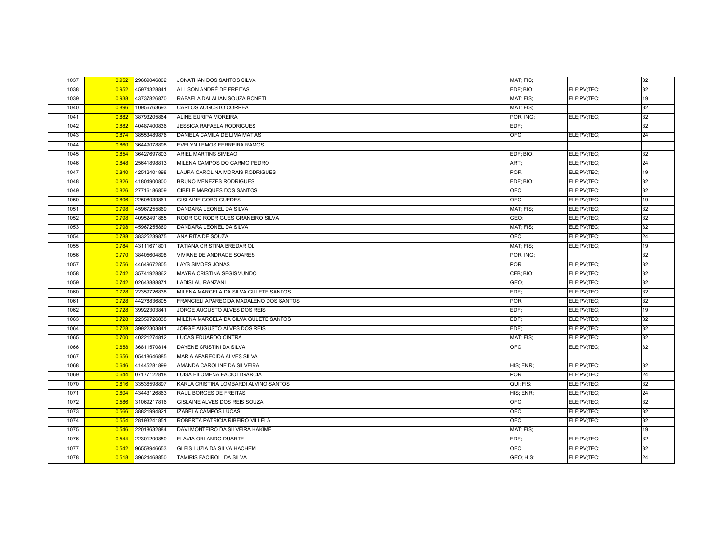| 1037 | 0.952 | 29689046802 | JONATHAN DOS SANTOS SILVA               | MAT; FIS; |             | 32 |
|------|-------|-------------|-----------------------------------------|-----------|-------------|----|
| 1038 | 0.952 | 45974328841 | ALLISON ANDRÉ DE FREITAS                | EDF; BIO; | ELE;PV;TEC; | 32 |
| 1039 | 0.938 | 43737826870 | RAFAELA DALALIAN SOUZA BONETI           | MAT; FIS; | ELE;PV;TEC; | 19 |
| 1040 | 0.896 | 10956763693 | CARLOS AUGUSTO CORREA                   | MAT; FIS; |             | 32 |
| 1041 | 0.882 | 38793205864 | ALINE EURIPA MOREIRA                    | POR; ING; | ELE;PV;TEC; | 32 |
| 1042 | 0.882 | 40487400836 | <b>JESSICA RAFAELA RODRIGUES</b>        | EDF:      |             | 32 |
| 1043 | 0.874 | 38553489876 | DANIELA CAMILA DE LIMA MATIAS           | OFC;      | ELE;PV;TEC; | 24 |
| 1044 | 0.860 | 36449078898 | <b>EVELYN LEMOS FERREIRA RAMOS</b>      |           |             |    |
| 1045 | 0.854 | 36427697803 | ARIEL MARTINS SIMEAO                    | EDF; BIO; | ELE;PV;TEC; | 32 |
| 1046 | 0.848 | 25641898813 | MILENA CAMPOS DO CARMO PEDRO            | ART:      | ELE;PV;TEC; | 24 |
| 1047 | 0.840 | 42512401898 | LAURA CAROLINA MORAIS RODRIGUES         | POR:      | ELE;PV;TEC; | 19 |
| 1048 | 0.826 | 41804900800 | <b>BRUNO MENEZES RODRIGUES</b>          | EDF; BIO; | ELE;PV;TEC; | 32 |
| 1049 | 0.826 | 27716186809 | CIBELE MARQUES DOS SANTOS               | OFC:      | ELE;PV;TEC; | 32 |
| 1050 | 0.806 | 22508039861 | <b>GISLAINE GOBO GUEDES</b>             | OFC:      | ELE;PV;TEC; | 19 |
| 1051 | 0.798 | 45967255869 | DANDARA LEONEL DA SILVA                 | MAT: FIS: | ELE;PV;TEC; | 32 |
| 1052 | 0.798 | 40952491885 | RODRIGO RODRIGUES GRANEIRO SILVA        | GEO;      | ELE;PV;TEC; | 32 |
| 1053 | 0.798 | 45967255869 | DANDARA LEONEL DA SILVA                 | MAT; FIS; | ELE;PV;TEC; | 32 |
| 1054 | 0.788 | 38325239875 | ANA RITA DE SOUZA                       | OFC;      | ELE;PV;TEC; | 24 |
| 1055 | 0.784 | 43111671801 | TATIANA CRISTINA BREDARIOL              | MAT; FIS; | ELE;PV;TEC; | 19 |
| 1056 | 0.770 | 38405604898 | VIVIANE DE ANDRADE SOARES               | POR; ING; |             | 32 |
| 1057 | 0.756 | 44649672805 | <b>LAYS SIMOES JONAS</b>                | POR:      | ELE;PV;TEC; | 32 |
| 1058 | 0.742 | 35741928862 | MAYRA CRISTINA SEGISMUNDO               | CFB; BIO; | ELE;PV;TEC; | 32 |
| 1059 | 0.742 | 02643888871 | LADISLAU RANZANI                        | GEO;      | ELE;PV;TEC; | 32 |
| 1060 | 0.728 | 22359726838 | MILENA MARCELA DA SILVA GULETE SANTOS   | EDF:      | ELE;PV;TEC; | 32 |
| 1061 | 0.728 | 44278836805 | FRANCIELI APARECIDA MADALENO DOS SANTOS | POR;      | ELE;PV;TEC; | 32 |
| 1062 | 0.728 | 39922303841 | JORGE AUGUSTO ALVES DOS REIS            | EDF:      | ELE;PV;TEC; | 19 |
| 1063 | 0.728 | 22359726838 | MILENA MARCELA DA SILVA GULETE SANTOS   | EDF;      | ELE;PV;TEC; | 32 |
| 1064 | 0.728 | 39922303841 | JORGE AUGUSTO ALVES DOS REIS            | EDF:      | ELE;PV;TEC; | 32 |
| 1065 | 0.700 | 40221274812 | LUCAS EDUARDO CINTRA                    | MAT; FIS; | ELE;PV;TEC; | 32 |
| 1066 | 0.658 | 36811570814 | DAYENE CRISTINI DA SILVA                | OFC:      | ELE;PV;TEC; | 32 |
| 1067 | 0.656 | 05418646885 | MARIA APARECIDA ALVES SILVA             |           |             |    |
| 1068 | 0.646 | 41445281899 | AMANDA CAROLINE DA SILVEIRA             | HIS; ENR; | ELE;PV;TEC; | 32 |
| 1069 | 0.644 | 07177122818 | LUISA FILOMENA FACIOLI GARCIA           | POR:      | ELE;PV;TEC; | 24 |
| 1070 | 0.616 | 33536598897 | KARLA CRISTINA LOMBARDI ALVINO SANTOS   | QUI; FIS; | ELE;PV;TEC; | 32 |
| 1071 | 0.604 | 43443126863 | RAUL BORGES DE FREITAS                  | HIS; ENR; | ELE;PV;TEC; | 24 |
| 1072 | 0.586 | 31069217816 | GISLAINE ALVES DOS REIS SOUZA           | OFC;      | ELE;PV;TEC; | 32 |
| 1073 | 0.566 | 38821994821 | <b>IZABELA CAMPOS LUCAS</b>             | OFC:      | ELE;PV;TEC; | 32 |
| 1074 | 0.554 | 28193241851 | ROBERTA PATRICIA RIBEIRO VILLELA        | OFC:      | ELE:PV:TEC: | 32 |
| 1075 | 0.546 | 22018632884 | DAVI MONTEIRO DA SILVEIRA HAKIME        | MAT; FIS; |             | 19 |
| 1076 | 0.544 | 22301200850 | FLAVIA ORLANDO DUARTE                   | EDF:      | ELE;PV;TEC; | 32 |
| 1077 | 0.542 | 96558946653 | GLEIS LUZIA DA SILVA HACHEM             | OFC:      | ELE:PV:TEC: | 32 |
| 1078 | 0.518 | 39624468850 | TAMIRIS FACIROLI DA SILVA               | GEO; HIS; | ELE;PV;TEC; | 24 |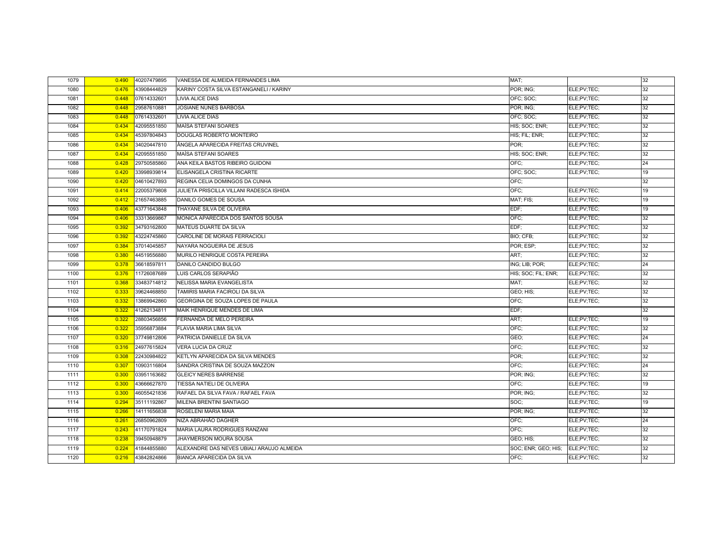| 1079 | 0.490 | 40207479895 | VANESSA DE ALMEIDA FERNANDES LIMA         | MAT:                |             | 32 |
|------|-------|-------------|-------------------------------------------|---------------------|-------------|----|
| 1080 | 0.476 | 43908444829 | KARINY COSTA SILVA ESTANGANELI / KARINY   | POR; ING;           | ELE;PV;TEC; | 32 |
| 1081 | 0.448 | 07614332601 | <b>LIVIA ALICE DIAS</b>                   | OFC; SOC;           | ELE;PV;TEC; | 32 |
| 1082 | 0.448 | 29587610881 | JOSIANE NUNES BARBOSA                     | POR; ING;           | ELE;PV;TEC; | 32 |
| 1083 | 0.448 | 07614332601 | <b>LIVIA ALICE DIAS</b>                   | OFC: SOC:           | ELE;PV;TEC; | 32 |
| 1084 | 0.434 | 42095551850 | MAÍSA STEFANI SOARES                      | HIS; SOC; ENR;      | ELE:PV:TEC: | 32 |
| 1085 | 0.434 | 45397804843 | DOUGLAS ROBERTO MONTEIRO                  | HIS; FIL; ENR;      | ELE;PV;TEC; | 32 |
| 1086 | 0.434 | 34020447810 | ÂNGELA APARECIDA FREITAS CRUVINEL         | POR:                | ELE;PV;TEC; | 32 |
| 1087 | 0.434 | 42095551850 | MAÍSA STEFANI SOARES                      | HIS; SOC; ENR;      | ELE;PV;TEC; | 32 |
| 1088 | 0.428 | 29750585860 | ANA KEILA BASTOS RIBEIRO GUIDONI          | OFC:                | ELE;PV;TEC; | 24 |
| 1089 | 0.420 | 33998939814 | ELISANGELA CRISTINA RICARTE               | OFC; SOC;           | ELE:PV:TEC: | 19 |
| 1090 | 0.420 | 04610427893 | REGINA CELIA DOMINGOS DA CUNHA            | OFC:                |             | 32 |
| 1091 | 0.414 | 22005379808 | JULIETA PRISCILLA VILLANI RADESCA ISHIDA  | OFC:                | ELE;PV;TEC; | 19 |
| 1092 | 0.412 | 21657463885 | DANILO GOMES DE SOUSA                     | MAT; FIS;           | ELE:PV:TEC: | 19 |
| 1093 | 0.406 | 43771643848 | THAYANE SILVA DE OLIVEIRA                 | EDF:                | ELE;PV;TEC; | 19 |
| 1094 | 0.406 | 33313669867 | MONICA APARECIDA DOS SANTOS SOUSA         | OFC:                | ELE;PV;TEC; | 32 |
| 1095 | 0.392 | 34793162800 | <b>MATEUS DUARTE DA SILVA</b>             | EDF:                | ELE:PV:TEC: | 32 |
| 1096 | 0.392 | 43224745860 | CAROLINE DE MORAIS FERRACIOLI             | BIO; CFB;           | ELE;PV;TEC; | 32 |
| 1097 | 0.384 | 37014045857 | NAYARA NOGUEIRA DE JESUS                  | POR; ESP;           | ELE;PV;TEC; | 32 |
| 1098 | 0.380 | 44519556880 | MURILO HENRIQUE COSTA PEREIRA             | ART:                | ELE;PV;TEC; | 32 |
| 1099 | 0.378 | 36618597811 | DANILO CANDIDO BULGO                      | ING; LIB; POR;      | ELE;PV;TEC; | 24 |
| 1100 | 0.376 | 11726087689 | LUIS CARLOS SERAPIÃO                      | HIS; SOC; FIL; ENR; | ELE;PV;TEC; | 32 |
| 1101 | 0.368 | 33483714812 | <b>NELISSA MARIA EVANGELISTA</b>          | MAT:                | ELE;PV;TEC; | 32 |
| 1102 | 0.333 | 39624468850 | TAMIRIS MARIA FACIROLI DA SILVA           | GEO; HIS;           | ELE;PV;TEC; | 32 |
| 1103 | 0.332 | 13869942860 | GEORGINA DE SOUZA LOPES DE PAULA          | OFC:                | ELE;PV;TEC; | 32 |
| 1104 | 0.322 | 41262134811 | MAIK HENRIQUE MENDES DE LIMA              | EDF;                |             | 32 |
| 1105 | 0.322 | 28803456856 | FERNANDA DE MELO PEREIRA                  | ART:                | ELE;PV;TEC; | 19 |
| 1106 | 0.322 | 35956873884 | FLAVIA MARIA LIMA SILVA                   | OFC:                | ELE;PV;TEC; | 32 |
| 1107 | 0.320 | 37749812806 | PATRICIA DANIELLE DA SILVA                | GEO;                | ELE;PV;TEC; | 24 |
| 1108 | 0.316 | 24977615824 | <b>VERA LUCIA DA CRUZ</b>                 | OFC:                | ELE;PV;TEC; | 32 |
| 1109 | 0.308 | 22430984822 | KETLYN APARECIDA DA SILVA MENDES          | POR:                | ELE;PV;TEC; | 32 |
| 1110 | 0.307 | 10903116804 | SANDRA CRISTINA DE SOUZA MAZZON           | OFC:                | ELE;PV;TEC; | 24 |
| 1111 | 0.300 | 03951163682 | <b>GLEICY NERES BARRENSE</b>              | POR; ING;           | ELE;PV;TEC; | 32 |
| 1112 | 0.300 | 43666627870 | TIESSA NATIELI DE OLIVEIRA                | OFC:                | ELE;PV;TEC; | 19 |
| 1113 | 0.300 | 46055421836 | RAFAEL DA SILVA FAVA / RAFAEL FAVA        | POR; ING;           | ELE;PV;TEC; | 32 |
| 1114 | 0.294 | 35111192867 | MILENA BRENTINI SANTIAGO                  | SOC;                | ELE;PV;TEC; | 19 |
| 1115 | 0.266 | 14111656838 | ROSELENI MARIA MAIA                       | POR; ING;           | ELE;PV;TEC; | 32 |
| 1116 | 0.261 | 26850962809 | NIZA ABRAHÃO DAGHER                       | OFC:                | ELE;PV;TEC; | 24 |
| 1117 | 0.243 | 41170791824 | MARIA LAURA RODRIGUES RANZANI             | OFC:                | ELE;PV;TEC; | 32 |
| 1118 | 0.238 | 39450948879 | <b>JHAYMERSON MOURA SOUSA</b>             | GEO; HIS;           | ELE;PV;TEC; | 32 |
| 1119 | 0.224 | 41844855880 | ALEXANDRE DAS NEVES UBIALI ARAUJO ALMEIDA | SOC; ENR; GEO; HIS; | ELE;PV;TEC; | 32 |
| 1120 | 0.216 | 43842824866 | <b>BIANCA APARECIDA DA SILVA</b>          | OFC:                | ELE:PV:TEC: | 32 |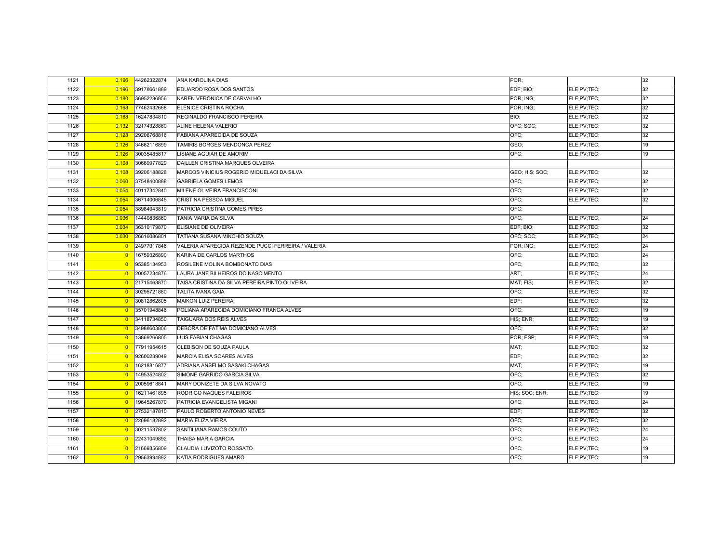| 1121 | 0.196          | 44262322874 | ANA KAROLINA DIAS                                  | POR:           |             | 32 |
|------|----------------|-------------|----------------------------------------------------|----------------|-------------|----|
| 1122 | 0.196          | 39178661889 | EDUARDO ROSA DOS SANTOS                            | EDF; BIO;      | ELE;PV;TEC; | 32 |
| 1123 | 0.180          | 36952236856 | KAREN VERONICA DE CARVALHO                         | POR; ING;      | ELE;PV;TEC; | 32 |
| 1124 | 0.168          | 77462432668 | ELENICE CRISTINA ROCHA                             | POR; ING;      | ELE;PV;TEC; | 32 |
| 1125 | 0.168          | 16247834810 | REGINALDO FRANCISCO PEREIRA                        | BIO;           | ELE;PV;TEC; | 32 |
| 1126 | 0.132          | 32174328860 | ALINE HELENA VALERIO                               | OFC: SOC:      | ELE:PV:TEC: | 32 |
| 1127 | 0.128          | 29206768816 | FABIANA APARECIDA DE SOUZA                         | OFC:           | ELE;PV;TEC; | 32 |
| 1128 | 0.126          | 34662116899 | TAMIRIS BORGES MENDONCA PEREZ                      | GEO;           | ELE;PV;TEC; | 19 |
| 1129 | 0.126          | 30035485817 | LISIANE AGUIAR DE AMORIM                           | OFC:           | ELE;PV;TEC; | 19 |
| 1130 | 0.108          | 30669977829 | DAILLEN CRISTINA MARQUES OLVEIRA                   |                |             |    |
| 1131 | 0.108          | 39206188828 | MARCOS VINICIUS ROGERIO MIQUELACI DA SILVA         | GEO; HIS; SOC; | ELE;PV;TEC; | 32 |
| 1132 | 0.060          | 37548400888 | <b>GABRIELA GOMES LEMOS</b>                        | OFC:           | ELE;PV;TEC; | 32 |
| 1133 | 0.054          | 40117342840 | MILENE OLIVEIRA FRANCISCONI                        | OFC:           | ELE;PV;TEC; | 32 |
| 1134 | 0.054          | 36714006845 | CRISTINA PESSOA MIGUEL                             | OFC:           | ELE;PV;TEC; | 32 |
| 1135 | 0.054          | 38984943819 | PATRICIA CRISTINA GOMES PIRES                      | OFC:           |             |    |
| 1136 | 0.036          | 14440836860 | TANIA MARIA DA SILVA                               | OFC:           | ELE;PV;TEC; | 24 |
| 1137 | 0.034          | 36310179870 | ELISIANE DE OLIVEIRA                               | EDF; BIO;      | ELE;PV;TEC; | 32 |
| 1138 | 0.030          | 26616086801 | TATIANA SUSANA MINCHIO SOUZA                       | OFC; SOC;      | ELE;PV;TEC; | 24 |
| 1139 | $\overline{0}$ | 24977017846 | VALERIA APARECIDA REZENDE PUCCI FERREIRA / VALERIA | POR; ING;      | ELE;PV;TEC; | 24 |
| 1140 | $\overline{0}$ | 16759326890 | KARINA DE CARLOS MARTHOS                           | OFC:           | ELE;PV;TEC; | 24 |
| 1141 | $\overline{0}$ | 95385134953 | ROSILENE MOLINA BOMBONATO DIAS                     | OFC:           | ELE;PV;TEC; | 32 |
| 1142 | $\overline{0}$ | 20057234876 | LAURA JANE BILHEIROS DO NASCIMENTO                 | ART:           | ELE;PV;TEC; | 24 |
| 1143 | $\overline{0}$ | 21715463870 | TAISA CRISTINA DA SILVA PEREIRA PINTO OLIVEIRA     | MAT; FIS;      | ELE;PV;TEC; | 32 |
| 1144 | $\overline{0}$ | 30295721880 | <b>TALITA IVANA GAIA</b>                           | OFC:           | ELE;PV;TEC; | 32 |
| 1145 | $\overline{0}$ | 30812862805 | <b>MAIKON LUIZ PEREIRA</b>                         | EDF:           | ELE;PV;TEC; | 32 |
| 1146 | $\overline{0}$ | 35701948846 | POLIANA APARECIDA DOMICIANO FRANCA ALVES           | OFC:           | ELE;PV;TEC; | 19 |
| 1147 | $\overline{0}$ | 34118734850 | TAIGUARA DOS REIS ALVES                            | HIS; ENR;      | ELE;PV;TEC; | 19 |
| 1148 | $\overline{0}$ | 34988603806 | DEBORA DE FATIMA DOMICIANO ALVES                   | OFC:           | ELE;PV;TEC; | 32 |
| 1149 | $\overline{0}$ | 13869266805 | <b>LUIS FABIAN CHAGAS</b>                          | POR; ESP;      | ELE:PV:TEC: | 19 |
| 1150 | $\overline{0}$ | 77911954615 | CLEBISON DE SOUZA PAULA                            | MAT:           | ELE;PV;TEC; | 32 |
| 1151 | $\overline{0}$ | 92600239049 | <b>MARCIA ELISA SOARES ALVES</b>                   | EDF:           | ELE;PV;TEC; | 32 |
| 1152 | $\overline{0}$ | 16218816877 | ADRIANA ANSELMO SASAKI CHAGAS                      | MAT:           | ELE;PV;TEC; | 19 |
| 1153 | $\overline{0}$ | 14953524802 | SIMONE GARRIDO GARCIA SILVA                        | OFC:           | ELE;PV;TEC; | 32 |
| 1154 | $\overline{0}$ | 20059618841 | MARY DONIZETE DA SILVA NOVATO                      | OFC:           | ELE;PV;TEC; | 19 |
| 1155 | $\overline{0}$ | 16211461895 | RODRIGO NAQUES FALEIROS                            | HIS; SOC; ENR; | ELE;PV;TEC; | 19 |
| 1156 | $\overline{0}$ | 19645267870 | PATRICIA EVANGELISTA MIGANI                        | OFC:           | ELE;PV;TEC; | 24 |
| 1157 | $\overline{0}$ | 27532187810 | PAULO ROBERTO ANTONIO NEVES                        | EDF:           | ELE;PV;TEC; | 32 |
| 1158 | $\overline{0}$ | 22696182892 | <b>MARIA ELIZA VIEIRA</b>                          | OFC:           | ELE:PV:TEC: | 32 |
| 1159 | $\overline{0}$ | 30211537802 | SANTILIANA RAMOS COUTO                             | OFC:           | ELE;PV;TEC; | 24 |
| 1160 | $\overline{0}$ | 22431049892 | <b>THAISA MARIA GARCIA</b>                         | OFC:           | ELE;PV;TEC; | 24 |
| 1161 | $\overline{0}$ | 21669356809 | CLAUDIA LUVIZOTO ROSSATO                           | OFC;           | ELE;PV;TEC; | 19 |
| 1162 | $\overline{0}$ | 29563994892 | KATIA RODRIGUES AMARO                              | OFC:           | ELE;PV;TEC; | 19 |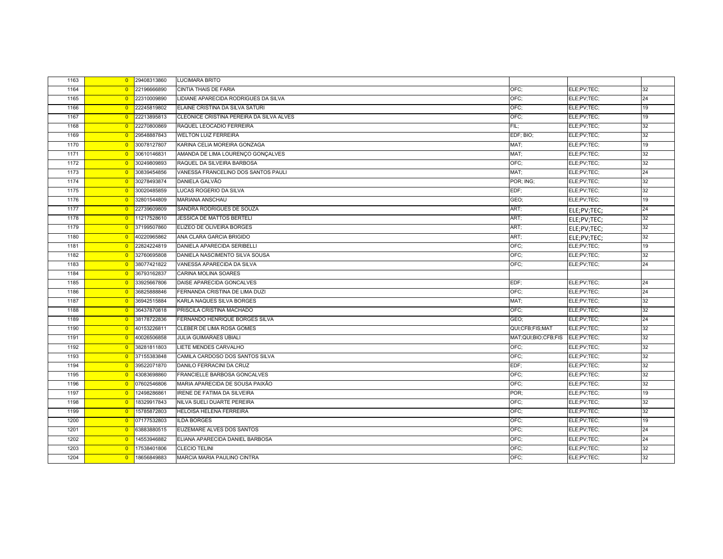| 1163 | $\overline{0}$ | 29408313860 | <b>LUCIMARA BRITO</b>                    |                     |             |    |
|------|----------------|-------------|------------------------------------------|---------------------|-------------|----|
| 1164 | $\overline{0}$ | 22196666890 | CINTIA THAIS DE FARIA                    | OFC:                | ELE;PV;TEC; | 32 |
| 1165 | $\overline{0}$ | 22310009890 | LIDIANE APARECIDA RODRIGUES DA SILVA     | OFC:                | ELE;PV;TEC; | 24 |
| 1166 | $\overline{0}$ | 22245819802 | ELAINE CRISTINA DA SILVA SATURI          | OFC:                | ELE;PV;TEC; | 19 |
| 1167 | $\overline{0}$ | 22213895813 | CLEONICE CRISTINA PEREIRA DA SILVA ALVES | OFC;                | ELE;PV;TEC; | 19 |
| 1168 | $\overline{0}$ | 22270800869 | RAQUEL LEOCADIO FERREIRA                 | FIL:                | ELE;PV;TEC; | 32 |
| 1169 | $\overline{0}$ | 29548887843 | <b>WELTON LUIZ FERREIRA</b>              | EDF; BIO;           | ELE;PV;TEC; | 32 |
| 1170 | $\overline{0}$ | 30078127807 | KARINA CELIA MOREIRA GONZAGA             | MAT;                | ELE;PV;TEC; | 19 |
| 1171 | $\overline{0}$ | 30610146831 | AMANDA DE LIMA LOURENÇO GONÇALVES        | MAT;                | ELE;PV;TEC; | 32 |
| 1172 | $\overline{0}$ | 30249809893 | RAQUEL DA SILVEIRA BARBOSA               | OFC;                | ELE;PV;TEC; | 32 |
| 1173 | $\overline{0}$ | 30839454856 | VANESSA FRANCELINO DOS SANTOS PAULI      | MAT:                | ELE;PV;TEC; | 24 |
| 1174 | $\overline{0}$ | 30278493874 | <b>DANIELA GALVÃO</b>                    | POR; ING;           | ELE;PV;TEC; | 32 |
| 1175 | $\overline{0}$ | 30020485859 | LUCAS ROGERIO DA SILVA                   | EDF;                | ELE;PV;TEC; | 32 |
| 1176 | $\overline{0}$ | 32801544809 | MARIANA ANSCHAU                          | GEO;                | ELE;PV;TEC; | 19 |
| 1177 | $\overline{0}$ | 22739609809 | SANDRA RODRIGUES DE SOUZA                | ART;                | ELE;PV;TEC; | 24 |
| 1178 | $\overline{0}$ | 11217528610 | JESSICA DE MATTOS BERTELI                | ART;                | ELE;PV;TEC; | 32 |
| 1179 | $\overline{0}$ | 37199507860 | ELIZEO DE OLIVEIRA BORGES                | ART;                | ELE;PV;TEC; | 32 |
| 1180 | $\overline{0}$ | 40220965862 | ANA CLARA GARCIA BRIGIDO                 | ART;                | ELE;PV;TEC; | 32 |
| 1181 | $\overline{0}$ | 22824224819 | DANIELA APARECIDA SERIBELLI              | OFC;                | ELE;PV;TEC; | 19 |
| 1182 | $\overline{0}$ | 32760695808 | DANIELA NASCIMENTO SILVA SOUSA           | OFC:                | ELE;PV;TEC; | 32 |
| 1183 | $\overline{0}$ | 38077421822 | VANESSA APARECIDA DA SILVA               | OFC:                | ELE;PV;TEC; | 24 |
| 1184 | $\overline{0}$ | 36793162837 | CARINA MOLINA SOARES                     |                     |             |    |
| 1185 | $\overline{0}$ | 33925667806 | DAISE APARECIDA GONCALVES                | EDF;                | ELE;PV;TEC; | 24 |
| 1186 | $\overline{0}$ | 36825888846 | FERNANDA CRISTINA DE LIMA DUZI           | OFC;                | ELE;PV;TEC; | 24 |
| 1187 | $\overline{0}$ | 36942515884 | KARLA NAQUES SILVA BORGES                | MAT;                | ELE;PV;TEC; | 32 |
| 1188 | $\overline{0}$ | 36437870818 | PRISCILA CRISTINA MACHADO                | OFC:                | ELE;PV;TEC; | 32 |
| 1189 | $\overline{0}$ | 38178722836 | FERNANDO HENRIQUE BORGES SILVA           | GEO;                | ELE;PV;TEC; | 24 |
| 1190 | $\overline{0}$ | 40153226811 | CLEBER DE LIMA ROSA GOMES                | QUI;CFB;FIS;MAT     | ELE;PV;TEC; | 32 |
| 1191 | $\overline{0}$ | 40026506858 | <b>JULIA GUIMARAES UBIALI</b>            | MAT;QUI;BIO;CFB;FIS | ELE;PV;TEC; | 32 |
| 1192 | $\overline{0}$ | 38281811803 | LIETE MENDES CARVALHO                    | OFC;                | ELE;PV;TEC; | 32 |
| 1193 | $\overline{0}$ | 37155383848 | CAMILA CARDOSO DOS SANTOS SILVA          | OFC;                | ELE;PV;TEC; | 32 |
| 1194 | $\overline{0}$ | 39522071870 | DANILO FERRACINI DA CRUZ                 | EDF:                | ELE;PV;TEC; | 32 |
| 1195 | $\overline{0}$ | 43083698860 | FRANCIELLE BARBOSA GONCALVES             | OFC;                | ELE;PV;TEC; | 32 |
| 1196 | $\overline{0}$ | 07602546806 | MARIA APARECIDA DE SOUSA PAIXÃO          | OFC:                | ELE;PV;TEC; | 32 |
| 1197 | $\overline{0}$ | 12498286861 | <b>IRENE DE FATIMA DA SILVEIRA</b>       | POR;                | ELE;PV;TEC; | 19 |
| 1198 | $\overline{0}$ | 18329917843 | NILVA SUELI DUARTE PEREIRA               | OFC;                | ELE;PV;TEC; | 32 |
| 1199 | $\overline{0}$ | 15785872803 | <b>HELOISA HELENA FERREIRA</b>           | OFC;                | ELE;PV;TEC; | 32 |
| 1200 | $\overline{0}$ | 07177532803 | <b>ILDA BORGES</b>                       | OFC;                | ELE;PV;TEC; | 19 |
| 1201 | $\overline{0}$ | 63883880515 | EUZEMARE ALVES DOS SANTOS                | OFC;                | ELE;PV;TEC; | 24 |
| 1202 | $\overline{0}$ | 14553946882 | ELIANA APARECIDA DANIEL BARBOSA          | OFC:                | ELE;PV;TEC; | 24 |
| 1203 | $\overline{0}$ | 17538401806 | <b>CLECIO TELINI</b>                     | OFC;                | ELE;PV;TEC; | 32 |
| 1204 | $\overline{0}$ | 18656849883 | MARCIA MARIA PAULINO CINTRA              | OFC:                | ELE;PV;TEC; | 32 |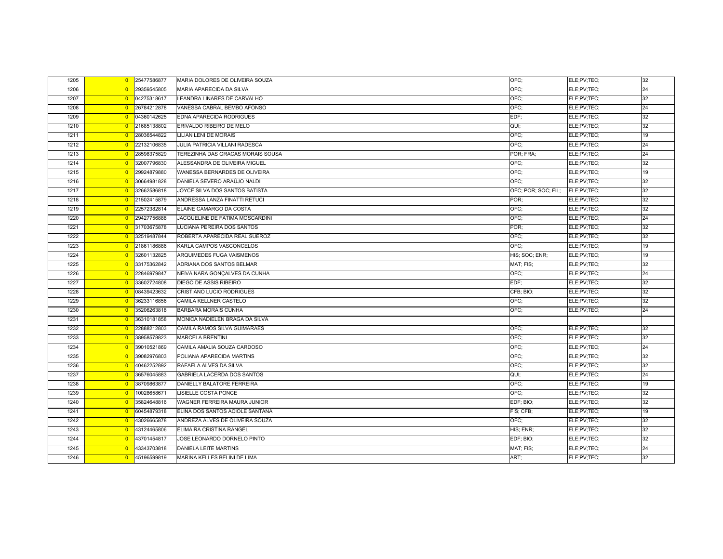| 1205 | $\overline{0}$ | 25477586877 | MARIA DOLORES DE OLIVEIRA SOUZA    | OFC:                | ELE;PV;TEC; | 32 |
|------|----------------|-------------|------------------------------------|---------------------|-------------|----|
| 1206 | $\overline{0}$ | 29359545805 | MARIA APARECIDA DA SILVA           | OFC:                | ELE;PV;TEC; | 24 |
| 1207 | $\overline{0}$ | 04275318617 | LEANDRA LINARES DE CARVALHO        | OFC:                | ELE;PV;TEC; | 32 |
| 1208 | $\overline{0}$ | 26784212878 | VANESSA CABRAL BEMBO AFONSO        | OFC;                | ELE;PV;TEC; | 24 |
| 1209 | $\overline{0}$ | 04360142625 | EDNA APARECIDA RODRIGUES           | EDF:                | ELE;PV;TEC; | 32 |
| 1210 | $\overline{0}$ | 21685138802 | ERIVALDO RIBEIRO DE MELO           | QUI:                | ELE;PV;TEC; | 32 |
| 1211 | $\overline{0}$ | 28036544822 | LILIAN LENI DE MORAIS              | OFC;                | ELE;PV;TEC; | 19 |
| 1212 | $\overline{0}$ | 22132106835 | JULIA PATRICIA VILLANI RADESCA     | OFC:                | ELE;PV;TEC; | 24 |
| 1213 | $\overline{0}$ | 28598375829 | TEREZINHA DAS GRACAS MORAIS SOUSA  | POR; FRA;           | ELE;PV;TEC; | 24 |
| 1214 | $\overline{0}$ | 32007796830 | ALESSANDRA DE OLIVEIRA MIGUEL      | OFC:                | ELE;PV;TEC; | 32 |
| 1215 | $\overline{0}$ | 29924879880 | WANESSA BERNARDES DE OLIVEIRA      | OFC:                | ELE;PV;TEC; | 19 |
| 1216 | $\overline{0}$ | 30664981828 | DANIELA SEVERO ARAÚJO NALDI        | OFC:                | ELE;PV;TEC; | 32 |
| 1217 | $\overline{0}$ | 32662586818 | JOYCE SILVA DOS SANTOS BATISTA     | OFC; POR; SOC; FIL; | ELE;PV;TEC; | 32 |
| 1218 | $\overline{0}$ | 21502415879 | ANDRESSA LANZA FINATTI RETUCI      | POR:                | ELE;PV;TEC; | 32 |
| 1219 | $\overline{0}$ | 22572382814 | ELAINE CAMARGO DA COSTA            | OFC:                | ELE;PV;TEC; | 32 |
| 1220 | $\overline{0}$ | 29427756888 | JACQUELINE DE FATIMA MOSCARDINI    | OFC;                | ELE;PV;TEC; | 24 |
| 1221 | $\overline{0}$ | 31703675878 | LUCIANA PEREIRA DOS SANTOS         | POR:                | ELE;PV;TEC; | 32 |
| 1222 | $\overline{0}$ | 32519487844 | ROBERTA APARECIDA REAL SUEROZ      | OFC;                | ELE;PV;TEC; | 32 |
| 1223 | $\overline{0}$ | 21861186886 | KARLA CAMPOS VASCONCELOS           | OFC:                | ELE;PV;TEC; | 19 |
| 1224 | $\overline{0}$ | 32601132825 | ARQUIMEDES FUGA VAISMENOS          | HIS; SOC; ENR;      | ELE;PV;TEC; | 19 |
| 1225 | $\overline{0}$ | 33175362842 | ADRIANA DOS SANTOS BELMAR          | MAT; FIS;           | ELE;PV;TEC; | 32 |
| 1226 | $\overline{0}$ | 22846979847 | NEIVA NARA GONÇALVES DA CUNHA      | OFC:                | ELE;PV;TEC; | 24 |
| 1227 | $\overline{0}$ | 33602724808 | DIEGO DE ASSIS RIBEIRO             | EDF:                | ELE;PV;TEC; | 32 |
| 1228 | $\overline{0}$ | 08439423632 | <b>CRISTIANO LUCIO RODRIGUES</b>   | CFB: BIO:           | ELE;PV;TEC; | 32 |
| 1229 | $\overline{0}$ | 36233116856 | CAMILA KELLNER CASTELO             | OFC;                | ELE;PV;TEC; | 32 |
| 1230 | $\overline{0}$ | 35206263818 | <b>BARBARA MORAIS CUNHA</b>        | OFC:                | ELE;PV;TEC; | 24 |
| 1231 | $\overline{0}$ | 36310181858 | MONICA NADIELEN BRAGA DA SILVA     |                     |             |    |
| 1232 | $\overline{0}$ | 22888212803 | CAMILA RAMOS SILVA GUIMARAES       | OFC:                | ELE;PV;TEC; | 32 |
| 1233 | $\overline{0}$ | 38958578823 | <b>MARCELA BRENTINI</b>            | OFC:                | ELE;PV;TEC; | 32 |
| 1234 | $\overline{0}$ | 39010521869 | CAMILA AMALIA SOUZA CARDOSO        | OFC:                | ELE;PV;TEC; | 24 |
| 1235 | $\overline{0}$ | 39082976803 | POLIANA APARECIDA MARTINS          | OFC:                | ELE;PV;TEC; | 32 |
| 1236 | $\overline{0}$ | 40462252892 | RAFAELA ALVES DA SILVA             | OFC;                | ELE;PV;TEC; | 32 |
| 1237 | $\overline{0}$ | 36576045883 | <b>GABRIELA LACERDA DOS SANTOS</b> | QUI;                | ELE;PV;TEC; | 24 |
| 1238 | $\overline{0}$ | 38709863877 | DANIELLY BALATORE FERREIRA         | OFC;                | ELE;PV;TEC; | 19 |
| 1239 | $\overline{0}$ | 10028658671 | LISIELLE COSTA PONCE               | OFC:                | ELE;PV;TEC; | 32 |
| 1240 | $\overline{0}$ | 35824648816 | WAGNER FERREIRA MAURA JUNIOR       | EDF; BIO;           | ELE;PV;TEC; | 32 |
| 1241 | $\overline{0}$ | 60454879318 | ELINA DOS SANTOS ACIOLE SANTANA    | FIS; CFB;           | ELE;PV;TEC; | 19 |
| 1242 | $\overline{0}$ | 43026665878 | ANDREZA ALVES DE OLIVEIRA SOUZA    | OFC:                | ELE;PV;TEC; | 32 |
| 1243 | $\overline{0}$ | 43124465806 | ELIMAIRA CRISTINA RANGEL           | HIS; ENR;           | ELE;PV;TEC; | 32 |
| 1244 | $\overline{0}$ | 43701454817 | JOSE LEONARDO DORNELO PINTO        | EDF; BIO;           | ELE;PV;TEC; | 32 |
| 1245 | $\overline{0}$ | 43343703818 | DANIELA LEITE MARTINS              | MAT; FIS;           | ELE;PV;TEC; | 24 |
| 1246 | $\overline{0}$ | 45196599819 | MARINA KELLES BELINI DE LIMA       | ART;                | ELE;PV;TEC; | 32 |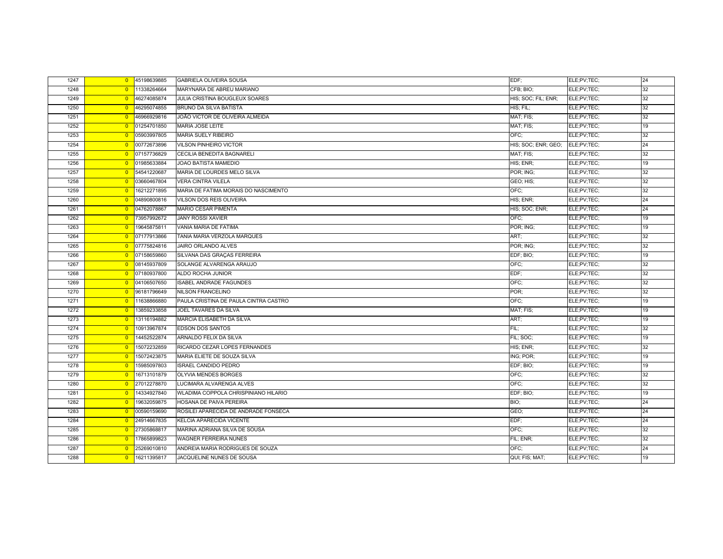| 1247 | $\overline{0}$ | 45198639885 | <b>GABRIELA OLIVEIRA SOUSA</b>        | EDF:                | ELE;PV;TEC; | 24 |
|------|----------------|-------------|---------------------------------------|---------------------|-------------|----|
| 1248 | $\overline{0}$ | 11338264664 | MARYNARA DE ABREU MARIANO             | CFB; BIO;           | ELE;PV;TEC; | 32 |
| 1249 | $\overline{0}$ | 46274085874 | JULIA CRISTINA BOUGLEUX SOARES        | HIS: SOC; FIL; ENR; | ELE;PV;TEC; | 32 |
| 1250 | $\overline{0}$ | 46295074855 | BRUNO DA SILVA BATISTA                | HIS; FIL;           | ELE;PV;TEC; | 32 |
| 1251 | $\overline{0}$ | 46966929816 | JOÃO VICTOR DE OLIVEIRA ALMEIDA       | MAT; FIS;           | ELE;PV;TEC; | 32 |
| 1252 | $\overline{0}$ | 01254701850 | MARIA JOSE LEITE                      | MAT; FIS;           | ELE;PV;TEC; | 19 |
| 1253 | $\overline{0}$ | 05903997805 | <b>MARIA SUELY RIBEIRO</b>            | OFC:                | ELE;PV;TEC; | 32 |
| 1254 | $\overline{0}$ | 00772673896 | <b>VILSON PINHEIRO VICTOR</b>         | HIS; SOC; ENR; GEO; | ELE:PV:TEC: | 24 |
| 1255 | $\overline{0}$ | 07157736829 | CECILIA BENEDITA BAGNARELI            | MAT; FIS;           | ELE;PV;TEC; | 32 |
| 1256 | $\overline{0}$ | 01985633884 | JOAO BATISTA MAMEDIO                  | HIS; ENR;           | ELE;PV;TEC; | 19 |
| 1257 | $\overline{0}$ | 54541220687 | MARIA DE LOURDES MELO SILVA           | POR; ING;           | ELE;PV;TEC; | 32 |
| 1258 | $\overline{0}$ | 03660467804 | <b>VERA CINTRA VILELA</b>             | GEO; HIS;           | ELE;PV;TEC; | 32 |
| 1259 | $\overline{0}$ | 16212271895 | MARIA DE FATIMA MORAIS DO NASCIMENTO  | OFC:                | ELE;PV;TEC; | 32 |
| 1260 | $\overline{0}$ | 04890800816 | <b>VILSON DOS REIS OLIVEIRA</b>       | HIS; ENR;           | ELE;PV;TEC; | 24 |
| 1261 | $\overline{0}$ | 04762078867 | <b>MARIO CESAR PIMENTA</b>            | HIS; SOC; ENR;      | ELE;PV;TEC; | 24 |
| 1262 | $\overline{0}$ | 73957992672 | <b>JANY ROSSI XAVIER</b>              | OFC:                | ELE;PV;TEC; | 19 |
| 1263 | $\overline{0}$ | 19645875811 | VANIA MARIA DE FATIMA                 | POR; ING;           | ELE;PV;TEC; | 19 |
| 1264 | $\overline{0}$ | 07177913866 | TANIA MARIA VERZOLA MARQUES           | ART;                | ELE;PV;TEC; | 32 |
| 1265 | $\overline{0}$ | 07775824816 | JAIRO ORLANDO ALVES                   | POR; ING;           | ELE;PV;TEC; | 32 |
| 1266 | $\overline{0}$ | 07158659860 | SILVANA DAS GRAÇAS FERREIRA           | EDF; BIO;           | ELE;PV;TEC; | 19 |
| 1267 | $\overline{0}$ | 08145937809 | SOLANGE ALVARENGA ARAUJO              | OFC:                | ELE;PV;TEC; | 32 |
| 1268 | $\overline{0}$ | 07180937800 | ALDO ROCHA JUNIOR                     | EDF:                | ELE;PV;TEC; | 32 |
| 1269 | $\overline{0}$ | 04106507650 | ISABEL ANDRADE FAGUNDES               | OFC:                | ELE;PV;TEC; | 32 |
| 1270 | $\overline{0}$ | 96181796649 | NILSON FRANCELINO                     | POR:                | ELE;PV;TEC; | 32 |
| 1271 | $\overline{0}$ | 11638866880 | PAULA CRISTINA DE PAULA CINTRA CASTRO | OFC;                | ELE;PV;TEC; | 19 |
| 1272 | $\overline{0}$ | 13859233858 | JOEL TAVARES DA SILVA                 | MAT; FIS;           | ELE;PV;TEC; | 19 |
| 1273 | $\overline{0}$ | 13116194882 | MARCIA ELISABETH DA SILVA             | ART;                | ELE;PV;TEC; | 19 |
| 1274 | $\overline{0}$ | 10913967874 | EDSON DOS SANTOS                      | FIL:                | ELE;PV;TEC; | 32 |
| 1275 | $\overline{0}$ | 14452522874 | ARNALDO FELIX DA SILVA                | FIL; SOC;           | ELE;PV;TEC; | 19 |
| 1276 | $\overline{0}$ | 15072232859 | RICARDO CEZAR LOPES FERNANDES         | HIS; ENR;           | ELE;PV;TEC; | 32 |
| 1277 | $\overline{0}$ | 15072423875 | MARIA ELIETE DE SOUZA SILVA           | ING; POR;           | ELE;PV;TEC; | 19 |
| 1278 | $\overline{0}$ | 15985097803 | <b>ISRAEL CANDIDO PEDRO</b>           | EDF; BIO;           | ELE;PV;TEC; | 19 |
| 1279 | $\overline{0}$ | 16713101879 | OLYVIA MENDES BORGES                  | OFC:                | ELE;PV;TEC; | 32 |
| 1280 | $\overline{0}$ | 27012278870 | LUCIMARA ALVARENGA ALVES              | OFC;                | ELE;PV;TEC; | 32 |
| 1281 | $\overline{0}$ | 14334927840 | WLADIMA COPPOLA CHRISPINIANO HILARIO  | EDF; BIO;           | ELE;PV;TEC; | 19 |
| 1282 | $\overline{0}$ | 19632059875 | HOSANA DE PAIVA PEREIRA               | BIO;                | ELE;PV;TEC; | 24 |
| 1283 | $\overline{0}$ | 00590159690 | ROSILEI APARECIDA DE ANDRADE FONSECA  | GEO;                | ELE;PV;TEC; | 24 |
| 1284 | $\overline{0}$ | 24914667835 | KELCIA APARECIDA VICENTE              | EDF:                | ELE;PV;TEC; | 24 |
| 1285 | $\overline{0}$ | 27305868817 | MARINA ADRIANA SILVA DE SOUSA         | OFC:                | ELE;PV;TEC; | 32 |
| 1286 | $\overline{0}$ | 17865899823 | <b>WAGNER FERREIRA NUNES</b>          | FIL; ENR;           | ELE;PV;TEC; | 32 |
| 1287 | $\overline{0}$ | 25269010810 | ANDREIA MARIA RODRIGUES DE SOUZA      | OFC:                | ELE;PV;TEC; | 24 |
| 1288 | $\overline{0}$ | 16211395817 | JACQUELINE NUNES DE SOUSA             | QUI; FIS; MAT;      | ELE;PV;TEC; | 19 |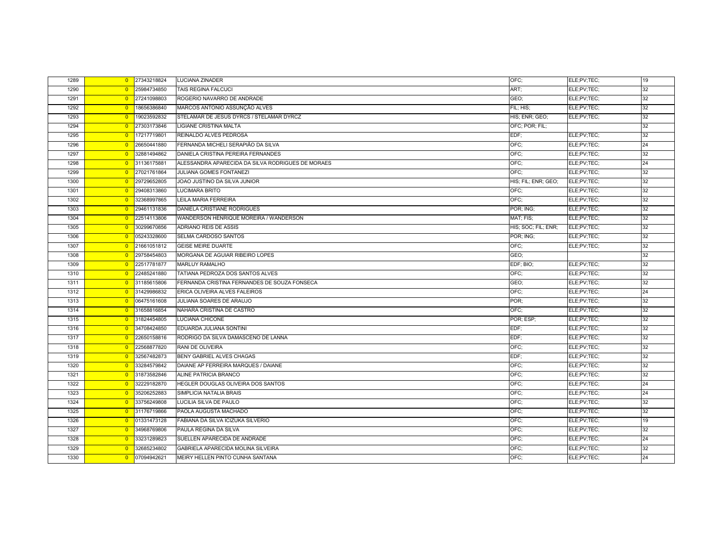| 1289 | $\overline{0}$ | 27343218824 | LUCIANA ZINADER                                   | OFC:                | ELE;PV;TEC; | 19 |
|------|----------------|-------------|---------------------------------------------------|---------------------|-------------|----|
| 1290 | $\overline{0}$ | 25984734850 | <b>TAIS REGINA FALCUCI</b>                        | ART;                | ELE;PV;TEC; | 32 |
| 1291 | $\overline{0}$ | 27241098803 | ROGERIO NAVARRO DE ANDRADE                        | GEO;                | ELE;PV;TEC; | 32 |
| 1292 | $\overline{0}$ | 18656386840 | MARCOS ANTONIO ASSUNÇÃO ALVES                     | FIL; HIS;           | ELE;PV;TEC; | 32 |
| 1293 | $\overline{0}$ | 19023592832 | STELAMAR DE JESUS DYRCS / STELAMAR DYRCZ          | HIS; ENR; GEO;      | ELE;PV;TEC; | 32 |
| 1294 | $\overline{0}$ | 27303173846 | <b>LIGIANE CRISTINA MALTA</b>                     | OFC; POR; FIL;      |             | 32 |
| 1295 | $\overline{0}$ | 17217719801 | REINALDO ALVES PEDROSA                            | EDF;                | ELE;PV;TEC; | 32 |
| 1296 | $\overline{0}$ | 26650441880 | FERNANDA MICHELI SERAPIÃO DA SILVA                | OFC:                | ELE;PV;TEC; | 24 |
| 1297 | $\overline{0}$ | 32881494862 | DANIELA CRISTINA PEREIRA FERNANDES                | OFC:                | ELE;PV;TEC; | 32 |
| 1298 | $\overline{0}$ | 31136175881 | ALESSANDRA APARECIDA DA SILVA RODRIGUES DE MORAES | OFC;                | ELE;PV;TEC; | 24 |
| 1299 | $\overline{0}$ | 27021761864 | <b>JULIANA GOMES FONTANEZI</b>                    | OFC;                | ELE;PV;TEC; | 32 |
| 1300 | $\overline{0}$ | 29729652805 | JOAO JUSTINO DA SILVA JUNIOR                      | HIS; FIL; ENR; GEO; | ELE;PV;TEC; | 32 |
| 1301 | $\overline{0}$ | 29408313860 | <b>LUCIMARA BRITO</b>                             | OFC:                | ELE;PV;TEC; | 32 |
| 1302 | $\overline{0}$ | 32368997865 | LEILA MARIA FERREIRA                              | OFC:                | ELE;PV;TEC; | 32 |
| 1303 | $\overline{0}$ | 29461131836 | DANIELA CRISTIANE RODRIGUES                       | POR; ING;           | ELE;PV;TEC; | 32 |
| 1304 | $\overline{0}$ | 22514113806 | WANDERSON HENRIQUE MOREIRA / WANDERSON            | MAT; FIS;           | ELE;PV;TEC; | 32 |
| 1305 | $\overline{0}$ | 30299670856 | ADRIANO REIS DE ASSIS                             | HIS; SOC; FIL; ENR; | ELE;PV;TEC; | 32 |
| 1306 | $\overline{0}$ | 05243328600 | SELMA CARDOSO SANTOS                              | POR; ING;           | ELE;PV;TEC; | 32 |
| 1307 | $\overline{0}$ | 21661051812 | <b>GEISE MEIRE DUARTE</b>                         | OFC:                | ELE;PV;TEC; | 32 |
| 1308 | $\overline{0}$ | 29758454803 | MORGANA DE AGUIAR RIBEIRO LOPES                   | GEO:                |             | 32 |
| 1309 | $\overline{0}$ | 22517781877 | <b>MARLUY RAMALHO</b>                             | EDF; BIO;           | ELE;PV;TEC; | 32 |
| 1310 | $\overline{0}$ | 22485241880 | TATIANA PEDROZA DOS SANTOS ALVES                  | OFC:                | ELE;PV;TEC; | 32 |
| 1311 | $\overline{0}$ | 31185615806 | FERNANDA CRISTINA FERNANDES DE SOUZA FONSECA      | GEO;                | ELE;PV;TEC; | 32 |
| 1312 | $\overline{0}$ | 31429986832 | ERICA OLIVEIRA ALVES FALEIROS                     | OFC:                | ELE;PV;TEC; | 24 |
| 1313 | $\overline{0}$ | 06475161608 | JULIANA SOARES DE ARAUJO                          | POR;                | ELE;PV;TEC; | 32 |
| 1314 | $\overline{0}$ | 31658816854 | NAHARA CRISTINA DE CASTRO                         | OFC:                | ELE;PV;TEC; | 32 |
| 1315 | $\overline{0}$ | 31824454805 | LUCIANA CHICONE                                   | POR; ESP;           | ELE;PV;TEC; | 32 |
| 1316 | $\overline{0}$ | 34708424850 | EDUARDA JULIANA SONTINI                           | EDF:                | ELE;PV;TEC; | 32 |
| 1317 | $\overline{0}$ | 22650158816 | RODRIGO DA SILVA DAMASCENO DE LANNA               | EDF;                | ELE;PV;TEC; | 32 |
| 1318 | $\overline{0}$ | 22568877820 | RANI DE OLIVEIRA                                  | OFC;                | ELE;PV;TEC; | 32 |
| 1319 | $\overline{0}$ | 32567482873 | BENY GABRIEL ALVES CHAGAS                         | EDF;                | ELE;PV;TEC; | 32 |
| 1320 | $\overline{0}$ | 33284579842 | DAIANE AP FERREIRA MARQUES / DAIANE               | OFC;                | ELE;PV;TEC; | 32 |
| 1321 | $\overline{0}$ | 31873582846 | ALINE PATRICIA BRANCO                             | OFC:                | ELE;PV;TEC; | 32 |
| 1322 | $\overline{0}$ | 32229182870 | HEGLER DOUGLAS OLIVEIRA DOS SANTOS                | OFC;                | ELE;PV;TEC; | 24 |
| 1323 | $\overline{0}$ | 35206252883 | SIMPLICIA NATALIA BRAIS                           | OFC:                | ELE;PV;TEC; | 24 |
| 1324 | $\overline{0}$ | 33756249808 | LUCILIA SILVA DE PAULO                            | OFC;                | ELE;PV;TEC; | 32 |
| 1325 | $\overline{0}$ | 31176719866 | PAOLA AUGUSTA MACHADO                             | OFC;                | ELE;PV;TEC; | 32 |
| 1326 | $\Omega$       | 01331473128 | FABIANA DA SILVA ICIZUKA SILVERIO                 | OFC:                | ELE;PV;TEC; | 19 |
| 1327 | $\overline{0}$ | 34968769806 | PAULA REGINA DA SILVA                             | OFC:                | ELE;PV;TEC; | 32 |
| 1328 | $\overline{0}$ | 33231289823 | SUELLEN APARECIDA DE ANDRADE                      | OFC:                | ELE;PV;TEC; | 24 |
| 1329 | $\overline{0}$ | 32685234802 | GABRIELA APARECIDA MOLINA SILVEIRA                | OFC;                | ELE;PV;TEC; | 32 |
| 1330 | $\overline{0}$ | 07094942621 | MEIRY HELLEN PINTO CUNHA SANTANA                  | OFC:                | ELE;PV;TEC; | 24 |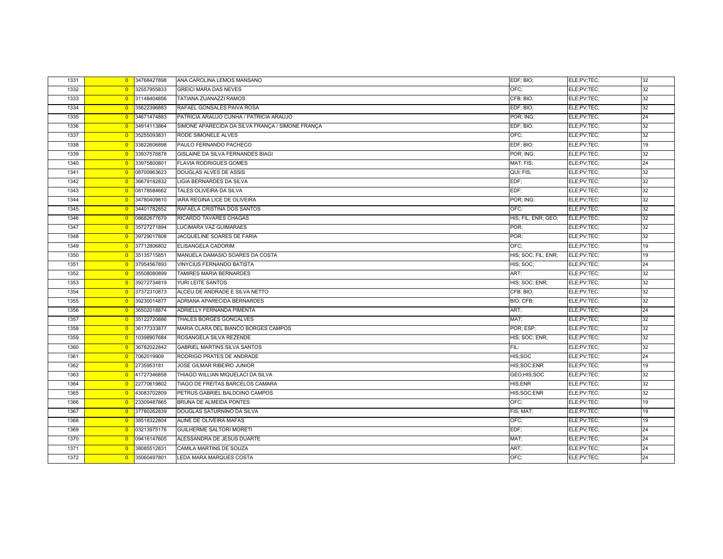| 1331 | $\overline{0}$ | 34768427898 | ANA CAROLINA LEMOS MANSANO                       | EDF; BIO;           | ELE;PV;TEC; | 32 |
|------|----------------|-------------|--------------------------------------------------|---------------------|-------------|----|
| 1332 | $\overline{0}$ | 32557955833 | <b>GREICI MARA DAS NEVES</b>                     | OFC:                | ELE:PV;TEC; | 32 |
| 1333 | $\overline{0}$ | 31148404856 | TATIANA ZUANAZZI RAMOS                           | CFB; BIO;           | ELE;PV;TEC; | 32 |
| 1334 | $\overline{0}$ | 35622396883 | RAFAEL GONSALES PAIVA ROSA                       | EDF; BIO;           | ELE;PV;TEC; | 32 |
| 1335 | $\overline{0}$ | 34671474883 | PATRICIA ARAUJO CUNHA / PATRICIA ARAUJO          | POR; ING;           | ELE;PV;TEC; | 24 |
| 1336 | $\overline{0}$ | 34914113864 | SIMONE APARECIDA DA SILVA FRANÇA / SIMONE FRANÇA | EDF; BIO;           | ELE;PV;TEC; | 32 |
| 1337 | $\overline{0}$ | 35255093831 | RODE SIMONELE ALVES                              | OFC:                | ELE;PV;TEC; | 32 |
| 1338 | $\overline{0}$ | 33822606898 | PAULO FERNANDO PACHECO                           | EDF; BIO;           | ELE;PV;TEC; | 19 |
| 1339 | $\overline{0}$ | 33937576878 | GISLAINE DA SILVA FERNANDES BIAGI                | POR; ING;           | ELE;PV;TEC; | 32 |
| 1340 | $\overline{0}$ | 33975800801 | <b>FLAVIA RODRIGUES GOMES</b>                    | MAT; FIS;           | ELE;PV;TEC; | 24 |
| 1341 | $\overline{0}$ | 08700963623 | <b>DOUGLAS ALVES DE ASSIS</b>                    | QUI; FIS;           | ELE;PV;TEC; | 32 |
| 1342 | $\overline{0}$ | 36679182832 | <b>LIGIA BERNARDES DA SILVA</b>                  | EDF:                | ELE;PV;TEC; | 32 |
| 1343 | $\overline{0}$ | 08178584662 | TALES OLIVEIRA DA SILVA                          | EDF;                | ELE;PV;TEC; | 32 |
| 1344 | $\overline{0}$ | 34780409810 | <b>IARA REGINA LICE DE OLIVEIRA</b>              | POR; ING;           | ELE;PV;TEC; | 32 |
| 1345 | $\overline{0}$ | 34401782852 | RAFAELA CRISTINA DOS SANTOS                      | OFC:                | ELE;PV;TEC; | 32 |
| 1346 | $\overline{0}$ | 08682677679 | RICARDO TAVARES CHAGAS                           | HIS; FIL; ENR; GEO; | ELE;PV;TEC; | 32 |
| 1347 | $\overline{0}$ | 35727271894 | LUCIMARA VAZ GUIMARAES                           | POR:                | ELE;PV;TEC; | 32 |
| 1348 | $\overline{0}$ | 39729017808 | JACQUELINE SOARES DE FARIA                       | POR:                | ELE;PV;TEC; | 32 |
| 1349 | $\overline{0}$ | 37712806802 | ELISANGELA CADORIM                               | OFC:                | ELE;PV;TEC; | 19 |
| 1350 | $\overline{0}$ | 35135715851 | MANUELA DAMASIO SOARES DA COSTA                  | HIS; SOC; FIL; ENR; | ELE;PV;TEC; | 19 |
| 1351 | $\overline{0}$ | 37954567893 | <b>VINYCIUS FERNANDO BATISTA</b>                 | HIS; SOC;           | ELE;PV;TEC; | 24 |
| 1352 | $\overline{0}$ | 35508080899 | <b>TAMIRES MARIA BERNARDES</b>                   | ART:                | ELE;PV;TEC; | 32 |
| 1353 | $\overline{0}$ | 39272734819 | YURI LEITE SANTOS                                | HIS: SOC; ENR;      | ELE:PV:TEC: | 32 |
| 1354 | $\overline{0}$ | 37372310873 | ALCEU DE ANDRADE E SILVA NETTO                   | CFB; BIO;           | ELE;PV;TEC; | 32 |
| 1355 | $\overline{0}$ | 39230014877 | ADRIANA APARECIDA BERNARDES                      | BIO; CFB;           | ELE;PV;TEC; | 32 |
| 1356 | $\overline{0}$ | 36502018874 | ADRIELLY FERNANDA PIMENTA                        | ART;                | ELE;PV;TEC; | 24 |
| 1357 | $\overline{0}$ | 35122720886 | THALES BORGES GONCALVES                          | MAT:                | ELE;PV;TEC; | 32 |
| 1358 | $\overline{0}$ | 36177333877 | MARIA CLARA DEL BIANCO BORGES CAMPOS             | POR: ESP:           | ELE;PV;TEC; | 32 |
| 1359 | $\overline{0}$ | 10398907684 | ROSANGELA SILVA REZENDE                          | HIS; SOC; ENR;      | ELE;PV;TEC; | 32 |
| 1360 | $\overline{0}$ | 36782022842 | <b>GABRIEL MARTINS SILVA SANTOS</b>              | FIL:                | ELE;PV;TEC; | 32 |
| 1361 | $\overline{0}$ | 7062019909  | RODRIGO PRATES DE ANDRADE                        | HIS;SOC             | ELE;PV;TEC; | 24 |
| 1362 | $\overline{0}$ | 2735953181  | JOSE GILMAR RIBEIRO JUNIOR                       | HIS;SOC;ENR         | ELE;PV;TEC; | 19 |
| 1363 | $\overline{0}$ | 41727346858 | THIAGO WILLIAN MIQUELACI DA SILVA                | GEO;HIS;SOC         | ELE:PV:TEC: | 32 |
| 1364 | $\overline{0}$ | 22770619802 | TIAGO DE FREITAS BARCELOS CAMARA                 | HIS;ENR             | ELE;PV;TEC; | 32 |
| 1365 | $\overline{0}$ | 43083702809 | PETRUS GABRIEL BALDOINO CAMPOS                   | HIS;SOC;ENR         | ELE;PV;TEC; | 32 |
| 1366 | $\overline{0}$ | 23309487865 | <b>BRUNA DE ALMEIDA PONTES</b>                   | OFC:                | ELE;PV;TEC; | 19 |
| 1367 | $\overline{0}$ | 37780262839 | DOUGLAS SATURNINO DA SILVA                       | FIS; MAT;           | ELE;PV;TEC; | 19 |
| 1368 | $\overline{0}$ | 38518322804 | ALINE DE OLIVEIRA MAFAS                          | OFC:                | ELE;PV;TEC; | 19 |
| 1369 | $\overline{0}$ | 03213975176 | GUILHERME SALTORI MORETI                         | EDF:                | ELE;PV;TEC; | 24 |
| 1370 | $\overline{0}$ | 09416147605 | ALESSANDRA DE JESUS DUARTE                       | MAT:                | ELE;PV;TEC; | 24 |
| 1371 | $\overline{0}$ | 38085512831 | CAMILA MARTINS DE SOUZA                          | ART;                | ELE;PV;TEC; | 24 |
| 1372 | $\overline{0}$ | 35060497801 | LEDA MARA MARQUES COSTA                          | OFC:                | ELE:PV:TEC: | 24 |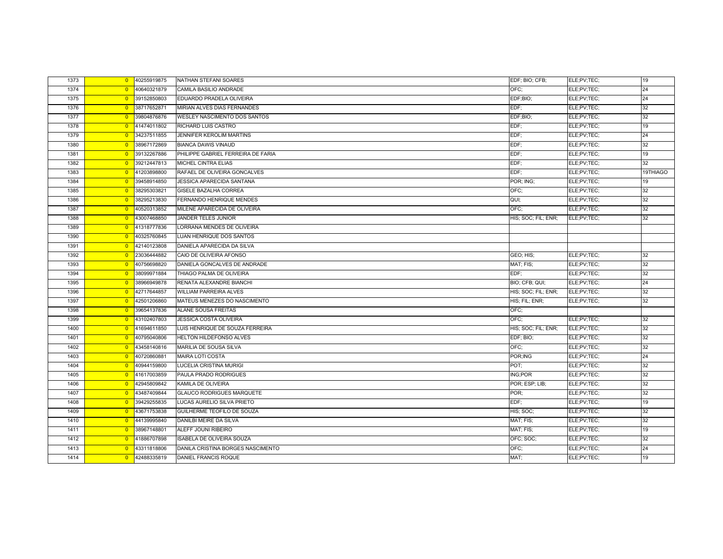| 1373 | $\overline{0}$ | 40255919875 | NATHAN STEFANI SOARES              | EDF; BIO; CFB;      | ELE;PV;TEC; | 19       |
|------|----------------|-------------|------------------------------------|---------------------|-------------|----------|
| 1374 | $\overline{0}$ | 40640321879 | CAMILA BASILIO ANDRADE             | OFC:                | ELE;PV;TEC; | 24       |
| 1375 | $\overline{0}$ | 39152850803 | EDUARDO PRADELA OLIVEIRA           | EDF;BIO;            | ELE;PV;TEC; | 24       |
| 1376 | $\overline{0}$ | 38717652871 | MIRIAN ALVES DIAS FERNANDES        | EDF;                | ELE;PV;TEC; | 32       |
| 1377 | $\overline{0}$ | 39804876876 | WESLEY NASCIMENTO DOS SANTOS       | EDF;BIO;            | ELE;PV;TEC; | 32       |
| 1378 | $\overline{0}$ | 41474011802 | RICHARD LUIS CASTRO                | EDF;                | ELE;PV;TEC; | 19       |
| 1379 | $\overline{0}$ | 34237511855 | <b>JENNIFER KEROLIM MARTINS</b>    | EDF;                | ELE;PV;TEC; | 24       |
| 1380 | $\overline{0}$ | 38967172869 | <b>BIANCA DAWIS VINAUD</b>         | EDF:                | ELE;PV;TEC; | 32       |
| 1381 | $\overline{0}$ | 39132267886 | PHILIPPE GABRIEL FERREIRA DE FARIA | EDF:                | ELE;PV;TEC; | 19       |
| 1382 | $\overline{0}$ | 39212447813 | <b>MICHEL CINTRA ELIAS</b>         | EDF;                | ELE;PV;TEC; | 32       |
| 1383 | $\overline{0}$ | 41203898800 | RAFAEL DE OLIVEIRA GONCALVES       | EDF:                | ELE;PV;TEC; | 19THIAGO |
| 1384 | $\overline{0}$ | 39458914850 | <b>JESSICA APARECIDA SANTANA</b>   | POR; ING;           | ELE;PV;TEC; | 19       |
| 1385 | $\overline{0}$ | 38295303821 | GISELE BAZALHA CORREA              | OFC;                | ELE;PV;TEC; | 32       |
| 1386 | $\overline{0}$ | 38295213830 | <b>FERNANDO HENRIQUE MENDES</b>    | QUI;                | ELE;PV;TEC; | 32       |
| 1387 | $\overline{0}$ | 40520313852 | MILENE APARECIDA DE OLIVEIRA       | OFC:                | ELE;PV;TEC; | 32       |
| 1388 | $\overline{0}$ | 43007468850 | JANDER TELES JUNIOR                | HIS; SOC; FIL; ENR; | ELE;PV;TEC; | 32       |
| 1389 | $\overline{0}$ | 41318777836 | LORRANA MENDES DE OLIVEIRA         |                     |             |          |
| 1390 | $\overline{0}$ | 40325760845 | LUAN HENRIQUE DOS SANTOS           |                     |             |          |
| 1391 | $\overline{0}$ | 42140123808 | DANIELA APARECIDA DA SILVA         |                     |             |          |
| 1392 | $\overline{0}$ | 23036444882 | CAIO DE OLIVEIRA AFONSO            | GEO; HIS;           | ELE;PV;TEC; | 32       |
| 1393 | $\overline{0}$ | 40756698820 | DANIELA GONCALVES DE ANDRADE       | MAT; FIS;           | ELE;PV;TEC; | 32       |
| 1394 | $\overline{0}$ | 38099971884 | THIAGO PALMA DE OLIVEIRA           | EDF:                | ELE;PV;TEC; | 32       |
| 1395 | $\overline{0}$ | 38966949878 | RENATA ALEXANDRE BIANCHI           | BIO; CFB; QUI;      | ELE;PV;TEC; | 24       |
| 1396 | $\overline{0}$ | 42717644857 | <b>WILLIAM PARREIRA ALVES</b>      | HIS; SOC; FIL; ENR; | ELE;PV;TEC; | 32       |
| 1397 | $\overline{0}$ | 42501206860 | MATEUS MENEZES DO NASCIMENTO       | HIS; FIL; ENR;      | ELE;PV;TEC; | 32       |
| 1398 | $\overline{0}$ | 39654137836 | ALANE SOUSA FREITAS                | OFC:                |             |          |
| 1399 | $\overline{0}$ | 43102407803 | <b>JESSICA COSTA OLIVEIRA</b>      | OFC:                | ELE;PV;TEC; | 32       |
| 1400 | $\overline{0}$ | 41694611850 | LUIS HENRIQUE DE SOUZA FERREIRA    | HIS; SOC; FIL; ENR; | ELE;PV;TEC; | 32       |
| 1401 | $\Omega$       | 40795040806 | <b>HELTON HILDEFONSO ALVES</b>     | EDF; BIO;           | ELE;PV;TEC; | 32       |
| 1402 | $\overline{0}$ | 43458140816 | MARILIA DE SOUSA SILVA             | OFC;                | ELE;PV;TEC; | 32       |
| 1403 | $\overline{0}$ | 40720860881 | <b>MAIRA LOTI COSTA</b>            | POR; ING            | ELE;PV;TEC; | 24       |
| 1404 | $\overline{0}$ | 40944159800 | <b>LUCELIA CRISTINA MURIGI</b>     | POT;                | ELE;PV;TEC; | 32       |
| 1405 | $\overline{0}$ | 41617003859 | PAULA PRADO RODRIGUES              | <b>ING:POR</b>      | ELE;PV;TEC; | 32       |
| 1406 | $\overline{0}$ | 42945809842 | KAMILA DE OLIVEIRA                 | POR; ESP; LIB;      | ELE;PV;TEC; | 32       |
| 1407 | $\overline{0}$ | 43487409844 | <b>GLAUCO RODRIGUES MARQUETE</b>   | POR:                | ELE;PV;TEC; | 32       |
| 1408 | $\overline{0}$ | 39429255835 | LUCAS AURELIO SILVA PRIETO         | EDF:                | ELE;PV;TEC; | 19       |
| 1409 | $\overline{0}$ | 43671753838 | GUILHERME TEOFILO DE SOUZA         | HIS; SOC;           | ELE;PV;TEC; | 32       |
| 1410 | $\overline{0}$ | 44139995840 | DANILBI MEIRE DA SILVA             | MAT; FIS;           | ELE;PV;TEC; | 32       |
| 1411 | $\overline{0}$ | 38967148801 | ALEFF JOUNI RIBEIRO                | MAT; FIS;           | ELE;PV;TEC; | 19       |
| 1412 | $\overline{0}$ | 41886707898 | <b>ISABELA DE OLIVEIRA SOUZA</b>   | OFC; SOC;           | ELE;PV;TEC; | 32       |
| 1413 | $\overline{0}$ | 43311818806 | DANILA CRISTINA BORGES NASCIMENTO  | OFC;                | ELE;PV;TEC; | 24       |
| 1414 | $\overline{0}$ | 42488335819 | <b>DANIEL FRANCIS ROQUE</b>        | MAT:                | ELE;PV;TEC; | 19       |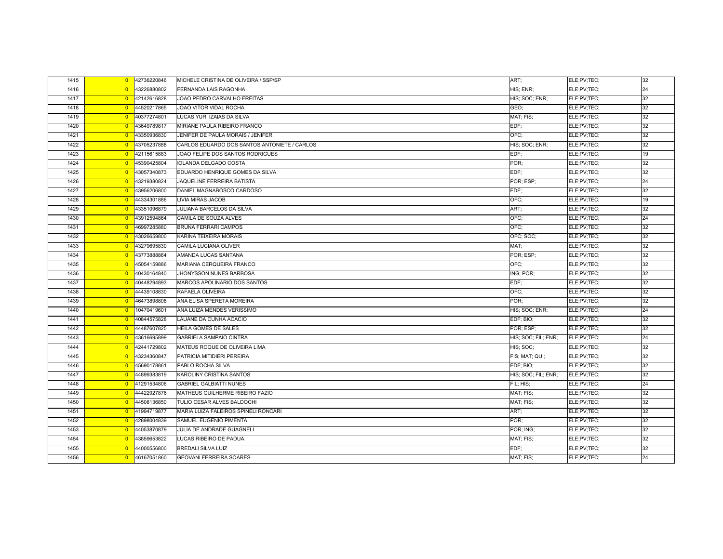| 1415 | $\overline{0}$ | 42736220846 | MICHELE CRISTINA DE OLIVEIRA / SSP/SP        | ART:                | ELE;PV;TEC; | 32 |
|------|----------------|-------------|----------------------------------------------|---------------------|-------------|----|
| 1416 | $\overline{0}$ | 43226880802 | FERNANDA LAIS RAGONHA                        | HIS; ENR;           | ELE;PV;TEC; | 24 |
| 1417 | $\overline{0}$ | 42142616828 | JOAO PEDRO CARVALHO FREITAS                  | HIS; SOC; ENR;      | ELE;PV;TEC; | 32 |
| 1418 | $\overline{0}$ | 44520217865 | JOAO VITOR VIDAL ROCHA                       | GEO;                | ELE;PV;TEC; | 32 |
| 1419 | $\overline{0}$ | 40377274801 | LUCAS YURI IZAIAS DA SILVA                   | MAT; FIS;           | ELE;PV;TEC; | 32 |
| 1420 | $\overline{0}$ | 43649789817 | MIRIANE PAULA RIBEIRO FRANCO                 | EDF:                | ELE;PV;TEC; | 32 |
| 1421 | $\overline{0}$ | 43350936830 | JENIFER DE PAULA MORAIS / JENIFER            | OFC:                | ELE;PV;TEC; | 32 |
| 1422 | $\overline{0}$ | 43705237888 | CARLOS EDUARDO DOS SANTOS ANTONIETE / CARLOS | HIS; SOC; ENR;      | ELE;PV;TEC; | 32 |
| 1423 | $\overline{0}$ | 42115615883 | JOAO FELIPE DOS SANTOS RODRIGUES             | EDF;                | ELE;PV;TEC; | 19 |
| 1424 | $\overline{0}$ | 45390425804 | <b>IOLANDA DELGADO COSTA</b>                 | POR:                | ELE;PV;TEC; | 32 |
| 1425 | $\overline{0}$ | 43057340873 | EDUARDO HENRIQUE GOMES DA SILVA              | EDF:                | ELE;PV;TEC; | 32 |
| 1426 | $\overline{0}$ | 43219380824 | <b>JAQUELINE FERREIRA BATISTA</b>            | POR; ESP;           | ELE;PV;TEC; | 24 |
| 1427 | $\overline{0}$ | 43956206800 | DANIEL MAGNABOSCO CARDOSO                    | EDF:                | ELE;PV;TEC; | 32 |
| 1428 | $\overline{0}$ | 44334301886 | LIVIA MIRAS JACOB                            | OFC:                | ELE;PV;TEC; | 19 |
| 1429 | $\overline{0}$ | 43351096879 | <b>JULIANA BARCELOS DA SILVA</b>             | ART:                | ELE;PV;TEC; | 32 |
| 1430 | $\overline{0}$ | 43912594864 | CAMILA DE SOUZA ALVES                        | OFC;                | ELE;PV;TEC; | 24 |
| 1431 | $\overline{0}$ | 46997285880 | <b>BRUNA FERRARI CAMPOS</b>                  | OFC:                | ELE;PV;TEC; | 32 |
| 1432 | $\overline{0}$ | 43026659800 | KARINA TEIXEIRA MORAIS                       | OFC; SOC;           | ELE;PV;TEC; | 32 |
| 1433 | $\overline{0}$ | 43279695830 | CAMILA LUCIANA OLIVER                        | MAT:                | ELE;PV;TEC; | 32 |
| 1434 | $\overline{0}$ | 43773888864 | AMANDA LUCAS SANTANA                         | POR; ESP;           | ELE;PV;TEC; | 32 |
| 1435 | $\overline{0}$ | 45054159886 | MARIANA CERQUEIRA FRANCO                     | OFC:                | ELE;PV;TEC; | 32 |
| 1436 | $\overline{0}$ | 40430164840 | JHONYSSON NUNES BARBOSA                      | ING; POR;           | ELE;PV;TEC; | 32 |
| 1437 | $\overline{0}$ | 40448294893 | MARCOS APOLINARIO DOS SANTOS                 | EDF:                | ELE;PV;TEC; | 32 |
| 1438 | $\overline{0}$ | 44439108830 | RAFAELA OLIVEIRA                             | OFC:                | ELE;PV;TEC; | 32 |
| 1439 | $\overline{0}$ | 46473898808 | ANA ELISA SPERETA MOREIRA                    | POR:                | ELE;PV;TEC; | 32 |
| 1440 | $\overline{0}$ | 10470419601 | ANA LUIZA MENDES VERISSIMO                   | HIS; SOC; ENR;      | ELE;PV;TEC; | 24 |
| 1441 | $\overline{0}$ | 40844575828 | LAUANE DA CUNHA ACACIO                       | EDF; BIO;           | ELE;PV;TEC; | 32 |
| 1442 | $\overline{0}$ | 44487607825 | HEILA GOMES DE SALES                         | POR: ESP:           | ELE;PV;TEC; | 32 |
| 1443 | $\overline{0}$ | 43616695899 | <b>GABRIELA SAMPAIO CINTRA</b>               | HIS; SOC; FIL; ENR; | ELE;PV;TEC; | 24 |
| 1444 | $\overline{0}$ | 42441729802 | MATEUS ROQUE DE OLIVEIRA LIMA                | HIS; SOC;           | ELE;PV;TEC; | 32 |
| 1445 | $\overline{0}$ | 43234360847 | PATRICIA MITIDIERI PEREIRA                   | FIS; MAT; QUI;      | ELE;PV;TEC; | 32 |
| 1446 | $\overline{0}$ | 45690178861 | PABLO ROCHA SILVA                            | EDF; BIO;           | ELE;PV;TEC; | 32 |
| 1447 | $\overline{0}$ | 44899383819 | <b>KAROLINY CRISTINA SANTOS</b>              | HIS; SOC; FIL; ENR; | ELE;PV;TEC; | 32 |
| 1448 | $\overline{0}$ | 41291534806 | <b>GABRIEL GALBIATTI NUNES</b>               | FIL; HIS;           | ELE;PV;TEC; | 24 |
| 1449 | $\overline{0}$ | 44422927876 | MATHEUS GUILHERME RIBEIRO FAZIO              | MAT; FIS;           | ELE;PV;TEC; | 32 |
| 1450 | $\overline{0}$ | 44508136850 | TULIO CESAR ALVES BALDOCHI                   | MAT; FIS;           | ELE;PV;TEC; | 32 |
| 1451 | $\overline{0}$ | 41994719877 | MARIA LUIZA FALEIROS SPINELI RONCARI         | ART;                | ELE;PV;TEC; | 32 |
| 1452 | $\overline{0}$ | 42898004839 | SAMUEL EUGENIO PIMENTA                       | POR:                | ELE;PV;TEC; | 32 |
| 1453 | $\overline{0}$ | 44053870879 | JULIA DE ANDRADE GUAGNELI                    | POR; ING;           | ELE;PV;TEC; | 32 |
| 1454 | $\overline{0}$ | 43859653822 | LUCAS RIBEIRO DE PADUA                       | MAT; FIS;           | ELE;PV;TEC; | 32 |
| 1455 | $\overline{0}$ | 44000556800 | <b>BREDALI SILVA LUIZ</b>                    | EDF:                | ELE;PV;TEC; | 32 |
| 1456 | $\overline{0}$ | 46167051860 | <b>GEOVANI FERREIRA SOARES</b>               | MAT; FIS;           | ELE;PV;TEC; | 24 |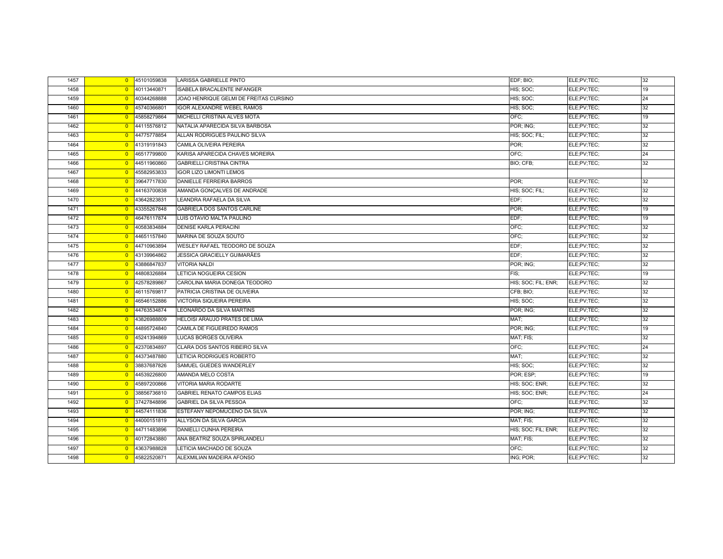| 1457 | $\overline{0}$ | 45101059838 | <b>LARISSA GABRIELLE PINTO</b>         | EDF; BIO;           | ELE;PV;TEC; | 32 |
|------|----------------|-------------|----------------------------------------|---------------------|-------------|----|
| 1458 | $\overline{0}$ | 40113440871 | ISABELA BRACALENTE INFANGER            | HIS; SOC;           | ELE;PV;TEC; | 19 |
| 1459 | $\overline{0}$ | 40344268888 | JOAO HENRIQUE GELMI DE FREITAS CURSINO | HIS; SOC;           | ELE;PV;TEC; | 24 |
| 1460 | $\overline{0}$ | 45740366801 | <b>IGOR ALEXANDRE WEBEL RAMOS</b>      | HIS; SOC;           | ELE;PV;TEC; | 32 |
| 1461 | $\overline{0}$ | 45858279864 | MICHELLI CRISTINA ALVES MOTA           | OFC:                | ELE;PV;TEC; | 19 |
| 1462 | $\overline{0}$ | 44115576812 | NATALIA APARECIDA SILVA BARBOSA        | POR; ING;           | ELE;PV;TEC; | 32 |
| 1463 | $\overline{0}$ | 44775778854 | ALLAN RODRIGUES PAULINO SILVA          | HIS; SOC; FIL;      | ELE;PV;TEC; | 32 |
| 1464 | $\overline{0}$ | 41319191843 | CAMILA OLIVEIRA PEREIRA                | POR:                | ELE;PV;TEC; | 32 |
| 1465 | $\overline{0}$ | 46517799800 | KARISA APARECIDA CHAVES MOREIRA        | OFC;                | ELE;PV;TEC; | 24 |
| 1466 | $\overline{0}$ | 44511960860 | <b>GABRIELLI CRISTINA CINTRA</b>       | BIO; CFB;           | ELE;PV;TEC; | 32 |
| 1467 | $\overline{0}$ | 45582953833 | <b>IGOR LIZO LIMONTI LEMOS</b>         |                     |             |    |
| 1468 | $\overline{0}$ | 39647717830 | DANIELLE FERREIRA BARROS               | POR:                | ELE;PV;TEC; | 32 |
| 1469 | $\overline{0}$ | 44163700838 | AMANDA GONÇALVES DE ANDRADE            | HIS; SOC; FIL;      | ELE;PV;TEC; | 32 |
| 1470 | $\overline{0}$ | 43642823831 | LEANDRA RAFAELA DA SILVA               | EDF;                | ELE;PV;TEC; | 32 |
| 1471 | $\overline{0}$ | 43355267848 | <b>GABRIELA DOS SANTOS CARLINE</b>     | POR:                | ELE;PV;TEC; | 19 |
| 1472 | $\overline{0}$ | 46476117874 | LUIS OTAVIO MALTA PAULINO              | EDF:                | ELE;PV;TEC; | 19 |
| 1473 | $\overline{0}$ | 40583834884 | <b>DENISE KARLA PERACINI</b>           | OFC;                | ELE;PV;TEC; | 32 |
| 1474 | $\overline{0}$ | 44651157840 | MARINA DE SOUZA SOUTO                  | OFC:                | ELE;PV;TEC; | 32 |
| 1475 | $\overline{0}$ | 44710963894 | WESLEY RAFAEL TEODORO DE SOUZA         | EDF;                | ELE;PV;TEC; | 32 |
| 1476 | $\overline{0}$ | 43139964862 | JESSICA GRACIELLY GUIMARÃES            | EDF:                | ELE;PV;TEC; | 32 |
| 1477 | $\overline{0}$ | 43886847837 | <b>VITORIA NALDI</b>                   | POR; ING;           | ELE;PV;TEC; | 32 |
| 1478 | $\overline{0}$ | 44808326884 | LETICIA NOGUEIRA CESION                | FIS;                | ELE;PV;TEC; | 19 |
| 1479 | $\overline{0}$ | 42578289867 | CAROLINA MARIA DONEGA TEODORO          | HIS; SOC; FIL; ENR; | ELE;PV;TEC; | 32 |
| 1480 | $\overline{0}$ | 46115769817 | PATRICIA CRISTINA DE OLIVEIRA          | CFB; BIO;           | ELE;PV;TEC; | 32 |
| 1481 | $\overline{0}$ | 46546152886 | <b>VICTORIA SIQUEIRA PEREIRA</b>       | HIS; SOC;           | ELE;PV;TEC; | 32 |
| 1482 | $\overline{0}$ | 44763534874 | LEONARDO DA SILVA MARTINS              | POR; ING;           | ELE;PV;TEC; | 32 |
| 1483 | $\overline{0}$ | 43826988809 | HELOISI ARAUJO PRATES DE LIMA          | MAT:                | ELE;PV;TEC; | 32 |
| 1484 | $\overline{0}$ | 44895724840 | CAMILA DE FIGUEIREDO RAMOS             | POR; ING;           | ELE;PV;TEC; | 19 |
| 1485 | $\overline{0}$ | 45241394869 | <b>LUCAS BORGES OLIVEIRA</b>           | MAT; FIS;           |             | 32 |
| 1486 | $\overline{0}$ | 42370834897 | CLARA DOS SANTOS RIBEIRO SILVA         | OFC;                | ELE;PV;TEC; | 24 |
| 1487 | $\overline{0}$ | 44373487880 | LETICIA RODRIGUES ROBERTO              | MAT;                | ELE;PV;TEC; | 32 |
| 1488 | $\overline{0}$ | 38837687826 | SAMUEL GUEDES WANDERLEY                | HIS; SOC;           | ELE;PV;TEC; | 32 |
| 1489 | $\overline{0}$ | 44539226800 | AMANDA MELO COSTA                      | POR; ESP;           | ELE;PV;TEC; | 19 |
| 1490 | $\overline{0}$ | 45897200866 | VITORIA MARIA RODARTE                  | HIS; SOC; ENR;      | ELE;PV;TEC; | 32 |
| 1491 | $\overline{0}$ | 38856736810 | <b>GABRIEL RENATO CAMPOS ELIAS</b>     | HIS; SOC; ENR;      | ELE;PV;TEC; | 24 |
| 1492 | $\overline{0}$ | 37427848896 | <b>GABRIEL DA SILVA PESSOA</b>         | OFC:                | ELE;PV;TEC; | 32 |
| 1493 | $\overline{0}$ | 44574111836 | ESTEFANY NEPOMUCENO DA SILVA           | POR; ING;           | ELE;PV;TEC; | 32 |
| 1494 | $\overline{0}$ | 44000151819 | ALLYSON DA SILVA GARCIA                | MAT: FIS:           | ELE;PV;TEC; | 32 |
| 1495 | $\overline{0}$ | 44711483896 | DANIELLI CUNHA PEREIRA                 | HIS; SOC; FIL; ENR; | ELE;PV;TEC; | 32 |
| 1496 | $\overline{0}$ | 40172843880 | ANA BEATRIZ SOUZA SPIRLANDELI          | MAT; FIS;           | ELE;PV;TEC; | 32 |
| 1497 | $\overline{0}$ | 43637988828 | LETICIA MACHADO DE SOUZA               | OFC;                | ELE;PV;TEC; | 32 |
| 1498 | $\overline{0}$ | 45822520871 | ALEXMILIAN MADEIRA AFONSO              | ING; POR;           | ELE;PV;TEC; | 32 |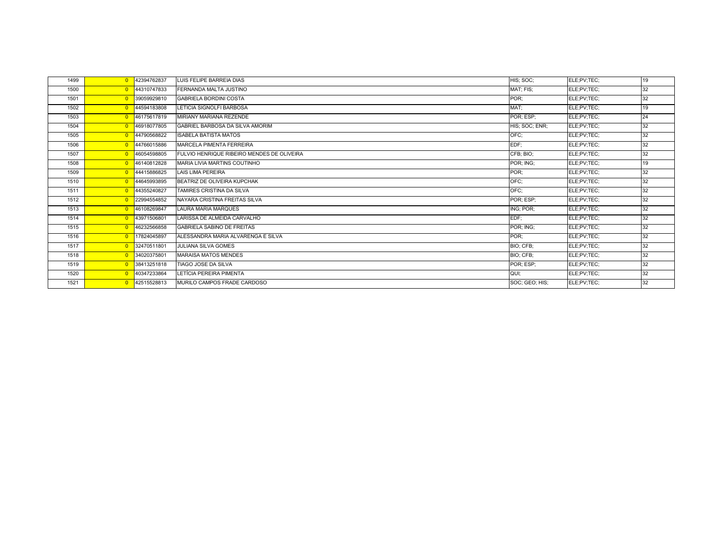| 1499 |                | 0 42394762837 | LUIS FELIPE BARREIA DIAS                   | HIS; SOC:      | ELE;PV;TEC; | 19 |
|------|----------------|---------------|--------------------------------------------|----------------|-------------|----|
| 1500 |                | 0 44310747833 | FERNANDA MALTA JUSTINO                     | MAT; FIS;      | ELE:PV:TEC: | 32 |
| 1501 |                | 0 39059929810 | <b>GABRIELA BORDINI COSTA</b>              | POR;           | ELE;PV;TEC; | 32 |
| 1502 | $\Omega$       | 44594183808   | LETICIA SIGNOLFI BARBOSA                   | MAT:           | ELE:PV:TEC: | 19 |
| 1503 |                | 0 46175617819 | MIRIANY MARIANA REZENDE                    | POR; ESP;      | ELE:PV:TEC: | 24 |
| 1504 |                | 0 46918077805 | <b>GABRIEL BARBOSA DA SILVA AMORIM</b>     | HIS; SOC; ENR; | ELE;PV;TEC; | 32 |
| 1505 |                | 0 44790568822 | <b>ISABELA BATISTA MATOS</b>               | OFC:           | ELE;PV;TEC; | 32 |
| 1506 |                | 0 44766015886 | <b>MARCELA PIMENTA FERREIRA</b>            | EDF;           | ELE;PV;TEC; | 32 |
| 1507 |                | 0 46054598805 | FULVIO HENRIQUE RIBEIRO MENDES DE OLIVEIRA | CFB; BIO;      | ELE;PV;TEC; | 32 |
| 1508 |                | 0 46140812828 | MARIA LIVIA MARTINS COUTINHO               | POR; ING;      | ELE;PV;TEC; | 19 |
| 1509 |                | 0 44415886825 | <b>LAIS LIMA PEREIRA</b>                   | POR:           | ELE:PV:TEC: | 32 |
| 1510 | $\Omega$       | 44645993895   | <b>BEATRIZ DE OLIVEIRA KUPCHAK</b>         | OFC:           | ELE;PV;TEC; | 32 |
| 1511 | $\Omega$       | 44355240827   | TAMIRES CRISTINA DA SILVA                  | OFC:           | ELE:PV:TEC: | 32 |
| 1512 | $\overline{0}$ | 22994554852   | NAYARA CRISTINA FREITAS SILVA              | POR; ESP;      | ELE;PV;TEC; | 32 |
| 1513 |                | 0 46108269847 | <b>LAURA MARIA MARQUES</b>                 | ING; POR;      | ELE;PV;TEC; | 32 |
| 1514 | $\Omega$       | 43971506801   | LARISSA DE ALMEIDA CARVALHO                | EDF:           | ELE:PV:TEC: | 32 |
| 1515 |                | 0 46232566858 | <b>GABRIELA SABINO DE FREITAS</b>          | POR; ING;      | ELE;PV;TEC; | 32 |
| 1516 | $\Omega$       | 17824045897   | ALESSANDRA MARIA ALVARENGA E SILVA         | POR:           | ELE;PV;TEC; | 32 |
| 1517 |                | 0 32470511801 | <b>JULIANA SILVA GOMES</b>                 | BIO; CFB;      | ELE;PV;TEC; | 32 |
| 1518 |                | 0 34020375801 | <b>MARAISA MATOS MENDES</b>                | BIO; CFB;      | ELE;PV;TEC; | 32 |
| 1519 | $\overline{0}$ | 38413251818   | TIAGO JOSE DA SILVA                        | POR; ESP;      | ELE;PV;TEC; | 32 |
| 1520 |                | 0 40347233864 | LETÍCIA PEREIRA PIMENTA                    | QUI;           | ELE;PV;TEC; | 32 |
| 1521 | $\Omega$       | 42515528813   | MURILO CAMPOS FRADE CARDOSO                | SOC; GEO; HIS; | ELE;PV;TEC; | 32 |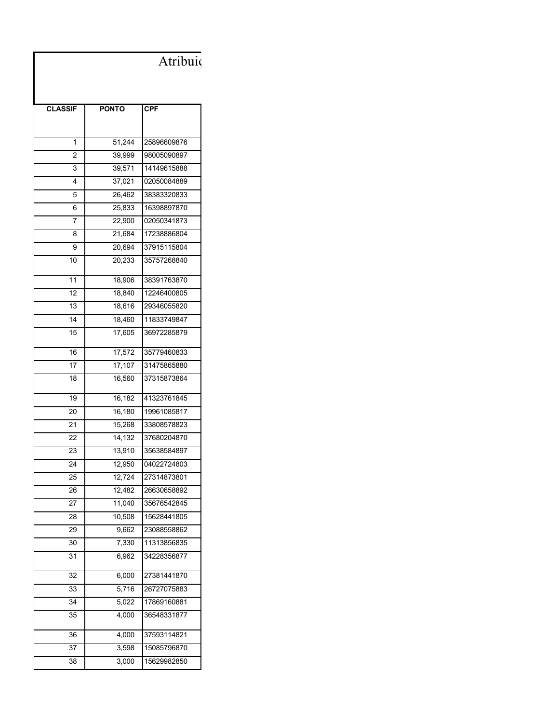## Atribuição de Classes e Aulas / 2020 - Classificação Geral na Diretoria de Ensino Reclassificação 29/01/2020

| <b>CLASSIF</b>  | <b>PONTO</b> | CPF         |
|-----------------|--------------|-------------|
|                 |              |             |
|                 |              |             |
| 1               | 51,244       | 25896609876 |
| 2               | 39,999       | 98005090897 |
| 3               | 39,571       | 14149615888 |
| 4               | 37,021       | 02050084889 |
| 5               | 26,462       | 38383320833 |
| 6               | 25,833       | 16398897870 |
| 7               | 22,900       | 02050341873 |
| 8               | 21,684       | 17238886804 |
| 9               | 20,694       | 37915115804 |
| 10              | 20,233       | 35757268840 |
| 11              | 18,906       | 38391763870 |
| 12              | 18,840       | 12246400805 |
| $\overline{1}3$ | 18,616       | 29346055820 |
| 14              | 18,460       | 11833749847 |
| 15              | 17,605       | 36972285879 |
| 16              | 17,572       | 35779460833 |
| 17              | 17,107       | 31475865880 |
| 18              | 16,560       | 37315873864 |
| 19              | 16,182       | 41323761845 |
| 20              | 16,180       | 19961085817 |
| 21              | 15,268       | 33808578823 |
| 22              | 14,132       | 37680204870 |
| 23              | 13,910       | 35638584897 |
| 24              | 12,950       | 04022724803 |
| 25              | 12,724       | 27314873801 |
| 26              | 12,482       | 26630658892 |
| 27              | 11,040       | 35676542845 |
| 28              | 10,508       | 15628441805 |
| 29              | 9,662        | 23088558862 |
| 30              | 7,330        | 11313856835 |
| 31              | 6,962        | 34228356877 |
| 32              | 6,000        | 27381441870 |
| 33              | 5,716        | 26727075883 |
| 34              | 5,022        | 17869160881 |
| 35              | 4,000        | 36548331877 |
| 36              | 4,000        | 37593114821 |
| 37              | 3,598        | 15085796870 |
| 38              | 3,000        | 15629982850 |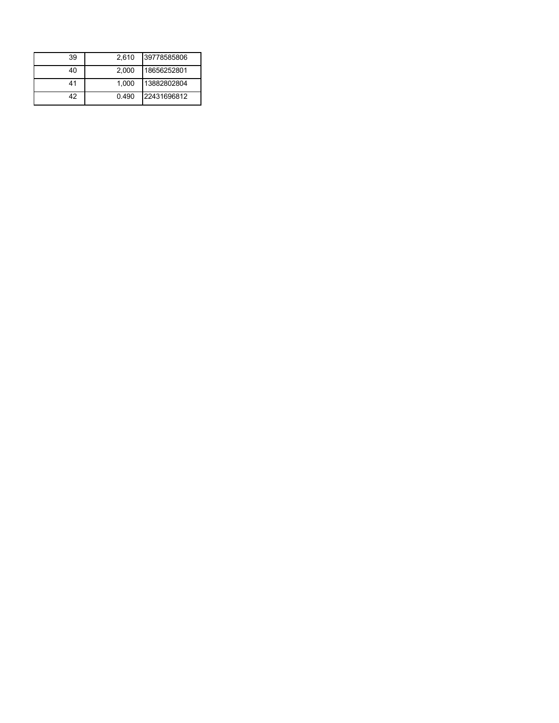| 39 | 2.610 | 39778585806 |
|----|-------|-------------|
| 40 | 2.000 | 18656252801 |
| 41 | 1.000 | 13882802804 |
| 42 | 0.490 | 22431696812 |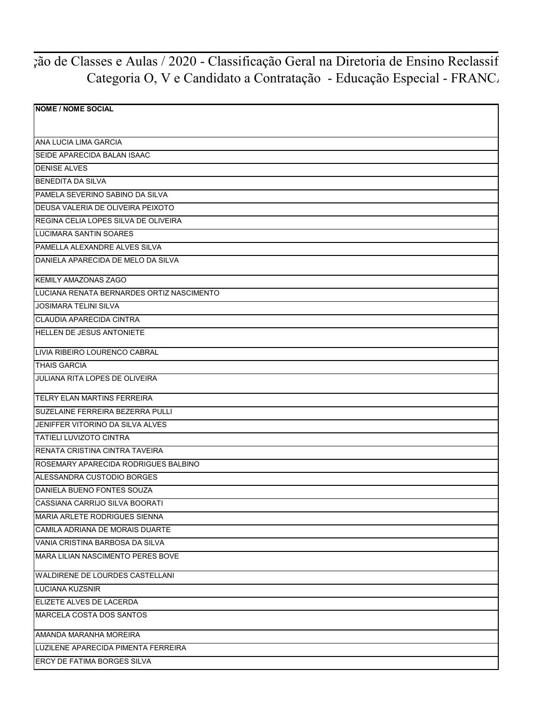## <sub>7</sub>ão de Classes e Aulas / 2020 - Classificação Geral na Diretoria de Ensino Reclassif Categoria O, V e Candidato a Contratação - Educação Especial - FRANC.

| <b>NOME / NOME SOCIAL</b>                 |
|-------------------------------------------|
| ANA LUCIA LIMA GARCIA                     |
| SEIDE APARECIDA BALAN ISAAC               |
| <b>DENISE ALVES</b>                       |
| <b>BENEDITA DA SILVA</b>                  |
| PAMELA SEVERINO SABINO DA SILVA           |
| DEUSA VALERIA DE OLIVEIRA PEIXOTO         |
| REGINA CELIA LOPES SILVA DE OLIVEIRA      |
| <b>LUCIMARA SANTIN SOARES</b>             |
| PAMELLA ALEXANDRE ALVES SILVA             |
| DANIELA APARECIDA DE MELO DA SILVA        |
| <b>KEMILY AMAZONAS ZAGO</b>               |
| LUCIANA RENATA BERNARDES ORTIZ NASCIMENTO |
| JOSIMARA TELINI SILVA                     |
| <b>CLAUDIA APARECIDA CINTRA</b>           |
| <b>HELLEN DE JESUS ANTONIETE</b>          |
| LIVIA RIBEIRO LOURENCO CABRAL             |
| <b>THAIS GARCIA</b>                       |
| JULIANA RITA LOPES DE OLIVEIRA            |
| <b>TELRY ELAN MARTINS FERREIRA</b>        |
| <b>SUZELAINE FERREIRA BEZERRA PULLI</b>   |
| JENIFFER VITORINO DA SILVA ALVES          |
| TATIELI LUVIZOTO CINTRA                   |
| RENATA CRISTINA CINTRA TAVEIRA            |
| ROSEMARY APARECIDA RODRIGUES BALBINO      |
| ALESSANDRA CUSTODIO BORGES                |
| DANIELA BUENO FONTES SOUZA                |
| CASSIANA CARRIJO SILVA BOORATI            |
| MARIA ARLETE RODRIGUES SIENNA             |
| CAMILA ADRIANA DE MORAIS DUARTE           |
| VANIA CRISTINA BARBOSA DA SILVA           |
| MARA LILIAN NASCIMENTO PERES BOVE         |
| WALDIRENE DE LOURDES CASTELLANI           |
| <b>LUCIANA KUZSNIR</b>                    |
| ELIZETE ALVES DE LACERDA                  |
| MARCELA COSTA DOS SANTOS                  |
| AMANDA MARANHA MOREIRA                    |
| LUZILENE APARECIDA PIMENTA FERREIRA       |
| <b>ERCY DE FATIMA BORGES SILVA</b>        |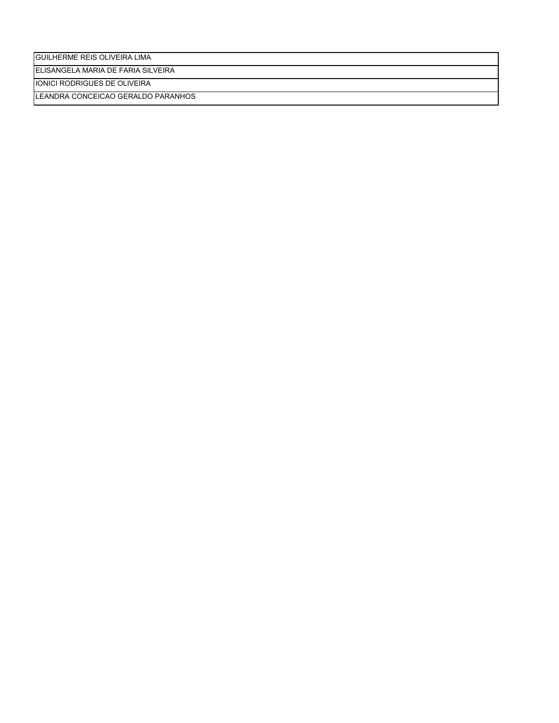GUILHERME REIS OLIVEIRA LIMA

ELISANGELA MARIA DE FARIA SILVEIRA

IONICI RODRIGUES DE OLIVEIRA

LEANDRA CONCEICAO GERALDO PARANHOS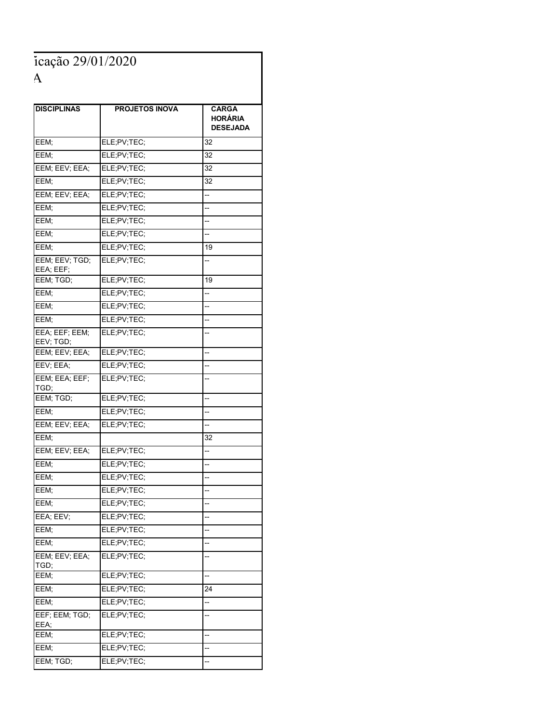icação 29/01/2020 Categoria O, V e Candidato a Contratação - Educação Especial - FRANCA

| <b>DISCIPLINAS</b>          | <b>PROJETOS INOVA</b> | <b>CARGA</b><br><b>HORÁRIA</b><br><b>DESEJADA</b> |
|-----------------------------|-----------------------|---------------------------------------------------|
| EEM;                        | ELE;PV;TEC;           | 32                                                |
| EEM;                        | ELE;PV;TEC;           | 32                                                |
| EEM; EEV; EEA;              | ELE;PV;TEC;           | 32                                                |
| EEM;                        | ELE;PV;TEC;           | 32                                                |
| EEM; EEV; EEA;              | ELE;PV;TEC;           | --                                                |
| EEM;                        | ELE;PV;TEC;           | --                                                |
| EEM;                        | ELE;PV;TEC;           | --                                                |
| EEM;                        | ELE;PV;TEC;           | --                                                |
| EEM;                        | ELE;PV;TEC;           | 19                                                |
| EEM; EEV; TGD;<br>EEA; EEF; | ELE;PV;TEC;           | --                                                |
| EEM; TGD;                   | ELE;PV;TEC;           | 19                                                |
| EEM;                        | ELE;PV;TEC;           | --                                                |
| EEM;                        | ELE;PV;TEC;           | --                                                |
| EEM;                        | ELE;PV;TEC;           | --                                                |
| EEA; EEF; EEM;<br>EEV; TGD; | ELE;PV;TEC;           | --                                                |
| EEM; EEV; EEA;              | ELE;PV;TEC;           | --                                                |
| EEV; EEA;                   | ELE;PV;TEC;           | --                                                |
| EEM; EEA; EEF;<br>TGD;      | ELE;PV;TEC;           | --                                                |
| EEM; TGD;                   | ELE;PV;TEC;           | --                                                |
| EEM;                        | ELE;PV;TEC;           | --                                                |
| EEM; EEV; EEA;              | ELE:PV:TEC:           | --                                                |
| EEM;                        |                       | 32                                                |
| EEM; EEV; EEA;              | ELE;PV;TEC;           | Ξ.                                                |
| EEM;                        | ELE;PV;TEC;           | --                                                |
| EEM;                        | ELE;PV;TEC;           | --                                                |
| EEM;                        | ELE;PV;TEC;           | --                                                |
| EEM:                        | ELE;PV;TEC;           |                                                   |
| EEA; EEV;                   | ELE;PV;TEC;           | --                                                |
| EEM;                        | ELE;PV;TEC;           | --                                                |
| EEM;                        | ELE;PV;TEC;           | --                                                |
| EEM; EEV; EEA;<br>TGD;      | ELE;PV;TEC;           | --                                                |
| EEM;                        | ELE;PV;TEC;           | --                                                |
| EEM;                        | ELE;PV;TEC;           | 24                                                |
| EEM;                        | ELE;PV;TEC;           | --                                                |
| EEF; EEM; TGD;<br>EEA;      | ELE;PV;TEC;           | --                                                |
| EEM;                        | ELE;PV;TEC;           | --                                                |
| EEM;                        | ELE;PV;TEC;           | --                                                |
| EEM; TGD;                   | ELE;PV;TEC;           | --                                                |